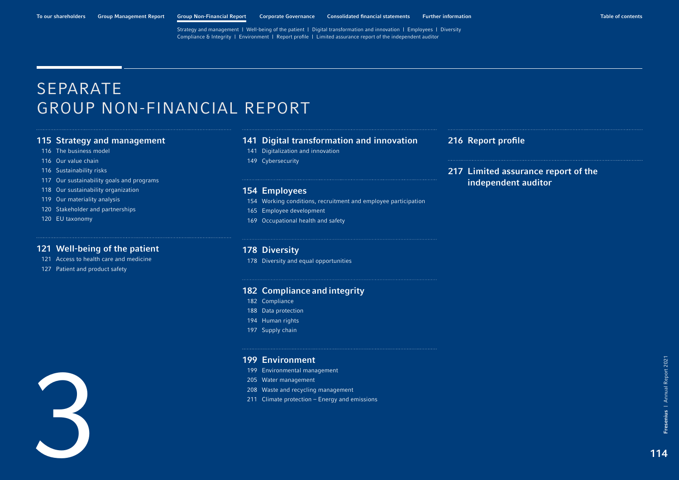# <span id="page-0-0"></span>SEPARATE GROUP NON-FINANCIAL REPORT

## [Strategy and management](#page-1-0)

- [The business model](#page-2-0)
- [Our value chain](#page-2-0)
- [Sustainability risks](#page-2-0)
- [Our sustainability goals and programs](#page-3-0)
- [Our sustainability organization](#page-4-0)
- [Our materiality analysis](#page-5-0)
- [Stakeholder and partnerships](#page-6-0)
- [EU taxonomy](#page-6-0)

## [Well-being of the patient](#page-7-0)

- [Access to health care and medicine](#page-7-0)
- [Patient and product safety](#page-13-0)

## [Digital transformation and innovation](#page-27-0)

- [Digitalization and innovation](#page-27-0)
- [Cybersecurity](#page-35-0)

## [Employees](#page-40-0)

- [Working conditions, recruitment and employee participation](#page-40-0)
- [Employee development](#page-51-0)
- [Occupational health and safety](#page-55-0)

## [Diversity](#page-64-0)

[Diversity and equal opportunities](#page-64-0)

## [Compliance](#page-68-0) and integrity

- [182 Compliance](#page-68-0)
- [Data protection](#page-74-0)
- [Human rights](#page-80-0)
- [Supply chain](#page-83-0)



## [Environment](#page-85-0)

- [Environmental management](#page-85-0)
- [Water management](#page-91-0)
- [Waste and recycling management](#page-94-0)
- [211 Climate protection Energy and emissions](#page-97-0)

## [Report profile](#page-102-0)

[217 Limited assurance report of the](#page-103-0)  independent auditor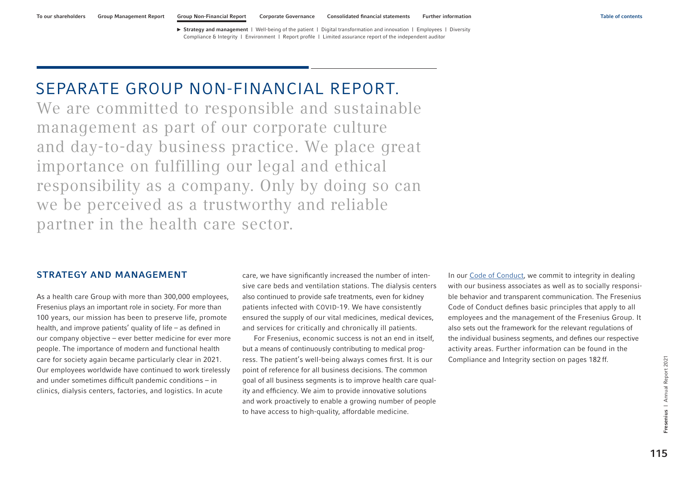# <span id="page-1-0"></span>SEPARATE GROUP NON-FINANCIAL REPORT.

We are committed to responsible and sustainable management as part of our corporate culture and day-to-day business practice. We place great importance on fulfilling our legal and ethical responsibility as a company. Only by doing so can we be perceived as a trustworthy and reliable partner in the health care sector.

## STRATEGY AND MANAGEMENT

As a health care Group with more than 300,000 employees, Fresenius plays an important role in society. For more than 100 years, our mission has been to preserve life, promote health, and improve patients' quality of life – as defined in our company objective – ever better medicine for ever more people. The importance of modern and functional health care for society again became particularly clear in 2021. Our employees worldwide have continued to work tirelessly and under sometimes difficult pandemic conditions – in clinics, dialysis centers, factories, and logistics. In acute

care, we have significantly increased the number of intensive care beds and ventilation stations. The dialysis centers also continued to provide safe treatments, even for kidney patients infected with COVID-19. We have consistently ensured the supply of our vital medicines, medical devices, and services for critically and chronically ill patients.

For Fresenius, economic success is not an end in itself, but a means of continuously contributing to medical progress. The patient's well-being always comes first. It is our point of reference for all business decisions. The common goal of all business segments is to improve health care quality and efficiency. We aim to provide innovative solutions and work proactively to enable a growing number of people to have access to high-quality, affordable medicine.

In our [Code of Conduct,](https://www.fresenius.de/media/FRS_Verhaltenskodex_extern.pdf) we commit to integrity in dealing with our business associates as well as to socially responsible behavior and transparent communication. The Fresenius Code of Conduct defines basic principles that apply to all employees and the management of the Fresenius Group. It also sets out the framework for the relevant regulations of the individual business segments, and defines our respective activity areas. Further information can be found in the Compliance and Integrity section [on pages 182](#page-68-0) ff.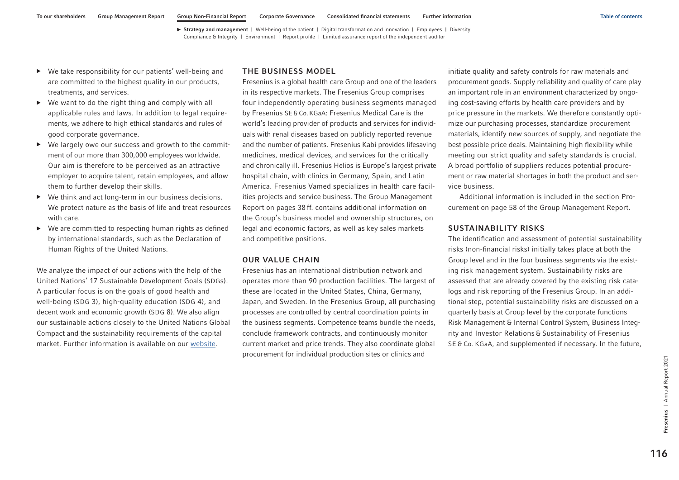- <span id="page-2-0"></span>▶ We take responsibility for our patients' well-being and are committed to the highest quality in our products, treatments, and services.
- $\triangleright$  We want to do the right thing and comply with all applicable rules and laws. In addition to legal requirements, we adhere to high ethical standards and rules of good corporate governance.
- ▶ We largely owe our success and growth to the commitment of our more than 300,000 employees worldwide. Our aim is therefore to be perceived as an attractive employer to acquire talent, retain employees, and allow them to further develop their skills.
- ▶ We think and act long-term in our business decisions. We protect nature as the basis of life and treat resources with care.
- ▶ We are committed to respecting human rights as defined by international standards, such as the Declaration of Human Rights of the United Nations.

We analyze the impact of our actions with the help of the United Nations' 17 Sustainable Development Goals (SDGs). A particular focus is on the goals of good health and well-being (SDG 3), high-quality education (SDG 4), and decent work and economic growth (SDG 8). We also align our sustainable actions closely to the United Nations Global Compact and the sustainability requirements of the capital market. Further information is available on our [website.](https://www.fresenius.com/8735)

## THE BUSINESS MODEL

Fresenius is a global health care Group and one of the leaders in its respective markets. The Fresenius Group comprises four independently operating business segments managed by Fresenius SE&Co.KGaA: Fresenius Medical Care is the world's leading provider of products and services for individuals with renal diseases based on publicly reported revenue and the number of patients. Fresenius Kabi provides lifesaving medicines, medical devices, and services for the critically and chronically ill. Fresenius Helios is Europe's largest private hospital chain, with clinics in Germany, Spain, and Latin America. Fresenius Vamed specializes in health care facilities projects and service business. The Group Management Report on pages 38 ff. contains additional information on the Group's business model and ownership structures, on legal and economic factors, as well as key sales markets and competitive positions.

## OUR VALUE CHAIN

Fresenius has an international distribution network and operates more than 90 production facilities. The largest of these are located in the United States, China, Germany, Japan, and Sweden. In the Fresenius Group, all purchasing processes are controlled by central coordination points in the business segments. Competence teams bundle the needs, conclude framework contracts, and continuously monitor current market and price trends. They also coordinate global procurement for individual production sites or clinics and

initiate quality and safety controls for raw materials and procurement goods. Supply reliability and quality of care play an important role in an environment characterized by ongoing cost-saving efforts by health care providers and by price pressure in the markets. We therefore constantly optimize our purchasing processes, standardize procurement materials, identify new sources of supply, and negotiate the best possible price deals. Maintaining high flexibility while meeting our strict quality and safety standards is crucial. A broad portfolio of suppliers reduces potential procurement or raw material shortages in both the product and service business.

Additional information is included in the section Procurement on page 58 of the Group Management Report.

## SUSTAINABILITY RISKS

The identification and assessment of potential sustainability risks (non-financial risks) initially takes place at both the Group level and in the four business segments via the existing risk management system. Sustainability risks are assessed that are already covered by the existing risk catalogs and risk reporting of the Fresenius Group. In an additional step, potential sustainability risks are discussed on a quarterly basis at Group level by the corporate functions Risk Management & Internal Control System, Business Integrity and Investor Relations & Sustainability of Fresenius SE & Co. KGaA, and supplemented if necessary. In the future,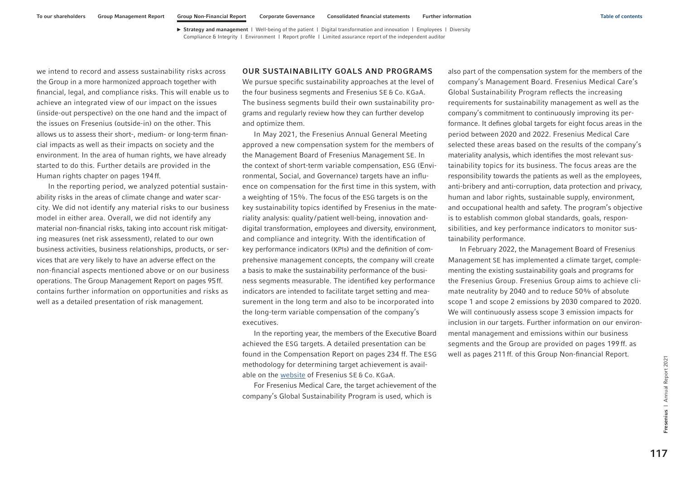<span id="page-3-0"></span>we intend to record and assess sustainability risks across the Group in a more harmonized approach together with financial, legal, and compliance risks. This will enable us to achieve an integrated view of our impact on the issues (inside-out perspective) on the one hand and the impact of the issues on Fresenius (outside-in) on the other. This allows us to assess their short-, medium- or long-term financial impacts as well as their impacts on society and the environment. In the area of human rights, we have already started to do this. Further details are provided in the Human rights chapter [on pages 194ff.](#page-80-0)

In the reporting period, we analyzed potential sustainability risks in the areas of climate change and water scarcity. We did not identify any material risks to our business model in either area. Overall, we did not identify any material non-financial risks, taking into account risk mitigating measures (net risk assessment), related to our own business activities, business relationships, products, or services that are very likely to have an adverse effect on the non-financial aspects mentioned above or on our business operations. The Group Management Report on pages 95ff. contains further information on opportunities and risks as well as a detailed presentation of risk management.

## OUR SUSTAINABILITY GOALS AND PROGRAMS

We pursue specific sustainability approaches at the level of the four business segments and Fresenius SE & Co. KGaA. The business segments build their own sustainability programs and regularly review how they can further develop and optimize them.

In May 2021, the Fresenius Annual General Meeting approved a new compensation system for the members of the Management Board of Fresenius Management SE. In the context of short-term variable compensation, ESG (Environmental, Social, and Governance) targets have an influence on compensation for the first time in this system, with a weighting of 15%. The focus of the ESG targets is on the key sustainability topics identified by Fresenius in the materiality analysis: quality/patient well-being, innovation anddigital transformation, employees and diversity, environment, and compliance and integrity. With the identification of key performance indicators (KPIs) and the definition of comprehensive management concepts, the company will create a basis to make the sustainability performance of the business segments measurable. The identified key performance indicators are intended to facilitate target setting and measurement in the long term and also to be incorporated into the long-term variable compensation of the company's executives.

In the reporting year, the members of the Executive Board achieved the ESG targets. A detailed presentation can be found in the Compensation Report on pages 234 ff. The ESG methodology for determining target achievement is available on the [website](https://www.fresenius.com/corporate-governance) of Fresenius SE & Co. KGaA.

For Fresenius Medical Care, the target achievement of the company's Global Sustainability Program is used, which is

also part of the compensation system for the members of the company's Management Board. Fresenius Medical Care's Global Sustainability Program reflects the increasing requirements for sustainability management as well as the company's commitment to continuously improving its performance. It defines global targets for eight focus areas in the period between 2020 and 2022. Fresenius Medical Care selected these areas based on the results of the company's materiality analysis, which identifies the most relevant sustainability topics for its business. The focus areas are the responsibility towards the patients as well as the employees, anti-bribery and anti-corruption, data protection and privacy, human and labor rights, sustainable supply, environment, and occupational health and safety. The program's objective is to establish common global standards, goals, responsibilities, and key performance indicators to monitor sustainability performance.

In February 2022, the Management Board of Fresenius Management SE has implemented a climate target, complementing the existing sustainability goals and programs for the Fresenius Group. Fresenius Group aims to achieve climate neutrality by 2040 and to reduce 50% of absolute scope 1 and scope 2 emissions by 2030 compared to 2020. We will continuously assess scope 3 emission impacts for inclusion in our targets. Further information on our environmental management and emissions within our business segments and the Group are provided [on pages 199](#page-85-0) ff. as well as [pages 211ff.](#page-97-0) of this Group Non-financial Report.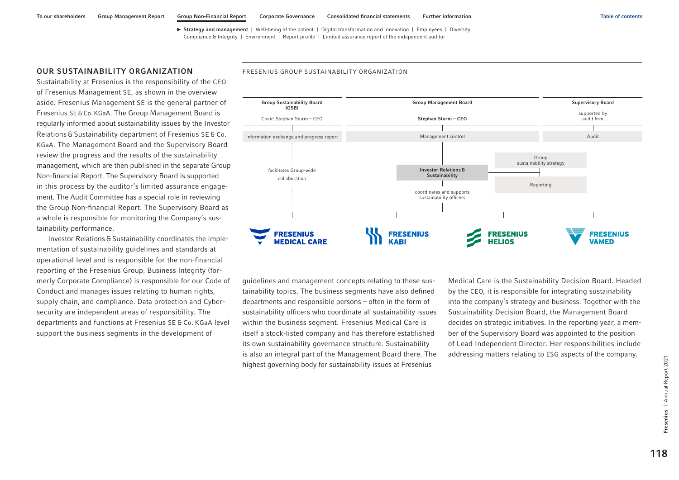## <span id="page-4-0"></span>OUR SUSTAINABILITY ORGANIZATION

Sustainability at Fresenius is the responsibility of the CEO of Fresenius Management SE, as shown in the overview aside. Fresenius Management SE is the general partner of Fresenius SE&Co.KGaA. The Group Management Board is regularly informed about sustainability issues by the Investor Relations & Sustainability department of Fresenius SE & Co. KGaA. The Management Board and the Supervisory Board review the progress and the results of the sustainability management, which are then published in the separate Group Non-financial Report. The Supervisory Board is supported in this process by the auditor's limited assurance engagement. The Audit Committee has a special role in reviewing the Group Non-financial Report. The Supervisory Board as a whole is responsible for monitoring the Company's sustainability performance.

Investor Relations & Sustainability coordinates the implementation of sustainability guidelines and standards at operational level and is responsible for the non-financial reporting of the Fresenius Group. Business Integrity (formerly Corporate Compliance) is responsible for our Code of Conduct and manages issues relating to human rights, supply chain, and compliance. Data protection and Cybersecurity are independent areas of responsibility. The departments and functions at Fresenius SE & Co. KGaA level support the business segments in the development of

#### FRESENIUS GROUP SUSTAINABILITY ORGANIZATION



guidelines and management concepts relating to these sustainability topics. The business segments have also defined departments and responsible persons – often in the form of sustainability officers who coordinate all sustainability issues within the business segment. Fresenius Medical Care is itself a stock-listed company and has therefore established its own sustainability governance structure. Sustainability is also an integral part of the Management Board there. The highest governing body for sustainability issues at Fresenius

Medical Care is the Sustainability Decision Board. Headed by the CEO, it is responsible for integrating sustainability into the company's strategy and business. Together with the Sustainability Decision Board, the Management Board decides on strategic initiatives. In the reporting year, a member of the Supervisory Board was appointed to the position of Lead Independent Director. Her responsibilities include addressing matters relating to ESG aspects of the company.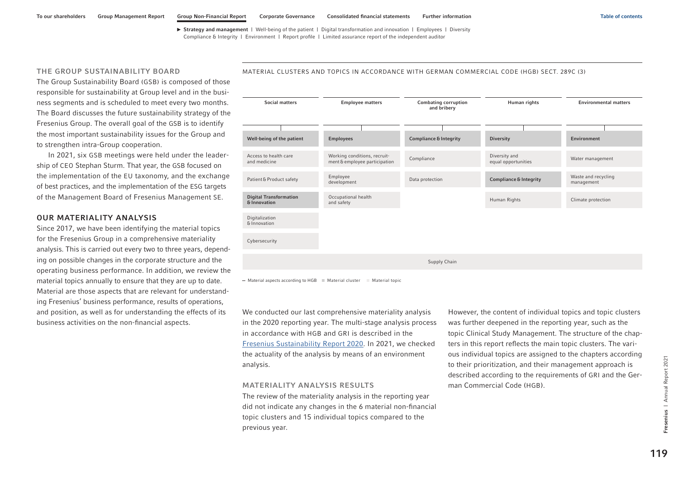## <span id="page-5-0"></span>THE GROUP SUSTAINABILITY BOARD

The Group Sustainability Board (GSB) is composed of those responsible for sustainability at Group level and in the business segments and is scheduled to meet every two months. The Board discusses the future sustainability strategy of the Fresenius Group. The overall goal of the GSB is to identify the most important sustainability issues for the Group and to strengthen intra-Group cooperation.

In 2021, six GSB meetings were held under the leadership of CEO Stephan Sturm. That year, the GSB focused on the implementation of the EU taxonomy, and the exchange of best practices, and the implementation of the ESG targets of the Management Board of Fresenius Management SE.

## OUR MATERIALITY ANALYSIS

Since 2017, we have been identifying the material topics for the Fresenius Group in a comprehensive materiality analysis. This is carried out every two to three years, depending on possible changes in the corporate structure and the operating business performance. In addition, we review the material topics annually to ensure that they are up to date. Material are those aspects that are relevant for understanding Fresenius' business performance, results of operations, and position, as well as for understanding the effects of its business activities on the non-financial aspects.

## Social matters Employee matters Combating corruption and bribery Human rights Environmental matters Well-being of the patient Employees Compliance & Integrity Diversity Diversity Environment Access to health care and medicine Working conditions, recruit-Working conditions, recruit-<br>
ment&employee participation Compliance<br>
equal opportunities Water management equal opportunities Patient&Product safety Employee development Waste and recycling<br>management Data protection **Compliance & Integrity** Digital Transformation & Innovation Occupational health and safety Human Rights Climate protection Digitalization &Innovation Cybersecurity Supply Chain

MATERIAL CLUSTERS AND TOPICS IN ACCORDANCE WITH GERMAN COMMERCIAL CODE (HGB) SECT. 289C (3)

 $-$  Material aspects according to HGB  $\blacksquare$  Material cluster  $\blacksquare$  Material topic

We conducted our last comprehensive materiality analysis in the 2020 reporting year. The multi-stage analysis process in accordance with HGB and GRI is described in the [Fresenius Sustainability Report 2020.](https://annualreport.fresenius.com/2020/sustainability-report/) In 2021, we checked the actuality of the analysis by means of an environment analysis.

#### MATERIALITY ANALYSIS RESULTS

The review of the materiality analysis in the reporting year did not indicate any changes in the 6 material non-financial topic clusters and 15 individual topics compared to the previous year.

However, the content of individual topics and topic clusters was further deepened in the reporting year, such as the topic Clinical Study Management. The structure of the chapters in this report reflects the main topic clusters. The various individual topics are assigned to the chapters according to their prioritization, and their management approach is described according to the requirements of GRI and the German Commercial Code (HGB).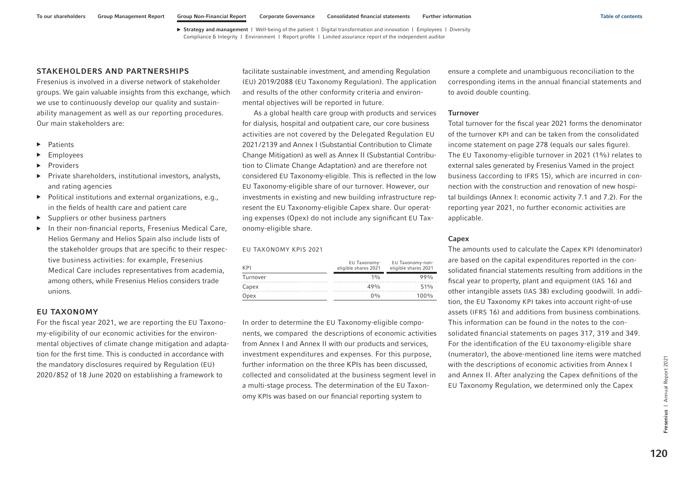## <span id="page-6-0"></span>STAKEHOLDERS AND PARTNERSHIPS

Fresenius is involved in a diverse network of stakeholder groups. We gain valuable insights from this exchange, which we use to continuously develop our quality and sustainability management as well as our reporting procedures. Our main stakeholders are:

- ▶ Patients
- **Employees**
- **Providers**
- ▶ Private shareholders, institutional investors, analysts, and rating agencies
- ▶ Political institutions and external organizations, e.g., in the fields of health care and patient care
- ▶ Suppliers or other business partners
- ▶ In their non-financial reports, Fresenius Medical Care, Helios Germany and Helios Spain also include lists of the stakeholder groups that are specific to their respective business activities: for example, Fresenius Medical Care includes representatives from academia, among others, while Fresenius Helios considers trade unions.

## EU TAXONOMY

For the fiscal year 2021, we are reporting the EU Taxonomy-eligibility of our economic activities for the environmental objectives of climate change mitigation and adaptation for the first time. This is conducted in accordance with the mandatory disclosures required by Regulation (EU) 2020/852 of 18 June 2020 on establishing a framework to

facilitate sustainable investment, and amending Regulation (EU) 2019/2088 (EU Taxonomy Regulation). The application and results of the other conformity criteria and environmental objectives will be reported in future.

As a global health care group with products and services for dialysis, hospital and outpatient care, our core business activities are not covered by the Delegated Regulation EU 2021/2139 and Annex I (Substantial Contribution to Climate Change Mitigation) as well as Annex II (Substantial Contribution to Climate Change Adaptation) and are therefore not considered EU Taxonomy-eligible. This is reflected in the low EU Taxonomy-eligible share of our turnover. However, our investments in existing and new building infrastructure represent the EU Taxonomy-eligible Capex share. Our operating expenses (Opex) do not include any significant EU Taxonomy-eligible share.

#### EU TAXONOMY KPIS 2021

| K <sub>PI</sub> | EU Taxonomy-<br>eligible shares 2021 | EU Taxonomy-non-<br>eligible shares 2021 |  |
|-----------------|--------------------------------------|------------------------------------------|--|
| Turnover        | 10/n                                 | 990 <sub>0</sub>                         |  |
| Capex           | 49%                                  | 51%                                      |  |
| Opex            | $0\%$                                | $100\%$                                  |  |

In order to determine the EU Taxonomy-eligible components, we compared the descriptions of economic activities from Annex I and Annex II with our products and services, investment expenditures and expenses. For this purpose, further information on the three KPIs has been discussed, collected and consolidated at the business segment level in a multi-stage process. The determination of the EU Taxonomy KPIs was based on our financial reporting system to

ensure a complete and unambiguous reconciliation to the corresponding items in the annual financial statements and to avoid double counting.

#### Turnover

Total turnover for the fiscal year 2021 forms the denominator of the turnover KPI and can be taken from the consolidated income statement on page 278 (equals our sales figure). The EU Taxonomy-eligible turnover in 2021 (1%) relates to external sales generated by Fresenius Vamed in the project business (according to IFRS 15), which are incurred in connection with the construction and renovation of new hospital buildings (Annex I: economic activity 7.1 and 7.2). For the reporting year 2021, no further economic activities are applicable.

## Capex

The amounts used to calculate the Capex KPI (denominator) are based on the capital expenditures reported in the consolidated financial statements resulting from additions in the fiscal year to property, plant and equipment (IAS 16) and other intangible assets (IAS 38) excluding goodwill. In addition, the EU Taxonomy KPI takes into account right-of-use assets (IFRS 16) and additions from business combinations. This information can be found in the notes to the consolidated financial statements on pages 317, 319 and 349. For the identification of the EU taxonomy-eligible share (numerator), the above-mentioned line items were matched with the descriptions of economic activities from Annex I and Annex II. After analyzing the Capex definitions of the EU Taxonomy Regulation, we determined only the Capex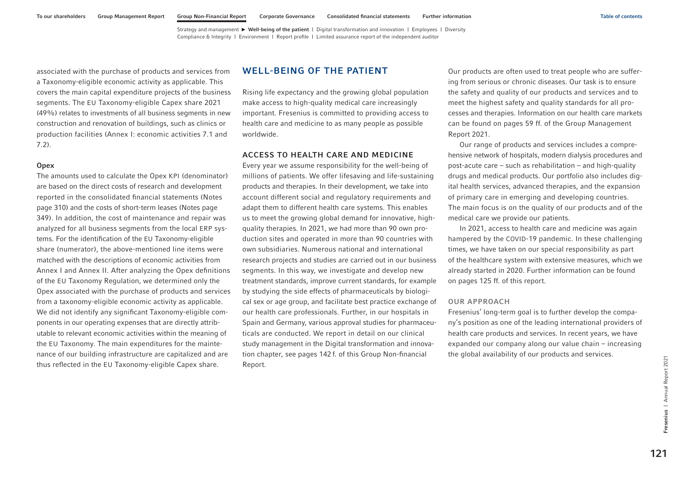<span id="page-7-0"></span>associated with the purchase of products and services from a Taxonomy-eligible economic activity as applicable. This covers the main capital expenditure projects of the business segments. The EU Taxonomy-eligible Capex share 2021 (49%) relates to investments of all business segments in new construction and renovation of buildings, such as clinics or production facilities (Annex I: economic activities 7.1 and 7.2).

#### **Opex**

The amounts used to calculate the Opex KPI (denominator) are based on the direct costs of research and development reported in the consolidated financial statements (Notes page 310) and the costs of short-term leases (Notes page 349). In addition, the cost of maintenance and repair was analyzed for all business segments from the local ERP systems. For the identification of the EU Taxonomy-eligible share (numerator), the above-mentioned line items were matched with the descriptions of economic activities from Annex I and Annex II. After analyzing the Opex definitions of the EU Taxonomy Regulation, we determined only the Opex associated with the purchase of products and services from a taxonomy-eligible economic activity as applicable. We did not identify any significant Taxonomy-eligible components in our operating expenses that are directly attributable to relevant economic activities within the meaning of the EU Taxonomy. The main expenditures for the maintenance of our building infrastructure are capitalized and are thus reflected in the EU Taxonomy-eligible Capex share.

## WELL-BEING OF THE PATIENT

Rising life expectancy and the growing global population make access to high-quality medical care increasingly important. Fresenius is committed to providing access to health care and medicine to as many people as possible worldwide.

## ACCESS TO HEALTH CARE AND MEDICINE

Every year we assume responsibility for the well-being of millions of patients. We offer lifesaving and life-sustaining products and therapies. In their development, we take into account different social and regulatory requirements and adapt them to different health care systems. This enables us to meet the growing global demand for innovative, highquality therapies. In 2021, we had more than 90 own production sites and operated in more than 90 countries with own subsidiaries. Numerous national and international research projects and studies are carried out in our business segments. In this way, we investigate and develop new treatment standards, improve current standards, for example by studying the side effects of pharmaceuticals by biological sex or age group, and facilitate best practice exchange of our health care professionals. Further, in our hospitals in Spain and Germany, various approval studies for pharmaceuticals are conducted. We report in detail on our clinical study management in the Digital transformation and innovation chapter, [see pages 142](#page-28-0) f. of this Group Non-financial Report.

Our products are often used to treat people who are suffering from serious or chronic diseases. Our task is to ensure the safety and quality of our products and services and to meet the highest safety and quality standards for all processes and therapies. Information on our health care markets can be found on pages 59 ff. of the Group Management Report 2021.

Our range of products and services includes a comprehensive network of hospitals, modern dialysis procedures and post-acute care – such as rehabilitation – and high-quality drugs and medical products. Our portfolio also includes digital health services, advanced therapies, and the expansion of primary care in emerging and developing countries. The main focus is on the quality of our products and of the medical care we provide our patients.

In 2021, access to health care and medicine was again hampered by the COVID-19 pandemic. In these challenging times, we have taken on our special responsibility as part of the healthcare system with extensive measures, which we already started in 2020. Further information can be found [on pages 125 ff.](#page-11-0) of this report.

## OUR APPROACH

Fresenius' long-term goal is to further develop the company's position as one of the leading international providers of health care products and services. In recent years, we have expanded our company along our value chain – increasing the global availability of our products and services.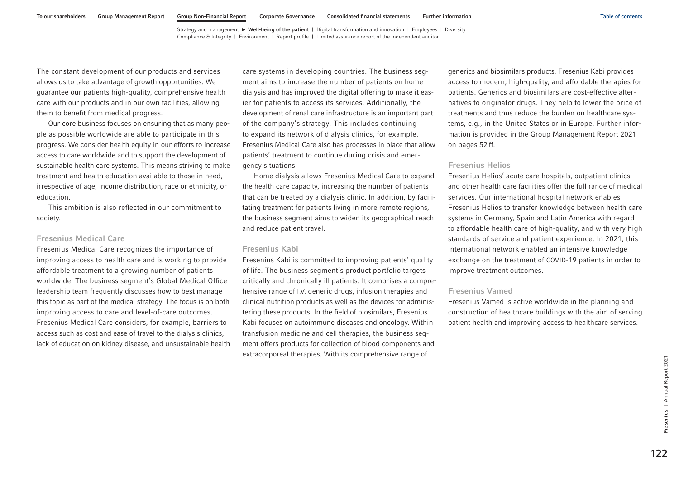The constant development of our products and services allows us to take advantage of growth opportunities. We guarantee our patients high-quality, comprehensive health care with our products and in our own facilities, allowing them to benefit from medical progress.

Our core business focuses on ensuring that as many people as possible worldwide are able to participate in this progress. We consider health equity in our efforts to increase access to care worldwide and to support the development of sustainable health care systems. This means striving to make treatment and health education available to those in need, irrespective of age, income distribution, race or ethnicity, or education.

This ambition is also reflected in our commitment to society.

## Fresenius Medical Care

Fresenius Medical Care recognizes the importance of improving access to health care and is working to provide affordable treatment to a growing number of patients worldwide. The business segment's Global Medical Office leadership team frequently discusses how to best manage this topic as part of the medical strategy. The focus is on both improving access to care and level-of-care outcomes. Fresenius Medical Care considers, for example, barriers to access such as cost and ease of travel to the dialysis clinics, lack of education on kidney disease, and unsustainable health

care systems in developing countries. The business segment aims to increase the number of patients on home dialysis and has improved the digital offering to make it easier for patients to access its services. Additionally, the development of renal care infrastructure is an important part of the company's strategy. This includes continuing to expand its network of dialysis clinics, for example. Fresenius Medical Care also has processes in place that allow patients' treatment to continue during crisis and emergency situations.

Home dialysis allows Fresenius Medical Care to expand the health care capacity, increasing the number of patients that can be treated by a dialysis clinic. In addition, by facilitating treatment for patients living in more remote regions, the business segment aims to widen its geographical reach and reduce patient travel.

## Fresenius Kabi

Fresenius Kabi is committed to improving patients' quality of life. The business segment's product portfolio targets critically and chronically ill patients. It comprises a comprehensive range of I.V. generic drugs, infusion therapies and clinical nutrition products as well as the devices for administering these products. In the field of biosimilars, Fresenius Kabi focuses on autoimmune diseases and oncology. Within transfusion medicine and cell therapies, the business segment offers products for collection of blood components and extracorporeal therapies. With its comprehensive range of

generics and biosimilars products, Fresenius Kabi provides access to modern, high-quality, and affordable therapies for patients. Generics and biosimilars are cost-effective alternatives to originator drugs. They help to lower the price of treatments and thus reduce the burden on healthcare systems, e.g., in the United States or in Europe. Further information is provided in the Group Management Report 2021 on pages 52 ff.

## Fresenius Helios

Fresenius Helios' acute care hospitals, outpatient clinics and other health care facilities offer the full range of medical services. Our international hospital network enables Fresenius Helios to transfer knowledge between health care systems in Germany, Spain and Latin America with regard to affordable health care of high-quality, and with very high standards of service and patient experience. In 2021, this international network enabled an intensive knowledge exchange on the treatment of COVID-19 patients in order to improve treatment outcomes.

## Fresenius Vamed

Fresenius Vamed is active worldwide in the planning and construction of healthcare buildings with the aim of serving patient health and improving access to healthcare services.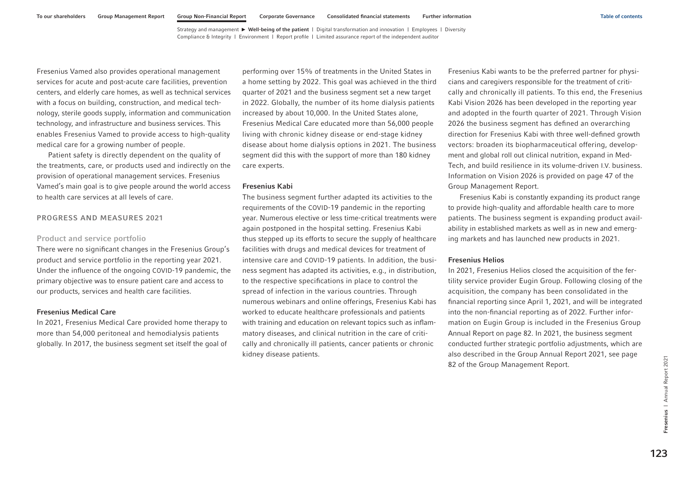Fresenius Vamed also provides operational management services for acute and post-acute care facilities, prevention centers, and elderly care homes, as well as technical services with a focus on building, construction, and medical technology, sterile goods supply, information and communication technology, and infrastructure and business services. This enables Fresenius Vamed to provide access to high-quality medical care for a growing number of people.

Patient safety is directly dependent on the quality of the treatments, care, or products used and indirectly on the provision of operational management services. Fresenius Vamed's main goal is to give people around the world access to health care services at all levels of care.

## PROGRESS AND MEASURES 2021

## Product and service portfolio

There were no significant changes in the Fresenius Group's product and service portfolio in the reporting year 2021. Under the influence of the ongoing COVID-19 pandemic, the primary objective was to ensure patient care and access to our products, services and health care facilities.

## Fresenius Medical Care

In 2021, Fresenius Medical Care provided home therapy to more than 54,000 peritoneal and hemodialysis patients globally. In 2017, the business segment set itself the goal of

performing over 15% of treatments in the United States in a home setting by 2022. This goal was achieved in the third quarter of 2021 and the business segment set a new target in 2022. Globally, the number of its home dialysis patients increased by about 10,000. In the United States alone, Fresenius Medical Care educated more than 56,000 people living with chronic kidney disease or end-stage kidney disease about home dialysis options in 2021. The business segment did this with the support of more than 180 kidney care experts.

#### Fresenius Kabi

The business segment further adapted its activities to the requirements of the COVID-19 pandemic in the reporting year. Numerous elective or less time-critical treatments were again postponed in the hospital setting. Fresenius Kabi thus stepped up its efforts to secure the supply of healthcare facilities with drugs and medical devices for treatment of intensive care and COVID-19 patients. In addition, the business segment has adapted its activities, e.g., in distribution, to the respective specifications in place to control the spread of infection in the various countries. Through numerous webinars and online offerings, Fresenius Kabi has worked to educate healthcare professionals and patients with training and education on relevant topics such as inflammatory diseases, and clinical nutrition in the care of critically and chronically ill patients, cancer patients or chronic kidney disease patients.

Fresenius Kabi wants to be the preferred partner for physicians and caregivers responsible for the treatment of critically and chronically ill patients. To this end, the Fresenius Kabi Vision 2026 has been developed in the reporting year and adopted in the fourth quarter of 2021. Through Vision 2026 the business segment has defined an overarching direction for Fresenius Kabi with three well-defined growth vectors: broaden its biopharmaceutical offering, development and global roll out clinical nutrition, expand in Med-Tech, and build resilience in its volume-driven I.V. business. Information on Vision 2026 is provided on page 47 of the Group Management Report.

Fresenius Kabi is constantly expanding its product range to provide high-quality and affordable health care to more patients. The business segment is expanding product availability in established markets as well as in new and emerging markets and has launched new products in 2021.

## Fresenius Helios

In 2021, Fresenius Helios closed the acquisition of the fertility service provider Eugin Group. Following closing of the acquisition, the company has been consolidated in the financial reporting since April 1, 2021, and will be integrated into the non-financial reporting as of 2022. Further information on Eugin Group is included in the Fresenius Group Annual Report on page 82. In 2021, the business segment conducted further strategic portfolio adjustments, which are also described in the Group Annual Report 2021, see page 82 of the Group Management Report.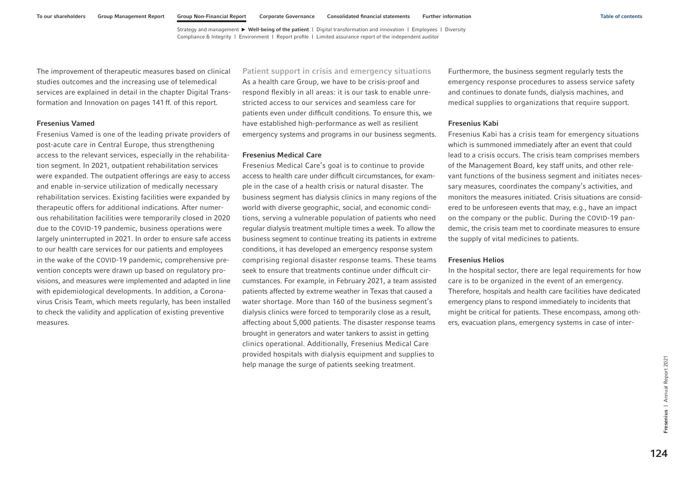The improvement of therapeutic measures based on clinical studies outcomes and the increasing use of telemedical services are explained in detail in the chapter Digital Transformation and Innovation [on pages 141](#page-27-0) ff. of this report.

## Fresenius Vamed

Fresenius Vamed is one of the leading private providers of post-acute care in Central Europe, thus strengthening access to the relevant services, especially in the rehabilitation segment. In 2021, outpatient rehabilitation services were expanded. The outpatient offerings are easy to access and enable in-service utilization of medically necessary rehabilitation services. Existing facilities were expanded by therapeutic offers for additional indications. After numerous rehabilitation facilities were temporarily closed in 2020 due to the COVID-19 pandemic, business operations were largely uninterrupted in 2021. In order to ensure safe access to our health care services for our patients and employees in the wake of the COVID-19 pandemic, comprehensive prevention concepts were drawn up based on regulatory provisions, and measures were implemented and adapted in line with epidemiological developments. In addition, a Coronavirus Crisis Team, which meets regularly, has been installed to check the validity and application of existing preventive measures.

Patient support in crisis and emergency situations As a health care Group, we have to be crisis-proof and respond flexibly in all areas: it is our task to enable unrestricted access to our services and seamless care for patients even under difficult conditions. To ensure this, we have established high-performance as well as resilient emergency systems and programs in our business segments.

#### Fresenius Medical Care

Fresenius Medical Care's goal is to continue to provide access to health care under difficult circumstances, for example in the case of a health crisis or natural disaster. The business segment has dialysis clinics in many regions of the world with diverse geographic, social, and economic conditions, serving a vulnerable population of patients who need regular dialysis treatment multiple times a week. To allow the business segment to continue treating its patients in extreme conditions, it has developed an emergency response system comprising regional disaster response teams. These teams seek to ensure that treatments continue under difficult circumstances. For example, in February 2021, a team assisted patients affected by extreme weather in Texas that caused a water shortage. More than 160 of the business segment's dialysis clinics were forced to temporarily close as a result, affecting about 5,000 patients. The disaster response teams brought in generators and water tankers to assist in getting clinics operational. Additionally, Fresenius Medical Care provided hospitals with dialysis equipment and supplies to help manage the surge of patients seeking treatment.

Furthermore, the business segment regularly tests the emergency response procedures to assess service safety and continues to donate funds, dialysis machines, and medical supplies to organizations that require support.

## Fresenius Kabi

Fresenius Kabi has a crisis team for emergency situations which is summoned immediately after an event that could lead to a crisis occurs. The crisis team comprises members of the Management Board, key staff units, and other relevant functions of the business segment and initiates necessary measures, coordinates the company's activities, and monitors the measures initiated. Crisis situations are considered to be unforeseen events that may, e.g., have an impact on the company or the public. During the COVID-19 pandemic, the crisis team met to coordinate measures to ensure the supply of vital medicines to patients.

## Fresenius Helios

In the hospital sector, there are legal requirements for how care is to be organized in the event of an emergency. Therefore, hospitals and health care facilities have dedicated emergency plans to respond immediately to incidents that might be critical for patients. These encompass, among others, evacuation plans, emergency systems in case of inter-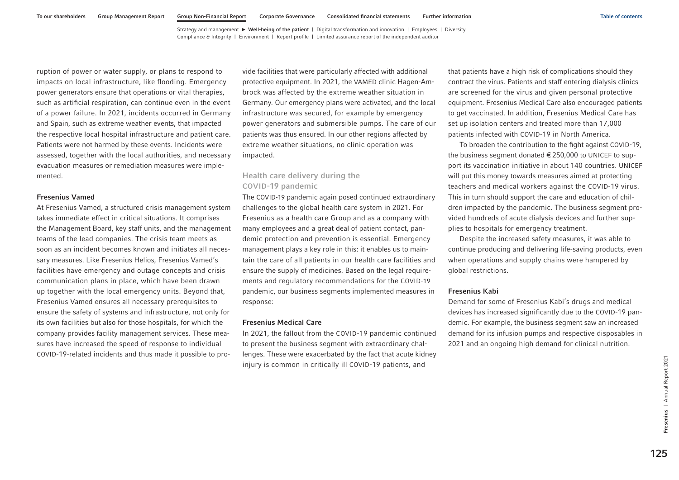<span id="page-11-0"></span>ruption of power or water supply, or plans to respond to impacts on local infrastructure, like flooding. Emergency power generators ensure that operations or vital therapies, such as artificial respiration, can continue even in the event of a power failure. In 2021, incidents occurred in Germany and Spain, such as extreme weather events, that impacted the respective local hospital infrastructure and patient care. Patients were not harmed by these events. Incidents were assessed, together with the local authorities, and necessary evacuation measures or remediation measures were implemented.

## Fresenius Vamed

At Fresenius Vamed, a structured crisis management system takes immediate effect in critical situations. It comprises the Management Board, key staff units, and the management teams of the lead companies. The crisis team meets as soon as an incident becomes known and initiates all necessary measures. Like Fresenius Helios, Fresenius Vamed's facilities have emergency and outage concepts and crisis communication plans in place, which have been drawn up together with the local emergency units. Beyond that, Fresenius Vamed ensures all necessary prerequisites to ensure the safety of systems and infrastructure, not only for its own facilities but also for those hospitals, for which the company provides facility management services. These measures have increased the speed of response to individual COVID-19-related incidents and thus made it possible to pro-

vide facilities that were particularly affected with additional protective equipment. In 2021, the VAMED clinic Hagen-Ambrock was affected by the extreme weather situation in Germany. Our emergency plans were activated, and the local infrastructure was secured, for example by emergency power generators and submersible pumps. The care of our patients was thus ensured. In our other regions affected by extreme weather situations, no clinic operation was impacted.

## Health care delivery during the COVID-19 pandemic

The COVID-19 pandemic again posed continued extraordinary challenges to the global health care system in 2021. For Fresenius as a health care Group and as a company with many employees and a great deal of patient contact, pandemic protection and prevention is essential. Emergency management plays a key role in this: it enables us to maintain the care of all patients in our health care facilities and ensure the supply of medicines. Based on the legal requirements and regulatory recommendations for the COVID-19 pandemic, our business segments implemented measures in response:

#### Fresenius Medical Care

In 2021, the fallout from the COVID-19 pandemic continued to present the business segment with extraordinary challenges. These were exacerbated by the fact that acute kidney injury is common in critically ill COVID-19 patients, and

that patients have a high risk of complications should they contract the virus. Patients and staff entering dialysis clinics are screened for the virus and given personal protective equipment. Fresenius Medical Care also encouraged patients to get vaccinated. In addition, Fresenius Medical Care has set up isolation centers and treated more than 17,000 patients infected with COVID-19 in North America.

To broaden the contribution to the fight against COVID-19, the business segment donated €250,000 to UNICEF to support its vaccination initiative in about 140 countries. UNICEF will put this money towards measures aimed at protecting teachers and medical workers against the COVID-19 virus. This in turn should support the care and education of children impacted by the pandemic. The business segment provided hundreds of acute dialysis devices and further supplies to hospitals for emergency treatment.

Despite the increased safety measures, it was able to continue producing and delivering life-saving products, even when operations and supply chains were hampered by global restrictions.

#### Fresenius Kabi

Demand for some of Fresenius Kabi's drugs and medical devices has increased significantly due to the COVID-19 pandemic. For example, the business segment saw an increased demand for its infusion pumps and respective disposables in 2021 and an ongoing high demand for clinical nutrition.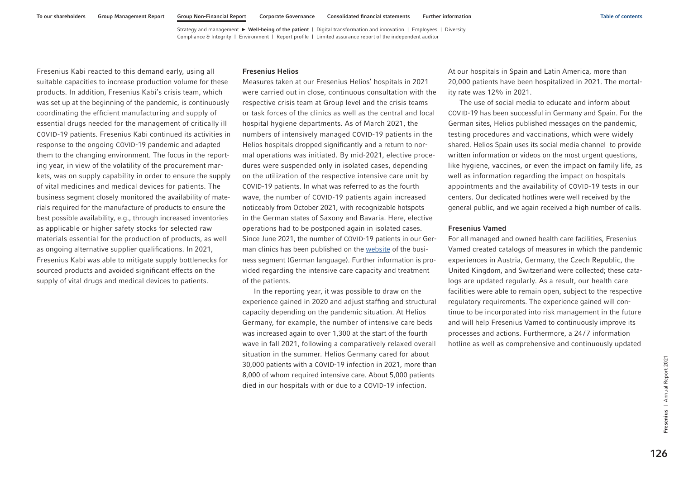Fresenius Kabi reacted to this demand early, using all suitable capacities to increase production volume for these products. In addition, Fresenius Kabi's crisis team, which was set up at the beginning of the pandemic, is continuously coordinating the efficient manufacturing and supply of essential drugs needed for the management of critically ill COVID-19 patients. Fresenius Kabi continued its activities in response to the ongoing COVID-19 pandemic and adapted them to the changing environment. The focus in the reporting year, in view of the volatility of the procurement markets, was on supply capability in order to ensure the supply of vital medicines and medical devices for patients. The business segment closely monitored the availability of materials required for the manufacture of products to ensure the best possible availability, e.g., through increased inventories as applicable or higher safety stocks for selected raw materials essential for the production of products, as well as ongoing alternative supplier qualifications. In 2021, Fresenius Kabi was able to mitigate supply bottlenecks for sourced products and avoided significant effects on the supply of vital drugs and medical devices to patients.

#### Fresenius Helios

Measures taken at our Fresenius Helios' hospitals in 2021 were carried out in close, continuous consultation with the respective crisis team at Group level and the crisis teams or task forces of the clinics as well as the central and local hospital hygiene departments. As of March 2021, the numbers of intensively managed COVID-19 patients in the Helios hospitals dropped significantly and a return to normal operations was initiated. By mid-2021, elective procedures were suspended only in isolated cases, depending on the utilization of the respective intensive care unit by COVID-19 patients. In what was referred to as the fourth wave, the number of COVID-19 patients again increased noticeably from October 2021, with recognizable hotspots in the German states of Saxony and Bavaria. Here, elective operations had to be postponed again in isolated cases. Since June 2021, the number of COVID-19 patients in our German clinics has been published on the [website](https://www.helios-gesundheit.de/qualitaet/auslastung/) of the business segment (German language). Further information is provided regarding the intensive care capacity and treatment of the patients.

In the reporting year, it was possible to draw on the experience gained in 2020 and adjust staffing and structural capacity depending on the pandemic situation. At Helios Germany, for example, the number of intensive care beds was increased again to over 1,300 at the start of the fourth wave in fall 2021, following a comparatively relaxed overall situation in the summer. Helios Germany cared for about 30,000 patients with a COVID-19 infection in 2021, more than 8,000 of whom required intensive care. About 5,000 patients died in our hospitals with or due to a COVID-19 infection.

At our hospitals in Spain and Latin America, more than 20,000 patients have been hospitalized in 2021. The mortality rate was 12% in 2021.

The use of social media to educate and inform about COVID-19 has been successful in Germany and Spain. For the German sites, Helios published messages on the pandemic, testing procedures and vaccinations, which were widely shared. Helios Spain uses its social media channel to provide written information or videos on the most urgent questions, like hygiene, vaccines, or even the impact on family life, as well as information regarding the impact on hospitals appointments and the availability of COVID-19 tests in our centers. Our dedicated hotlines were well received by the general public, and we again received a high number of calls.

#### Fresenius Vamed

For all managed and owned health care facilities, Fresenius Vamed created catalogs of measures in which the pandemic experiences in Austria, Germany, the Czech Republic, the United Kingdom, and Switzerland were collected; these catalogs are updated regularly. As a result, our health care facilities were able to remain open, subject to the respective regulatory requirements. The experience gained will continue to be incorporated into risk management in the future and will help Fresenius Vamed to continuously improve its processes and actions. Furthermore, a 24/7 information hotline as well as comprehensive and continuously updated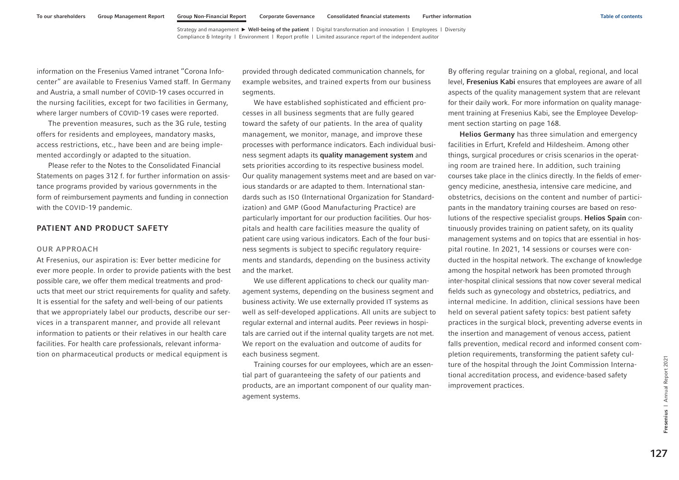<span id="page-13-0"></span>information on the Fresenius Vamed intranet "Corona Infocenter" are available to Fresenius Vamed staff. In Germany and Austria, a small number of COVID-19 cases occurred in the nursing facilities, except for two facilities in Germany, where larger numbers of COVID-19 cases were reported.

The prevention measures, such as the 3G rule, testing offers for residents and employees, mandatory masks, access restrictions, etc., have been and are being implemented accordingly or adapted to the situation.

Please refer to the Notes to the Consolidated Financial Statements on pages 312 f. for further information on assistance programs provided by various governments in the form of reimbursement payments and funding in connection with the COVID-19 pandemic.

## PATIENT AND PRODUCT SAFETY

## OUR APPROACH

At Fresenius, our aspiration is: Ever better medicine for ever more people. In order to provide patients with the best possible care, we offer them medical treatments and products that meet our strict requirements for quality and safety. It is essential for the safety and well-being of our patients that we appropriately label our products, describe our services in a transparent manner, and provide all relevant information to patients or their relatives in our health care facilities. For health care professionals, relevant information on pharmaceutical products or medical equipment is

provided through dedicated communication channels, for example websites, and trained experts from our business segments.

We have established sophisticated and efficient processes in all business segments that are fully geared toward the safety of our patients. In the area of quality management, we monitor, manage, and improve these processes with performance indicators. Each individual business segment adapts its quality management system and sets priorities according to its respective business model. Our quality management systems meet and are based on various standards or are adapted to them. International standards such as ISO (International Organization for Standardization) and GMP (Good Manufacturing Practice) are particularly important for our production facilities. Our hospitals and health care facilities measure the quality of patient care using various indicators. Each of the four business segments is subject to specific regulatory requirements and standards, depending on the business activity and the market.

We use different applications to check our quality management systems, depending on the business segment and business activity. We use externally provided IT systems as well as self-developed applications. All units are subject to regular external and internal audits. Peer reviews in hospitals are carried out if the internal quality targets are not met. We report on the evaluation and outcome of audits for each business segment.

Training courses for our employees, which are an essential part of guaranteeing the safety of our patients and products, are an important component of our quality management systems.

By offering regular training on a global, regional, and local level, Fresenius Kabi ensures that employees are aware of all aspects of the quality management system that are relevant for their daily work. For more information on quality management training at Fresenius Kabi, see the Employee Development section starting [on page 168.](#page-54-0) 

Helios Germany has three simulation and emergency facilities in Erfurt, Krefeld and Hildesheim. Among other things, surgical procedures or crisis scenarios in the operating room are trained here. In addition, such training courses take place in the clinics directly. In the fields of emergency medicine, anesthesia, intensive care medicine, and obstetrics, decisions on the content and number of participants in the mandatory training courses are based on resolutions of the respective specialist groups. Helios Spain continuously provides training on patient safety, on its quality management systems and on topics that are essential in hospital routine. In 2021, 14 sessions or courses were conducted in the hospital network. The exchange of knowledge among the hospital network has been promoted through inter-hospital clinical sessions that now cover several medical fields such as gynecology and obstetrics, pediatrics, and internal medicine. In addition, clinical sessions have been held on several patient safety topics: best patient safety practices in the surgical block, preventing adverse events in the insertion and management of venous access, patient falls prevention, medical record and informed consent completion requirements, transforming the patient safety culture of the hospital through the Joint Commission International accreditation process, and evidence-based safety improvement practices.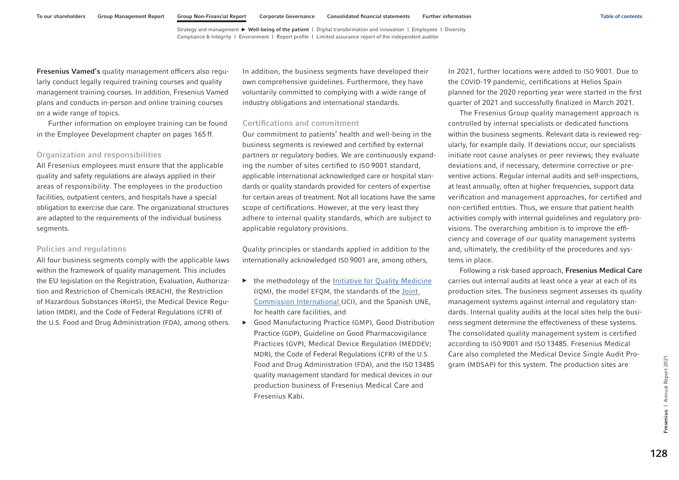<span id="page-14-0"></span>Fresenius Vamed's quality management officers also regularly conduct legally required training courses and quality management training courses. In addition, Fresenius Vamed plans and conducts in-person and online training courses on a wide range of topics.

Further information on employee training can be found in the Employee Development chapter [on pages 165](#page-51-0) ff.

## Organization and responsibilities

All Fresenius employees must ensure that the applicable quality and safety regulations are always applied in their areas of responsibility. The employees in the production facilities, outpatient centers, and hospitals have a special obligation to exercise due care. The organizational structures are adapted to the requirements of the individual business segments.

## Policies and regulations

All four business segments comply with the applicable laws within the framework of quality management. This includes the EU legislation on the Registration, Evaluation, Authorization and Restriction of Chemicals (REACH), the Restriction of Hazardous Substances (RoHS), the Medical Device Regulation (MDR), and the Code of Federal Regulations (CFR) of the U.S. Food and Drug Administration (FDA), among others. In addition, the business segments have developed their own comprehensive guidelines. Furthermore, they have voluntarily committed to complying with a wide range of industry obligations and international standards.

#### Certifications and commitment

Our commitment to patients' health and well-being in the business segments is reviewed and certified by external partners or regulatory bodies. We are continuously expanding the number of sites certified to ISO 9001 standard, applicable international acknowledged care or hospital standards or quality standards provided for centers of expertise for certain areas of treatment. Not all locations have the same scope of certifications. However, at the very least they adhere to internal quality standards, which are subject to applicable regulatory provisions.

Quality principles or standards applied in addition to the internationally acknowledged ISO 9001 are, among others,

- ▶ the methodology of the *Initiative for Quality Medicine* (IQM), the model [EFQM,](http://www.efqm.de/) the standards of th[e Joint](https://www.jointcommission.org/performance-improvement/joint-commission-international/)  [Commission International](https://www.jointcommission.org/performance-improvement/joint-commission-international/) (JCI), and the Spanish UNE, for health care facilities, and
- Good Manufacturing Practice (GMP), Good Distribution Practice (GDP), Guideline on Good Pharmacovigilance Practices (GVP), Medical Device Regulation (MEDDEV; MDR), the Code of Federal Regulations (CFR) of the U.S. Food and Drug Administration (FDA), and the ISO 13485 quality management standard for medical devices in our production business of Fresenius Medical Care and Fresenius Kabi.

In 2021, further locations were added to ISO 9001. Due to the COVID-19 pandemic, certifications at Helios Spain planned for the 2020 reporting year were started in the first quarter of 2021 and successfully finalized in March 2021.

The Fresenius Group quality management approach is controlled by internal specialists or dedicated functions within the business segments. Relevant data is reviewed regularly, for example daily. If deviations occur, our specialists initiate root cause analyses or peer reviews; they evaluate deviations and, if necessary, determine corrective or preventive actions. Regular internal audits and self-inspections, at least annually, often at higher frequencies, support data verification and management approaches, for certified and non-certified entities. Thus, we ensure that patient health activities comply with internal guidelines and regulatory provisions. The overarching ambition is to improve the efficiency and coverage of our quality management systems and, ultimately, the credibility of the procedures and systems in place.

Following a risk-based approach, Fresenius Medical Care carries out internal audits at least once a year at each of its production sites. The business segment assesses its quality management systems against internal and regulatory standards. Internal quality audits at the local sites help the business segment determine the effectiveness of these systems. The consolidated quality management system is certified according to ISO 9001 and ISO 13485. Fresenius Medical Care also completed the Medical Device Single Audit Program (MDSAP) for this system. The production sites are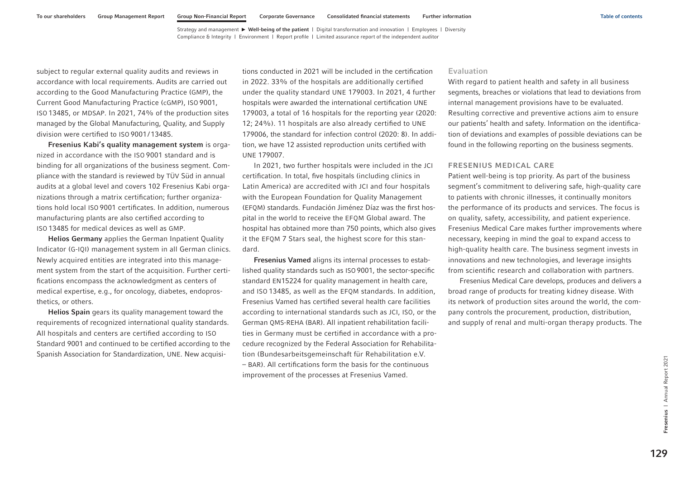subject to regular external quality audits and reviews in accordance with local requirements. Audits are carried out according to the Good Manufacturing Practice (GMP), the Current Good Manufacturing Practice (cGMP), ISO 9001, ISO 13485, or MDSAP. In 2021, 74% of the production sites managed by the Global Manufacturing, Quality, and Supply division were certified to ISO 9001/13485.

Fresenius Kabi's quality management system is organized in accordance with the ISO 9001 standard and is binding for all organizations of the business segment. Compliance with the standard is reviewed by TÜV Süd in annual audits at a global level and covers 102 Fresenius Kabi organizations through a matrix certification; further organizations hold local ISO 9001 certificates. In addition, numerous manufacturing plants are also certified according to ISO 13485 for medical devices as well as GMP.

Helios Germany applies the German Inpatient Quality Indicator (G-IQI) management system in all German clinics. Newly acquired entities are integrated into this management system from the start of the acquisition. Further certifications encompass the acknowledgment as centers of medical expertise, e.g., for oncology, diabetes, endoprosthetics, or others.

Helios Spain gears its quality management toward the requirements of recognized international quality standards. All hospitals and centers are certified according to ISO Standard 9001 and continued to be certified according to the Spanish Association for Standardization, UNE. New acquisitions conducted in 2021 will be included in the certification in 2022. 33% of the hospitals are additionally certified under the quality standard UNE 179003. In 2021, 4 further hospitals were awarded the international certification UNE 179003, a total of 16 hospitals for the reporting year (2020: 12; 24%). 11 hospitals are also already certified to UNE 179006, the standard for infection control (2020: 8). In addition, we have 12 assisted reproduction units certified with UNE 179007.

In 2021, two further hospitals were included in the JCI certification. In total, five hospitals (including clinics in Latin America) are accredited with JCI and four hospitals with the European Foundation for Quality Management (EFQM) standards. Fundación Jiménez Díaz was the first hospital in the world to receive the EFQM Global award. The hospital has obtained more than 750 points, which also gives it the EFQM 7 Stars seal, the highest score for this standard.

Fresenius Vamed aligns its internal processes to established quality standards such as ISO 9001, the sector-specific standard EN15224 for quality management in health care, and ISO 13485, as well as the EFQM standards. In addition, Fresenius Vamed has certified several health care facilities according to international standards such as JCI, ISO, or the German QMS-REHA (BAR). All inpatient rehabilitation facilities in Germany must be certified in accordance with a procedure recognized by the Federal Association for Rehabilitation (Bundesarbeitsgemeinschaft für Rehabilitation e.V.

– BAR). All certifications form the basis for the continuous improvement of the processes at Fresenius Vamed.

## Evaluation

With regard to patient health and safety in all business segments, breaches or violations that lead to deviations from internal management provisions have to be evaluated. Resulting corrective and preventive actions aim to ensure our patients' health and safety. Information on the identification of deviations and examples of possible deviations can be found in the following reporting on the business segments.

#### FRESENIUS MEDICAL CARE

Patient well-being is top priority. As part of the business segment's commitment to delivering safe, high-quality care to patients with chronic illnesses, it continually monitors the performance of its products and services. The focus is on quality, safety, accessibility, and patient experience. Fresenius Medical Care makes further improvements where necessary, keeping in mind the goal to expand access to high-quality health care. The business segment invests in innovations and new technologies, and leverage insights from scientific research and collaboration with partners.

Fresenius Medical Care develops, produces and delivers a broad range of products for treating kidney disease. With its network of production sites around the world, the company controls the procurement, production, distribution, and supply of renal and multi-organ therapy products. The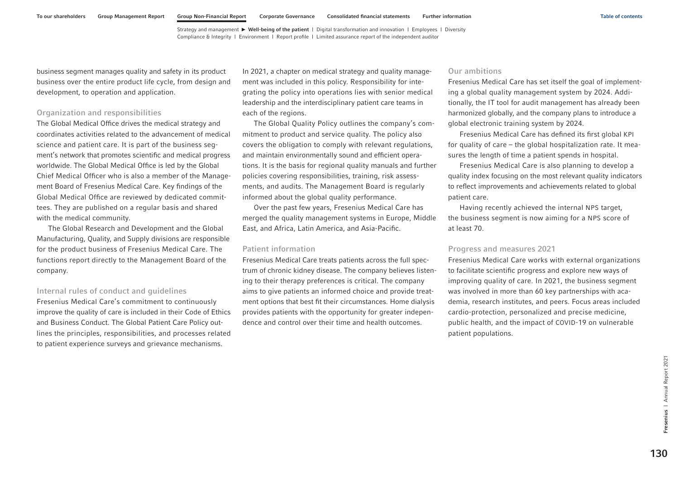business segment manages quality and safety in its product business over the entire product life cycle, from design and development, to operation and application.

## Organization and responsibilities

The Global Medical Office drives the medical strategy and coordinates activities related to the advancement of medical science and patient care. It is part of the business segment's network that promotes scientific and medical progress worldwide. The Global Medical Office is led by the Global Chief Medical Officer who is also a member of the Management Board of Fresenius Medical Care. Key findings of the Global Medical Office are reviewed by dedicated committees. They are published on a regular basis and shared with the medical community.

The Global Research and Development and the Global Manufacturing, Quality, and Supply divisions are responsible for the product business of Fresenius Medical Care. The functions report directly to the Management Board of the company.

## Internal rules of conduct and guidelines

Fresenius Medical Care's commitment to continuously improve the quality of care is included in their Code of Ethics and Business Conduct. The Global Patient Care Policy outlines the principles, responsibilities, and processes related to patient experience surveys and grievance mechanisms.

In 2021, a chapter on medical strategy and quality management was included in this policy. Responsibility for integrating the policy into operations lies with senior medical leadership and the interdisciplinary patient care teams in each of the regions.

The Global Quality Policy outlines the company's commitment to product and service quality. The policy also covers the obligation to comply with relevant regulations, and maintain environmentally sound and efficient operations. It is the basis for regional quality manuals and further policies covering responsibilities, training, risk assessments, and audits. The Management Board is regularly informed about the global quality performance.

Over the past few years, Fresenius Medical Care has merged the quality management systems in Europe, Middle East, and Africa, Latin America, and Asia-Pacific.

## Patient information

Fresenius Medical Care treats patients across the full spectrum of chronic kidney disease. The company believes listening to their therapy preferences is critical. The company aims to give patients an informed choice and provide treatment options that best fit their circumstances. Home dialysis provides patients with the opportunity for greater independence and control over their time and health outcomes.

## Our ambitions

Fresenius Medical Care has set itself the goal of implementing a global quality management system by 2024. Additionally, the IT tool for audit management has already been harmonized globally, and the company plans to introduce a global electronic training system by 2024.

Fresenius Medical Care has defined its first global KPI for quality of care – the global hospitalization rate. It measures the length of time a patient spends in hospital.

Fresenius Medical Care is also planning to develop a quality index focusing on the most relevant quality indicators to reflect improvements and achievements related to global patient care.

Having recently achieved the internal NPS target, the business segment is now aiming for a NPS score of at least 70.

## Progress and measures 2021

Fresenius Medical Care works with external organizations to facilitate scientific progress and explore new ways of improving quality of care. In 2021, the business segment was involved in more than 60 key partnerships with academia, research institutes, and peers. Focus areas included cardio-protection, personalized and precise medicine, public health, and the impact of COVID-19 on vulnerable patient populations.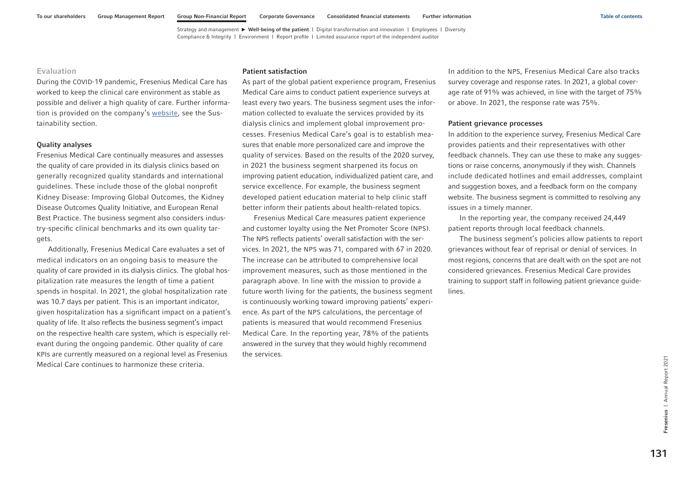## Evaluation

During the COVID-19 pandemic, Fresenius Medical Care has worked to keep the clinical care environment as stable as possible and deliver a high quality of care. Further information is provided on the company'[s website,](https://www.freseniusmedicalcare.com/en/sustainability) see the Sustainability section.

#### Quality analyses

Fresenius Medical Care continually measures and assesses the quality of care provided in its dialysis clinics based on generally recognized quality standards and international guidelines. These include those of the global nonprofit Kidney Disease: Improving Global Outcomes, the Kidney Disease Outcomes Quality Initiative, and European Renal Best Practice. The business segment also considers industry-specific clinical benchmarks and its own quality targets.

Additionally, Fresenius Medical Care evaluates a set of medical indicators on an ongoing basis to measure the quality of care provided in its dialysis clinics. The global hospitalization rate measures the length of time a patient spends in hospital. In 2021, the global hospitalization rate was 10.7 days per patient. This is an important indicator, given hospitalization has a significant impact on a patient's quality of life. It also reflects the business segment's impact on the respective health care system, which is especially relevant during the ongoing pandemic. Other quality of care KPIs are currently measured on a regional level as Fresenius Medical Care continues to harmonize these criteria.

## Patient satisfaction

As part of the global patient experience program, Fresenius Medical Care aims to conduct patient experience surveys at least every two years. The business segment uses the information collected to evaluate the services provided by its dialysis clinics and implement global improvement processes. Fresenius Medical Care's goal is to establish measures that enable more personalized care and improve the quality of services. Based on the results of the 2020 survey, in 2021 the business segment sharpened its focus on improving patient education, individualized patient care, and service excellence. For example, the business segment developed patient education material to help clinic staff better inform their patients about health-related topics.

Fresenius Medical Care measures patient experience and customer loyalty using the Net Promoter Score (NPS). The NPS reflects patients' overall satisfaction with the services. In 2021, the NPS was 71, compared with 67 in 2020. The increase can be attributed to comprehensive local improvement measures, such as those mentioned in the paragraph above. In line with the mission to provide a future worth living for the patients, the business segment is continuously working toward improving patients' experience. As part of the NPS calculations, the percentage of patients is measured that would recommend Fresenius Medical Care. In the reporting year, 78% of the patients answered in the survey that they would highly recommend the services.

In addition to the NPS, Fresenius Medical Care also tracks survey coverage and response rates. In 2021, a global coverage rate of 91% was achieved, in line with the target of 75% or above. In 2021, the response rate was 75%.

#### Patient grievance processes

In addition to the experience survey, Fresenius Medical Care provides patients and their representatives with other feedback channels. They can use these to make any suggestions or raise concerns, anonymously if they wish. Channels include dedicated hotlines and email addresses, complaint and suggestion boxes, and a feedback form on the company website. The business segment is committed to resolving any issues in a timely manner.

In the reporting year, the company received 24,449 patient reports through local feedback channels.

The business segment's policies allow patients to report grievances without fear of reprisal or denial of services. In most regions, concerns that are dealt with on the spot are not considered grievances. Fresenius Medical Care provides training to support staff in following patient grievance guidelines.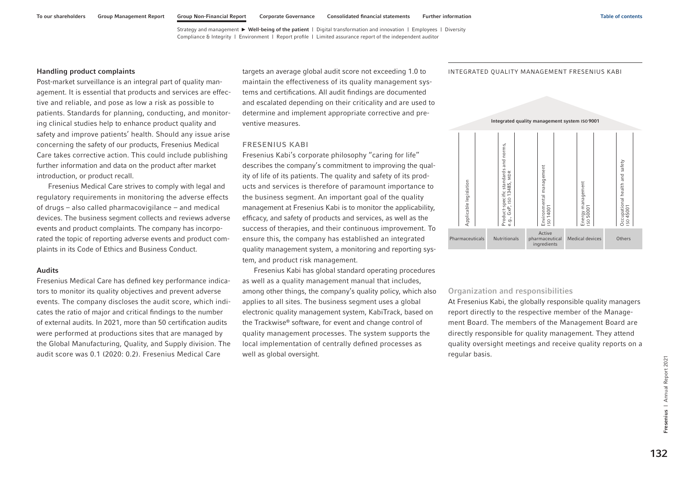#### Handling product complaints

Post-market surveillance is an integral part of quality management. It is essential that products and services are effective and reliable, and pose as low a risk as possible to patients. Standards for planning, conducting, and monitoring clinical studies help to enhance product quality and safety and improve patients' health. Should any issue arise concerning the safety of our products, Fresenius Medical Care takes corrective action. This could include publishing further information and data on the product after market introduction, or product recall.

Fresenius Medical Care strives to comply with legal and regulatory requirements in monitoring the adverse effects of drugs – also called pharmacovigilance – and medical devices. The business segment collects and reviews adverse events and product complaints. The company has incorporated the topic of reporting adverse events and product complaints in its Code of Ethics and Business Conduct.

## Audits

Fresenius Medical Care has defined key performance indicators to monitor its quality objectives and prevent adverse events. The company discloses the audit score, which indicates the ratio of major and critical findings to the number of external audits. In 2021, more than 50 certification audits were performed at productions sites that are managed by the Global Manufacturing, Quality, and Supply division. The audit score was 0.1 (2020: 0.2). Fresenius Medical Care

targets an average global audit score not exceeding 1.0 to maintain the effectiveness of its quality management systems and certifications. All audit findings are documented and escalated depending on their criticality and are used to determine and implement appropriate corrective and preventive measures.

#### FRESENIUS KABI

Fresenius Kabi's corporate philosophy "caring for life" describes the company's commitment to improving the quality of life of its patients. The quality and safety of its products and services is therefore of paramount importance to the business segment. An important goal of the quality management at Fresenius Kabi is to monitor the applicability, efficacy, and safety of products and services, as well as the success of therapies, and their continuous improvement. To ensure this, the company has established an integrated quality management system, a monitoring and reporting system, and product risk management.

Fresenius Kabi has global standard operating procedures as well as a quality management manual that includes, among other things, the company's quality policy, which also applies to all sites. The business segment uses a global electronic quality management system, KabiTrack, based on the Trackwise® software, for event and change control of quality management processes. The system supports the local implementation of centrally defined processes as well as global oversight.

INTEGRATED QUALITY MANAGEMENT FRESENIUS KABI



## Organization and responsibilities

At Fresenius Kabi, the globally responsible quality managers report directly to the respective member of the Management Board. The members of the Management Board are directly responsible for quality management. They attend quality oversight meetings and receive quality reports on a regular basis.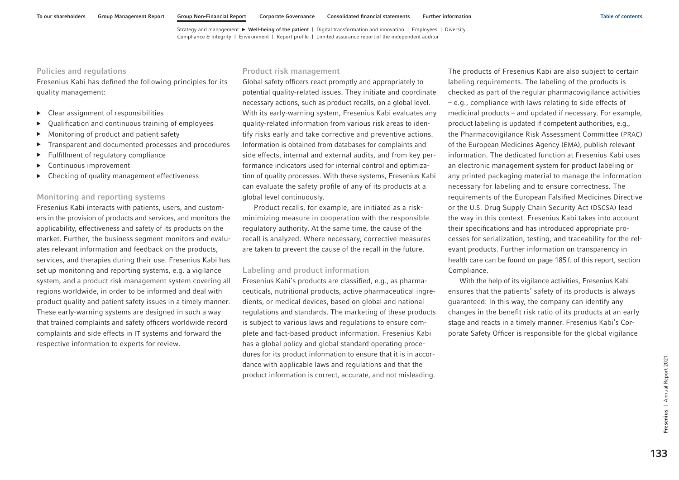## Policies and regulations

Fresenius Kabi has defined the following principles for its quality management:

- $\blacktriangleright$  Clear assignment of responsibilities
- Qualification and continuous training of employees
- ▶ Monitoring of product and patient safety
- ▶ Transparent and documented processes and procedures
- ▶ Fulfillment of regulatory compliance
- ▶ Continuous improvement
- ▶ Checking of quality management effectiveness

## Monitoring and reporting systems

Fresenius Kabi interacts with patients, users, and customers in the provision of products and services, and monitors the applicability, effectiveness and safety of its products on the market. Further, the business segment monitors and evaluates relevant information and feedback on the products, services, and therapies during their use. Fresenius Kabi has set up monitoring and reporting systems, e.g. a vigilance system, and a product risk management system covering all regions worldwide, in order to be informed and deal with product quality and patient safety issues in a timely manner. These early-warning systems are designed in such a way that trained complaints and safety officers worldwide record complaints and side effects in IT systems and forward the respective information to experts for review.

## Product risk management

Global safety officers react promptly and appropriately to potential quality-related issues. They initiate and coordinate necessary actions, such as product recalls, on a global level. With its early-warning system, Fresenius Kabi evaluates any quality-related information from various risk areas to identify risks early and take corrective and preventive actions. Information is obtained from databases for complaints and side effects, internal and external audits, and from key performance indicators used for internal control and optimization of quality processes. With these systems, Fresenius Kabi can evaluate the safety profile of any of its products at a global level continuously.

Product recalls, for example, are initiated as a riskminimizing measure in cooperation with the responsible regulatory authority. At the same time, the cause of the recall is analyzed. Where necessary, corrective measures are taken to prevent the cause of the recall in the future.

## Labeling and product information

Fresenius Kabi's products are classified, e.g., as pharmaceuticals, nutritional products, active pharmaceutical ingredients, or medical devices, based on global and national regulations and standards. The marketing of these products is subject to various laws and regulations to ensure complete and fact-based product information. Fresenius Kabi has a global policy and global standard operating procedures for its product information to ensure that it is in accordance with applicable laws and regulations and that the product information is correct, accurate, and not misleading.

The products of Fresenius Kabi are also subject to certain labeling requirements. The labeling of the products is checked as part of the regular pharmacovigilance activities – e.g., compliance with laws relating to side effects of medicinal products – and updated if necessary. For example, product labeling is updated if competent authorities, e.g., the Pharmacovigilance Risk Assessment Committee (PRAC) of the European Medicines Agency (EMA), publish relevant information. The dedicated function at Fresenius Kabi uses an electronic management system for product labeling or any printed packaging material to manage the information necessary for labeling and to ensure correctness. The requirements of the European Falsified Medicines Directive or the U.S. Drug Supply Chain Security Act (DSCSA) lead the way in this context. Fresenius Kabi takes into account their specifications and has introduced appropriate processes for serialization, testing, and traceability for the relevant products. Further information on transparency in health care can be found [on page 185f.](#page-71-0) of this report, section Compliance.

With the help of its vigilance activities, Fresenius Kabi ensures that the patients' safety of its products is always guaranteed: In this way, the company can identify any changes in the benefit risk ratio of its products at an early stage and reacts in a timely manner. Fresenius Kabi's Corporate Safety Officer is responsible for the global vigilance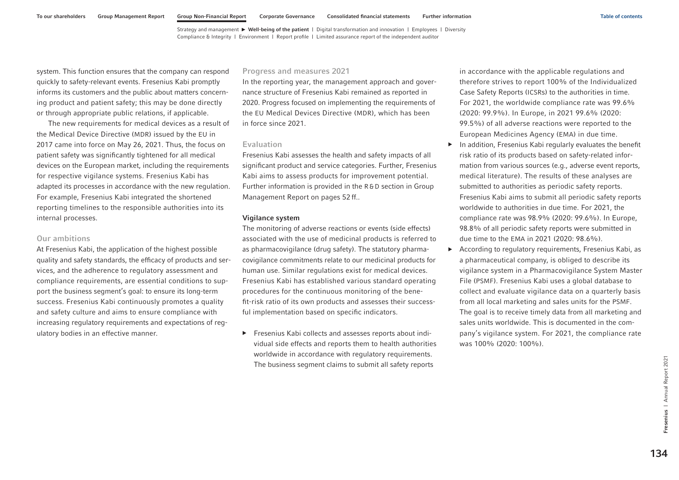system. This function ensures that the company can respond quickly to safety-relevant events. Fresenius Kabi promptly informs its customers and the public about matters concerning product and patient safety; this may be done directly or through appropriate public relations, if applicable.

The new requirements for medical devices as a result of the Medical Device Directive (MDR) issued by the EU in 2017 came into force on May 26, 2021. Thus, the focus on patient safety was significantly tightened for all medical devices on the European market, including the requirements for respective vigilance systems. Fresenius Kabi has adapted its processes in accordance with the new regulation. For example, Fresenius Kabi integrated the shortened reporting timelines to the responsible authorities into its internal processes.

## Our ambitions

At Fresenius Kabi, the application of the highest possible quality and safety standards, the efficacy of products and services, and the adherence to regulatory assessment and compliance requirements, are essential conditions to support the business segment's goal: to ensure its long-term success. Fresenius Kabi continuously promotes a quality and safety culture and aims to ensure compliance with increasing regulatory requirements and expectations of regulatory bodies in an effective manner.

## Progress and measures 2021

In the reporting year, the management approach and governance structure of Fresenius Kabi remained as reported in 2020. Progress focused on implementing the requirements of the EU Medical Devices Directive (MDR), which has been in force since 2021.

#### Evaluation

Fresenius Kabi assesses the health and safety impacts of all significant product and service categories. Further, Fresenius Kabi aims to assess products for improvement potential. Further information is provided in the R& D section in Group Management Report on pages 52 ff..

#### Vigilance system

The monitoring of adverse reactions or events (side effects) associated with the use of medicinal products is referred to as pharmacovigilance (drug safety). The statutory pharmacovigilance commitments relate to our medicinal products for human use. Similar regulations exist for medical devices. Fresenius Kabi has established various standard operating procedures for the continuous monitoring of the benefit-risk ratio of its own products and assesses their successful implementation based on specific indicators.

▶ Fresenius Kabi collects and assesses reports about individual side effects and reports them to health authorities worldwide in accordance with regulatory requirements. The business segment claims to submit all safety reports

in accordance with the applicable regulations and therefore strives to report 100% of the Individualized Case Safety Reports (ICSRs) to the authorities in time. For 2021, the worldwide compliance rate was 99.6% (2020: 99.9%). In Europe, in 2021 99.6% (2020: 99.5%) of all adverse reactions were reported to the European Medicines Agency (EMA) in due time.

- $\blacktriangleright$  In addition, Fresenius Kabi regularly evaluates the benefit risk ratio of its products based on safety-related information from various sources (e.g., adverse event reports, medical literature). The results of these analyses are submitted to authorities as periodic safety reports. Fresenius Kabi aims to submit all periodic safety reports worldwide to authorities in due time. For 2021, the compliance rate was 98.9% (2020: 99.6%). In Europe, 98.8% of all periodic safety reports were submitted in due time to the EMA in 2021 (2020: 98.6%).
- ▶ According to regulatory requirements, Fresenius Kabi, as a pharmaceutical company, is obliged to describe its vigilance system in a Pharmacovigilance System Master File (PSMF). Fresenius Kabi uses a global database to collect and evaluate vigilance data on a quarterly basis from all local marketing and sales units for the PSMF. The goal is to receive timely data from all marketing and sales units worldwide. This is documented in the company's vigilance system. For 2021, the compliance rate was 100% (2020: 100%).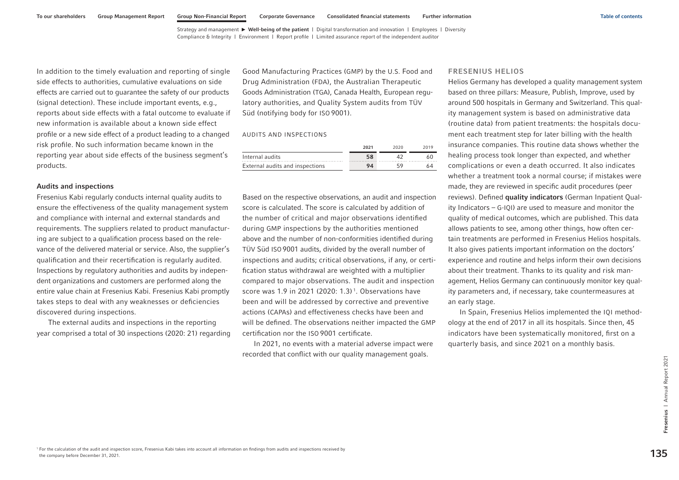In addition to the timely evaluation and reporting of single side effects to authorities, cumulative evaluations on side effects are carried out to guarantee the safety of our products (signal detection). These include important events, e.g., reports about side effects with a fatal outcome to evaluate if new information is available about a known side effect profile or a new side effect of a product leading to a changed risk profile. No such information became known in the reporting year about side effects of the business segment's products.

#### Audits and inspections

Fresenius Kabi regularly conducts internal quality audits to ensure the effectiveness of the quality management system and compliance with internal and external standards and requirements. The suppliers related to product manufacturing are subject to a qualification process based on the relevance of the delivered material or service. Also, the supplier's qualification and their recertification is regularly audited. Inspections by regulatory authorities and audits by independent organizations and customers are performed along the entire value chain at Fresenius Kabi. Fresenius Kabi promptly takes steps to deal with any weaknesses or deficiencies discovered during inspections.

The external audits and inspections in the reporting year comprised a total of 30 inspections (2020: 21) regarding Good Manufacturing Practices (GMP) by the U.S. Food and Drug Administration (FDA), the Australian Therapeutic Goods Administration (TGA), Canada Health, European regulatory authorities, and Quality System audits from TÜV Süd (notifying body for ISO 9001).

#### AUDITS AND INSPECTIONS

|                                 | 2021 | 2020 | 2019 |
|---------------------------------|------|------|------|
| Internal audits                 |      |      |      |
| External audits and inspections | 94   |      | 64   |

Based on the respective observations, an audit and inspection score is calculated. The score is calculated by addition of the number of critical and major observations identified during GMP inspections by the authorities mentioned above and the number of non-conformities identified during TÜV Süd ISO 9001 audits, divided by the overall number of inspections and audits; critical observations, if any, or certification status withdrawal are weighted with a multiplier compared to major observations. The audit and inspection score was 1.9 in 2021 (2020: 1.3)<sup>1</sup>. Observations have been and will be addressed by corrective and preventive actions (CAPAs) and effectiveness checks have been and will be defined. The observations neither impacted the GMP certification nor the ISO 9001 certificate.

In 2021, no events with a material adverse impact were recorded that conflict with our quality management goals.

#### FRESENIUS HELIOS

Helios Germany has developed a quality management system based on three pillars: Measure, Publish, Improve, used by around 500 hospitals in Germany and Switzerland. This quality management system is based on administrative data (routine data) from patient treatments: the hospitals document each treatment step for later billing with the health insurance companies. This routine data shows whether the healing process took longer than expected, and whether complications or even a death occurred. It also indicates whether a treatment took a normal course; if mistakes were made, they are reviewed in specific audit procedures (peer reviews). Defined quality indicators (German Inpatient Quality Indicators – G-IQI) are used to measure and monitor the quality of medical outcomes, which are published. This data allows patients to see, among other things, how often certain treatments are performed in Fresenius Helios hospitals. It also gives patients important information on the doctors' experience and routine and helps inform their own decisions about their treatment. Thanks to its quality and risk management, Helios Germany can continuously monitor key quality parameters and, if necessary, take countermeasures at an early stage.

In Spain, Fresenius Helios implemented the IQI methodology at the end of 2017 in all its hospitals. Since then, 45 indicators have been systematically monitored, first on a quarterly basis, and since 2021 on a monthly basis.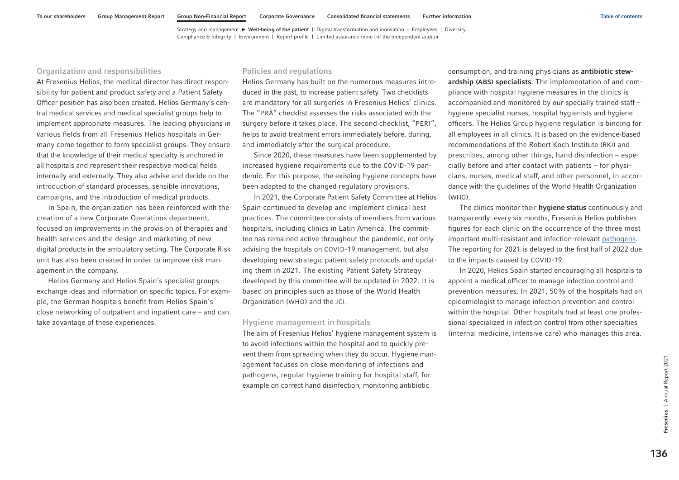## Organization and responsibilities

At Fresenius Helios, the medical director has direct responsibility for patient and product safety and a Patient Safety Officer position has also been created. Helios Germany's central medical services and medical specialist groups help to implement appropriate measures. The leading physicians in various fields from all Fresenius Helios hospitals in Germany come together to form specialist groups. They ensure that the knowledge of their medical specialty is anchored in all hospitals and represent their respective medical fields internally and externally. They also advise and decide on the introduction of standard processes, sensible innovations, campaigns, and the introduction of medical products.

In Spain, the organization has been reinforced with the creation of a new Corporate Operations department, focused on improvements in the provision of therapies and health services and the design and marketing of new digital products in the ambulatory setting. The Corporate Risk unit has also been created in order to improve risk management in the company.

Helios Germany and Helios Spain's specialist groups exchange ideas and information on specific topics. For example, the German hospitals benefit from Helios Spain's close networking of outpatient and inpatient care – and can take advantage of these experiences.

## Policies and regulations

Helios Germany has built on the numerous measures introduced in the past, to increase patient safety. Two checklists are mandatory for all surgeries in Fresenius Helios' clinics. The "PRÄ" checklist assesses the risks associated with the surgery before it takes place. The second checklist, "PERI", helps to avoid treatment errors immediately before, during, and immediately after the surgical procedure.

Since 2020, these measures have been supplemented by increased hygiene requirements due to the COVID-19 pandemic. For this purpose, the existing hygiene concepts have been adapted to the changed regulatory provisions.

In 2021, the Corporate Patient Safety Committee at Helios Spain continued to develop and implement clinical best practices. The committee consists of members from various hospitals, including clinics in Latin America. The committee has remained active throughout the pandemic, not only advising the hospitals on COVID-19 management, but also developing new strategic patient safety protocols and updating them in 2021. The existing Patient Safety Strategy developed by this committee will be updated in 2022. It is based on principles such as those of the World Health Organization (WHO) and the JCI.

## Hygiene management in hospitals

The aim of Fresenius Helios' hygiene management system is to avoid infections within the hospital and to quickly prevent them from spreading when they do occur. Hygiene management focuses on close monitoring of infections and pathogens, regular hygiene training for hospital staff, for example on correct hand disinfection, monitoring antibiotic

consumption, and training physicians as antibiotic stewardship (ABS) specialists. The implementation of and compliance with hospital hygiene measures in the clinics is accompanied and monitored by our specially trained staff – hygiene specialist nurses, hospital hygienists and hygiene officers. The Helios Group hygiene regulation is binding for all employees in all clinics. It is based on the evidence-based recommendations of the Robert Koch Institute (RKI) and prescribes, among other things, hand disinfection – especially before and after contact with patients – for physicians, nurses, medical staff, and other personnel, in accordance with the guidelines of the World Health Organization (WHO).

The clinics monitor their hygiene status continuously and transparently: every six months, Fresenius Helios publishes figures for each clinic on the occurrence of the three most important multi-resistant and infection-relevant [pathogens.](https://www.helios-gesundheit.de/qualitaet/erreger/)  The reporting for 2021 is delayed to the first half of 2022 due to the impacts caused by COVID-19.

In 2020, Helios Spain started encouraging all hospitals to appoint a medical officer to manage infection control and prevention measures. In 2021, 50% of the hospitals had an epidemiologist to manage infection prevention and control within the hospital. Other hospitals had at least one professional specialized in infection control from other specialties (internal medicine, intensive care) who manages this area.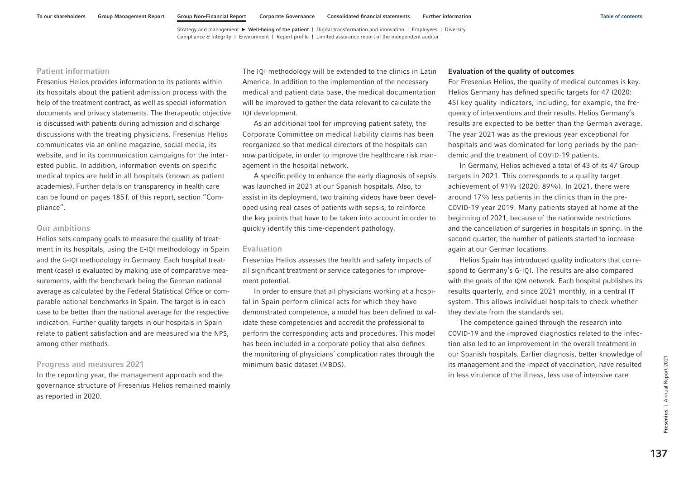## Patient information

Fresenius Helios provides information to its patients within its hospitals about the patient admission process with the help of the treatment contract, as well as special information documents and privacy statements. The therapeutic objective is discussed with patients during admission and discharge discussions with the treating physicians. Fresenius Helios communicates via an online magazine, social media, its website, and in its communication campaigns for the interested public. In addition, information events on specific medical topics are held in all hospitals (known as patient academies). Further details on transparency in health care can be found [on pages 185](#page-71-0) f. of this report, section "Compliance".

## Our ambitions

Helios sets company goals to measure the quality of treatment in its hospitals, using the E-IQI methodology in Spain and the G-IQI methodology in Germany. Each hospital treatment (case) is evaluated by making use of comparative measurements, with the benchmark being the German national average as calculated by the Federal Statistical Office or comparable national benchmarks in Spain. The target is in each case to be better than the national average for the respective indication. Further quality targets in our hospitals in Spain relate to patient satisfaction and are measured via the NPS, among other methods.

## Progress and measures 2021

In the reporting year, the management approach and the governance structure of Fresenius Helios remained mainly as reported in 2020.

The IQI methodology will be extended to the clinics in Latin America. In addition to the implemention of the necessary medical and patient data base, the medical documentation will be improved to gather the data relevant to calculate the IQI development.

As an additional tool for improving patient safety, the Corporate Committee on medical liability claims has been reorganized so that medical directors of the hospitals can now participate, in order to improve the healthcare risk management in the hospital network.

A specific policy to enhance the early diagnosis of sepsis was launched in 2021 at our Spanish hospitals. Also, to assist in its deployment, two training videos have been developed using real cases of patients with sepsis, to reinforce the key points that have to be taken into account in order to quickly identify this time-dependent pathology.

## Evaluation

Fresenius Helios assesses the health and safety impacts of all significant treatment or service categories for improvement potential.

In order to ensure that all physicians working at a hospital in Spain perform clinical acts for which they have demonstrated competence, a model has been defined to validate these competencies and accredit the professional to perform the corresponding acts and procedures. This model has been included in a corporate policy that also defines the monitoring of physicians´ complication rates through the minimum basic dataset (MBDS).

#### Evaluation of the quality of outcomes

For Fresenius Helios, the quality of medical outcomes is key. Helios Germany has defined specific targets for 47 (2020: 45) key quality indicators, including, for example, the frequency of interventions and their results. Helios Germany's results are expected to be better than the German average. The year 2021 was as the previous year exceptional for hospitals and was dominated for long periods by the pandemic and the treatment of COVID-19 patients.

In Germany, Helios achieved a total of 43 of its 47 Group targets in 2021. This corresponds to a quality target achievement of 91% (2020: 89%). In 2021, there were around 17% less patients in the clinics than in the pre-COVID-19 year 2019. Many patients stayed at home at the beginning of 2021, because of the nationwide restrictions and the cancellation of surgeries in hospitals in spring. In the second quarter, the number of patients started to increase again at our German locations.

Helios Spain has introduced quality indicators that correspond to Germany's G-IQI. The results are also compared with the goals of the IQM network. Each hospital publishes its results quarterly, and since 2021 monthly, in a central IT system. This allows individual hospitals to check whether they deviate from the standards set.

The competence gained through the research into COVID-19 and the improved diagnostics related to the infection also led to an improvement in the overall treatment in our Spanish hospitals. Earlier diagnosis, better knowledge of its management and the impact of vaccination, have resulted in less virulence of the illness, less use of intensive care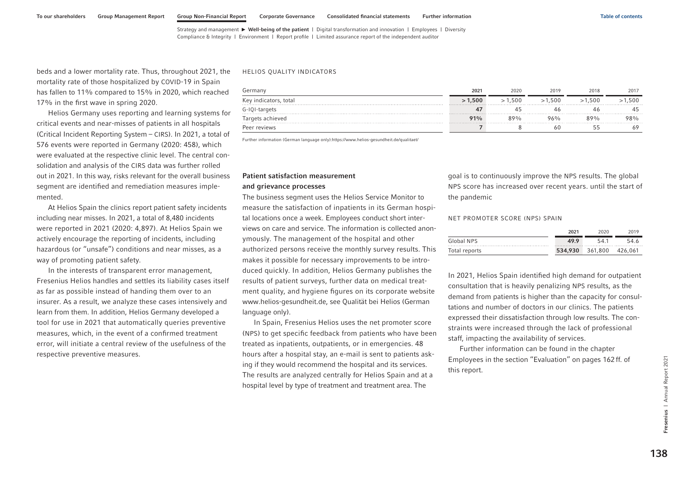beds and a lower mortality rate. Thus, throughout 2021, the mortality rate of those hospitalized by COVID-19 in Spain has fallen to 11% compared to 15% in 2020, which reached 17% in the first wave in spring 2020.

Helios Germany uses reporting and learning systems for critical events and near-misses of patients in all hospitals (Critical Incident Reporting System – CIRS). In 2021, a total of 576 events were reported in Germany (2020: 458), which were evaluated at the respective clinic level. The central consolidation and analysis of the CIRS data was further rolled out in 2021. In this way, risks relevant for the overall business segment are identified and remediation measures implemented.

At Helios Spain the clinics report patient safety incidents including near misses. In 2021, a total of 8,480 incidents were reported in 2021 (2020: 4,897). At Helios Spain we actively encourage the reporting of incidents, including hazardous (or "unsafe") conditions and near misses, as a way of promoting patient safety.

In the interests of transparent error management, Fresenius Helios handles and settles its liability cases itself as far as possible instead of handing them over to an insurer. As a result, we analyze these cases intensively and learn from them. In addition, Helios Germany developed a tool for use in 2021 that automatically queries preventive measures, which, in the event of a confirmed treatment error, will initiate a central review of the usefulness of the respective preventive measures.

#### HELIOS QUALITY INDICATORS

| Germany               | 2021   | 2020   | 2019   | 2018   | 2017   |
|-----------------------|--------|--------|--------|--------|--------|
| Key indicators, total | >1.500 | >1.500 | >1.500 | >1.500 | >1.500 |
| G-IQI-targets         |        |        |        |        |        |
| Targets achieved      | 91%    | 89%    | 96%    | 89%    | ን8%    |
| Peer reviews          |        |        |        |        |        |

Further information (German language only):https://www.helios-gesundheit.de/qualitaet/

# Patient satisfaction measurement

#### and grievance processes

The business segment uses the Helios Service Monitor to measure the satisfaction of inpatients in its German hospital locations once a week. Employees conduct short interviews on care and service. The information is collected anonymously. The management of the hospital and other authorized persons receive the monthly survey results. This makes it possible for necessary improvements to be introduced quickly. In addition, Helios Germany publishes the results of patient surveys, further data on medical treatment quality, and hygiene figures on its corporate website www.helios-gesundheit.de, see Qualität bei Helios (German language only).

In Spain, Fresenius Helios uses the net promoter score (NPS) to get specific feedback from patients who have been treated as inpatients, outpatients, or in emergencies. 48 hours after a hospital stay, an e-mail is sent to patients asking if they would recommend the hospital and its services. The results are analyzed centrally for Helios Spain and at a hospital level by type of treatment and treatment area. The

goal is to continuously improve the NPS results. The global NPS score has increased over recent years. until the start of the pandemic

#### NET PROMOTER SCORE (NPS) SPAIN

|               | 2021      | 2020    | 2019    |
|---------------|-----------|---------|---------|
| Global NPS    | 49.9<br>. | 54.1    | 54.6    |
| Total reports | 534,930   | 361,800 | 426.061 |

In 2021, Helios Spain identified high demand for outpatient consultation that is heavily penalizing NPS results, as the demand from patients is higher than the capacity for consultations and number of doctors in our clinics. The patients expressed their dissatisfaction through low results. The constraints were increased through the lack of professional staff, impacting the availability of services.

Further information can be found in the chapter Employees in the section "Evaluation[" on pages 162](#page-48-0) ff. of this report.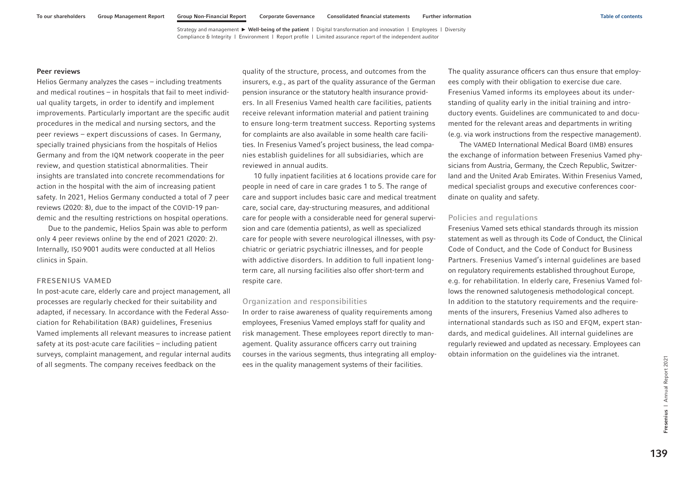#### Peer reviews

Helios Germany analyzes the cases – including treatments and medical routines – in hospitals that fail to meet individual quality targets, in order to identify and implement improvements. Particularly important are the specific audit procedures in the medical and nursing sectors, and the peer reviews – expert discussions of cases. In Germany, specially trained physicians from the hospitals of Helios Germany and from the IQM network cooperate in the peer review, and question statistical abnormalities. Their insights are translated into concrete recommendations for action in the hospital with the aim of increasing patient safety. In 2021, Helios Germany conducted a total of 7 peer reviews (2020: 8), due to the impact of the COVID-19 pandemic and the resulting restrictions on hospital operations.

Due to the pandemic, Helios Spain was able to perform only 4 peer reviews online by the end of 2021 (2020: 2). Internally, ISO 9001 audits were conducted at all Helios clinics in Spain.

## FRESENIUS VAMED

In post-acute care, elderly care and project management, all processes are regularly checked for their suitability and adapted, if necessary. In accordance with the Federal Association for Rehabilitation (BAR) guidelines, Fresenius Vamed implements all relevant measures to increase patient safety at its post-acute care facilities – including patient surveys, complaint management, and regular internal audits of all segments. The company receives feedback on the

quality of the structure, process, and outcomes from the insurers, e.g., as part of the quality assurance of the German pension insurance or the statutory health insurance providers. In all Fresenius Vamed health care facilities, patients receive relevant information material and patient training to ensure long-term treatment success. Reporting systems for complaints are also available in some health care facilities. In Fresenius Vamed's project business, the lead companies establish guidelines for all subsidiaries, which are reviewed in annual audits.

10 fully inpatient facilities at 6 locations provide care for people in need of care in care grades 1 to 5. The range of care and support includes basic care and medical treatment care, social care, day-structuring measures, and additional care for people with a considerable need for general supervision and care (dementia patients), as well as specialized care for people with severe neurological illnesses, with psychiatric or geriatric psychiatric illnesses, and for people with addictive disorders. In addition to full inpatient longterm care, all nursing facilities also offer short-term and respite care.

## Organization and responsibilities

In order to raise awareness of quality requirements among employees, Fresenius Vamed employs staff for quality and risk management. These employees report directly to management. Quality assurance officers carry out training courses in the various segments, thus integrating all employees in the quality management systems of their facilities.

The quality assurance officers can thus ensure that employees comply with their obligation to exercise due care. Fresenius Vamed informs its employees about its understanding of quality early in the initial training and introductory events. Guidelines are communicated to and documented for the relevant areas and departments in writing (e.g. via work instructions from the respective management).

The VAMED International Medical Board (IMB) ensures the exchange of information between Fresenius Vamed physicians from Austria, Germany, the Czech Republic, Switzerland and the United Arab Emirates. Within Fresenius Vamed, medical specialist groups and executive conferences coordinate on quality and safety.

## Policies and regulations

Fresenius Vamed sets ethical standards through its mission statement as well as through its Code of Conduct, the Clinical Code of Conduct, and the Code of Conduct for Business Partners. Fresenius Vamed's internal guidelines are based on regulatory requirements established throughout Europe, e.g. for rehabilitation. In elderly care, Fresenius Vamed follows the renowned salutogenesis methodological concept. In addition to the statutory requirements and the requirements of the insurers, Fresenius Vamed also adheres to international standards such as ISO and EFQM, expert standards, and medical guidelines. All internal guidelines are regularly reviewed and updated as necessary. Employees can obtain information on the guidelines via the intranet.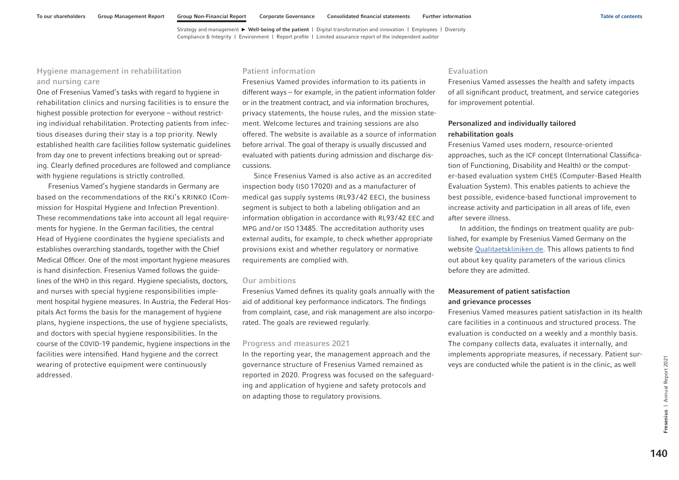## Hygiene management in rehabilitation and nursing care

One of Fresenius Vamed's tasks with regard to hygiene in rehabilitation clinics and nursing facilities is to ensure the highest possible protection for everyone – without restricting individual rehabilitation. Protecting patients from infectious diseases during their stay is a top priority. Newly established health care facilities follow systematic guidelines from day one to prevent infections breaking out or spreading. Clearly defined procedures are followed and compliance with hygiene regulations is strictly controlled.

Fresenius Vamed's hygiene standards in Germany are based on the recommendations of the RKI's KRINKO (Commission for Hospital Hygiene and Infection Prevention). These recommendations take into account all legal requirements for hygiene. In the German facilities, the central Head of Hygiene coordinates the hygiene specialists and establishes overarching standards, together with the Chief Medical Officer. One of the most important hygiene measures is hand disinfection. Fresenius Vamed follows the guidelines of the WHO in this regard. Hygiene specialists, doctors, and nurses with special hygiene responsibilities implement hospital hygiene measures. In Austria, the Federal Hospitals Act forms the basis for the management of hygiene plans, hygiene inspections, the use of hygiene specialists, and doctors with special hygiene responsibilities. In the course of the COVID-19 pandemic, hygiene inspections in the facilities were intensified. Hand hygiene and the correct wearing of protective equipment were continuously addressed.

## Patient information

Fresenius Vamed provides information to its patients in different ways – for example, in the patient information folder or in the treatment contract, and via information brochures, privacy statements, the house rules, and the mission statement. Welcome lectures and training sessions are also offered. The website is available as a source of information before arrival. The goal of therapy is usually discussed and evaluated with patients during admission and discharge discussions.

Since Fresenius Vamed is also active as an accredited inspection body (ISO 17020) and as a manufacturer of medical gas supply systems (RL93/42 EEC), the business segment is subject to both a labeling obligation and an information obligation in accordance with RL93/42 EEC and MPG and/or ISO 13485. The accreditation authority uses external audits, for example, to check whether appropriate provisions exist and whether regulatory or normative requirements are complied with.

## Our ambitions

Fresenius Vamed defines its quality goals annually with the aid of additional key performance indicators. The findings from complaint, case, and risk management are also incorporated. The goals are reviewed regularly.

#### Progress and measures 2021

In the reporting year, the management approach and the governance structure of Fresenius Vamed remained as reported in 2020. Progress was focused on the safeguarding and application of hygiene and safety protocols and on adapting those to regulatory provisions.

## Evaluation

Fresenius Vamed assesses the health and safety impacts of all significant product, treatment, and service categories for improvement potential.

## Personalized and individually tailored rehabilitation goals

Fresenius Vamed uses modern, resource-oriented approaches, such as the ICF concept (International Classification of Functioning, Disability and Health) or the computer-based evaluation system CHES (Computer-Based Health Evaluation System). This enables patients to achieve the best possible, evidence-based functional improvement to increase activity and participation in all areas of life, even after severe illness.

In addition, the findings on treatment quality are published, for example by Fresenius Vamed Germany on the website [Qualitaetskliniken.de.](https://www.qualitaetskliniken.de/) This allows patients to find out about key quality parameters of the various clinics before they are admitted.

## Measurement of patient satisfaction and grievance processes

Fresenius Vamed measures patient satisfaction in its health care facilities in a continuous and structured process. The evaluation is conducted on a weekly and a monthly basis. The company collects data, evaluates it internally, and implements appropriate measures, if necessary. Patient surveys are conducted while the patient is in the clinic, as well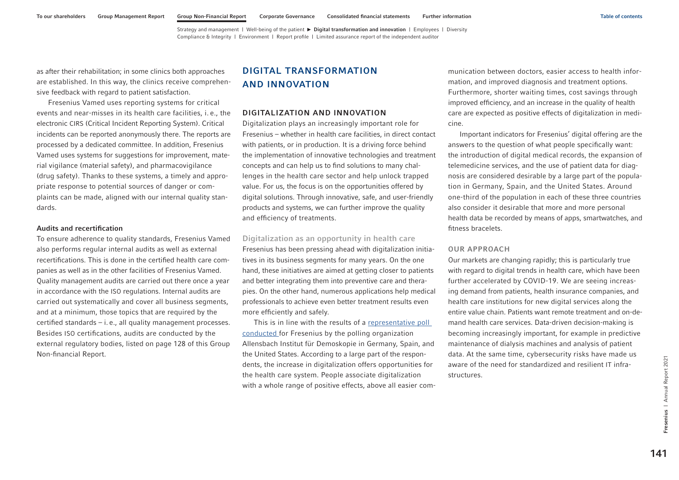[Strategy and management](#page-1-0) | [Well-being of the patient](#page-7-0)  $\blacktriangleright$  Digital transformation and innovation | [Employees](#page-40-0) | [Diversity](#page-64-0) [Compliance & Integrity](#page-68-0) | [Environment](#page-85-0) | [Report profile](#page-102-0) | [Limited assurance report of the independent auditor](#page-103-0)

<span id="page-27-0"></span>as after their rehabilitation; in some clinics both approaches are established. In this way, the clinics receive comprehensive feedback with regard to patient satisfaction.

Fresenius Vamed uses reporting systems for critical events and near-misses in its health care facilities, i. e., the electronic CIRS (Critical Incident Reporting System). Critical incidents can be reported anonymously there. The reports are processed by a dedicated committee. In addition, Fresenius Vamed uses systems for suggestions for improvement, material vigilance (material safety), and pharmacovigilance (drug safety). Thanks to these systems, a timely and appropriate response to potential sources of danger or complaints can be made, aligned with our internal quality standards.

## Audits and recertification

To ensure adherence to quality standards, Fresenius Vamed also performs regular internal audits as well as external recertifications. This is done in the certified health care companies as well as in the other facilities of Fresenius Vamed. Quality management audits are carried out there once a year in accordance with the ISO regulations. Internal audits are carried out systematically and cover all business segments, and at a minimum, those topics that are required by the certified standards – i. e., all quality management processes. Besides ISO certifications, audits are conducted by the external regulatory bodies, listed [on page 128](#page-14-0) of this Group Non-financial Report.

## DIGITAL TRANSFORMATION AND INNOVATION

## DIGITALIZATION AND INNOVATION

Digitalization plays an increasingly important role for Fresenius – whether in health care facilities, in direct contact with patients, or in production. It is a driving force behind the implementation of innovative technologies and treatment concepts and can help us to find solutions to many challenges in the health care sector and help unlock trapped value. For us, the focus is on the opportunities offered by digital solutions. Through innovative, safe, and user-friendly products and systems, we can further improve the quality and efficiency of treatments.

Digitalization as an opportunity in health care Fresenius has been pressing ahead with digitalization initiatives in its business segments for many years. On the one hand, these initiatives are aimed at getting closer to patients and better integrating them into preventive care and therapies. On the other hand, numerous applications help medical professionals to achieve even better treatment results even more efficiently and safely.

This is in line with the results of a [representative poll](https://www.fresenius.com/9284) [conducted](https://www.fresenius.com/9284) for Fresenius by the polling organization Allensbach Institut für Demoskopie in Germany, Spain, and the United States. According to a large part of the respondents, the increase in digitalization offers opportunities for the health care system. People associate digitalization with a whole range of positive effects, above all easier communication between doctors, easier access to health information, and improved diagnosis and treatment options. Furthermore, shorter waiting times, cost savings through improved efficiency, and an increase in the quality of health care are expected as positive effects of digitalization in medicine.

Important indicators for Fresenius' digital offering are the answers to the question of what people specifically want: the introduction of digital medical records, the expansion of telemedicine services, and the use of patient data for diagnosis are considered desirable by a large part of the population in Germany, Spain, and the United States. Around one-third of the population in each of these three countries also consider it desirable that more and more personal health data be recorded by means of apps, smartwatches, and fitness bracelets.

#### OUR APPROACH

Our markets are changing rapidly; this is particularly true with regard to digital trends in health care, which have been further accelerated by COVID-19. We are seeing increasing demand from patients, health insurance companies, and health care institutions for new digital services along the entire value chain. Patients want remote treatment and on-demand health care services. Data-driven decision-making is becoming increasingly important, for example in predictive maintenance of dialysis machines and analysis of patient data. At the same time, cybersecurity risks have made us aware of the need for standardized and resilient IT infrastructures.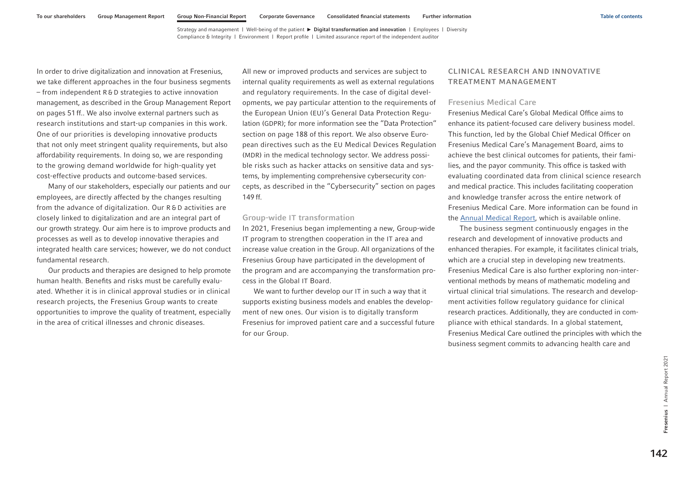<span id="page-28-0"></span>In order to drive digitalization and innovation at Fresenius, we take different approaches in the four business segments – from independent R & D strategies to active innovation management, as described in the Group Management Report on pages 51 ff.. We also involve external partners such as research institutions and start-up companies in this work. One of our priorities is developing innovative products that not only meet stringent quality requirements, but also affordability requirements. In doing so, we are responding to the growing demand worldwide for high-quality yet cost-effective products and outcome-based services.

Many of our stakeholders, especially our patients and our employees, are directly affected by the changes resulting from the advance of digitalization. Our R & D activities are closely linked to digitalization and are an integral part of our growth strategy. Our aim here is to improve products and processes as well as to develop innovative therapies and integrated health care services; however, we do not conduct fundamental research.

Our products and therapies are designed to help promote human health. Benefits and risks must be carefully evaluated. Whether it is in clinical approval studies or in clinical research projects, the Fresenius Group wants to create opportunities to improve the quality of treatment, especially in the area of critical illnesses and chronic diseases.

All new or improved products and services are subject to internal quality requirements as well as external regulations and regulatory requirements. In the case of digital developments, we pay particular attention to the requirements of the European Union (EU)'s General Data Protection Regulation (GDPR); for more information see the "Data Protection" section [on page 188 o](#page-74-0)f this report. We also observe European directives such as the EU Medical Devices Regulation (MDR) in the medical technology sector. We address possible risks such as hacker attacks on sensitive data and systems, by implementing comprehensive cybersecurity concepts, as described in the "Cybersecurity" section [on pages](#page-35-0)  [149](#page-35-0) ff.

#### Group-wide IT transformation

In 2021, Fresenius began implementing a new, Group-wide IT program to strengthen cooperation in the IT area and increase value creation in the Group. All organizations of the Fresenius Group have participated in the development of the program and are accompanying the transformation process in the Global IT Board.

We want to further develop our IT in such a way that it supports existing business models and enables the development of new ones. Our vision is to digitally transform Fresenius for improved patient care and a successful future for our Group.

## CLINICAL RESEARCH AND INNOVATIVE TREATMENT MANAGEMENT

#### Fresenius Medical Care

Fresenius Medical Care's Global Medical Office aims to enhance its patient-focused care delivery business model. This function, led by the Global Chief Medical Officer on Fresenius Medical Care's Management Board, aims to achieve the best clinical outcomes for patients, their families, and the payor community. This office is tasked with evaluating coordinated data from clinical science research and medical practice. This includes facilitating cooperation and knowledge transfer across the entire network of Fresenius Medical Care. More information can be found in the [Annual Medical Report,](https://www.freseniusmedicalcare.com/fileadmin/data/com/pdf/About_us/Sustainability/Medical_responsibility/FME_2021_Annual_Medical_Report.pdf) which is available online.

The business segment continuously engages in the research and development of innovative products and enhanced therapies. For example, it facilitates clinical trials, which are a crucial step in developing new treatments. Fresenius Medical Care is also further exploring non-interventional methods by means of mathematic modeling and virtual clinical trial simulations. The research and development activities follow regulatory guidance for clinical research practices. Additionally, they are conducted in compliance with ethical standards. In a global statement, Fresenius Medical Care outlined the principles with which the business segment commits to advancing health care and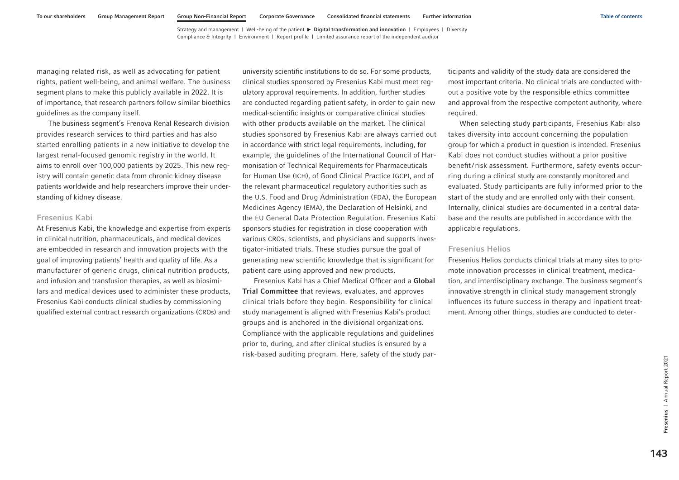managing related risk, as well as advocating for patient rights, patient well-being, and animal welfare. The business segment plans to make this publicly available in 2022. It is of importance, that research partners follow similar bioethics guidelines as the company itself.

The business segment's Frenova Renal Research division provides research services to third parties and has also started enrolling patients in a new initiative to develop the largest renal-focused genomic registry in the world. It aims to enroll over 100,000 patients by 2025. This new registry will contain genetic data from chronic kidney disease patients worldwide and help researchers improve their understanding of kidney disease.

## Fresenius Kabi

At Fresenius Kabi, the knowledge and expertise from experts in clinical nutrition, pharmaceuticals, and medical devices are embedded in research and innovation projects with the goal of improving patients' health and quality of life. As a manufacturer of generic drugs, clinical nutrition products, and infusion and transfusion therapies, as well as biosimilars and medical devices used to administer these products, Fresenius Kabi conducts clinical studies by commissioning qualified external contract research organizations (CROs) and

university scientific institutions to do so. For some products, clinical studies sponsored by Fresenius Kabi must meet regulatory approval requirements. In addition, further studies are conducted regarding patient safety, in order to gain new medical-scientific insights or comparative clinical studies with other products available on the market. The clinical studies sponsored by Fresenius Kabi are always carried out in accordance with strict legal requirements, including, for example, the guidelines of the International Council of Harmonisation of Technical Requirements for Pharmaceuticals for Human Use (ICH), of Good Clinical Practice (GCP), and of the relevant pharmaceutical regulatory authorities such as the U.S. Food and Drug Administration (FDA), the European Medicines Agency (EMA), the Declaration of Helsinki, and the EU General Data Protection Regulation. Fresenius Kabi sponsors studies for registration in close cooperation with various CROs, scientists, and physicians and supports investigator-initiated trials. These studies pursue the goal of generating new scientific knowledge that is significant for patient care using approved and new products.

Fresenius Kabi has a Chief Medical Officer and a Global Trial Committee that reviews, evaluates, and approves clinical trials before they begin. Responsibility for clinical study management is aligned with Fresenius Kabi's product groups and is anchored in the divisional organizations. Compliance with the applicable regulations and guidelines prior to, during, and after clinical studies is ensured by a risk-based auditing program. Here, safety of the study participants and validity of the study data are considered the most important criteria. No clinical trials are conducted without a positive vote by the responsible ethics committee and approval from the respective competent authority, where required.

When selecting study participants, Fresenius Kabi also takes diversity into account concerning the population group for which a product in question is intended. Fresenius Kabi does not conduct studies without a prior positive benefit/risk assessment. Furthermore, safety events occurring during a clinical study are constantly monitored and evaluated. Study participants are fully informed prior to the start of the study and are enrolled only with their consent. Internally, clinical studies are documented in a central database and the results are published in accordance with the applicable regulations.

## Fresenius Helios

Fresenius Helios conducts clinical trials at many sites to promote innovation processes in clinical treatment, medication, and interdisciplinary exchange. The business segment's innovative strength in clinical study management strongly influences its future success in therapy and inpatient treatment. Among other things, studies are conducted to deter-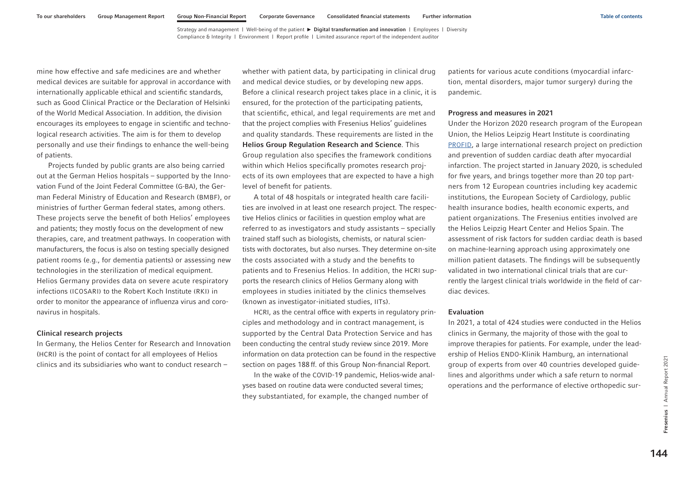mine how effective and safe medicines are and whether medical devices are suitable for approval in accordance with internationally applicable ethical and scientific standards, such as Good Clinical Practice or the Declaration of Helsinki of the World Medical Association. In addition, the division encourages its employees to engage in scientific and technological research activities. The aim is for them to develop personally and use their findings to enhance the well-being of patients.

Projects funded by public grants are also being carried out at the German Helios hospitals – supported by the Innovation Fund of the Joint Federal Committee (G-BA), the German Federal Ministry of Education and Research (BMBF), or ministries of further German federal states, among others. These projects serve the benefit of both Helios' employees and patients; they mostly focus on the development of new therapies, care, and treatment pathways. In cooperation with manufacturers, the focus is also on testing specially designed patient rooms (e.g., for dementia patients) or assessing new technologies in the sterilization of medical equipment. Helios Germany provides data on severe acute respiratory infections (ICOSARI) to the Robert Koch Institute (RKI) in order to monitor the appearance of influenza virus and coronavirus in hospitals.

## Clinical research projects

In Germany, the Helios Center for Research and Innovation (HCRI) is the point of contact for all employees of Helios clinics and its subsidiaries who want to conduct research –

whether with patient data, by participating in clinical drug and medical device studies, or by developing new apps. Before a clinical research project takes place in a clinic, it is ensured, for the protection of the participating patients, that scientific, ethical, and legal requirements are met and that the project complies with Fresenius Helios' guidelines and quality standards. These requirements are listed in the Helios Group Regulation Research and Science. This Group regulation also specifies the framework conditions within which Helios specifically promotes research projects of its own employees that are expected to have a high level of benefit for patients.

A total of 48 hospitals or integrated health care facilities are involved in at least one research project. The respective Helios clinics or facilities in question employ what are referred to as investigators and study assistants – specially trained staff such as biologists, chemists, or natural scientists with doctorates, but also nurses. They determine on-site the costs associated with a study and the benefits to patients and to Fresenius Helios. In addition, the HCRI supports the research clinics of Helios Germany along with employees in studies initiated by the clinics themselves (known as investigator-initiated studies, IITs).

HCRI, as the central office with experts in regulatory principles and methodology and in contract management, is supported by the Central Data Protection Service and has been conducting the central study review since 2019. More information on data protection can be found in the respective section [on pages 188](#page-74-0) ff. of this Group Non-financial Report.

In the wake of the COVID-19 pandemic, Helios-wide analyses based on routine data were conducted several times; they substantiated, for example, the changed number of

patients for various acute conditions (myocardial infarction, mental disorders, major tumor surgery) during the pandemic.

## Progress and measures in 2021

Under the Horizon 2020 research program of the European Union, the Helios Leipzig Heart Institute is coordinating [PROFID,](https://profid-project.eu/) a large international research project on prediction and prevention of sudden cardiac death after myocardial infarction. The project started in January 2020, is scheduled for five years, and brings together more than 20 top partners from 12 European countries including key academic institutions, the European Society of Cardiology, public health insurance bodies, health economic experts, and patient organizations. The Fresenius entities involved are the Helios Leipzig Heart Center and Helios Spain. The assessment of risk factors for sudden cardiac death is based on machine-learning approach using approximately one million patient datasets. The findings will be subsequently validated in two international clinical trials that are currently the largest clinical trials worldwide in the field of cardiac devices.

#### Evaluation

In 2021, a total of 424 studies were conducted in the Helios clinics in Germany, the majority of those with the goal to improve therapies for patients. For example, under the leadership of Helios ENDO-Klinik Hamburg, an international group of experts from over 40 countries developed guidelines and algorithms under which a safe return to normal operations and the performance of elective orthopedic sur-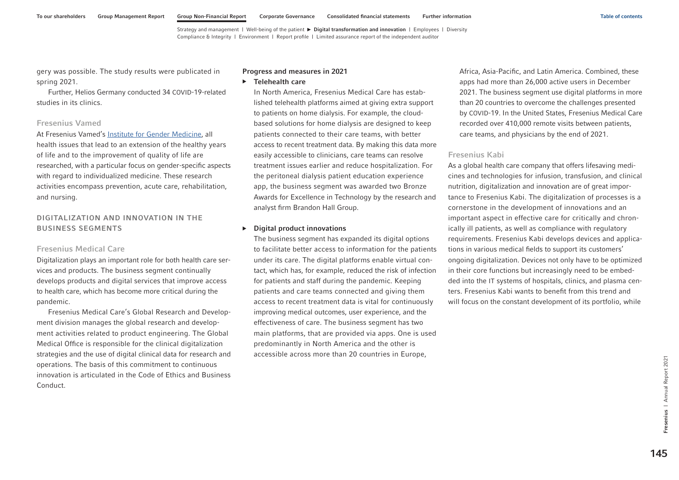gery was possible. The study results were publicated in spring 2021.

Further, Helios Germany conducted 34 COVID-19-related studies in its clinics.

#### Fresenius Vamed

At Fresenius Vamed's [Institute for Gender Medicine,](https://www.vamed.com/en/company/gender-institute/) all health issues that lead to an extension of the healthy years of life and to the improvement of quality of life are researched, with a particular focus on gender-specific aspects with regard to individualized medicine. These research activities encompass prevention, acute care, rehabilitation, and nursing.

## DIGITALIZATION AND INNOVATION IN THE BUSINESS SEGMENTS

## Fresenius Medical Care

Digitalization plays an important role for both health care services and products. The business segment continually develops products and digital services that improve access to health care, which has become more critical during the pandemic.

Fresenius Medical Care's Global Research and Development division manages the global research and development activities related to product engineering. The Global Medical Office is responsible for the clinical digitalization strategies and the use of digital clinical data for research and operations. The basis of this commitment to continuous innovation is articulated in the Code of Ethics and Business Conduct.

#### Progress and measures in 2021

▶ Telehealth care

In North America, Fresenius Medical Care has established telehealth platforms aimed at giving extra support to patients on home dialysis. For example, the cloudbased solutions for home dialysis are designed to keep patients connected to their care teams, with better access to recent treatment data. By making this data more easily accessible to clinicians, care teams can resolve treatment issues earlier and reduce hospitalization. For the peritoneal dialysis patient education experience app, the business segment was awarded two Bronze Awards for Excellence in Technology by the research and analyst firm Brandon Hall Group.

#### ▶ Digital product innovations

The business segment has expanded its digital options to facilitate better access to information for the patients under its care. The digital platforms enable virtual contact, which has, for example, reduced the risk of infection for patients and staff during the pandemic. Keeping patients and care teams connected and giving them access to recent treatment data is vital for continuously improving medical outcomes, user experience, and the effectiveness of care. The business segment has two main platforms, that are provided via apps. One is used predominantly in North America and the other is accessible across more than 20 countries in Europe,

Africa, Asia-Pacific, and Latin America. Combined, these apps had more than 26,000 active users in December 2021. The business segment use digital platforms in more than 20 countries to overcome the challenges presented by COVID-19. In the United States, Fresenius Medical Care recorded over 410,000 remote visits between patients, care teams, and physicians by the end of 2021.

## Fresenius Kabi

As a global health care company that offers lifesaving medicines and technologies for infusion, transfusion, and clinical nutrition, digitalization and innovation are of great importance to Fresenius Kabi. The digitalization of processes is a cornerstone in the development of innovations and an important aspect in effective care for critically and chronically ill patients, as well as compliance with regulatory requirements. Fresenius Kabi develops devices and applications in various medical fields to support its customers' ongoing digitalization. Devices not only have to be optimized in their core functions but increasingly need to be embedded into the IT systems of hospitals, clinics, and plasma centers. Fresenius Kabi wants to benefit from this trend and will focus on the constant development of its portfolio, while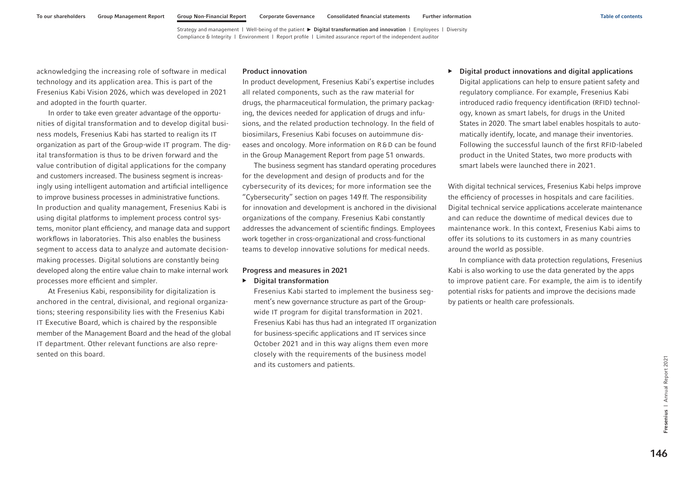acknowledging the increasing role of software in medical technology and its application area. This is part of the Fresenius Kabi Vision 2026, which was developed in 2021 and adopted in the fourth quarter.

In order to take even greater advantage of the opportunities of digital transformation and to develop digital business models, Fresenius Kabi has started to realign its IT organization as part of the Group-wide IT program. The digital transformation is thus to be driven forward and the value contribution of digital applications for the company and customers increased. The business segment is increasingly using intelligent automation and artificial intelligence to improve business processes in administrative functions. In production and quality management, Fresenius Kabi is using digital platforms to implement process control systems, monitor plant efficiency, and manage data and support workflows in laboratories. This also enables the business segment to access data to analyze and automate decisionmaking processes. Digital solutions are constantly being developed along the entire value chain to make internal work processes more efficient and simpler.

At Fresenius Kabi, responsibility for digitalization is anchored in the central, divisional, and regional organizations; steering responsibility lies with the Fresenius Kabi IT Executive Board, which is chaired by the responsible member of the Management Board and the head of the global IT department. Other relevant functions are also represented on this board.

#### Product innovation

In product development, Fresenius Kabi's expertise includes all related components, such as the raw material for drugs, the pharmaceutical formulation, the primary packaging, the devices needed for application of drugs and infusions, and the related production technology. In the field of biosimilars, Fresenius Kabi focuses on autoimmune diseases and oncology. More information on R& D can be found in the Group Management Report from page 51 onwards.

The business segment has standard operating procedures for the development and design of products and for the cybersecurity of its devices; for more information see the "Cybersecurity" section [on pages 149](#page-35-0) ff. The responsibility for innovation and development is anchored in the divisional organizations of the company. Fresenius Kabi constantly addresses the advancement of scientific findings. Employees work together in cross-organizational and cross-functional teams to develop innovative solutions for medical needs.

#### Progress and measures in 2021

#### ▶ Digital transformation

Fresenius Kabi started to implement the business segment's new governance structure as part of the Groupwide IT program for digital transformation in 2021. Fresenius Kabi has thus had an integrated IT organization for business-specific applications and IT services since October 2021 and in this way aligns them even more closely with the requirements of the business model and its customers and patients.

 $\triangleright$  Digital product innovations and digital applications Digital applications can help to ensure patient safety and regulatory compliance. For example, Fresenius Kabi introduced radio frequency identification (RFID) technology, known as smart labels, for drugs in the United States in 2020. The smart label enables hospitals to automatically identify, locate, and manage their inventories. Following the successful launch of the first RFID-labeled product in the United States, two more products with smart labels were launched there in 2021.

With digital technical services, Fresenius Kabi helps improve the efficiency of processes in hospitals and care facilities. Digital technical service applications accelerate maintenance and can reduce the downtime of medical devices due to maintenance work. In this context, Fresenius Kabi aims to offer its solutions to its customers in as many countries around the world as possible.

In compliance with data protection regulations, Fresenius Kabi is also working to use the data generated by the apps to improve patient care. For example, the aim is to identify potential risks for patients and improve the decisions made by patients or health care professionals.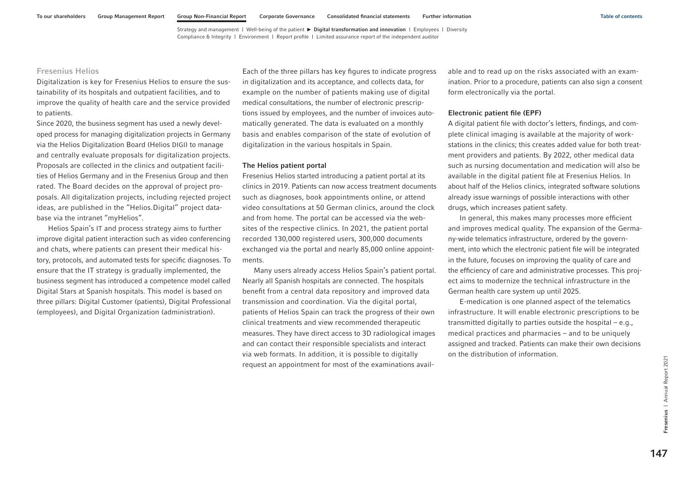## Fresenius Helios

Digitalization is key for Fresenius Helios to ensure the sustainability of its hospitals and outpatient facilities, and to improve the quality of health care and the service provided to patients.

Since 2020, the business segment has used a newly developed process for managing digitalization projects in Germany via the Helios Digitalization Board (Helios DIGI) to manage and centrally evaluate proposals for digitalization projects. Proposals are collected in the clinics and outpatient facilities of Helios Germany and in the Fresenius Group and then rated. The Board decides on the approval of project proposals. All digitalization projects, including rejected project ideas, are published in the "Helios.Digital" project database via the intranet "myHelios".

Helios Spain's IT and process strategy aims to further improve digital patient interaction such as video conferencing and chats, where patients can present their medical history, protocols, and automated tests for specific diagnoses. To ensure that the IT strategy is gradually implemented, the business segment has introduced a competence model called Digital Stars at Spanish hospitals. This model is based on three pillars: Digital Customer (patients), Digital Professional (employees), and Digital Organization (administration).

Each of the three pillars has key figures to indicate progress in digitalization and its acceptance, and collects data, for example on the number of patients making use of digital medical consultations, the number of electronic prescriptions issued by employees, and the number of invoices automatically generated. The data is evaluated on a monthly basis and enables comparison of the state of evolution of digitalization in the various hospitals in Spain.

#### The Helios patient portal

Fresenius Helios started introducing a patient portal at its clinics in 2019. Patients can now access treatment documents such as diagnoses, book appointments online, or attend video consultations at 50 German clinics, around the clock and from home. The portal can be accessed via the websites of the respective clinics. In 2021, the patient portal recorded 130,000 registered users, 300,000 documents exchanged via the portal and nearly 85,000 online appointments.

Many users already access Helios Spain's patient portal. Nearly all Spanish hospitals are connected. The hospitals benefit from a central data repository and improved data transmission and coordination. Via the digital portal, patients of Helios Spain can track the progress of their own clinical treatments and view recommended therapeutic measures. They have direct access to 3D radiological images and can contact their responsible specialists and interact via web formats. In addition, it is possible to digitally request an appointment for most of the examinations available and to read up on the risks associated with an examination. Prior to a procedure, patients can also sign a consent form electronically via the portal.

#### Electronic patient file (EPF)

A digital patient file with doctor's letters, findings, and complete clinical imaging is available at the majority of workstations in the clinics; this creates added value for both treatment providers and patients. By 2022, other medical data such as nursing documentation and medication will also be available in the digital patient file at Fresenius Helios. In about half of the Helios clinics, integrated software solutions already issue warnings of possible interactions with other drugs, which increases patient safety.

In general, this makes many processes more efficient and improves medical quality. The expansion of the Germany-wide telematics infrastructure, ordered by the government, into which the electronic patient file will be integrated in the future, focuses on improving the quality of care and the efficiency of care and administrative processes. This project aims to modernize the technical infrastructure in the German health care system up until 2025.

E-medication is one planned aspect of the telematics infrastructure. It will enable electronic prescriptions to be transmitted digitally to parties outside the hospital – e.g., medical practices and pharmacies – and to be uniquely assigned and tracked. Patients can make their own decisions on the distribution of information.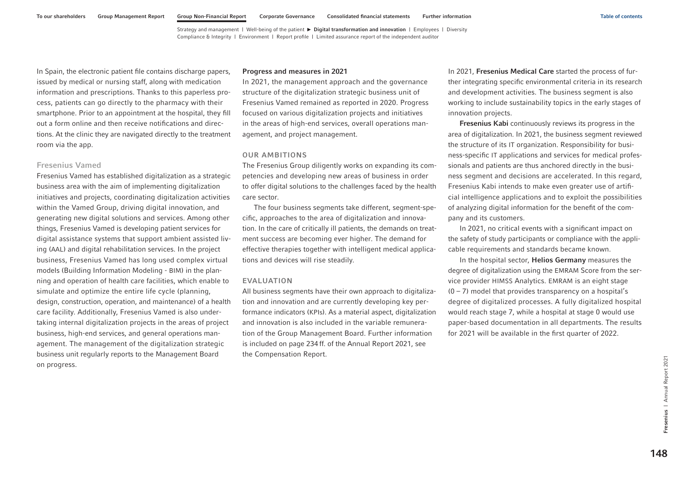In Spain, the electronic patient file contains discharge papers, issued by medical or nursing staff, along with medication information and prescriptions. Thanks to this paperless process, patients can go directly to the pharmacy with their smartphone. Prior to an appointment at the hospital, they fill out a form online and then receive notifications and directions. At the clinic they are navigated directly to the treatment room via the app.

## Fresenius Vamed

Fresenius Vamed has established digitalization as a strategic business area with the aim of implementing digitalization initiatives and projects, coordinating digitalization activities within the Vamed Group, driving digital innovation, and generating new digital solutions and services. Among other things, Fresenius Vamed is developing patient services for digital assistance systems that support ambient assisted living (AAL) and digital rehabilitation services. In the project business, Fresenius Vamed has long used complex virtual models (Building Information Modeling - BIM) in the planning and operation of health care facilities, which enable to simulate and optimize the entire life cycle (planning, design, construction, operation, and maintenance) of a health care facility. Additionally, Fresenius Vamed is also undertaking internal digitalization projects in the areas of project business, high-end services, and general operations management. The management of the digitalization strategic business unit regularly reports to the Management Board on progress.

#### Progress and measures in 2021

In 2021, the management approach and the governance structure of the digitalization strategic business unit of Fresenius Vamed remained as reported in 2020. Progress focused on various digitalization projects and initiatives in the areas of high-end services, overall operations management, and project management.

#### OUR AMBITIONS

The Fresenius Group diligently works on expanding its competencies and developing new areas of business in order to offer digital solutions to the challenges faced by the health care sector.

The four business segments take different, segment-specific, approaches to the area of digitalization and innovation. In the care of critically ill patients, the demands on treatment success are becoming ever higher. The demand for effective therapies together with intelligent medical applications and devices will rise steadily.

## EVALUATION

All business segments have their own approach to digitalization and innovation and are currently developing key performance indicators (KPIs). As a material aspect, digitalization and innovation is also included in the variable remuneration of the Group Management Board. Further information is included on page 234 ff. of the Annual Report 2021, see the Compensation Report.

In 2021, Fresenius Medical Care started the process of further integrating specific environmental criteria in its research and development activities. The business segment is also working to include sustainability topics in the early stages of innovation projects.

Fresenius Kabi continuously reviews its progress in the area of digitalization. In 2021, the business segment reviewed the structure of its IT organization. Responsibility for business-specific IT applications and services for medical professionals and patients are thus anchored directly in the business segment and decisions are accelerated. In this regard, Fresenius Kabi intends to make even greater use of artificial intelligence applications and to exploit the possibilities of analyzing digital information for the benefit of the company and its customers.

In 2021, no critical events with a significant impact on the safety of study participants or compliance with the applicable requirements and standards became known.

In the hospital sector, Helios Germany measures the degree of digitalization using the EMRAM Score from the service provider HIMSS Analytics. EMRAM is an eight stage  $(0 - 7)$  model that provides transparency on a hospital's degree of digitalized processes. A fully digitalized hospital would reach stage 7, while a hospital at stage 0 would use paper-based documentation in all departments. The results for 2021 will be available in the first quarter of 2022.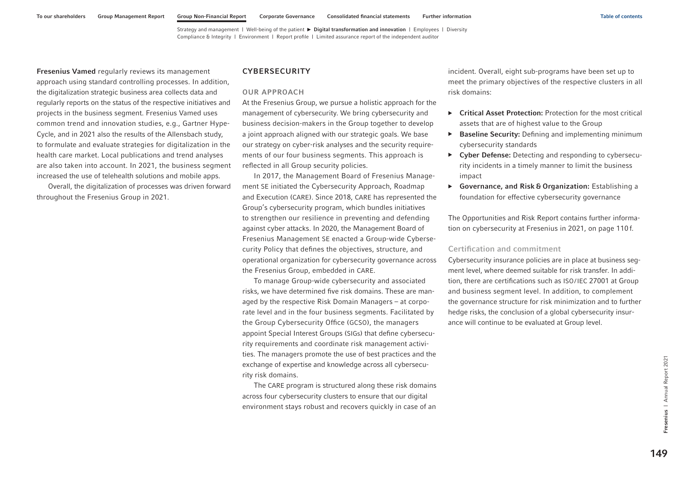<span id="page-35-0"></span>Fresenius Vamed regularly reviews its management approach using standard controlling processes. In addition, the digitalization strategic business area collects data and regularly reports on the status of the respective initiatives and projects in the business segment. Fresenius Vamed uses common trend and innovation studies, e.g., Gartner Hype-Cycle, and in 2021 also the results of the Allensbach study, to formulate and evaluate strategies for digitalization in the health care market. Local publications and trend analyses are also taken into account. In 2021, the business segment increased the use of telehealth solutions and mobile apps.

Overall, the digitalization of processes was driven forward throughout the Fresenius Group in 2021.

## **CYBERSECURITY**

#### OUR APPROACH

At the Fresenius Group, we pursue a holistic approach for the management of cybersecurity. We bring cybersecurity and business decision-makers in the Group together to develop a joint approach aligned with our strategic goals. We base our strategy on cyber-risk analyses and the security requirements of our four business segments. This approach is reflected in all Group security policies.

In 2017, the Management Board of Fresenius Management SE initiated the Cybersecurity Approach, Roadmap and Execution (CARE). Since 2018, CARE has represented the Group's cybersecurity program, which bundles initiatives to strengthen our resilience in preventing and defending against cyber attacks. In 2020, the Management Board of Fresenius Management SE enacted a Group-wide Cybersecurity Policy that defines the objectives, structure, and operational organization for cybersecurity governance across the Fresenius Group, embedded in CARE.

To manage Group-wide cybersecurity and associated risks, we have determined five risk domains. These are managed by the respective Risk Domain Managers – at corporate level and in the four business segments. Facilitated by the Group Cybersecurity Office (GCSO), the managers appoint Special Interest Groups (SIGs) that define cybersecurity requirements and coordinate risk management activities. The managers promote the use of best practices and the exchange of expertise and knowledge across all cybersecurity risk domains.

The CARE program is structured along these risk domains across four cybersecurity clusters to ensure that our digital environment stays robust and recovers quickly in case of an incident. Overall, eight sub-programs have been set up to meet the primary objectives of the respective clusters in all risk domains:

- ▶ Critical Asset Protection: Protection for the most critical assets that are of highest value to the Group
- ▶ Baseline Security: Defining and implementing minimum cybersecurity standards
- ▶ Cyber Defense: Detecting and responding to cybersecurity incidents in a timely manner to limit the business impact
- ▶ Governance, and Risk & Organization: Establishing a foundation for effective cybersecurity governance

The Opportunities and Risk Report contains further information on cybersecurity at Fresenius in 2021, on page 110 f.

## Certification and commitment

Cybersecurity insurance policies are in place at business segment level, where deemed suitable for risk transfer. In addition, there are certifications such as ISO/IEC 27001 at Group and business segment level. In addition, to complement the governance structure for risk minimization and to further hedge risks, the conclusion of a global cybersecurity insurance will continue to be evaluated at Group level.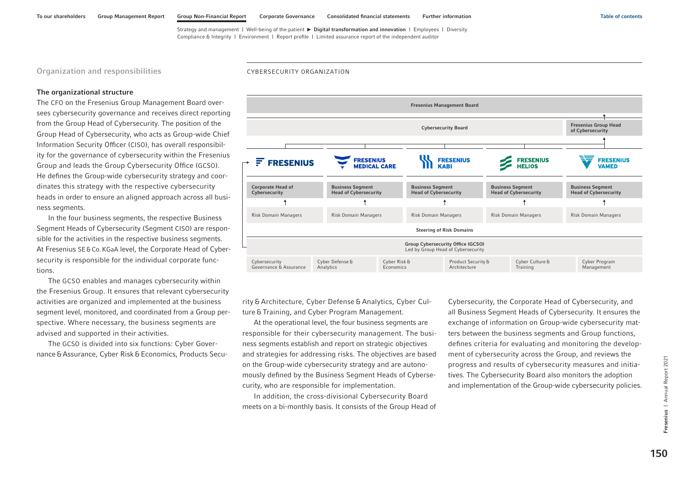Organization and responsibilities

#### CYBERSECURITY ORGANIZATION

### The organizational structure

The CFO on the Fresenius Group Management Board oversees cybersecurity governance and receives direct reporting from the Group Head of Cybersecurity. The position of the Group Head of Cybersecurity, who acts as Group-wide Chief Information Security Officer (CISO), has overall responsibility for the governance of cybersecurity within the Fresenius Group and leads the Group Cybersecurity Office (GCSO). He defines the Group-wide cybersecurity strategy and coordinates this strategy with the respective cybersecurity heads in order to ensure an aligned approach across all business segments.

In the four business segments, the respective Business Segment Heads of Cybersecurity (Segment CISO) are responsible for the activities in the respective business segments. At Fresenius SE&Co.KGaA level, the Corporate Head of Cybersecurity is responsible for the individual corporate functions.

The GCSO enables and manages cybersecurity within the Fresenius Group. It ensures that relevant cybersecurity activities are organized and implemented at the business segment level, monitored, and coordinated from a Group perspective. Where necessary, the business segments are advised and supported in their activities.

The GCSO is divided into six functions: Cyber Governance & Assurance, Cyber Risk & Economics, Products Secu-



rity & Architecture, Cyber Defense & Analytics, Cyber Culture & Training, and Cyber Program Management.

At the operational level, the four business segments are responsible for their cybersecurity management. The business segments establish and report on strategic objectives and strategies for addressing risks. The objectives are based on the Group-wide cybersecurity strategy and are autonomously defined by the Business Segment Heads of Cybersecurity, who are responsible for implementation.

In addition, the cross-divisional Cybersecurity Board meets on a bi-monthly basis. It consists of the Group Head of Cybersecurity, the Corporate Head of Cybersecurity, and all Business Segment Heads of Cybersecurity. It ensures the exchange of information on Group-wide cybersecurity matters between the business segments and Group functions, defines criteria for evaluating and monitoring the development of cybersecurity across the Group, and reviews the progress and results of cybersecurity measures and initiatives. The Cybersecurity Board also monitors the adoption and implementation of the Group-wide cybersecurity policies.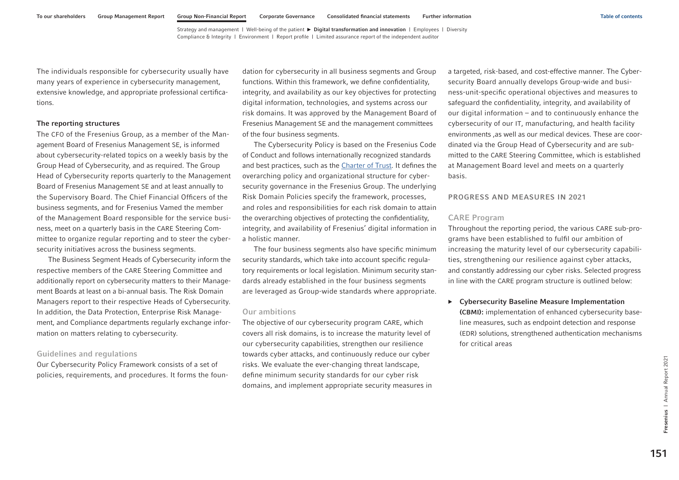The individuals responsible for cybersecurity usually have many years of experience in cybersecurity management, extensive knowledge, and appropriate professional certifications.

### The reporting structures

The CFO of the Fresenius Group, as a member of the Management Board of Fresenius Management SE, is informed about cybersecurity-related topics on a weekly basis by the Group Head of Cybersecurity, and as required. The Group Head of Cybersecurity reports quarterly to the Management Board of Fresenius Management SE and at least annually to the Supervisory Board. The Chief Financial Officers of the business segments, and for Fresenius Vamed the member of the Management Board responsible for the service business, meet on a quarterly basis in the CARE Steering Committee to organize regular reporting and to steer the cybersecurity initiatives across the business segments.

The Business Segment Heads of Cybersecurity inform the respective members of the CARE Steering Committee and additionally report on cybersecurity matters to their Management Boards at least on a bi-annual basis. The Risk Domain Managers report to their respective Heads of Cybersecurity. In addition, the Data Protection, Enterprise Risk Management, and Compliance departments regularly exchange information on matters relating to cybersecurity.

## Guidelines and regulations

Our Cybersecurity Policy Framework consists of a set of policies, requirements, and procedures. It forms the foundation for cybersecurity in all business segments and Group functions. Within this framework, we define confidentiality, integrity, and availability as our key objectives for protecting digital information, technologies, and systems across our risk domains. It was approved by the Management Board of Fresenius Management SE and the management committees of the four business segments.

The Cybersecurity Policy is based on the Fresenius Code of Conduct and follows internationally recognized standards and best practices, such as the [Charter of Trust.](https://www.charteroftrust.com/) It defines the overarching policy and organizational structure for cybersecurity governance in the Fresenius Group. The underlying Risk Domain Policies specify the framework, processes, and roles and responsibilities for each risk domain to attain the overarching objectives of protecting the confidentiality, integrity, and availability of Fresenius' digital information in a holistic manner.

The four business segments also have specific minimum security standards, which take into account specific regulatory requirements or local legislation. Minimum security standards already established in the four business segments are leveraged as Group-wide standards where appropriate.

## Our ambitions

The objective of our cybersecurity program CARE, which covers all risk domains, is to increase the maturity level of our cybersecurity capabilities, strengthen our resilience towards cyber attacks, and continuously reduce our cyber risks. We evaluate the ever-changing threat landscape, define minimum security standards for our cyber risk domains, and implement appropriate security measures in

a targeted, risk-based, and cost-effective manner. The Cybersecurity Board annually develops Group-wide and business-unit-specific operational objectives and measures to safeguard the confidentiality, integrity, and availability of our digital information – and to continuously enhance the cybersecurity of our IT, manufacturing, and health facility environments ,as well as our medical devices. These are coordinated via the Group Head of Cybersecurity and are submitted to the CARE Steering Committee, which is established at Management Board level and meets on a quarterly basis.

### PROGRESS AND MEASURES IN 2021

### CARE Program

Throughout the reporting period, the various CARE sub-programs have been established to fulfil our ambition of increasing the maturity level of our cybersecurity capabilities, strengthening our resilience against cyber attacks, and constantly addressing our cyber risks. Selected progress in line with the CARE program structure is outlined below:

▶ Cybersecurity Baseline Measure Implementation (CBMI): implementation of enhanced cybersecurity baseline measures, such as endpoint detection and response (EDR) solutions, strengthened authentication mechanisms for critical areas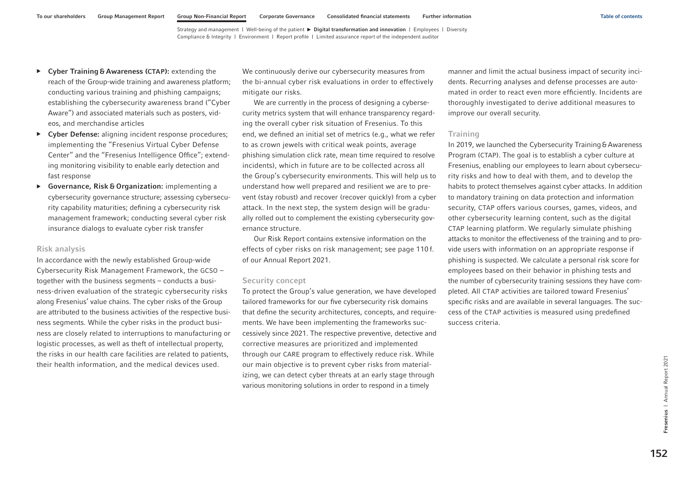- ▶ Cyber Training & Awareness (CTAP): extending the reach of the Group-wide training and awareness platform; conducting various training and phishing campaigns; establishing the cybersecurity awareness brand ("Cyber Aware") and associated materials such as posters, videos, and merchandise articles
- ▶ Cyber Defense: aligning incident response procedures; implementing the "Fresenius Virtual Cyber Defense Center" and the "Fresenius Intelligence Office"; extending monitoring visibility to enable early detection and fast response
- ▶ Governance, Risk & Organization: implementing a cybersecurity governance structure; assessing cybersecurity capability maturities; defining a cybersecurity risk management framework; conducting several cyber risk insurance dialogs to evaluate cyber risk transfer

### Risk analysis

In accordance with the newly established Group-wide Cybersecurity Risk Management Framework, the GCSO – together with the business segments – conducts a business-driven evaluation of the strategic cybersecurity risks along Fresenius' value chains. The cyber risks of the Group are attributed to the business activities of the respective business segments. While the cyber risks in the product business are closely related to interruptions to manufacturing or logistic processes, as well as theft of intellectual property, the risks in our health care facilities are related to patients, their health information, and the medical devices used.

We continuously derive our cybersecurity measures from the bi-annual cyber risk evaluations in order to effectively mitigate our risks.

We are currently in the process of designing a cybersecurity metrics system that will enhance transparency regarding the overall cyber risk situation of Fresenius. To this end, we defined an initial set of metrics (e.g., what we refer to as crown jewels with critical weak points, average phishing simulation click rate, mean time required to resolve incidents), which in future are to be collected across all the Group's cybersecurity environments. This will help us to understand how well prepared and resilient we are to prevent (stay robust) and recover (recover quickly) from a cyber attack. In the next step, the system design will be gradually rolled out to complement the existing cybersecurity governance structure.

Our Risk Report contains extensive information on the effects of cyber risks on risk management; see page 110 f. of our Annual Report 2021.

### Security concept

To protect the Group's value generation, we have developed tailored frameworks for our five cybersecurity risk domains that define the security architectures, concepts, and requirements. We have been implementing the frameworks successively since 2021. The respective preventive, detective and corrective measures are prioritized and implemented through our CARE program to effectively reduce risk. While our main objective is to prevent cyber risks from materializing, we can detect cyber threats at an early stage through various monitoring solutions in order to respond in a timely

manner and limit the actual business impact of security incidents. Recurring analyses and defense processes are automated in order to react even more efficiently. Incidents are thoroughly investigated to derive additional measures to improve our overall security.

### **Training**

In 2019, we launched the Cybersecurity Training & Awareness Program (CTAP). The goal is to establish a cyber culture at Fresenius, enabling our employees to learn about cybersecurity risks and how to deal with them, and to develop the habits to protect themselves against cyber attacks. In addition to mandatory training on data protection and information security, CTAP offers various courses, games, videos, and other cybersecurity learning content, such as the digital CTAP learning platform. We regularly simulate phishing attacks to monitor the effectiveness of the training and to provide users with information on an appropriate response if phishing is suspected. We calculate a personal risk score for employees based on their behavior in phishing tests and the number of cybersecurity training sessions they have completed. All CTAP activities are tailored toward Fresenius' specific risks and are available in several languages. The success of the CTAP activities is measured using predefined success criteria.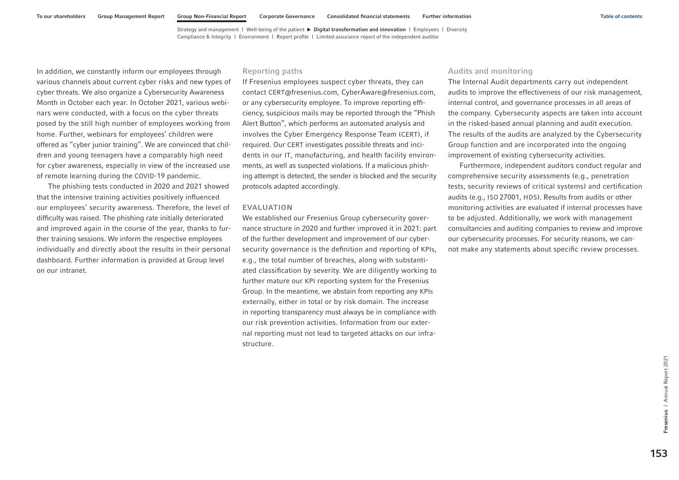In addition, we constantly inform our employees through various channels about current cyber risks and new types of cyber threats. We also organize a Cybersecurity Awareness Month in October each year. In October 2021, various webinars were conducted, with a focus on the cyber threats posed by the still high number of employees working from home. Further, webinars for employees' children were offered as "cyber junior training". We are convinced that children and young teenagers have a comparably high need for cyber awareness, especially in view of the increased use of remote learning during the COVID-19 pandemic.

The phishing tests conducted in 2020 and 2021 showed that the intensive training activities positively influenced our employees' security awareness. Therefore, the level of difficulty was raised. The phishing rate initially deteriorated and improved again in the course of the year, thanks to further training sessions. We inform the respective employees individually and directly about the results in their personal dashboard. Further information is provided at Group level on our intranet.

### Reporting paths

If Fresenius employees suspect cyber threats, they can contact CERT@fresenius.com, CyberAware@fresenius.com, or any cybersecurity employee. To improve reporting efficiency, suspicious mails may be reported through the "Phish Alert Button", which performs an automated analysis and involves the Cyber Emergency Response Team (CERT), if required. Our CERT investigates possible threats and incidents in our IT, manufacturing, and health facility environments, as well as suspected violations. If a malicious phishing attempt is detected, the sender is blocked and the security protocols adapted accordingly.

#### EVALUATION

We established our Fresenius Group cybersecurity governance structure in 2020 and further improved it in 2021: part of the further development and improvement of our cybersecurity governance is the definition and reporting of KPIs, e.g., the total number of breaches, along with substantiated classification by severity. We are diligently working to further mature our KPI reporting system for the Fresenius Group. In the meantime, we abstain from reporting any KPIs externally, either in total or by risk domain. The increase in reporting transparency must always be in compliance with our risk prevention activities. Information from our external reporting must not lead to targeted attacks on our infrastructure.

### Audits and monitoring

The Internal Audit departments carry out independent audits to improve the effectiveness of our risk management, internal control, and governance processes in all areas of the company. Cybersecurity aspects are taken into account in the risked-based annual planning and audit execution. The results of the audits are analyzed by the Cybersecurity Group function and are incorporated into the ongoing improvement of existing cybersecurity activities.

Furthermore, independent auditors conduct regular and comprehensive security assessments (e.g., penetration tests, security reviews of critical systems) and certification audits (e.g., ISO 27001, HDS). Results from audits or other monitoring activities are evaluated if internal processes have to be adjusted. Additionally, we work with management consultancies and auditing companies to review and improve our cybersecurity processes. For security reasons, we cannot make any statements about specific review processes.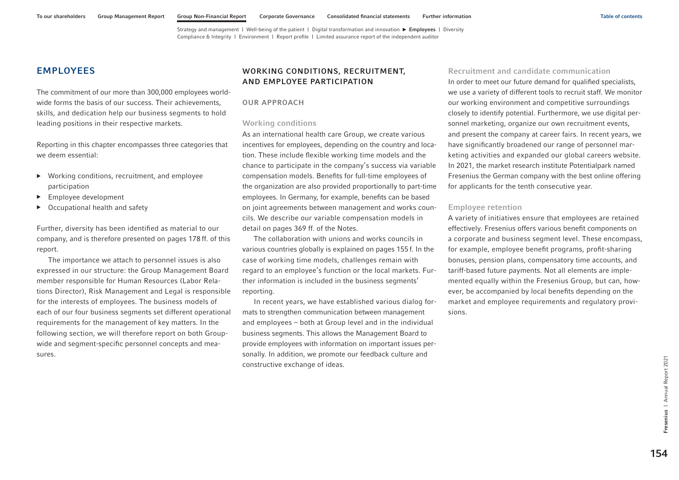# <span id="page-40-0"></span>EMPLOYEES

The commitment of our more than 300,000 employees worldwide forms the basis of our success. Their achievements, skills, and dedication help our business segments to hold leading positions in their respective markets.

Reporting in this chapter encompasses three categories that we deem essential:

- ▶ Working conditions, recruitment, and employee participation
- ▶ Employee development
- ▶ Occupational health and safety

Further, diversity has been identified as material to our company, and is therefore presented [on pages 178](#page-64-0) ff. of this report.

The importance we attach to personnel issues is also expressed in our structure: the Group Management Board member responsible for Human Resources (Labor Relations Director), Risk Management and Legal is responsible for the interests of employees. The business models of each of our four business segments set different operational requirements for the management of key matters. In the following section, we will therefore report on both Groupwide and segment-specific personnel concepts and measures.

# WORKING CONDITIONS, RECRUITMENT, AND EMPLOYEE PARTICIPATION

### OUR APPROACH

### Working conditions

As an international health care Group, we create various incentives for employees, depending on the country and location. These include flexible working time models and the chance to participate in the company's success via variable compensation models. Benefits for full-time employees of the organization are also provided proportionally to part-time employees. In Germany, for example, benefits can be based on joint agreements between management and works councils. We describe our variable compensation models in detail on pages 369 ff. of the Notes.

The collaboration with unions and works councils in various countries globally is explained [on pages 155](#page-41-0) f. In the case of working time models, challenges remain with regard to an employee's function or the local markets. Further information is included in the business segments' reporting.

In recent years, we have established various dialog formats to strengthen communication between management and employees – both at Group level and in the individual business segments. This allows the Management Board to provide employees with information on important issues personally. In addition, we promote our feedback culture and constructive exchange of ideas.

Recruitment and candidate communication In order to meet our future demand for qualified specialists, we use a variety of different tools to recruit staff. We monitor our working environment and competitive surroundings closely to identify potential. Furthermore, we use digital personnel marketing, organize our own recruitment events, and present the company at career fairs. In recent years, we have significantly broadened our range of personnel marketing activities and expanded our global careers website. In 2021, the market research institute Potentialpark named Fresenius the German company with the best online offering for applicants for the tenth consecutive year.

### Employee retention

A variety of initiatives ensure that employees are retained effectively. Fresenius offers various benefit components on a corporate and business segment level. These encompass, for example, employee benefit programs, profit-sharing bonuses, pension plans, compensatory time accounts, and tariff-based future payments. Not all elements are implemented equally within the Fresenius Group, but can, however, be accompanied by local benefits depending on the market and employee requirements and regulatory provisions.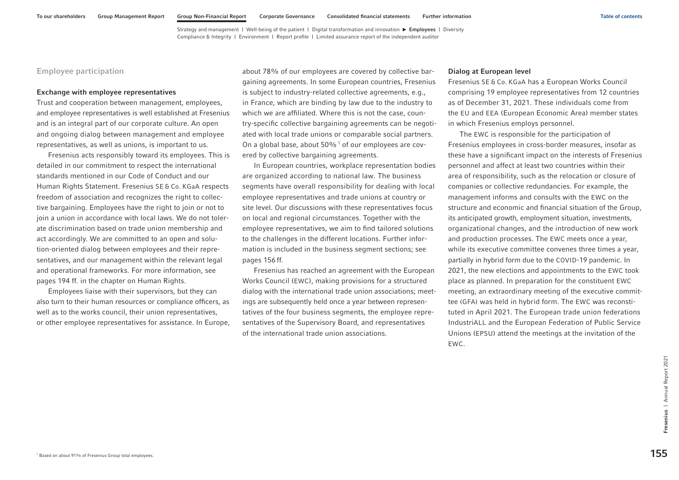# <span id="page-41-0"></span>Employee participation

#### Exchange with employee representatives

Trust and cooperation between management, employees, and employee representatives is well established at Fresenius and is an integral part of our corporate culture. An open and ongoing dialog between management and employee representatives, as well as unions, is important to us.

Fresenius acts responsibly toward its employees. This is detailed in our commitment to respect the international standards mentioned in our Code of Conduct and our Human Rights Statement. Fresenius SE & Co. KGaA respects freedom of association and recognizes the right to collective bargaining. Employees have the right to join or not to join a union in accordance with local laws. We do not tolerate discrimination based on trade union membership and act accordingly. We are committed to an open and solution-oriented dialog between employees and their representatives, and our management within the relevant legal and operational frameworks. For more information, see [pages 194 ff.](#page-80-0) in the chapter on Human Rights.

Employees liaise with their supervisors, but they can also turn to their human resources or compliance officers, as well as to the works council, their union representatives, or other employee representatives for assistance. In Europe, about 78% of our employees are covered by collective bargaining agreements. In some European countries, Fresenius is subject to industry-related collective agreements, e.g., in France, which are binding by law due to the industry to which we are affiliated. Where this is not the case, country-specific collective bargaining agreements can be negotiated with local trade unions or comparable social partners. On a global base, about  $50\%$ <sup>1</sup> of our employees are covered by collective bargaining agreements.

In European countries, workplace representation bodies are organized according to national law. The business segments have overall responsibility for dealing with local employee representatives and trade unions at country or site level. Our discussions with these representatives focus on local and regional circumstances. Together with the employee representatives, we aim to find tailored solutions to the challenges in the different locations. Further information is included in the business segment sections; see [pages 156](#page-42-0) ff.

Fresenius has reached an agreement with the European Works Council (EWC), making provisions for a structured dialog with the international trade union associations; meetings are subsequently held once a year between representatives of the four business segments, the employee representatives of the Supervisory Board, and representatives of the international trade union associations.

#### Dialog at European level

Fresenius SE & Co. KGaA has a European Works Council comprising 19 employee representatives from 12 countries as of December 31, 2021. These individuals come from the EU and EEA (European Economic Area) member states in which Fresenius employs personnel.

The EWC is responsible for the participation of Fresenius employees in cross-border measures, insofar as these have a significant impact on the interests of Fresenius personnel and affect at least two countries within their area of responsibility, such as the relocation or closure of companies or collective redundancies. For example, the management informs and consults with the EWC on the structure and economic and financial situation of the Group, its anticipated growth, employment situation, investments, organizational changes, and the introduction of new work and production processes. The EWC meets once a year, while its executive committee convenes three times a year, partially in hybrid form due to the COVID-19 pandemic. In 2021, the new elections and appointments to the EWC took place as planned. In preparation for the constituent EWC meeting, an extraordinary meeting of the executive committee (GFA) was held in hybrid form. The EWC was reconstituted in April 2021. The European trade union federations IndustriALL and the European Federation of Public Service Unions (EPSU) attend the meetings at the invitation of the EWC.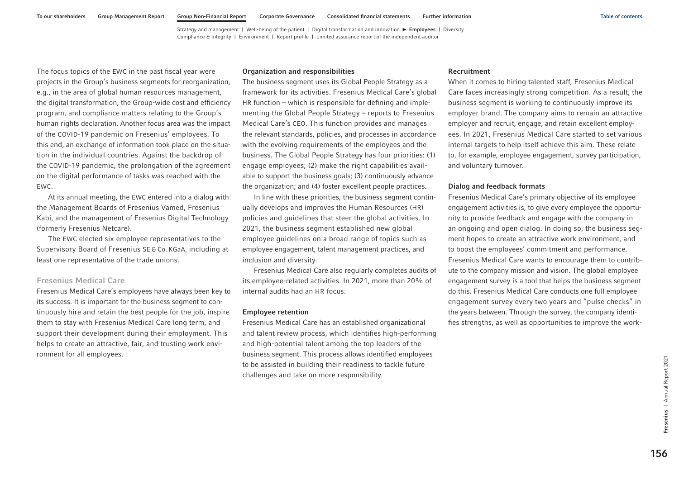<span id="page-42-0"></span>The focus topics of the EWC in the past fiscal year were projects in the Group's business segments for reorganization, e.g., in the area of global human resources management, the digital transformation, the Group-wide cost and efficiency program, and compliance matters relating to the Group's human rights declaration. Another focus area was the impact of the COVID-19 pandemic on Fresenius' employees. To this end, an exchange of information took place on the situation in the individual countries. Against the backdrop of the COVID-19 pandemic, the prolongation of the agreement on the digital performance of tasks was reached with the EWC.

At its annual meeting, the EWC entered into a dialog with the Management Boards of Fresenius Vamed, Fresenius Kabi, and the management of Fresenius Digital Technology (formerly Fresenius Netcare).

The EWC elected six employee representatives to the Supervisory Board of Fresenius SE & Co. KGaA, including at least one representative of the trade unions.

### Fresenius Medical Care

Fresenius Medical Care's employees have always been key to its success. It is important for the business segment to continuously hire and retain the best people for the job, inspire them to stay with Fresenius Medical Care long term, and support their development during their employment. This helps to create an attractive, fair, and trusting work environment for all employees.

#### Organization and responsibilities

The business segment uses its Global People Strategy as a framework for its activities. Fresenius Medical Care's global HR function – which is responsible for defining and implementing the Global People Strategy – reports to Fresenius Medical Care's CEO. This function provides and manages the relevant standards, policies, and processes in accordance with the evolving requirements of the employees and the business. The Global People Strategy has four priorities: (1) engage employees; (2) make the right capabilities available to support the business goals; (3) continuously advance the organization; and (4) foster excellent people practices.

In line with these priorities, the business segment continually develops and improves the Human Resources (HR) policies and guidelines that steer the global activities. In 2021, the business segment established new global employee guidelines on a broad range of topics such as employee engagement, talent management practices, and inclusion and diversity.

Fresenius Medical Care also regularly completes audits of its employee-related activities. In 2021, more than 20% of internal audits had an HR focus.

#### Employee retention

Fresenius Medical Care has an established organizational and talent review process, which identifies high-performing and high-potential talent among the top leaders of the business segment. This process allows identified employees to be assisted in building their readiness to tackle future challenges and take on more responsibility.

### Recruitment

When it comes to hiring talented staff, Fresenius Medical Care faces increasingly strong competition. As a result, the business segment is working to continuously improve its employer brand. The company aims to remain an attractive employer and recruit, engage, and retain excellent employees. In 2021, Fresenius Medical Care started to set various internal targets to help itself achieve this aim. These relate to, for example, employee engagement, survey participation, and voluntary turnover.

#### Dialog and feedback formats

Fresenius Medical Care's primary objective of its employee engagement activities is, to give every employee the opportunity to provide feedback and engage with the company in an ongoing and open dialog. In doing so, the business segment hopes to create an attractive work environment, and to boost the employees' commitment and performance. Fresenius Medical Care wants to encourage them to contribute to the company mission and vision. The global employee engagement survey is a tool that helps the business segment do this. Fresenius Medical Care conducts one full employee engagement survey every two years and "pulse checks" in the years between. Through the survey, the company identifies strengths, as well as opportunities to improve the work-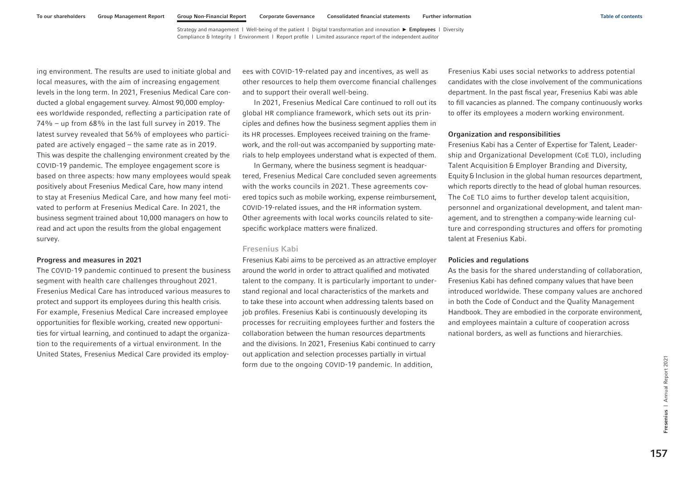ing environment. The results are used to initiate global and local measures, with the aim of increasing engagement levels in the long term. In 2021, Fresenius Medical Care conducted a global engagement survey. Almost 90,000 employees worldwide responded, reflecting a participation rate of 74% – up from 68% in the last full survey in 2019. The latest survey revealed that 56% of employees who participated are actively engaged – the same rate as in 2019. This was despite the challenging environment created by the COVID-19 pandemic. The employee engagement score is based on three aspects: how many employees would speak positively about Fresenius Medical Care, how many intend to stay at Fresenius Medical Care, and how many feel motivated to perform at Fresenius Medical Care. In 2021, the business segment trained about 10,000 managers on how to read and act upon the results from the global engagement survey.

#### Progress and measures in 2021

The COVID-19 pandemic continued to present the business segment with health care challenges throughout 2021. Fresenius Medical Care has introduced various measures to protect and support its employees during this health crisis. For example, Fresenius Medical Care increased employee opportunities for flexible working, created new opportunities for virtual learning, and continued to adapt the organization to the requirements of a virtual environment. In the United States, Fresenius Medical Care provided its employees with COVID-19-related pay and incentives, as well as other resources to help them overcome financial challenges and to support their overall well-being.

In 2021, Fresenius Medical Care continued to roll out its global HR compliance framework, which sets out its principles and defines how the business segment applies them in its HR processes. Employees received training on the framework, and the roll-out was accompanied by supporting materials to help employees understand what is expected of them.

In Germany, where the business segment is headquartered, Fresenius Medical Care concluded seven agreements with the works councils in 2021. These agreements covered topics such as mobile working, expense reimbursement, COVID-19-related issues, and the HR information system. Other agreements with local works councils related to sitespecific workplace matters were finalized.

### Fresenius Kabi

Fresenius Kabi aims to be perceived as an attractive employer around the world in order to attract qualified and motivated talent to the company. It is particularly important to understand regional and local characteristics of the markets and to take these into account when addressing talents based on job profiles. Fresenius Kabi is continuously developing its processes for recruiting employees further and fosters the collaboration between the human resources departments and the divisions. In 2021, Fresenius Kabi continued to carry out application and selection processes partially in virtual form due to the ongoing COVID-19 pandemic. In addition,

Fresenius Kabi uses social networks to address potential candidates with the close involvement of the communications department. In the past fiscal year, Fresenius Kabi was able to fill vacancies as planned. The company continuously works to offer its employees a modern working environment.

### Organization and responsibilities

Fresenius Kabi has a Center of Expertise for Talent, Leadership and Organizational Development (CoE TLO), including Talent Acquisition & Employer Branding and Diversity, Equity&Inclusion in the global human resources department, which reports directly to the head of global human resources. The CoE TLO aims to further develop talent acquisition, personnel and organizational development, and talent management, and to strengthen a company-wide learning culture and corresponding structures and offers for promoting talent at Fresenius Kabi.

#### Policies and regulations

As the basis for the shared understanding of collaboration, Fresenius Kabi has defined company values that have been introduced worldwide. These company values are anchored in both the Code of Conduct and the Quality Management Handbook. They are embodied in the corporate environment, and employees maintain a culture of cooperation across national borders, as well as functions and hierarchies.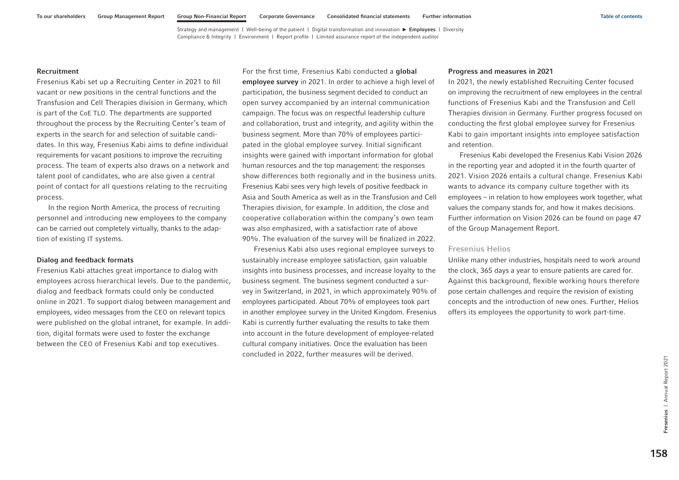### Recruitment

Fresenius Kabi set up a Recruiting Center in 2021 to fill vacant or new positions in the central functions and the Transfusion and Cell Therapies division in Germany, which is part of the CoE TLO. The departments are supported throughout the process by the Recruiting Center's team of experts in the search for and selection of suitable candidates. In this way, Fresenius Kabi aims to define individual requirements for vacant positions to improve the recruiting process. The team of experts also draws on a network and talent pool of candidates, who are also given a central point of contact for all questions relating to the recruiting process.

In the region North America, the process of recruiting personnel and introducing new employees to the company can be carried out completely virtually, thanks to the adaption of existing IT systems.

#### Dialog and feedback formats

Fresenius Kabi attaches great importance to dialog with employees across hierarchical levels. Due to the pandemic, dialog and feedback formats could only be conducted online in 2021. To support dialog between management and employees, video messages from the CEO on relevant topics were published on the global intranet, for example. In addition, digital formats were used to foster the exchange between the CEO of Fresenius Kabi and top executives.

For the first time, Fresenius Kabi conducted a global employee survey in 2021. In order to achieve a high level of participation, the business segment decided to conduct an open survey accompanied by an internal communication campaign. The focus was on respectful leadership culture and collaboration, trust and integrity, and agility within the business segment. More than 70% of employees participated in the global employee survey. Initial significant insights were gained with important information for global human resources and the top management: the responses show differences both regionally and in the business units. Fresenius Kabi sees very high levels of positive feedback in Asia and South America as well as in the Transfusion and Cell Therapies division, for example. In addition, the close and cooperative collaboration within the company's own team was also emphasized, with a satisfaction rate of above 90%. The evaluation of the survey will be finalized in 2022.

Fresenius Kabi also uses regional employee surveys to sustainably increase employee satisfaction, gain valuable insights into business processes, and increase loyalty to the business segment. The business segment conducted a survey in Switzerland, in 2021, in which approximately 90% of employees participated. About 70% of employees took part in another employee survey in the United Kingdom. Fresenius Kabi is currently further evaluating the results to take them into account in the future development of employee-related cultural company initiatives. Once the evaluation has been concluded in 2022, further measures will be derived.

#### Progress and measures in 2021

In 2021, the newly established Recruiting Center focused on improving the recruitment of new employees in the central functions of Fresenius Kabi and the Transfusion and Cell Therapies division in Germany. Further progress focused on conducting the first global employee survey for Fresenius Kabi to gain important insights into employee satisfaction and retention.

Fresenius Kabi developed the Fresenius Kabi Vision 2026 in the reporting year and adopted it in the fourth quarter of 2021. Vision 2026 entails a cultural change. Fresenius Kabi wants to advance its company culture together with its employees – in relation to how employees work together, what values the company stands for, and how it makes decisions. Further information on Vision 2026 can be found on page 47 of the Group Management Report.

# Fresenius Helios

Unlike many other industries, hospitals need to work around the clock, 365 days a year to ensure patients are cared for. Against this background, flexible working hours therefore pose certain challenges and require the revision of existing concepts and the introduction of new ones. Further, Helios offers its employees the opportunity to work part-time.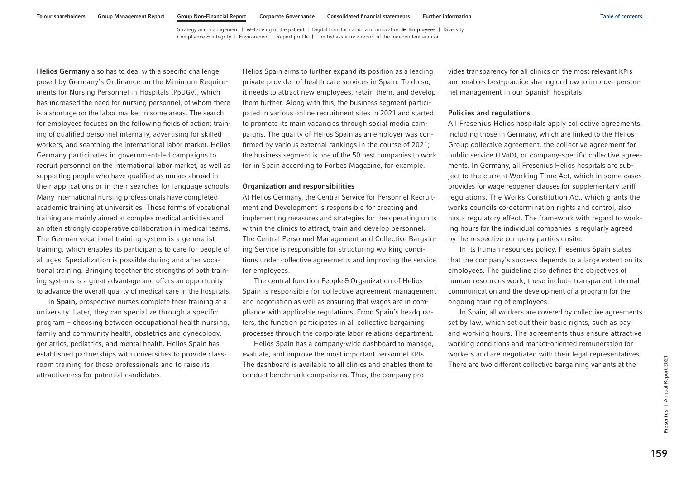<span id="page-45-0"></span>Helios Germany also has to deal with a specific challenge posed by Germany's Ordinance on the Minimum Requirements for Nursing Personnel in Hospitals (PpUGV), which has increased the need for nursing personnel, of whom there is a shortage on the labor market in some areas. The search for employees focuses on the following fields of action: training of qualified personnel internally, advertising for skilled workers, and searching the international labor market. Helios Germany participates in government-led campaigns to recruit personnel on the international labor market, as well as supporting people who have qualified as nurses abroad in their applications or in their searches for language schools. Many international nursing professionals have completed academic training at universities. These forms of vocational training are mainly aimed at complex medical activities and an often strongly cooperative collaboration in medical teams. The German vocational training system is a generalist training, which enables its participants to care for people of all ages. Specialization is possible during and after vocational training. Bringing together the strengths of both training systems is a great advantage and offers an opportunity to advance the overall quality of medical care in the hospitals.

In Spain, prospective nurses complete their training at a university. Later, they can specialize through a specific program – choosing between occupational health nursing, family and community health, obstetrics and gynecology, geriatrics, pediatrics, and mental health. Helios Spain has established partnerships with universities to provide classroom training for these professionals and to raise its attractiveness for potential candidates.

Helios Spain aims to further expand its position as a leading private provider of health care services in Spain. To do so, it needs to attract new employees, retain them, and develop them further. Along with this, the business segment participated in various online recruitment sites in 2021 and started to promote its main vacancies through social media campaigns. The quality of Helios Spain as an employer was confirmed by various external rankings in the course of 2021; the business segment is one of the 50 best companies to work for in Spain according to Forbes Magazine, for example.

#### Organization and responsibilities

At Helios Germany, the Central Service for Personnel Recruitment and Development is responsible for creating and implementing measures and strategies for the operating units within the clinics to attract, train and develop personnel. The Central Personnel Management and Collective Bargaining Service is responsible for structuring working conditions under collective agreements and improving the service for employees.

The central function People& Organization of Helios Spain is responsible for collective agreement management and negotiation as well as ensuring that wages are in compliance with applicable regulations. From Spain's headquarters, the function participates in all collective bargaining processes through the corporate labor relations department.

Helios Spain has a company-wide dashboard to manage, evaluate, and improve the most important personnel KPIs. The dashboard is available to all clinics and enables them to conduct benchmark comparisons. Thus, the company provides transparency for all clinics on the most relevant KPIs and enables best-practice sharing on how to improve personnel management in our Spanish hospitals.

### Policies and regulations

All Fresenius Helios hospitals apply collective agreements, including those in Germany, which are linked to the Helios Group collective agreement, the collective agreement for public service (TVöD), or company-specific collective agreements. In Germany, all Fresenius Helios hospitals are subject to the current Working Time Act, which in some cases provides for wage reopener clauses for supplementary tariff regulations. The Works Constitution Act, which grants the works councils co-determination rights and control, also has a regulatory effect. The framework with regard to working hours for the individual companies is regularly agreed by the respective company parties onsite.

In its human resources policy, Fresenius Spain states that the company's success depends to a large extent on its employees. The guideline also defines the objectives of human resources work; these include transparent internal communication and the development of a program for the ongoing training of employees.

In Spain, all workers are covered by collective agreements set by law, which set out their basic rights, such as pay and working hours. The agreements thus ensure attractive working conditions and market-oriented remuneration for workers and are negotiated with their legal representatives. There are two different collective bargaining variants at the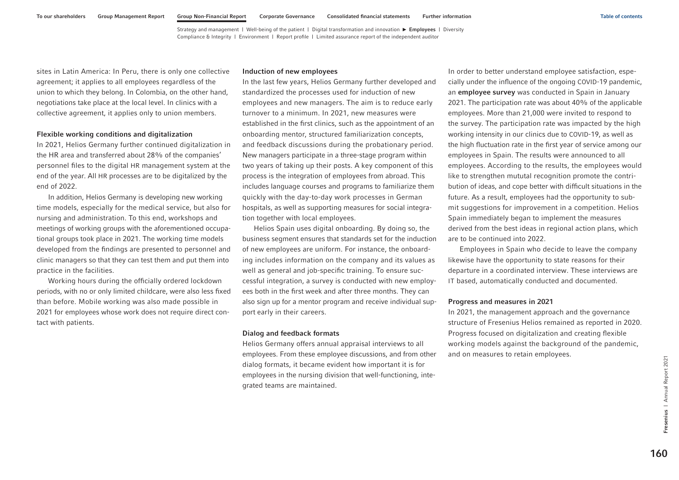sites in Latin America: In Peru, there is only one collective agreement; it applies to all employees regardless of the union to which they belong. In Colombia, on the other hand, negotiations take place at the local level. In clinics with a collective agreement, it applies only to union members.

#### Flexible working conditions and digitalization

In 2021, Helios Germany further continued digitalization in the HR area and transferred about 28% of the companies' personnel files to the digital HR management system at the end of the year. All HR processes are to be digitalized by the end of 2022.

In addition, Helios Germany is developing new working time models, especially for the medical service, but also for nursing and administration. To this end, workshops and meetings of working groups with the aforementioned occupational groups took place in 2021. The working time models developed from the findings are presented to personnel and clinic managers so that they can test them and put them into practice in the facilities.

Working hours during the officially ordered lockdown periods, with no or only limited childcare, were also less fixed than before. Mobile working was also made possible in 2021 for employees whose work does not require direct contact with patients.

#### Induction of new employees

In the last few years, Helios Germany further developed and standardized the processes used for induction of new employees and new managers. The aim is to reduce early turnover to a minimum. In 2021, new measures were established in the first clinics, such as the appointment of an onboarding mentor, structured familiarization concepts, and feedback discussions during the probationary period. New managers participate in a three-stage program within two years of taking up their posts. A key component of this process is the integration of employees from abroad. This includes language courses and programs to familiarize them quickly with the day-to-day work processes in German hospitals, as well as supporting measures for social integration together with local employees.

Helios Spain uses digital onboarding. By doing so, the business segment ensures that standards set for the induction of new employees are uniform. For instance, the onboarding includes information on the company and its values as well as general and job-specific training. To ensure successful integration, a survey is conducted with new employees both in the first week and after three months. They can also sign up for a mentor program and receive individual support early in their careers.

#### Dialog and feedback formats

Helios Germany offers annual appraisal interviews to all employees. From these employee discussions, and from other dialog formats, it became evident how important it is for employees in the nursing division that well-functioning, integrated teams are maintained.

In order to better understand employee satisfaction, especially under the influence of the ongoing COVID-19 pandemic, an employee survey was conducted in Spain in January 2021. The participation rate was about 40% of the applicable employees. More than 21,000 were invited to respond to the survey. The participation rate was impacted by the high working intensity in our clinics due to COVID-19, as well as the high fluctuation rate in the first year of service among our employees in Spain. The results were announced to all employees. According to the results, the employees would like to strengthen mututal recognition promote the contribution of ideas, and cope better with difficult situations in the future. As a result, employees had the opportunity to submit suggestions for improvement in a competition. Helios Spain immediately began to implement the measures derived from the best ideas in regional action plans, which are to be continued into 2022.

Employees in Spain who decide to leave the company likewise have the opportunity to state reasons for their departure in a coordinated interview. These interviews are IT based, automatically conducted and documented.

#### Progress and measures in 2021

In 2021, the management approach and the governance structure of Fresenius Helios remained as reported in 2020. Progress focused on digitalization and creating flexible working models against the background of the pandemic, and on measures to retain employees.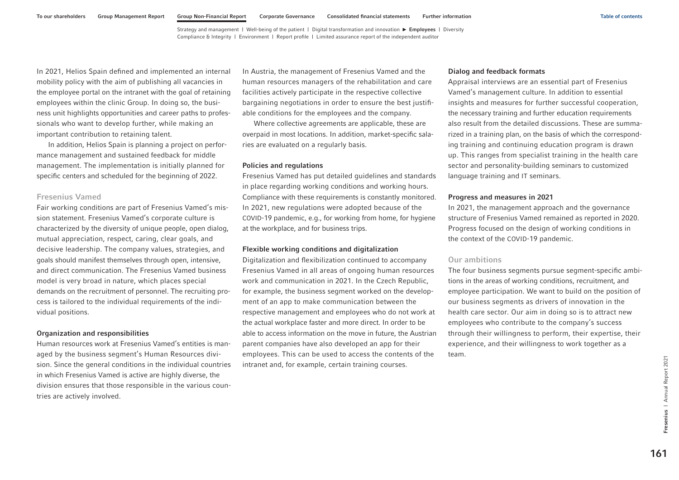In 2021, Helios Spain defined and implemented an internal mobility policy with the aim of publishing all vacancies in the employee portal on the intranet with the goal of retaining employees within the clinic Group. In doing so, the business unit highlights opportunities and career paths to professionals who want to develop further, while making an important contribution to retaining talent.

In addition, Helios Spain is planning a project on performance management and sustained feedback for middle management. The implementation is initially planned for specific centers and scheduled for the beginning of 2022.

### Fresenius Vamed

Fair working conditions are part of Fresenius Vamed's mission statement. Fresenius Vamed's corporate culture is characterized by the diversity of unique people, open dialog, mutual appreciation, respect, caring, clear goals, and decisive leadership. The company values, strategies, and goals should manifest themselves through open, intensive, and direct communication. The Fresenius Vamed business model is very broad in nature, which places special demands on the recruitment of personnel. The recruiting process is tailored to the individual requirements of the individual positions.

### Organization and responsibilities

Human resources work at Fresenius Vamed's entities is managed by the business segment's Human Resources division. Since the general conditions in the individual countries in which Fresenius Vamed is active are highly diverse, the division ensures that those responsible in the various countries are actively involved.

In Austria, the management of Fresenius Vamed and the human resources managers of the rehabilitation and care facilities actively participate in the respective collective bargaining negotiations in order to ensure the best justifiable conditions for the employees and the company.

Where collective agreements are applicable, these are overpaid in most locations. In addition, market-specific salaries are evaluated on a regularly basis.

#### Policies and regulations

Fresenius Vamed has put detailed guidelines and standards in place regarding working conditions and working hours. Compliance with these requirements is constantly monitored. In 2021, new regulations were adopted because of the COVID-19 pandemic, e.g., for working from home, for hygiene at the workplace, and for business trips.

### Flexible working conditions and digitalization

Digitalization and flexibilization continued to accompany Fresenius Vamed in all areas of ongoing human resources work and communication in 2021. In the Czech Republic, for example, the business segment worked on the development of an app to make communication between the respective management and employees who do not work at the actual workplace faster and more direct. In order to be able to access information on the move in future, the Austrian parent companies have also developed an app for their employees. This can be used to access the contents of the intranet and, for example, certain training courses.

#### Dialog and feedback formats

Appraisal interviews are an essential part of Fresenius Vamed's management culture. In addition to essential insights and measures for further successful cooperation, the necessary training and further education requirements also result from the detailed discussions. These are summarized in a training plan, on the basis of which the corresponding training and continuing education program is drawn up. This ranges from specialist training in the health care sector and personality-building seminars to customized language training and IT seminars.

### Progress and measures in 2021

In 2021, the management approach and the governance structure of Fresenius Vamed remained as reported in 2020. Progress focused on the design of working conditions in the context of the COVID-19 pandemic.

# Our ambitions

The four business segments pursue segment-specific ambitions in the areas of working conditions, recruitment, and employee participation. We want to build on the position of our business segments as drivers of innovation in the health care sector. Our aim in doing so is to attract new employees who contribute to the company's success through their willingness to perform, their expertise, their experience, and their willingness to work together as a team.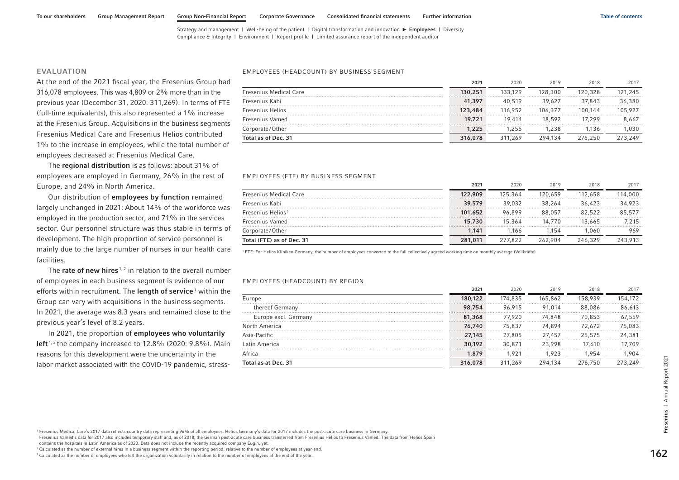### EVALUATION

At the end of the 2021 fiscal year, the Fresenius Group had 316,078 employees. This was 4,809 or 2% more than in the previous year (December 31, 2020: 311,269). In terms of FTE (full-time equivalents), this also represented a 1% increase at the Fresenius Group. Acquisitions in the business segments Fresenius Medical Care and Fresenius Helios contributed 1% to the increase in employees, while the total number of employees decreased at Fresenius Medical Care.

The regional distribution is as follows: about 31% of employees are employed in Germany, 26% in the rest of Europe, and 24% in North America.

Our distribution of employees by function remained largely unchanged in 2021: About 14% of the workforce was employed in the production sector, and 71% in the services sector. Our personnel structure was thus stable in terms of development. The high proportion of service personnel is mainly due to the large number of nurses in our health care facilities.

The rate of new hires<sup> $1, 2$ </sup> in relation to the overall number of employees in each business segment is evidence of our efforts within recruitment. The length of service<sup>1</sup> within the Group can vary with acquisitions in the business segments. In 2021, the average was 8.3 years and remained close to the previous year's level of 8.2 years.

#### EMPLOYEES (HEADCOUNT) BY BUSINESS SEGMENT

| Total as of Dec. 31           | 316,078 | 311.269 | 294.134 | 276.250 | 273,249 |
|-------------------------------|---------|---------|---------|---------|---------|
| Corporate/Other               | 1,225   | 1.255   | 1.238   | .136    | .030    |
| Fresenius Vamed               | 19,721  | 19.414  | 18.592  | 17.299  | 8.667   |
| <b>Fresenius Helios</b>       | 123,484 | 116.952 | 106.377 | 100.144 | 105.927 |
| Fresenius Kabi                | 41,397  | 40.519  | 39.627  | 37.843  | 36,380  |
| <b>Fresenius Medical Care</b> | 130,251 | 133.129 | 128,300 | 120.328 | 121.245 |
|                               | 2021    | 2020    | 2019    | 2018    | 2017    |

#### EMPLOYEES (FTE) BY BUSINESS SEGMENT

|                               | 2021    | 2020    | 2019    | 2018    | 2017    |
|-------------------------------|---------|---------|---------|---------|---------|
| <b>Fresenius Medical Care</b> | 122,909 | 125.364 | 120.659 | 112,658 | 114,000 |
| Fresenius Kabi                | 39,579  | 39.032  | 38.264  | 36.423  | 34,923  |
| Fresenius Helios <sup>1</sup> | 101,652 | 96.899  | 88.057  | 82.522  | 85,577  |
| <b>Fresenius Vamed</b>        | 15,730  | 15,364  | 14.770  | 13,665  | 7.215   |
| Corporate/Other               | 1.141   | 1.166   | 1.154   | .060    | 969     |
| Total (FTE) as of Dec. 31     | 281,011 | 277.822 | 262.904 | 246.329 | 243.913 |

1 FTE: For Helios Kliniken Germany, the number of employees converted to the full collectively agreed working time on monthly average (Vollkräfte)

#### EMPLOYEES (HEADCOUNT) BY REGION

| efforts within recruitment. The <b>length of service</b> I within the                                                                                                                                                                                                                                                                                                                                               |                                                                                                                                                                                                     | 2021    | 2020    | 2019    | 2018    | 2017    |
|---------------------------------------------------------------------------------------------------------------------------------------------------------------------------------------------------------------------------------------------------------------------------------------------------------------------------------------------------------------------------------------------------------------------|-----------------------------------------------------------------------------------------------------------------------------------------------------------------------------------------------------|---------|---------|---------|---------|---------|
| Group can vary with acquisitions in the business segments.                                                                                                                                                                                                                                                                                                                                                          | Europe                                                                                                                                                                                              | 180,122 | 174,835 | 165,862 | 158,939 | 154,172 |
|                                                                                                                                                                                                                                                                                                                                                                                                                     | thereof Germany                                                                                                                                                                                     | 98,754  | 96,915  | 91,014  | 88,086  | 86,613  |
| n 2021, the average was 8.3 years and remained close to the                                                                                                                                                                                                                                                                                                                                                         | Europe excl. Germany                                                                                                                                                                                | 81,368  | 77,920  | 74,848  | 70,853  | 67.559  |
| orevious year's level of 8.2 years.                                                                                                                                                                                                                                                                                                                                                                                 | North America                                                                                                                                                                                       | 76,740  | 75,837  | 74,894  | 72,672  | 75,083  |
| In 2021, the proportion of employees who voluntarily                                                                                                                                                                                                                                                                                                                                                                | Asia-Pacific                                                                                                                                                                                        | 27,145  | 27,805  | 27,457  | 25,575  | 24,381  |
| eft <sup>1,3</sup> the company increased to 12.8% (2020: 9.8%). Main                                                                                                                                                                                                                                                                                                                                                | Latin America                                                                                                                                                                                       | 30,192  | 30,871  | 23,998  | 17,610  | 17,709  |
| easons for this development were the uncertainty in the                                                                                                                                                                                                                                                                                                                                                             | Africa                                                                                                                                                                                              | 1,879   | 1,921   | 1,923   | 1,954   | 1,904   |
| abor market associated with the COVID-19 pandemic, stress-                                                                                                                                                                                                                                                                                                                                                          | Total as at Dec. 31                                                                                                                                                                                 | 316,078 | 311,269 | 294,134 | 276,750 | 273,249 |
| Fresenius Medical Care's 2017 data reflects country data representing 96% of all employees. Helios Germany's data for 2017 includes the post-acute care business in Germany.                                                                                                                                                                                                                                        |                                                                                                                                                                                                     |         |         |         |         |         |
|                                                                                                                                                                                                                                                                                                                                                                                                                     | Fresenius Vamed's data for 2017 also includes temporary staff and, as of 2018, the German post-acute care business transferred from Fresenius Helios to Fresenius Vamed. The data from Helios Spain |         |         |         |         |         |
| contains the hospitals in Latin America as of 2020. Data does not include the recently acquired company Eugin, yet.<br>Calculated as the number of external hires in a business segment within the reporting period, relative to the number of employees at year-end.<br>Calculated as the number of employees who left the organization voluntarily in relation to the number of employees at the end of the year. |                                                                                                                                                                                                     |         |         |         |         | 162     |

<sup>&</sup>lt;sup>2</sup> Calculated as the number of external hires in a business segment within the reporting period, relative to the number of employees at year-end.

<sup>&</sup>lt;sup>3</sup> Calculated as the number of employees who left the organization voluntarily in relation to the number of employees at the end of the year.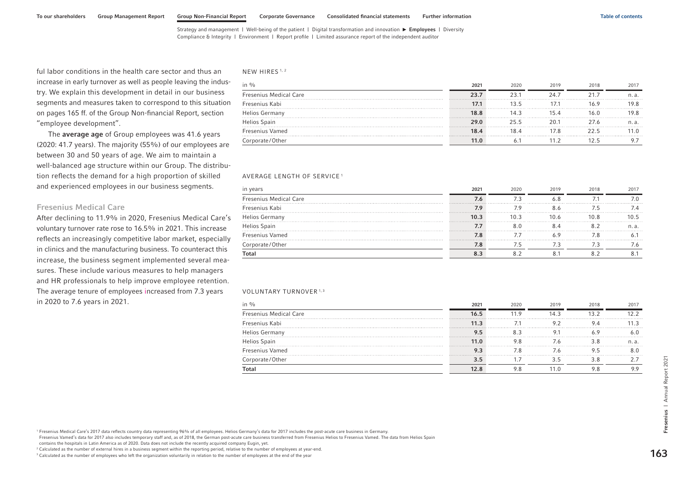ful labor conditions in the health care sector and thus an increase in early turnover as well as people leaving the industry. We explain this development in detail in our business segments and measures taken to correspond to this situation [on pages 165 ff.](#page-51-0) of the Group Non-financial Report, section "employee development".

The average age of Group employees was 41.6 years (2020: 41.7 years). The majority (55%) of our employees are between 30 and 50 years of age. We aim to maintain a well-balanced age structure within our Group. The distribution reflects the demand for a high proportion of skilled and experienced employees in our business segments.

#### Fresenius Medical Care

After declining to 11.9% in 2020, Fresenius Medical Care's voluntary turnover rate rose to 16.5% in 2021. This increase reflects an increasingly competitive labor market, especially in clinics and the manufacturing business. To counteract this increase, the business segment implemented several measures. These include various measures to help managers and HR professionals to help improve employee retention. The average tenure of employees increased from 7.3 years in 2020 to 7.6 years in 2021.

#### NEW HIRES<sup>1,2</sup>

| in $\%$                       | 2021 | 2020 | 2019 | 2018 | 2017  |
|-------------------------------|------|------|------|------|-------|
| <b>Fresenius Medical Care</b> | 23.7 |      | 24.7 |      | n. a. |
| Fresenius Kabi                | 17.1 | 13.5 |      | 16.9 |       |
| <b>Helios Germany</b>         | 18.8 | 14.3 |      | 16.0 | 9.8   |
| <b>Helios Spain</b>           | 29.0 | 255  | 201  | 27 6 | n. a. |
| <b>Fresenius Vamed</b>        | 18.4 |      | 78   |      |       |
| Corporate/Other               | 11.0 |      |      |      |       |

#### AVERAGE LENGTH OF SERVICE <sup>1</sup>

|                               | 2021 | 2020 | 2019 | 2018 |  |
|-------------------------------|------|------|------|------|--|
| <b>Fresenius Medical Care</b> |      |      |      |      |  |
| Fresenius Kabi                |      |      |      |      |  |
| <b>Helios Germany</b>         | 10.3 |      | 10.6 | 10.8 |  |
| Helios Spain                  |      |      |      |      |  |
| <b>Fresenius Vamed</b>        | 7.8  |      |      |      |  |
| Corporate/Other               |      |      |      |      |  |
|                               |      |      |      |      |  |

#### VOLUNTARY TURNOVER<sup>1,3</sup>

|                               | 2021   | 2020 | 2019 | 2018 | 2017 |
|-------------------------------|--------|------|------|------|------|
| <b>Fresenius Medical Care</b> |        |      | 14 3 |      |      |
| Fresenius Kabi                | 11.3   |      |      |      | .    |
| <b>Helios Germany</b>         | 1. 2   |      |      | .    |      |
| Helios Spain                  | 11.0   |      |      |      | n. a |
| <b>Fresenius Vamed</b>        |        |      |      |      |      |
| Corporate/Other               | .<br>. |      |      |      |      |
| Гоtа                          |        |      |      |      |      |

<sup>1</sup> Fresenius Medical Care's 2017 data reflects country data representing 96% of all employees. Helios Germany's data for 2017 includes the post-acute care business in Germany.

Fresenius Vamed's data for 2017 also includes temporary staff and, as of 2018, the German post-acute care business transferred from Fresenius Helios to Fresenius Vamed. The data from Helios Spain

contains the hospitals in Latin America as of 2020. Data does not include the recently acquired company Eugin, yet.

<sup>2</sup> Calculated as the number of external hires in a business segment within the reporting period, relative to the number of employees at year-end.

 $3$  Calculated as the number of employees who left the organization voluntarily in relation to the number of employees at the end of the year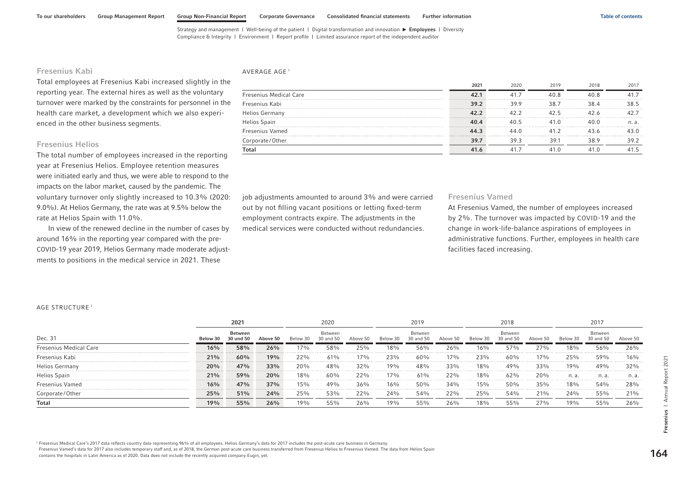[Strategy and management](#page-1-0) | [Well-being of the patient](#page-7-0) | [Digital transformation and innovation](#page-27-0) ▶ [Employees](#page-40-0) | [Diversity](#page-64-0)

[Compliance & Integrity](#page-68-0) | [Environment](#page-85-0) | [Report profile](#page-102-0) | [Limited assurance report of the independent auditor](#page-103-0)

# Fresenius Kabi

Total employees at Fresenius Kabi increased slightly in the reporting year. The external hires as well as the voluntary turnover were marked by the constraints for personnel in the health care market, a development which we also experienced in the other business segments.

## Fresenius Helios

The total number of employees increased in the reporting year at Fresenius Helios. Employee retention measures were initiated early and thus, we were able to respond to the impacts on the labor market, caused by the pandemic. The voluntary turnover only slightly increased to 10.3% (2020: 9.0%). At Helios Germany, the rate was at 9.5% below the rate at Helios Spain with 11.0%.

In view of the renewed decline in the number of cases by around 16% in the reporting year compared with the pre-COVID-19 year 2019, Helios Germany made moderate adjustments to positions in the medical service in 2021. These

#### AVERAGE AGE<sup>1</sup>

|                               | 2021 | 2020 | 2019 | 2018 | 2017  |
|-------------------------------|------|------|------|------|-------|
| <b>Fresenius Medical Care</b> | 42.1 | 41.  | 40.8 | 40.8 |       |
| Fresenius Kabi                | 39.2 | 39.9 | 38.7 | 384  | 38.5  |
| <b>Helios Germany</b>         | 42.2 | 42.2 | 42.5 |      |       |
| Helios Spain                  | 40.4 | 40.5 | 41 O |      | n. a. |
| Fresenius Vamed               | 44.3 | 44 N | 41 2 |      |       |
| Corporate/Other               | 39.7 | 39.3 | 39.1 | 389  | 39.2  |
| Total                         | 41.6 |      |      |      |       |

job adjustments amounted to around 3% and were carried out by not filling vacant positions or letting fixed-term employment contracts expire. The adjustments in the medical services were conducted without redundancies.

#### Fresenius Vamed

At Fresenius Vamed, the number of employees increased by 2%. The turnover was impacted by COVID-19 and the change in work-life-balance aspirations of employees in administrative functions. Further, employees in health care facilities faced increasing.

#### AGE STRUCTURE <sup>1</sup>

|                               |             | $202 -$  |          |          | 2020                 |          |          | 2019     |             |            | 2018                 |          |            | 2017                 |           |
|-------------------------------|-------------|----------|----------|----------|----------------------|----------|----------|----------|-------------|------------|----------------------|----------|------------|----------------------|-----------|
| Dec. 31                       |             | Between  | Above 50 | Below 30 | Between<br>30 and 50 | Above 50 | Below 30 | Between  | Above 50    | Below 30   | Between<br>30 and 50 | Above 50 | Below 30   | Between<br>30 and 50 | Above 50. |
| <b>Fresenius Medical Care</b> | 16%         | 58%<br>. | 26%      | $17\%$   | 58%                  | 25%      | $18\%$   | 56%      | 26%         | 16%        | 57%                  | 270/6    | 18%        | 56%                  | 26%       |
| Fresenius Kabi                | 21%<br>.    | 60%<br>. | 19%<br>. | 22%      | 61%                  | $17\%$   | 23%      | 60%      | 17%         | 23%        | 60%                  | 17%      | 25%        | 59%                  | 16%       |
| <b>Helios Germany</b>         | 20%<br>.    | 47%<br>. | 33%<br>. | 20%      | 48%                  | 32%      | $19\%$   | 48%      | 33%         | 18%<br>.   | 49%                  | 33%      | 19%        | 49%                  | $32\%$    |
| Helios Spain                  | 21%<br>.    | 59%<br>. | 20%<br>. | 18%<br>. | 60%<br>.             | 22%<br>. | $17\%$   | 61%<br>. | $22\%$<br>. | 18%<br>.   | 62%<br>.             | 20%<br>. | n. a.<br>. | n. a.<br>.           | n. a.     |
| <b>Fresenius Vamed</b>        | $16\%$<br>. | 47%<br>. | 37%<br>. | 15%      | 49%<br>.             | 36%      | $16\%$   | 50%      | 34%         | 150/6<br>. | 50%<br>.             | 35%      | 18%        | 54%<br>.             | 28%       |
| Corporate/Other               | 25%         | 51%      | 24%      | 25%      | 53%                  | 22%      | 24%      | 54%      | 22%         | 25%        | 54%                  | 21%      | 24%        | 55%                  | 21%       |
| <b>Total</b>                  | 19%         | 55%      | 26%      | 19%      | 55%                  | 26%      | 19%      | 55%      | 26%         | $18\%$     | 55%                  | 27%      | 19%        | 55%                  | 26%       |

<sup>1</sup> Fresenius Medical Care's 2017 data reflects country data representing 96% of all employees. Helios Germany's data for 2017 includes the post-acute care business in Germany

Fresenius Vamed's data for 2017 also includes temporary staff and, as of 2018, the German post-acute care business transferred from Fresenius Helios to Fresenius Vamed. The data from Helios Spain contains the hospitals in Latin America as of 2020. Data does not include the recently acquired company Eugin, yet.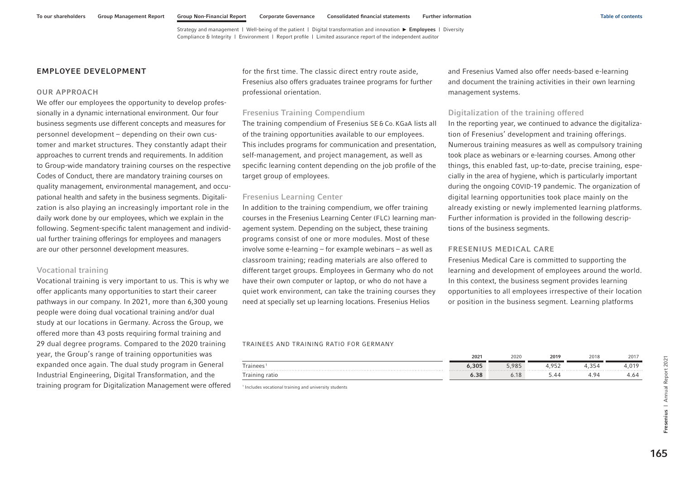## <span id="page-51-0"></span>EMPLOYEE DEVELOPMENT

### OUR APPROACH

We offer our employees the opportunity to develop professionally in a dynamic international environment. Our four business segments use different concepts and measures for personnel development – depending on their own customer and market structures. They constantly adapt their approaches to current trends and requirements. In addition to Group-wide mandatory training courses on the respective Codes of Conduct, there are mandatory training courses on quality management, environmental management, and occupational health and safety in the business segments. Digitalization is also playing an increasingly important role in the daily work done by our employees, which we explain in the following. Segment-specific talent management and individual further training offerings for employees and managers are our other personnel development measures.

### Vocational training

Vocational training is very important to us. This is why we offer applicants many opportunities to start their career pathways in our company. In 2021, more than 6,300 young people were doing dual vocational training and/or dual study at our locations in Germany. Across the Group, we offered more than 43 posts requiring formal training and 29 dual degree programs. Compared to the 2020 training year, the Group's range of training opportunities was expanded once again. The dual study program in General Industrial Engineering, Digital Transformation, and the training program for Digitalization Management were offered for the first time. The classic direct entry route aside, Fresenius also offers graduates trainee programs for further professional orientation.

### Fresenius Training Compendium

The training compendium of Fresenius SE&Co. KGaA lists all of the training opportunities available to our employees. This includes programs for communication and presentation, self-management, and project management, as well as specific learning content depending on the job profile of the target group of employees.

### Fresenius Learning Center

In addition to the training compendium, we offer training courses in the Fresenius Learning Center (FLC) learning management system. Depending on the subject, these training programs consist of one or more modules. Most of these involve some e-learning – for example webinars – as well as classroom training; reading materials are also offered to different target groups. Employees in Germany who do not have their own computer or laptop, or who do not have a quiet work environment, can take the training courses they need at specially set up learning locations. Fresenius Helios

and Fresenius Vamed also offer needs-based e-learning and document the training activities in their own learning management systems.

### Digitalization of the training offered

In the reporting year, we continued to advance the digitalization of Fresenius' development and training offerings. Numerous training measures as well as compulsory training took place as webinars or e-learning courses. Among other things, this enabled fast, up-to-date, precise training, especially in the area of hygiene, which is particularly important during the ongoing COVID-19 pandemic. The organization of digital learning opportunities took place mainly on the already existing or newly implemented learning platforms. Further information is provided in the following descriptions of the business segments.

## FRESENIUS MEDICAL CARE

Fresenius Medical Care is committed to supporting the learning and development of employees around the world. In this context, the business segment provides learning opportunities to all employees irrespective of their location or position in the business segment. Learning platforms

#### TRAINEES AND TRAINING RATIO FOR GERMANY

|                            | 2021              | 2020         | 2019           | 2018         | 2017        |
|----------------------------|-------------------|--------------|----------------|--------------|-------------|
| --<br>rainees              | 5,305<br>.        | 00F<br>, o J | $\cap$<br>207, | 354<br>- ت ت | 010<br>4,0. |
| $\sim$<br>raining<br>ratio | $\Omega$<br>o. od | 10<br>0. I 0 |                | .            | $+0.0$      |

1 Includes vocational training and university students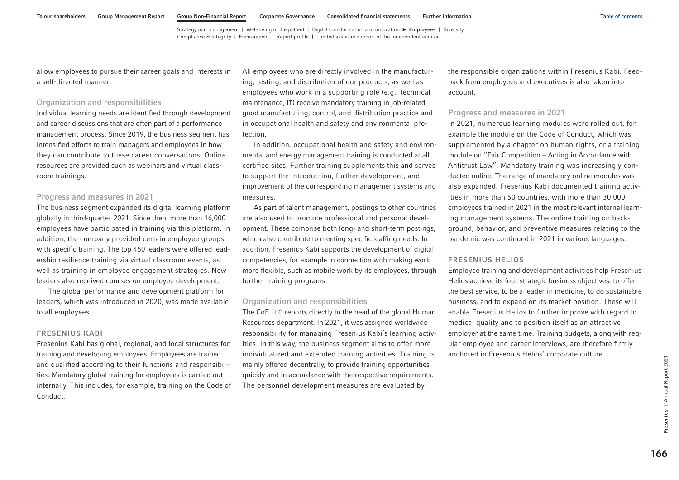allow employees to pursue their career goals and interests in a self-directed manner.

### Organization and responsibilities

Individual learning needs are identified through development and career discussions that are often part of a performance management process. Since 2019, the business segment has intensified efforts to train managers and employees in how they can contribute to these career conversations. Online resources are provided such as webinars and virtual classroom trainings.

### Progress and measures in 2021

The business segment expanded its digital learning platform globally in third-quarter 2021. Since then, more than 16,000 employees have participated in training via this platform. In addition, the company provided certain employee groups with specific training. The top 450 leaders were offered leadership resilience training via virtual classroom events, as well as training in employee engagement strategies. New leaders also received courses on employee development.

The global performance and development platform for leaders, which was introduced in 2020, was made available to all employees.

### FRESENIUS KABI

Fresenius Kabi has global, regional, and local structures for training and developing employees. Employees are trained and qualified according to their functions and responsibilities. Mandatory global training for employees is carried out internally. This includes, for example, training on the Code of Conduct.

All employees who are directly involved in the manufacturing, testing, and distribution of our products, as well as employees who work in a supporting role (e.g., technical maintenance, IT) receive mandatory training in job-related good manufacturing, control, and distribution practice and in occupational health and safety and environmental protection.

In addition, occupational health and safety and environmental and energy management training is conducted at all certified sites. Further training supplements this and serves to support the introduction, further development, and improvement of the corresponding management systems and measures.

As part of talent management, postings to other countries are also used to promote professional and personal development. These comprise both long- and short-term postings, which also contribute to meeting specific staffing needs. In addition, Fresenius Kabi supports the development of digital competencies, for example in connection with making work more flexible, such as mobile work by its employees, through further training programs.

### Organization and responsibilities

The CoE TLO reports directly to the head of the global Human Resources department. In 2021, it was assigned worldwide responsibility for managing Fresenius Kabi's learning activities. In this way, the business segment aims to offer more individualized and extended training activities. Training is mainly offered decentrally, to provide training opportunities quickly and in accordance with the respective requirements. The personnel development measures are evaluated by

the responsible organizations within Fresenius Kabi. Feedback from employees and executives is also taken into account.

### Progress and measures in 2021

In 2021, numerous learning modules were rolled out, for example the module on the Code of Conduct, which was supplemented by a chapter on human rights, or a training module on "Fair Competition – Acting in Accordance with Antitrust Law". Mandatory training was increasingly conducted online. The range of mandatory online modules was also expanded. Fresenius Kabi documented training activities in more than 50 countries, with more than 30,000 employees trained in 2021 in the most relevant internal learning management systems. The online training on background, behavior, and preventive measures relating to the pandemic was continued in 2021 in various languages.

### FRESENIUS HELIOS

Employee training and development activities help Fresenius Helios achieve its four strategic business objectives: to offer the best service, to be a leader in medicine, to do sustainable business, and to expand on its market position. These will enable Fresenius Helios to further improve with regard to medical quality and to position itself as an attractive employer at the same time. Training budgets, along with regular employee and career interviews, are therefore firmly anchored in Fresenius Helios' corporate culture.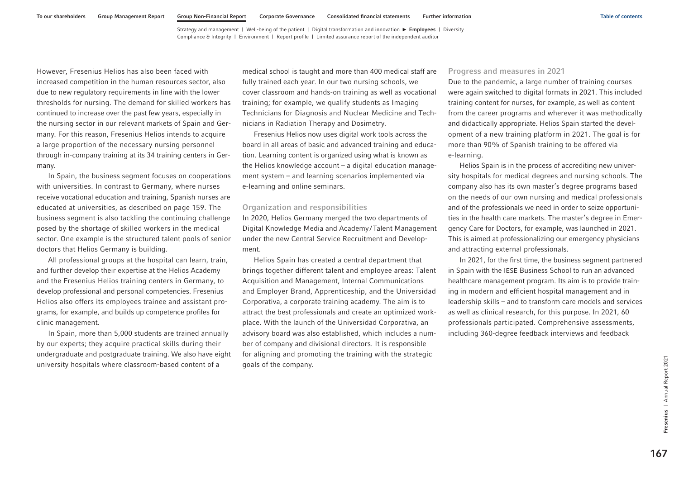However, Fresenius Helios has also been faced with increased competition in the human resources sector, also due to new regulatory requirements in line with the lower thresholds for nursing. The demand for skilled workers has continued to increase over the past few years, especially in the nursing sector in our relevant markets of Spain and Germany. For this reason, Fresenius Helios intends to acquire a large proportion of the necessary nursing personnel through in-company training at its 34 training centers in Germany.

In Spain, the business segment focuses on cooperations with universities. In contrast to Germany, where nurses receive vocational education and training, Spanish nurses are educated at universities, as described [on page 159.](#page-45-0) The business segment is also tackling the continuing challenge posed by the shortage of skilled workers in the medical sector. One example is the structured talent pools of senior doctors that Helios Germany is building.

All professional groups at the hospital can learn, train, and further develop their expertise at the Helios Academy and the Fresenius Helios training centers in Germany, to develop professional and personal competencies. Fresenius Helios also offers its employees trainee and assistant programs, for example, and builds up competence profiles for clinic management.

In Spain, more than 5,000 students are trained annually by our experts; they acquire practical skills during their undergraduate and postgraduate training. We also have eight university hospitals where classroom-based content of a

medical school is taught and more than 400 medical staff are fully trained each year. In our two nursing schools, we cover classroom and hands-on training as well as vocational training; for example, we qualify students as Imaging Technicians for Diagnosis and Nuclear Medicine and Technicians in Radiation Therapy and Dosimetry.

Fresenius Helios now uses digital work tools across the board in all areas of basic and advanced training and education. Learning content is organized using what is known as the Helios knowledge account – a digital education management system – and learning scenarios implemented via e-learning and online seminars.

### Organization and responsibilities

In 2020, Helios Germany merged the two departments of Digital Knowledge Media and Academy/Talent Management under the new Central Service Recruitment and Development.

Helios Spain has created a central department that brings together different talent and employee areas: Talent Acquisition and Management, Internal Communications and Employer Brand, Apprenticeship, and the Universidad Corporativa, a corporate training academy. The aim is to attract the best professionals and create an optimized workplace. With the launch of the Universidad Corporativa, an advisory board was also established, which includes a number of company and divisional directors. It is responsible for aligning and promoting the training with the strategic goals of the company.

### Progress and measures in 2021

Due to the pandemic, a large number of training courses were again switched to digital formats in 2021. This included training content for nurses, for example, as well as content from the career programs and wherever it was methodically and didactically appropriate. Helios Spain started the development of a new training platform in 2021. The goal is for more than 90% of Spanish training to be offered via e-learning.

Helios Spain is in the process of accrediting new university hospitals for medical degrees and nursing schools. The company also has its own master's degree programs based on the needs of our own nursing and medical professionals and of the professionals we need in order to seize opportunities in the health care markets. The master's degree in Emergency Care for Doctors, for example, was launched in 2021. This is aimed at professionalizing our emergency physicians and attracting external professionals.

In 2021, for the first time, the business segment partnered in Spain with the IESE Business School to run an advanced healthcare management program. Its aim is to provide training in modern and efficient hospital management and in leadership skills – and to transform care models and services as well as clinical research, for this purpose. In 2021, 60 professionals participated. Comprehensive assessments, including 360-degree feedback interviews and feedback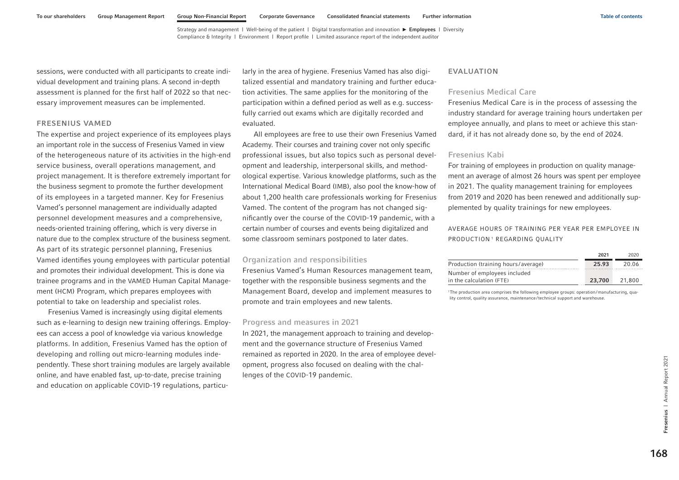sessions, were conducted with all participants to create individual development and training plans. A second in-depth assessment is planned for the first half of 2022 so that necessary improvement measures can be implemented.

### FRESENIUS VAMED

The expertise and project experience of its employees plays an important role in the success of Fresenius Vamed in view of the heterogeneous nature of its activities in the high-end service business, overall operations management, and project management. It is therefore extremely important for the business segment to promote the further development of its employees in a targeted manner. Key for Fresenius Vamed's personnel management are individually adapted personnel development measures and a comprehensive, needs-oriented training offering, which is very diverse in nature due to the complex structure of the business segment. As part of its strategic personnel planning, Fresenius Vamed identifies young employees with particular potential and promotes their individual development. This is done via trainee programs and in the VAMED Human Capital Management (HCM) Program, which prepares employees with potential to take on leadership and specialist roles.

Fresenius Vamed is increasingly using digital elements such as e-learning to design new training offerings. Employees can access a pool of knowledge via various knowledge platforms. In addition, Fresenius Vamed has the option of developing and rolling out micro-learning modules independently. These short training modules are largely available online, and have enabled fast, up-to-date, precise training and education on applicable COVID-19 regulations, particularly in the area of hygiene. Fresenius Vamed has also digitalized essential and mandatory training and further education activities. The same applies for the monitoring of the participation within a defined period as well as e.g. successfully carried out exams which are digitally recorded and evaluated.

All employees are free to use their own Fresenius Vamed Academy. Their courses and training cover not only specific professional issues, but also topics such as personal development and leadership, interpersonal skills, and methodological expertise. Various knowledge platforms, such as the International Medical Board (IMB), also pool the know-how of about 1,200 health care professionals working for Fresenius Vamed. The content of the program has not changed significantly over the course of the COVID-19 pandemic, with a certain number of courses and events being digitalized and some classroom seminars postponed to later dates.

### Organization and responsibilities

Fresenius Vamed's Human Resources management team, together with the responsible business segments and the Management Board, develop and implement measures to promote and train employees and new talents.

#### Progress and measures in 2021

In 2021, the management approach to training and development and the governance structure of Fresenius Vamed remained as reported in 2020. In the area of employee development, progress also focused on dealing with the challenges of the COVID-19 pandemic.

### EVALUATION

#### Fresenius Medical Care

Fresenius Medical Care is in the process of assessing the industry standard for average training hours undertaken per employee annually, and plans to meet or achieve this standard, if it has not already done so, by the end of 2024.

### Fresenius Kabi

For training of employees in production on quality management an average of almost 26 hours was spent per employee in 2021. The quality management training for employees from 2019 and 2020 has been renewed and additionally supplemented by quality trainings for new employees.

AVERAGE HOURS OF TRAINING PER YEAR PER EMPLOYEE IN PRODUCTION<sup>1</sup> REGARDING OUALITY

|                                     | 2021   | 2020   |
|-------------------------------------|--------|--------|
| Production (training hours/average) | 25.93  | 20.06  |
| Number of employees included        |        |        |
| in the calculation (FTE)            | 23,700 | 21,800 |

1The production area comprises the following employee groups: operation/manufacturing, quality control, quality assurance, maintenance/technical support and warehouse.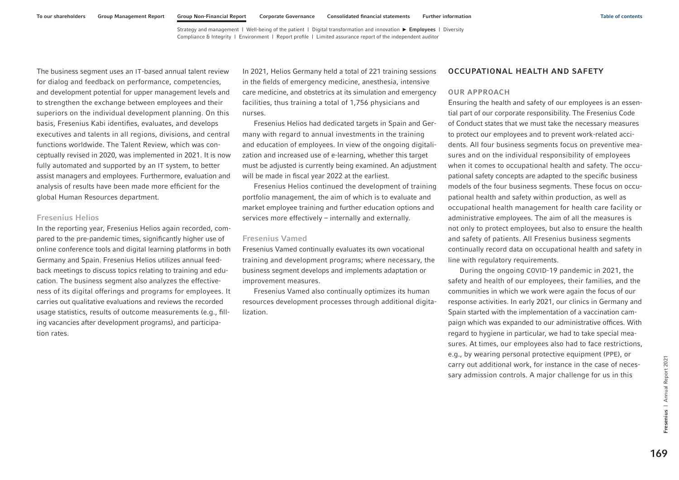The business segment uses an IT-based annual talent review for dialog and feedback on performance, competencies, and development potential for upper management levels and to strengthen the exchange between employees and their superiors on the individual development planning. On this basis, Fresenius Kabi identifies, evaluates, and develops executives and talents in all regions, divisions, and central functions worldwide. The Talent Review, which was conceptually revised in 2020, was implemented in 2021. It is now fully automated and supported by an IT system, to better assist managers and employees. Furthermore, evaluation and analysis of results have been made more efficient for the global Human Resources department.

### Fresenius Helios

In the reporting year, Fresenius Helios again recorded, compared to the pre-pandemic times, significantly higher use of online conference tools and digital learning platforms in both Germany and Spain. Fresenius Helios utilizes annual feedback meetings to discuss topics relating to training and education. The business segment also analyzes the effectiveness of its digital offerings and programs for employees. It carries out qualitative evaluations and reviews the recorded usage statistics, results of outcome measurements (e.g., filling vacancies after development programs), and participation rates.

In 2021, Helios Germany held a total of 221 training sessions in the fields of emergency medicine, anesthesia, intensive care medicine, and obstetrics at its simulation and emergency facilities, thus training a total of 1,756 physicians and nurses.

Fresenius Helios had dedicated targets in Spain and Germany with regard to annual investments in the training and education of employees. In view of the ongoing digitalization and increased use of e-learning, whether this target must be adjusted is currently being examined. An adjustment will be made in fiscal year 2022 at the earliest.

Fresenius Helios continued the development of training portfolio management, the aim of which is to evaluate and market employee training and further education options and services more effectively – internally and externally.

### Fresenius Vamed

Fresenius Vamed continually evaluates its own vocational training and development programs; where necessary, the business segment develops and implements adaptation or improvement measures.

Fresenius Vamed also continually optimizes its human resources development processes through additional digitalization.

### OCCUPATIONAL HEALTH AND SAFETY

#### OUR APPROACH

Ensuring the health and safety of our employees is an essential part of our corporate responsibility. The Fresenius Code of Conduct states that we must take the necessary measures to protect our employees and to prevent work-related accidents. All four business segments focus on preventive measures and on the individual responsibility of employees when it comes to occupational health and safety. The occupational safety concepts are adapted to the specific business models of the four business segments. These focus on occupational health and safety within production, as well as occupational health management for health care facility or administrative employees. The aim of all the measures is not only to protect employees, but also to ensure the health and safety of patients. All Fresenius business segments continually record data on occupational health and safety in line with regulatory requirements.

During the ongoing COVID-19 pandemic in 2021, the safety and health of our employees, their families, and the communities in which we work were again the focus of our response activities. In early 2021, our clinics in Germany and Spain started with the implementation of a vaccination campaign which was expanded to our administrative offices. With regard to hygiene in particular, we had to take special measures. At times, our employees also had to face restrictions, e.g., by wearing personal protective equipment (PPE), or carry out additional work, for instance in the case of necessary admission controls. A major challenge for us in this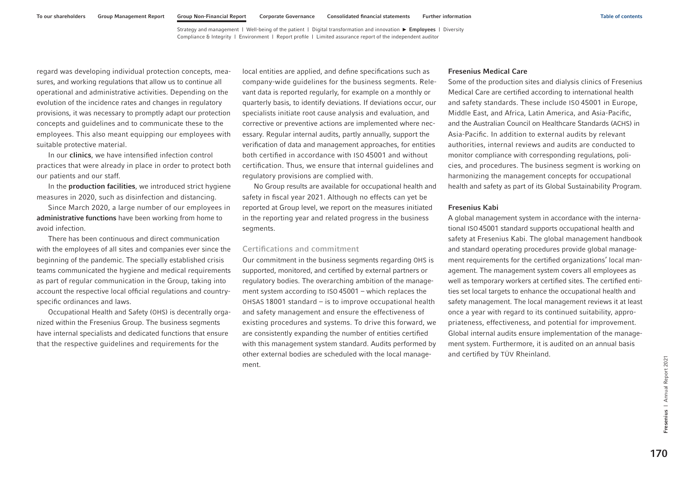regard was developing individual protection concepts, measures, and working regulations that allow us to continue all operational and administrative activities. Depending on the evolution of the incidence rates and changes in regulatory provisions, it was necessary to promptly adapt our protection concepts and guidelines and to communicate these to the employees. This also meant equipping our employees with suitable protective material.

In our **clinics**, we have intensified infection control practices that were already in place in order to protect both our patients and our staff.

In the **production facilities**, we introduced strict hygiene measures in 2020, such as disinfection and distancing.

Since March 2020, a large number of our employees in administrative functions have been working from home to avoid infection.

There has been continuous and direct communication with the employees of all sites and companies ever since the beginning of the pandemic. The specially established crisis teams communicated the hygiene and medical requirements as part of regular communication in the Group, taking into account the respective local official regulations and countryspecific ordinances and laws.

Occupational Health and Safety (OHS) is decentrally organized within the Fresenius Group. The business segments have internal specialists and dedicated functions that ensure that the respective guidelines and requirements for the

local entities are applied, and define specifications such as company-wide guidelines for the business segments. Relevant data is reported regularly, for example on a monthly or quarterly basis, to identify deviations. If deviations occur, our specialists initiate root cause analysis and evaluation, and corrective or preventive actions are implemented where necessary. Regular internal audits, partly annually, support the verification of data and management approaches, for entities both certified in accordance with ISO 45001 and without certification. Thus, we ensure that internal guidelines and regulatory provisions are complied with.

No Group results are available for occupational health and safety in fiscal year 2021. Although no effects can yet be reported at Group level, we report on the measures initiated in the reporting year and related progress in the business segments.

### Certifications and commitment

Our commitment in the business segments regarding OHS is supported, monitored, and certified by external partners or regulatory bodies. The overarching ambition of the management system according to ISO 45001 – which replaces the OHSAS 18001 standard – is to improve occupational health and safety management and ensure the effectiveness of existing procedures and systems. To drive this forward, we are consistently expanding the number of entities certified with this management system standard. Audits performed by other external bodies are scheduled with the local management.

### Fresenius Medical Care

Some of the production sites and dialysis clinics of Fresenius Medical Care are certified according to international health and safety standards. These include ISO 45001 in Europe, Middle East, and Africa, Latin America, and Asia-Pacific, and the Australian Council on Healthcare Standards (ACHS) in Asia-Pacific. In addition to external audits by relevant authorities, internal reviews and audits are conducted to monitor compliance with corresponding regulations, policies, and procedures. The business segment is working on harmonizing the management concepts for occupational health and safety as part of its Global Sustainability Program.

### Fresenius Kabi

A global management system in accordance with the international ISO 45001 standard supports occupational health and safety at Fresenius Kabi. The global management handbook and standard operating procedures provide global management requirements for the certified organizations' local management. The management system covers all employees as well as temporary workers at certified sites. The certified entities set local targets to enhance the occupational health and safety management. The local management reviews it at least once a year with regard to its continued suitability, appropriateness, effectiveness, and potential for improvement. Global internal audits ensure implementation of the management system. Furthermore, it is audited on an annual basis and certified by TÜV Rheinland.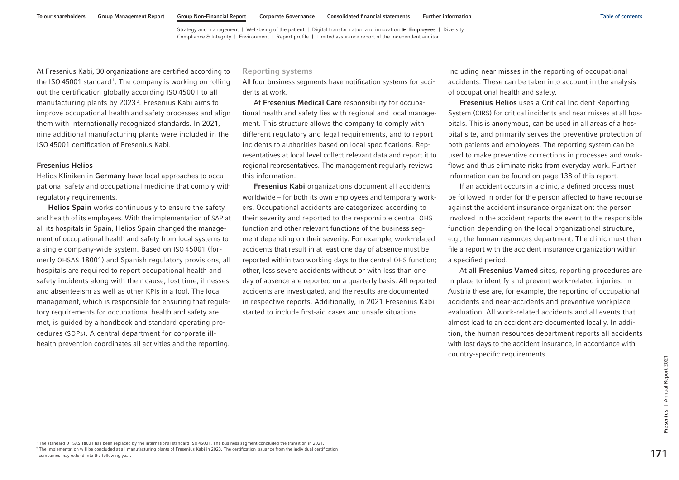At Fresenius Kabi, 30 organizations are certified according to the ISO 45001 standard<sup>1</sup>. The company is working on rolling out the certification globally according ISO 45001 to all manufacturing plants by 2023<sup>2</sup>. Fresenius Kabi aims to improve occupational health and safety processes and align them with internationally recognized standards. In 2021, nine additional manufacturing plants were included in the ISO 45001 certification of Fresenius Kabi.

### Fresenius Helios

Helios Kliniken in Germany have local approaches to occupational safety and occupational medicine that comply with regulatory requirements.

Helios Spain works continuously to ensure the safety and health of its employees. With the implementation of SAP at all its hospitals in Spain, Helios Spain changed the management of occupational health and safety from local systems to a single company-wide system. Based on ISO 45001 (formerly OHSAS 18001) and Spanish regulatory provisions, all hospitals are required to report occupational health and safety incidents along with their cause, lost time, illnesses and absenteeism as well as other KPIs in a tool. The local management, which is responsible for ensuring that regulatory requirements for occupational health and safety are met, is guided by a handbook and standard operating procedures (SOPs). A central department for corporate illhealth prevention coordinates all activities and the reporting.

#### Reporting systems

All four business segments have notification systems for accidents at work.

At Fresenius Medical Care responsibility for occupational health and safety lies with regional and local management. This structure allows the company to comply with different regulatory and legal requirements, and to report incidents to authorities based on local specifications. Representatives at local level collect relevant data and report it to regional representatives. The management regularly reviews this information.

Fresenius Kabi organizations document all accidents worldwide – for both its own employees and temporary workers. Occupational accidents are categorized according to their severity and reported to the responsible central OHS function and other relevant functions of the business segment depending on their severity. For example, work-related accidents that result in at least one day of absence must be reported within two working days to the central OHS function; other, less severe accidents without or with less than one day of absence are reported on a quarterly basis. All reported accidents are investigated, and the results are documented in respective reports. Additionally, in 2021 Fresenius Kabi started to include first-aid cases and unsafe situations

including near misses in the reporting of occupational accidents. These can be taken into account in the analysis of occupational health and safety.

Fresenius Helios uses a Critical Incident Reporting System (CIRS) for critical incidents and near misses at all hospitals. This is anonymous, can be used in all areas of a hospital site, and primarily serves the preventive protection of both patients and employees. The reporting system can be used to make preventive corrections in processes and workflows and thus eliminate risks from everyday work. Further information can be found [on page 138](#page-24-0) of this report.

If an accident occurs in a clinic, a defined process must be followed in order for the person affected to have recourse against the accident insurance organization: the person involved in the accident reports the event to the responsible function depending on the local organizational structure, e.g., the human resources department. The clinic must then file a report with the accident insurance organization within a specified period.

At all Fresenius Vamed sites, reporting procedures are in place to identify and prevent work-related injuries. In Austria these are, for example, the reporting of occupational accidents and near-accidents and preventive workplace evaluation. All work-related accidents and all events that almost lead to an accident are documented locally. In addition, the human resources department reports all accidents with lost days to the accident insurance, in accordance with country-specific requirements.

1 The standard OHSAS 18001 has been replaced by the international standard ISO 45001. The business segment concluded the transition in 2021. <sup>2</sup> The implementation will be concluded at all manufacturing plants of Fresenius Kabi in 2023. The certification issuance from the individual certification Companies may extend into the following year.<br>Companies may extend in a been replaced by the international standard ISO 45001. The business segment concluded the transition in 2021.<br>The internation will be concluded at all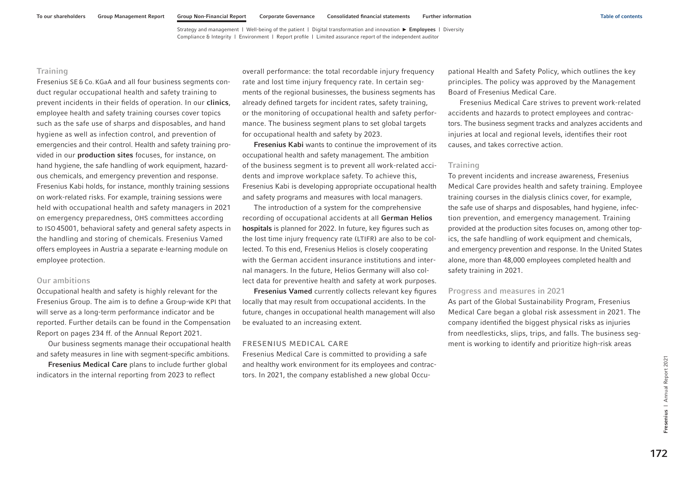## **Training**

Fresenius SE&Co. KGaA and all four business segments conduct regular occupational health and safety training to prevent incidents in their fields of operation. In our clinics, employee health and safety training courses cover topics such as the safe use of sharps and disposables, and hand hygiene as well as infection control, and prevention of emergencies and their control. Health and safety training provided in our production sites focuses, for instance, on hand hygiene, the safe handling of work equipment, hazardous chemicals, and emergency prevention and response. Fresenius Kabi holds, for instance, monthly training sessions on work-related risks. For example, training sessions were held with occupational health and safety managers in 2021 on emergency preparedness, OHS committees according to ISO 45001, behavioral safety and general safety aspects in the handling and storing of chemicals. Fresenius Vamed offers employees in Austria a separate e-learning module on employee protection.

### Our ambitions

Occupational health and safety is highly relevant for the Fresenius Group. The aim is to define a Group-wide KPI that will serve as a long-term performance indicator and be reported. Further details can be found in the Compensation Report on pages 234 ff. of the Annual Report 2021.

Our business segments manage their occupational health and safety measures in line with segment-specific ambitions.

Fresenius Medical Care plans to include further global indicators in the internal reporting from 2023 to reflect

overall performance: the total recordable injury frequency rate and lost time injury frequency rate. In certain segments of the regional businesses, the business segments has already defined targets for incident rates, safety training, or the monitoring of occupational health and safety performance. The business segment plans to set global targets for occupational health and safety by 2023.

Fresenius Kabi wants to continue the improvement of its occupational health and safety management. The ambition of the business segment is to prevent all work-related accidents and improve workplace safety. To achieve this, Fresenius Kabi is developing appropriate occupational health and safety programs and measures with local managers.

The introduction of a system for the comprehensive recording of occupational accidents at all German Helios hospitals is planned for 2022. In future, key figures such as the lost time injury frequency rate (LTIFR) are also to be collected. To this end, Fresenius Helios is closely cooperating with the German accident insurance institutions and internal managers. In the future, Helios Germany will also collect data for preventive health and safety at work purposes.

Fresenius Vamed currently collects relevant key figures locally that may result from occupational accidents. In the future, changes in occupational health management will also be evaluated to an increasing extent.

#### FRESENIUS MEDICAL CARE

Fresenius Medical Care is committed to providing a safe and healthy work environment for its employees and contractors. In 2021, the company established a new global Occupational Health and Safety Policy, which outlines the key principles. The policy was approved by the Management Board of Fresenius Medical Care.

Fresenius Medical Care strives to prevent work-related accidents and hazards to protect employees and contractors. The business segment tracks and analyzes accidents and injuries at local and regional levels, identifies their root causes, and takes corrective action.

### **Training**

To prevent incidents and increase awareness, Fresenius Medical Care provides health and safety training. Employee training courses in the dialysis clinics cover, for example, the safe use of sharps and disposables, hand hygiene, infection prevention, and emergency management. Training provided at the production sites focuses on, among other topics, the safe handling of work equipment and chemicals, and emergency prevention and response. In the United States alone, more than 48,000 employees completed health and safety training in 2021.

#### Progress and measures in 2021

As part of the Global Sustainability Program, Fresenius Medical Care began a global risk assessment in 2021. The company identified the biggest physical risks as injuries from needlesticks, slips, trips, and falls. The business segment is working to identify and prioritize high-risk areas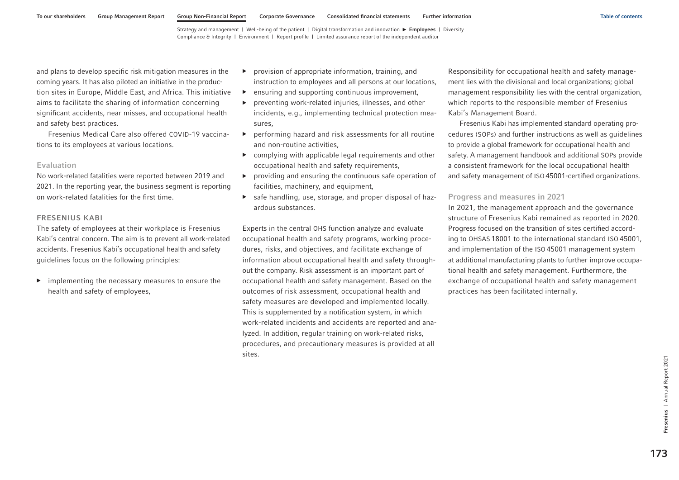and plans to develop specific risk mitigation measures in the coming years. It has also piloted an initiative in the production sites in Europe, Middle East, and Africa. This initiative aims to facilitate the sharing of information concerning significant accidents, near misses, and occupational health and safety best practices.

Fresenius Medical Care also offered COVID-19 vaccinations to its employees at various locations.

#### Evaluation

No work-related fatalities were reported between 2019 and 2021. In the reporting year, the business segment is reporting on work-related fatalities for the first time.

### FRESENIUS KABI

The safety of employees at their workplace is Fresenius Kabi's central concern. The aim is to prevent all work-related accidents. Fresenius Kabi's occupational health and safety guidelines focus on the following principles:

▶ implementing the necessary measures to ensure the health and safety of employees,

- ▶ provision of appropriate information, training, and instruction to employees and all persons at our locations,
- $\blacktriangleright$  ensuring and supporting continuous improvement,
- ▶ preventing work-related injuries, illnesses, and other incidents, e.g., implementing technical protection measures,
- ▶ performing hazard and risk assessments for all routine and non-routine activities,
- $\triangleright$  complying with applicable legal requirements and other occupational health and safety requirements,
- ▶ providing and ensuring the continuous safe operation of facilities, machinery, and equipment,
- ▶ safe handling, use, storage, and proper disposal of hazardous substances.

Experts in the central OHS function analyze and evaluate occupational health and safety programs, working procedures, risks, and objectives, and facilitate exchange of information about occupational health and safety throughout the company. Risk assessment is an important part of occupational health and safety management. Based on the outcomes of risk assessment, occupational health and safety measures are developed and implemented locally. This is supplemented by a notification system, in which work-related incidents and accidents are reported and analyzed. In addition, regular training on work-related risks, procedures, and precautionary measures is provided at all sites.

Responsibility for occupational health and safety management lies with the divisional and local organizations; global management responsibility lies with the central organization, which reports to the responsible member of Fresenius Kabi's Management Board.

Fresenius Kabi has implemented standard operating procedures (SOPs) and further instructions as well as guidelines to provide a global framework for occupational health and safety. A management handbook and additional SOPs provide a consistent framework for the local occupational health and safety management of ISO 45001-certified organizations.

### Progress and measures in 2021

In 2021, the management approach and the governance structure of Fresenius Kabi remained as reported in 2020. Progress focused on the transition of sites certified according to OHSAS 18001 to the international standard ISO 45001, and implementation of the ISO 45001 management system at additional manufacturing plants to further improve occupational health and safety management. Furthermore, the exchange of occupational health and safety management practices has been facilitated internally.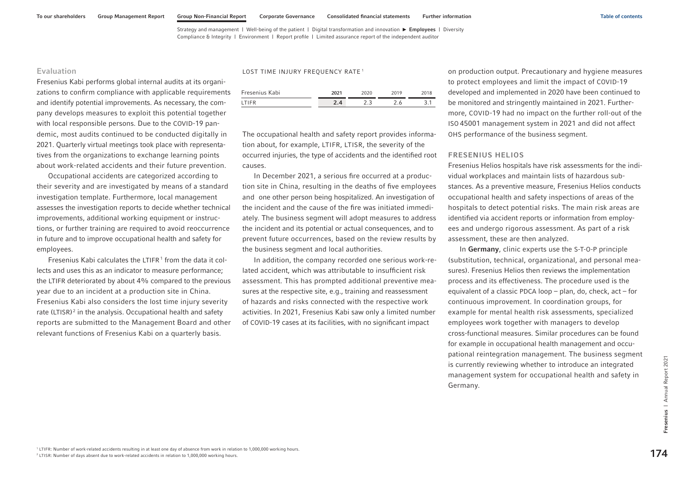LOST TIME INJURY FREQUENCY RATE<sup>1</sup>

### Evaluation

Fresenius Kabi performs global internal audits at its organizations to confirm compliance with applicable requirements and identify potential improvements. As necessary, the company develops measures to exploit this potential together with local responsible persons. Due to the COVID-19 pandemic, most audits continued to be conducted digitally in 2021. Quarterly virtual meetings took place with representatives from the organizations to exchange learning points about work-related accidents and their future prevention.

Occupational accidents are categorized according to their severity and are investigated by means of a standard investigation template. Furthermore, local management assesses the investigation reports to decide whether technical improvements, additional working equipment or instructions, or further training are required to avoid reoccurrence in future and to improve occupational health and safety for employees.

Fresenius Kabi calculates the LTIFR $1$  from the data it collects and uses this as an indicator to measure performance; the LTIFR deteriorated by about 4% compared to the previous year due to an incident at a production site in China. Fresenius Kabi also considers the lost time injury severity rate (LTISR)<sup>2</sup> in the analysis. Occupational health and safety reports are submitted to the Management Board and other relevant functions of Fresenius Kabi on a quarterly basis.

| Fresenius Kabi | 2021 | 2020 | 2019 | 2018 |
|----------------|------|------|------|------|
| <b>ITIFR</b>   | 2.4  | つっ   | 2.6  |      |

The occupational health and safety report provides information about, for example, LTIFR, LTISR, the severity of the occurred injuries, the type of accidents and the identified root causes.

In December 2021, a serious fire occurred at a production site in China, resulting in the deaths of five employees and one other person being hospitalized. An investigation of the incident and the cause of the fire was initiated immediately. The business segment will adopt measures to address the incident and its potential or actual consequences, and to prevent future occurrences, based on the review results by the business segment and local authorities.

In addition, the company recorded one serious work-related accident, which was attributable to insufficient risk assessment. This has prompted additional preventive measures at the respective site, e.g., training and reassessment of hazards and risks connected with the respective work activities. In 2021, Fresenius Kabi saw only a limited number of COVID-19 cases at its facilities, with no significant impact

on production output. Precautionary and hygiene measures to protect employees and limit the impact of COVID-19 developed and implemented in 2020 have been continued to be monitored and stringently maintained in 2021. Furthermore, COVID-19 had no impact on the further roll-out of the ISO 45001 management system in 2021 and did not affect OHS performance of the business segment.

### FRESENIUS HELIOS

Fresenius Helios hospitals have risk assessments for the individual workplaces and maintain lists of hazardous substances. As a preventive measure, Fresenius Helios conducts occupational health and safety inspections of areas of the hospitals to detect potential risks. The main risk areas are identified via accident reports or information from employees and undergo rigorous assessment. As part of a risk assessment, these are then analyzed.

In Germany, clinic experts use the S-T-O-P principle (substitution, technical, organizational, and personal measures). Fresenius Helios then reviews the implementation process and its effectiveness. The procedure used is the equivalent of a classic PDCA loop – plan, do, check, act – for continuous improvement. In coordination groups, for example for mental health risk assessments, specialized employees work together with managers to develop cross-functional measures. Similar procedures can be found for example in occupational health management and occupational reintegration management. The business segment is currently reviewing whether to introduce an integrated management system for occupational health and safety in Germany.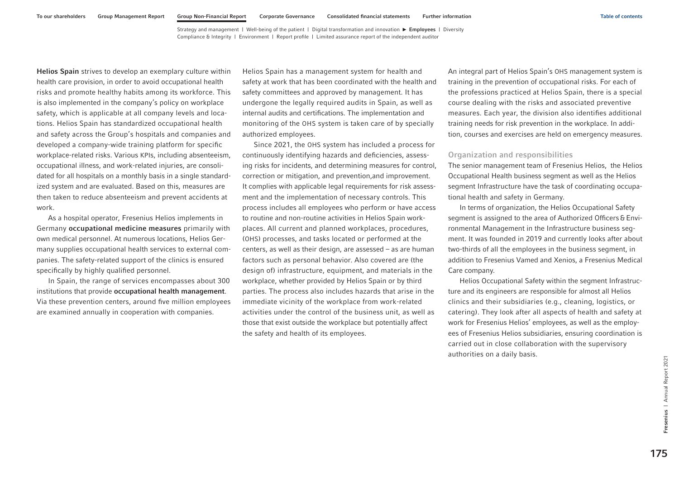Helios Spain strives to develop an exemplary culture within health care provision, in order to avoid occupational health risks and promote healthy habits among its workforce. This is also implemented in the company's policy on workplace safety, which is applicable at all company levels and locations. Helios Spain has standardized occupational health and safety across the Group's hospitals and companies and developed a company-wide training platform for specific workplace-related risks. Various KPIs, including absenteeism, occupational illness, and work-related injuries, are consolidated for all hospitals on a monthly basis in a single standardized system and are evaluated. Based on this, measures are then taken to reduce absenteeism and prevent accidents at work.

As a hospital operator, Fresenius Helios implements in Germany occupational medicine measures primarily with own medical personnel. At numerous locations, Helios Germany supplies occupational health services to external companies. The safety-related support of the clinics is ensured specifically by highly qualified personnel.

In Spain, the range of services encompasses about 300 institutions that provide occupational health management. Via these prevention centers, around five million employees are examined annually in cooperation with companies.

Helios Spain has a management system for health and safety at work that has been coordinated with the health and safety committees and approved by management. It has undergone the legally required audits in Spain, as well as internal audits and certifications. The implementation and monitoring of the OHS system is taken care of by specially authorized employees.

Since 2021, the OHS system has included a process for continuously identifying hazards and deficiencies, assessing risks for incidents, and determining measures for control, correction or mitigation, and prevention,and improvement. It complies with applicable legal requirements for risk assessment and the implementation of necessary controls. This process includes all employees who perform or have access to routine and non-routine activities in Helios Spain workplaces. All current and planned workplaces, procedures, (OHS) processes, and tasks located or performed at the centers, as well as their design, are assessed – as are human factors such as personal behavior. Also covered are (the design of) infrastructure, equipment, and materials in the workplace, whether provided by Helios Spain or by third parties. The process also includes hazards that arise in the immediate vicinity of the workplace from work-related activities under the control of the business unit, as well as those that exist outside the workplace but potentially affect the safety and health of its employees.

An integral part of Helios Spain's OHS management system is training in the prevention of occupational risks. For each of the professions practiced at Helios Spain, there is a special course dealing with the risks and associated preventive measures. Each year, the division also identifies additional training needs for risk prevention in the workplace. In addition, courses and exercises are held on emergency measures.

### Organization and responsibilities

The senior management team of Fresenius Helios, the Helios Occupational Health business segment as well as the Helios segment Infrastructure have the task of coordinating occupational health and safety in Germany.

In terms of organization, the Helios Occupational Safety segment is assigned to the area of Authorized Officers & Environmental Management in the Infrastructure business segment. It was founded in 2019 and currently looks after about two-thirds of all the employees in the business segment, in addition to Fresenius Vamed and Xenios, a Fresenius Medical Care company.

Helios Occupational Safety within the segment Infrastructure and its engineers are responsible for almost all Helios clinics and their subsidiaries (e.g., cleaning, logistics, or catering). They look after all aspects of health and safety at work for Fresenius Helios' employees, as well as the employees of Fresenius Helios subsidiaries, ensuring coordination is carried out in close collaboration with the supervisory authorities on a daily basis.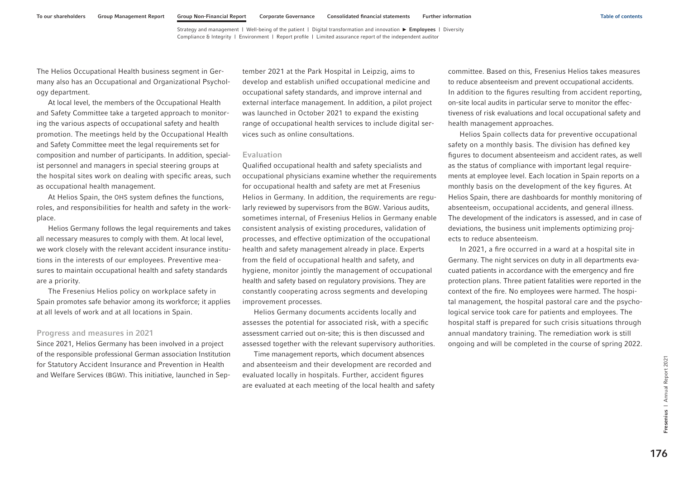The Helios Occupational Health business segment in Germany also has an Occupational and Organizational Psychology department.

At local level, the members of the Occupational Health and Safety Committee take a targeted approach to monitoring the various aspects of occupational safety and health promotion. The meetings held by the Occupational Health and Safety Committee meet the legal requirements set for composition and number of participants. In addition, specialist personnel and managers in special steering groups at the hospital sites work on dealing with specific areas, such as occupational health management.

At Helios Spain, the OHS system defines the functions, roles, and responsibilities for health and safety in the workplace.

Helios Germany follows the legal requirements and takes all necessary measures to comply with them. At local level, we work closely with the relevant accident insurance institutions in the interests of our employees. Preventive measures to maintain occupational health and safety standards are a priority.

The Fresenius Helios policy on workplace safety in Spain promotes safe behavior among its workforce; it applies at all levels of work and at all locations in Spain.

### Progress and measures in 2021

Since 2021, Helios Germany has been involved in a project of the responsible professional German association Institution for Statutory Accident Insurance and Prevention in Health and Welfare Services (BGW). This initiative, launched in September 2021 at the Park Hospital in Leipzig, aims to develop and establish unified occupational medicine and occupational safety standards, and improve internal and external interface management. In addition, a pilot project was launched in October 2021 to expand the existing range of occupational health services to include digital services such as online consultations.

#### Evaluation

Qualified occupational health and safety specialists and occupational physicians examine whether the requirements for occupational health and safety are met at Fresenius Helios in Germany. In addition, the requirements are regularly reviewed by supervisors from the BGW. Various audits, sometimes internal, of Fresenius Helios in Germany enable consistent analysis of existing procedures, validation of processes, and effective optimization of the occupational health and safety management already in place. Experts from the field of occupational health and safety, and hygiene, monitor jointly the management of occupational health and safety based on regulatory provisions. They are constantly cooperating across segments and developing improvement processes.

Helios Germany documents accidents locally and assesses the potential for associated risk, with a specific assessment carried out on-site; this is then discussed and assessed together with the relevant supervisory authorities.

Time management reports, which document absences and absenteeism and their development are recorded and evaluated locally in hospitals. Further, accident figures are evaluated at each meeting of the local health and safety committee. Based on this, Fresenius Helios takes measures to reduce absenteeism and prevent occupational accidents. In addition to the figures resulting from accident reporting, on-site local audits in particular serve to monitor the effectiveness of risk evaluations and local occupational safety and health management approaches.

Helios Spain collects data for preventive occupational safety on a monthly basis. The division has defined key figures to document absenteeism and accident rates, as well as the status of compliance with important legal requirements at employee level. Each location in Spain reports on a monthly basis on the development of the key figures. At Helios Spain, there are dashboards for monthly monitoring of absenteeism, occupational accidents, and general illness. The development of the indicators is assessed, and in case of deviations, the business unit implements optimizing projects to reduce absenteeism.

In 2021, a fire occurred in a ward at a hospital site in Germany. The night services on duty in all departments evacuated patients in accordance with the emergency and fire protection plans. Three patient fatalities were reported in the context of the fire. No employees were harmed. The hospital management, the hospital pastoral care and the psychological service took care for patients and employees. The hospital staff is prepared for such crisis situations through annual mandatory training. The remediation work is still ongoing and will be completed in the course of spring 2022.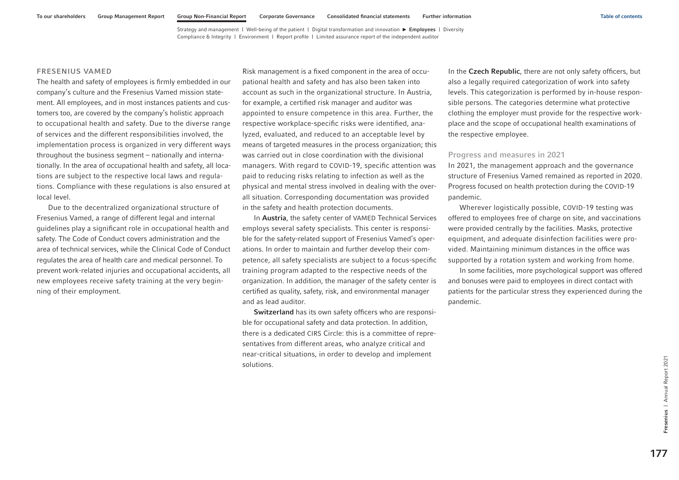### FRESENIUS VAMED

The health and safety of employees is firmly embedded in our company's culture and the Fresenius Vamed mission statement. All employees, and in most instances patients and customers too, are covered by the company's holistic approach to occupational health and safety. Due to the diverse range of services and the different responsibilities involved, the implementation process is organized in very different ways throughout the business segment – nationally and internationally. In the area of occupational health and safety, all locations are subject to the respective local laws and regulations. Compliance with these regulations is also ensured at local level.

Due to the decentralized organizational structure of Fresenius Vamed, a range of different legal and internal guidelines play a significant role in occupational health and safety. The Code of Conduct covers administration and the area of technical services, while the Clinical Code of Conduct regulates the area of health care and medical personnel. To prevent work-related injuries and occupational accidents, all new employees receive safety training at the very beginning of their employment.

Risk management is a fixed component in the area of occupational health and safety and has also been taken into account as such in the organizational structure. In Austria, for example, a certified risk manager and auditor was appointed to ensure competence in this area. Further, the respective workplace-specific risks were identified, analyzed, evaluated, and reduced to an acceptable level by means of targeted measures in the process organization; this was carried out in close coordination with the divisional managers. With regard to COVID-19, specific attention was paid to reducing risks relating to infection as well as the physical and mental stress involved in dealing with the overall situation. Corresponding documentation was provided in the safety and health protection documents.

In Austria, the safety center of VAMED Technical Services employs several safety specialists. This center is responsible for the safety-related support of Fresenius Vamed's operations. In order to maintain and further develop their competence, all safety specialists are subject to a focus-specific training program adapted to the respective needs of the organization. In addition, the manager of the safety center is certified as quality, safety, risk, and environmental manager and as lead auditor.

Switzerland has its own safety officers who are responsible for occupational safety and data protection. In addition, there is a dedicated CIRS Circle: this is a committee of representatives from different areas, who analyze critical and near-critical situations, in order to develop and implement solutions.

In the Czech Republic, there are not only safety officers, but also a legally required categorization of work into safety levels. This categorization is performed by in-house responsible persons. The categories determine what protective clothing the employer must provide for the respective workplace and the scope of occupational health examinations of the respective employee.

#### Progress and measures in 2021

In 2021, the management approach and the governance structure of Fresenius Vamed remained as reported in 2020. Progress focused on health protection during the COVID-19 pandemic.

Wherever logistically possible, COVID-19 testing was offered to employees free of charge on site, and vaccinations were provided centrally by the facilities. Masks, protective equipment, and adequate disinfection facilities were provided. Maintaining minimum distances in the office was supported by a rotation system and working from home.

In some facilities, more psychological support was offered and bonuses were paid to employees in direct contact with patients for the particular stress they experienced during the pandemic.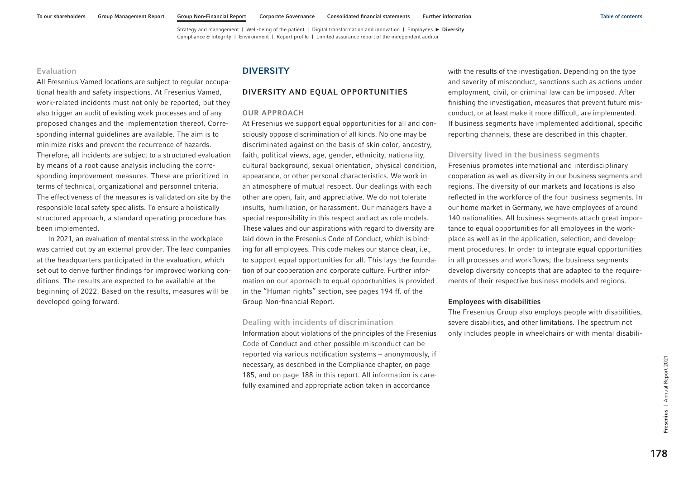### <span id="page-64-0"></span>Evaluation

All Fresenius Vamed locations are subject to regular occupational health and safety inspections. At Fresenius Vamed, work-related incidents must not only be reported, but they also trigger an audit of existing work processes and of any proposed changes and the implementation thereof. Corresponding internal guidelines are available. The aim is to minimize risks and prevent the recurrence of hazards. Therefore, all incidents are subject to a structured evaluation by means of a root cause analysis including the corresponding improvement measures. These are prioritized in terms of technical, organizational and personnel criteria. The effectiveness of the measures is validated on site by the responsible local safety specialists. To ensure a holistically structured approach, a standard operating procedure has been implemented.

In 2021, an evaluation of mental stress in the workplace was carried out by an external provider. The lead companies at the headquarters participated in the evaluation, which set out to derive further findings for improved working conditions. The results are expected to be available at the beginning of 2022. Based on the results, measures will be developed going forward.

# **DIVERSITY**

### DIVERSITY AND EQUAL OPPORTUNITIES

### OUR APPROACH

At Fresenius we support equal opportunities for all and consciously oppose discrimination of all kinds. No one may be discriminated against on the basis of skin color, ancestry, faith, political views, age, gender, ethnicity, nationality, cultural background, sexual orientation, physical condition, appearance, or other personal characteristics. We work in an atmosphere of mutual respect. Our dealings with each other are open, fair, and appreciative. We do not tolerate insults, humiliation, or harassment. Our managers have a special responsibility in this respect and act as role models. These values and our aspirations with regard to diversity are laid down in the Fresenius Code of Conduct, which is binding for all employees. This code makes our stance clear, i.e., to support equal opportunities for all. This lays the foundation of our cooperation and corporate culture. Further information on our approach to equal opportunities is provided in the "Human rights" section, [see pages 194 ff. o](#page-80-0)f the Group Non-financial Report.

### Dealing with incidents of discrimination

Information about violations of the principles of the Fresenius Code of Conduct and other possible misconduct can be reported via various notification systems – anonymously, if necessary, as described in the Compliance chapter, [on page](#page-71-0)  [185,](#page-71-0) and [on page 188](#page-74-0) in this report. All information is carefully examined and appropriate action taken in accordance

with the results of the investigation. Depending on the type and severity of misconduct, sanctions such as actions under employment, civil, or criminal law can be imposed. After finishing the investigation, measures that prevent future misconduct, or at least make it more difficult, are implemented. If business segments have implemented additional, specific reporting channels, these are described in this chapter.

### Diversity lived in the business segments

Fresenius promotes international and interdisciplinary cooperation as well as diversity in our business segments and regions. The diversity of our markets and locations is also reflected in the workforce of the four business segments. In our home market in Germany, we have employees of around 140 nationalities. All business segments attach great importance to equal opportunities for all employees in the workplace as well as in the application, selection, and development procedures. In order to integrate equal opportunities in all processes and workflows, the business segments develop diversity concepts that are adapted to the requirements of their respective business models and regions.

#### Employees with disabilities

The Fresenius Group also employs people with disabilities, severe disabilities, and other limitations. The spectrum not only includes people in wheelchairs or with mental disabili-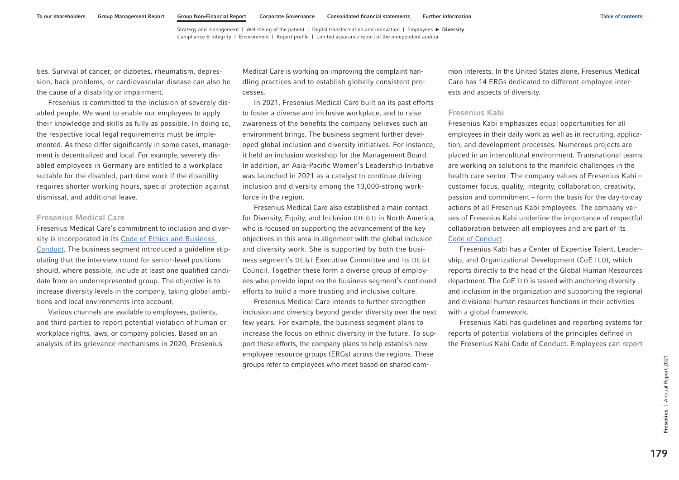ties. Survival of cancer, or diabetes, rheumatism, depression, back problems, or cardiovascular disease can also be the cause of a disability or impairment.

Fresenius is committed to the inclusion of severely disabled people. We want to enable our employees to apply their knowledge and skills as fully as possible. In doing so, the respective local legal requirements must be implemented. As these differ significantly in some cases, management is decentralized and local. For example, severely disabled employees in Germany are entitled to a workplace suitable for the disabled, part-time work if the disability requires shorter working hours, special protection against dismissal, and additional leave.

### Fresenius Medical Care

Fresenius Medical Care's commitment to inclusion and diversity is incorporated in its [Code of Ethics and Business](https://www.freseniusmedicalcare.com/en/about-us/compliance/our-code-of-ethics-and-business-conduct)  [Conduct.](https://www.freseniusmedicalcare.com/en/about-us/compliance/our-code-of-ethics-and-business-conduct) The business segment introduced a guideline stipulating that the interview round for senior-level positions should, where possible, include at least one qualified candidate from an underrepresented group. The objective is to increase diversity levels in the company, taking global ambitions and local environments into account.

Various channels are available to employees, patients, and third parties to report potential violation of human or workplace rights, laws, or company policies. Based on an analysis of its grievance mechanisms in 2020, Fresenius

Medical Care is working on improving the complaint handling practices and to establish globally consistent processes.

In 2021, Fresenius Medical Care built on its past efforts to foster a diverse and inclusive workplace, and to raise awareness of the benefits the company believes such an environment brings. The business segment further developed global inclusion and diversity initiatives. For instance, it held an inclusion workshop for the Management Board. In addition, an Asia-Pacific Women's Leadership Initiative was launched in 2021 as a catalyst to continue driving inclusion and diversity among the 13,000-strong workforce in the region.

Fresenius Medical Care also established a main contact for Diversity, Equity, and Inclusion (DE & I) in North America, who is focused on supporting the advancement of the key objectives in this area in alignment with the global inclusion and diversity work. She is supported by both the business segment's DE & I Executive Committee and its DE & I Council. Together these form a diverse group of employees who provide input on the business segment's continued efforts to build a more trusting and inclusive culture.

Fresenius Medical Care intends to further strengthen inclusion and diversity beyond gender diversity over the next few years. For example, the business segment plans to increase the focus on ethnic diversity in the future. To support these efforts, the company plans to help establish new employee resource groups (ERGs) across the regions. These groups refer to employees who meet based on shared common interests. In the United States alone, Fresenius Medical Care has 14 ERGs dedicated to different employee interests and aspects of diversity.

### Fresenius Kabi

Fresenius Kabi emphasizes equal opportunities for all employees in their daily work as well as in recruiting, application, and development processes. Numerous projects are placed in an intercultural environment. Transnational teams are working on solutions to the manifold challenges in the health care sector. The company values of Fresenius Kabi – customer focus, quality, integrity, collaboration, creativity, passion and commitment – form the basis for the day-to-day actions of all Fresenius Kabi employees. The company values of Fresenius Kabi underline the importance of respectful collaboration between all employees and are part of its [Code of Conduct.](https://www.fresenius-kabi.com/documents/Fresenius-Kabi-Code-of-Conduct-MLiIUz57VvK2TR6ayA9BIxOGtO7GWYDCRsMzdffKe64.pdf) 

Fresenius Kabi has a Center of Expertise Talent, Leadership, and Organizational Development (CoE TLO), which reports directly to the head of the Global Human Resources department. The CoETLO is tasked with anchoring diversity and inclusion in the organization and supporting the regional and divisional human resources functions in their activities with a global framework.

Fresenius Kabi has guidelines and reporting systems for reports of potential violations of the principles defined in the Fresenius Kabi Code of Conduct. Employees can report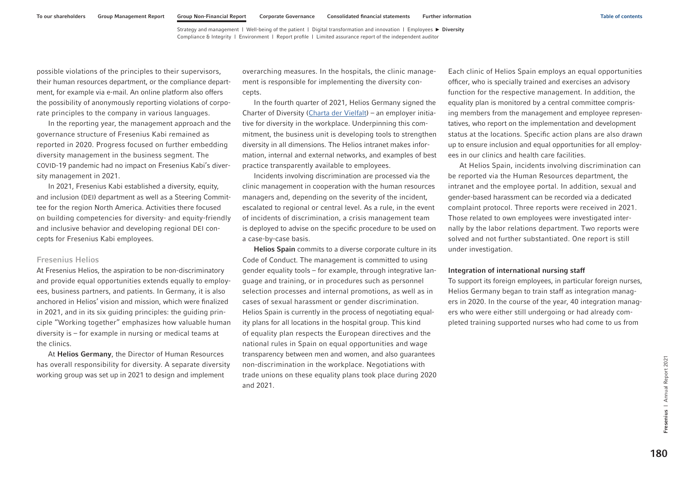possible violations of the principles to their supervisors, their human resources department, or the compliance department, for example via e-mail. An online platform also offers the possibility of anonymously reporting violations of corporate principles to the company in various languages.

In the reporting year, the management approach and the governance structure of Fresenius Kabi remained as reported in 2020. Progress focused on further embedding diversity management in the business segment. The COVID-19 pandemic had no impact on Fresenius Kabi's diversity management in 2021.

In 2021, Fresenius Kabi established a diversity, equity, and inclusion (DEI) department as well as a Steering Committee for the region North America. Activities there focused on building competencies for diversity- and equity-friendly and inclusive behavior and developing regional DEI concepts for Fresenius Kabi employees.

### Fresenius Helios

At Fresenius Helios, the aspiration to be non-discriminatory and provide equal opportunities extends equally to employees, business partners, and patients. In Germany, it is also anchored in Helios' vision and mission, which were finalized in 2021, and in its six guiding principles: the guiding principle "Working together" emphasizes how valuable human diversity is – for example in nursing or medical teams at the clinics.

At Helios Germany, the Director of Human Resources has overall responsibility for diversity. A separate diversity working group was set up in 2021 to design and implement

overarching measures. In the hospitals, the clinic management is responsible for implementing the diversity concepts.

In the fourth quarter of 2021, Helios Germany signed the Charter of Diversity [\(Charta der Vielfalt\)](https://www.charta-der-vielfalt.de/ueber-uns/die-unterzeichner-innen/liste/zeige/helios-kliniken-gmbh/) – an employer initiative for diversity in the workplace. Underpinning this commitment, the business unit is developing tools to strengthen diversity in all dimensions. The Helios intranet makes information, internal and external networks, and examples of best practice transparently available to employees.

Incidents involving discrimination are processed via the clinic management in cooperation with the human resources managers and, depending on the severity of the incident, escalated to regional or central level. As a rule, in the event of incidents of discrimination, a crisis management team is deployed to advise on the specific procedure to be used on a case-by-case basis.

Helios Spain commits to a diverse corporate culture in its Code of Conduct. The management is committed to using gender equality tools – for example, through integrative language and training, or in procedures such as personnel selection processes and internal promotions, as well as in cases of sexual harassment or gender discrimination. Helios Spain is currently in the process of negotiating equality plans for all locations in the hospital group. This kind of equality plan respects the European directives and the national rules in Spain on equal opportunities and wage transparency between men and women, and also guarantees non-discrimination in the workplace. Negotiations with trade unions on these equality plans took place during 2020 and 2021.

Each clinic of Helios Spain employs an equal opportunities officer, who is specially trained and exercises an advisory function for the respective management. In addition, the equality plan is monitored by a central committee comprising members from the management and employee representatives, who report on the implementation and development status at the locations. Specific action plans are also drawn up to ensure inclusion and equal opportunities for all employees in our clinics and health care facilities.

At Helios Spain, incidents involving discrimination can be reported via the Human Resources department, the intranet and the employee portal. In addition, sexual and gender-based harassment can be recorded via a dedicated complaint protocol. Three reports were received in 2021. Those related to own employees were investigated internally by the labor relations department. Two reports were solved and not further substantiated. One report is still under investigation.

#### Integration of international nursing staff

To support its foreign employees, in particular foreign nurses, Helios Germany began to train staff as integration managers in 2020. In the course of the year, 40 integration managers who were either still undergoing or had already completed training supported nurses who had come to us from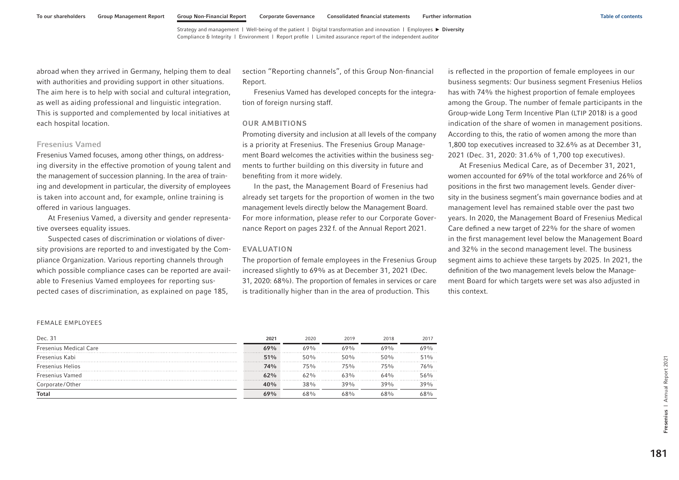abroad when they arrived in Germany, helping them to deal with authorities and providing support in other situations. The aim here is to help with social and cultural integration, as well as aiding professional and linguistic integration. This is supported and complemented by local initiatives at each hospital location.

### Fresenius Vamed

Fresenius Vamed focuses, among other things, on addressing diversity in the effective promotion of young talent and the management of succession planning. In the area of training and development in particular, the diversity of employees is taken into account and, for example, online training is offered in various languages.

At Fresenius Vamed, a diversity and gender representative oversees equality issues.

Suspected cases of discrimination or violations of diversity provisions are reported to and investigated by the Compliance Organization. Various reporting channels through which possible compliance cases can be reported are available to Fresenius Vamed employees for reporting suspected cases of discrimination, as explained [on page 185,](#page-71-0) 

section "Reporting channels", of this Group Non-financial Report.

Fresenius Vamed has developed concepts for the integration of foreign nursing staff.

### OUR AMBITIONS

Promoting diversity and inclusion at all levels of the company is a priority at Fresenius. The Fresenius Group Management Board welcomes the activities within the business segments to further building on this diversity in future and benefiting from it more widely.

In the past, the Management Board of Fresenius had already set targets for the proportion of women in the two management levels directly below the Management Board. For more information, please refer to our Corporate Governance Report on pages 232 f. of the Annual Report 2021.

#### EVALUATION

The proportion of female employees in the Fresenius Group increased slightly to 69% as at December 31, 2021 (Dec. 31, 2020: 68%). The proportion of females in services or care is traditionally higher than in the area of production. This

is reflected in the proportion of female employees in our business segments: Our business segment Fresenius Helios has with 74% the highest proportion of female employees among the Group. The number of female participants in the Group-wide Long Term Incentive Plan (LTIP 2018) is a good indication of the share of women in management positions. According to this, the ratio of women among the more than 1,800 top executives increased to 32.6% as at December 31, 2021 (Dec. 31, 2020: 31.6% of 1,700 top executives).

At Fresenius Medical Care, as of December 31, 2021, women accounted for 69% of the total workforce and 26% of positions in the first two management levels. Gender diversity in the business segment's main governance bodies and at management level has remained stable over the past two years. In 2020, the Management Board of Fresenius Medical Care defined a new target of 22% for the share of women in the first management level below the Management Board and 32% in the second management level. The business segment aims to achieve these targets by 2025. In 2021, the definition of the two management levels below the Management Board for which targets were set was also adjusted in this context.

#### FEMALE EMPLOYEES

| Dec. 31                       | 2021 | 2020 | 2019 | 2018 | 2017 |
|-------------------------------|------|------|------|------|------|
| <b>Fresenius Medical Care</b> | 69%  | 69%  | 69%  | 69%  | ለ9%  |
| Fresenius Kabi                | 51%  | 50%  | 50%  | 50%  | 51%  |
| Fresenius Helios              | 74%  | 75%  | 75%  | 75%  | 76%  |
| <b>Fresenius Vamed</b>        | 62%  | ለን‰  | 63%  | 64%  | 56%  |
| Corporate/Other               | 40%  | 38%  | 39%  | 39%  | 39%  |
| Total                         | 69%  | ናጸ%  | 68%  | 68%  | 68%  |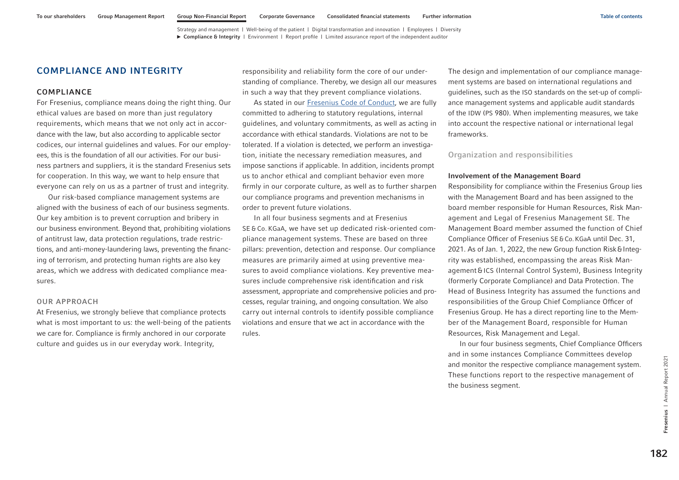# <span id="page-68-0"></span>COMPLIANCE AND INTEGRITY

## COMPLIANCE

For Fresenius, compliance means doing the right thing. Our ethical values are based on more than just regulatory requirements, which means that we not only act in accordance with the law, but also according to applicable sector codices, our internal guidelines and values. For our employees, this is the foundation of all our activities. For our business partners and suppliers, it is the standard Fresenius sets for cooperation. In this way, we want to help ensure that everyone can rely on us as a partner of trust and integrity.

Our risk-based compliance management systems are aligned with the business of each of our business segments. Our key ambition is to prevent corruption and bribery in our business environment. Beyond that, prohibiting violations of antitrust law, data protection regulations, trade restrictions, and anti-money-laundering laws, preventing the financing of terrorism, and protecting human rights are also key areas, which we address with dedicated compliance measures.

### OUR APPROACH

At Fresenius, we strongly believe that compliance protects what is most important to us: the well-being of the patients we care for. Compliance is firmly anchored in our corporate culture and guides us in our everyday work. Integrity,

responsibility and reliability form the core of our understanding of compliance. Thereby, we design all our measures in such a way that they prevent compliance violations.

As stated in our [Fresenius Code of Conduct,](https://www.fresenius.com/media/FRS_Code_of_Conduct_ext.pdf) we are fully committed to adhering to statutory regulations, internal guidelines, and voluntary commitments, as well as acting in accordance with ethical standards. Violations are not to be tolerated. If a violation is detected, we perform an investigation, initiate the necessary remediation measures, and impose sanctions if applicable. In addition, incidents prompt us to anchor ethical and compliant behavior even more firmly in our corporate culture, as well as to further sharpen our compliance programs and prevention mechanisms in order to prevent future violations.

In all four business segments and at Fresenius SE & Co. KGaA, we have set up dedicated risk-oriented compliance management systems. These are based on three pillars: prevention, detection and response. Our compliance measures are primarily aimed at using preventive measures to avoid compliance violations. Key preventive measures include comprehensive risk identification and risk assessment, appropriate and comprehensive policies and processes, regular training, and ongoing consultation. We also carry out internal controls to identify possible compliance violations and ensure that we act in accordance with the rules.

The design and implementation of our compliance management systems are based on international regulations and guidelines, such as the ISO standards on the set-up of compliance management systems and applicable audit standards of the IDW (PS 980). When implementing measures, we take into account the respective national or international legal frameworks.

Organization and responsibilities

#### Involvement of the Management Board

Responsibility for compliance within the Fresenius Group lies with the Management Board and has been assigned to the board member responsible for Human Resources, Risk Management and Legal of Fresenius Management SE. The Management Board member assumed the function of Chief Compliance Officer of Fresenius SE&Co.KGaA until Dec. 31, 2021. As of Jan. 1, 2022, the new Group function Risk & Integrity was established, encompassing the areas Risk Management&ICS (Internal Control System), Business Integrity (formerly Corporate Compliance) and Data Protection. The Head of Business Integrity has assumed the functions and responsibilities of the Group Chief Compliance Officer of Fresenius Group. He has a direct reporting line to the Member of the Management Board, responsible for Human Resources, Risk Management and Legal.

In our four business segments, Chief Compliance Officers and in some instances Compliance Committees develop and monitor the respective compliance management system. These functions report to the respective management of the business segment.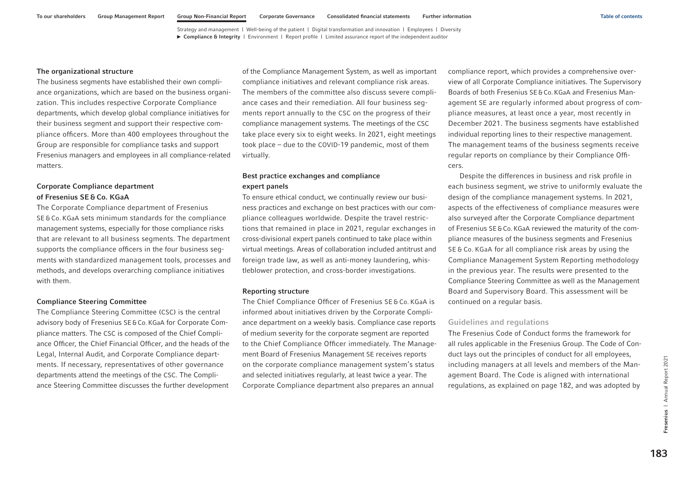#### The organizational structure

The business segments have established their own compliance organizations, which are based on the business organization. This includes respective Corporate Compliance departments, which develop global compliance initiatives for their business segment and support their respective compliance officers. More than 400 employees throughout the Group are responsible for compliance tasks and support Fresenius managers and employees in all compliance-related matters.

# Corporate Compliance department of Fresenius SE & Co. KGaA

The Corporate Compliance department of Fresenius SE & Co. KGaA sets minimum standards for the compliance management systems, especially for those compliance risks that are relevant to all business segments. The department supports the compliance officers in the four business segments with standardized management tools, processes and methods, and develops overarching compliance initiatives with them.

### Compliance Steering Committee

The Compliance Steering Committee (CSC) is the central advisory body of Fresenius SE&Co.KGaA for Corporate Compliance matters. The CSC is composed of the Chief Compliance Officer, the Chief Financial Officer, and the heads of the Legal, Internal Audit, and Corporate Compliance departments. If necessary, representatives of other governance departments attend the meetings of the CSC. The Compliance Steering Committee discusses the further development

of the Compliance Management System, as well as important compliance initiatives and relevant compliance risk areas. The members of the committee also discuss severe compliance cases and their remediation. All four business segments report annually to the CSC on the progress of their compliance management systems. The meetings of the CSC take place every six to eight weeks. In 2021, eight meetings took place – due to the COVID-19 pandemic, most of them virtually.

# Best practice exchanges and compliance expert panels

To ensure ethical conduct, we continually review our business practices and exchange on best practices with our compliance colleagues worldwide. Despite the travel restrictions that remained in place in 2021, regular exchanges in cross-divisional expert panels continued to take place within virtual meetings. Areas of collaboration included antitrust and foreign trade law, as well as anti-money laundering, whistleblower protection, and cross-border investigations.

#### Reporting structure

The Chief Compliance Officer of Fresenius SE & Co. KGaA is informed about initiatives driven by the Corporate Compliance department on a weekly basis. Compliance case reports of medium severity for the corporate segment are reported to the Chief Compliance Officer immediately. The Management Board of Fresenius Management SE receives reports on the corporate compliance management system's status and selected initiatives regularly, at least twice a year. The Corporate Compliance department also prepares an annual

compliance report, which provides a comprehensive overview of all Corporate Compliance initiatives. The Supervisory Boards of both Fresenius SE&Co.KGaA and Fresenius Management SE are regularly informed about progress of compliance measures, at least once a year, most recently in December 2021. The business segments have established individual reporting lines to their respective management. The management teams of the business segments receive regular reports on compliance by their Compliance Officers.

Despite the differences in business and risk profile in each business segment, we strive to uniformly evaluate the design of the compliance management systems. In 2021, aspects of the effectiveness of compliance measures were also surveyed after the Corporate Compliance department of Fresenius SE&Co.KGaA reviewed the maturity of the compliance measures of the business segments and Fresenius SE & Co. KGaA for all compliance risk areas by using the Compliance Management System Reporting methodology in the previous year. The results were presented to the Compliance Steering Committee as well as the Management Board and Supervisory Board. This assessment will be continued on a regular basis.

## Guidelines and regulations

The Fresenius Code of Conduct forms the framework for all rules applicable in the Fresenius Group. The Code of Conduct lays out the principles of conduct for all employees, including managers at all levels and members of the Management Board. The Code is aligned with international regulations, as explained [on page 182,](#page-68-0) and was adopted by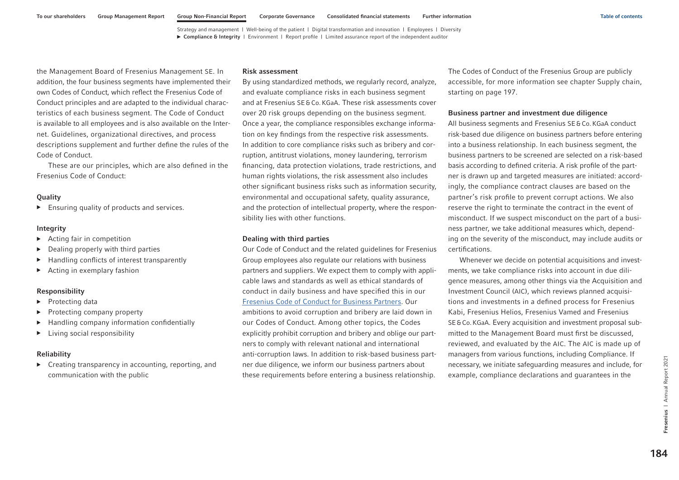the Management Board of Fresenius Management SE. In addition, the four business segments have implemented their own Codes of Conduct, which reflect the Fresenius Code of Conduct principles and are adapted to the individual characteristics of each business segment. The Code of Conduct is available to all employees and is also available on the Internet. Guidelines, organizational directives, and process descriptions supplement and further define the rules of the Code of Conduct.

These are our principles, which are also defined in the Fresenius Code of Conduct:

### **Quality**

▶ Ensuring quality of products and services.

### Integrity

- ▶ Acting fair in competition
- ▶ Dealing properly with third parties
- ▶ Handling conflicts of interest transparently
- Acting in exemplary fashion

#### Responsibility

- ▶ Protecting data
- ▶ Protecting company property
- ▶ Handling company information confidentially
- ▶ Living social responsibility

### Reliability

▶ Creating transparency in accounting, reporting, and communication with the public

#### Risk assessment

By using standardized methods, we regularly record, analyze, and evaluate compliance risks in each business segment and at Fresenius SE&Co.KGaA. These risk assessments cover over 20 risk groups depending on the business segment. Once a year, the compliance responsibles exchange information on key findings from the respective risk assessments. In addition to core compliance risks such as bribery and corruption, antitrust violations, money laundering, terrorism financing, data protection violations, trade restrictions, and human rights violations, the risk assessment also includes other significant business risks such as information security, environmental and occupational safety, quality assurance, and the protection of intellectual property, where the responsibility lies with other functions.

### Dealing with third parties

Our Code of Conduct and the related guidelines for Fresenius Group employees also regulate our relations with business partners and suppliers. We expect them to comply with applicable laws and standards as well as ethical standards of conduct in daily business and have specified this in our [Fresenius Code of Conduct for Business Partners.](https://www.fresenius.com/media/Business%20Partner%20Code%20of%20Conduct_en.pdf) Our ambitions to avoid corruption and bribery are laid down in our Codes of Conduct. Among other topics, the Codes explicitly prohibit corruption and bribery and oblige our partners to comply with relevant national and international anti-corruption laws. In addition to risk-based business partner due diligence, we inform our business partners about these requirements before entering a business relationship.

The Codes of Conduct of the Fresenius Group are publicly accessible, for more information see chapter Supply chain, starting [on page 197.](#page-83-0)

### Business partner and investment due diligence

All business segments and Fresenius SE&Co.KGaA conduct risk-based due diligence on business partners before entering into a business relationship. In each business segment, the business partners to be screened are selected on a risk-based basis according to defined criteria. A risk profile of the partner is drawn up and targeted measures are initiated: accordingly, the compliance contract clauses are based on the partner's risk profile to prevent corrupt actions. We also reserve the right to terminate the contract in the event of misconduct. If we suspect misconduct on the part of a business partner, we take additional measures which, depending on the severity of the misconduct, may include audits or certifications.

Whenever we decide on potential acquisitions and investments, we take compliance risks into account in due diligence measures, among other things via the Acquisition and Investment Council (AIC), which reviews planned acquisitions and investments in a defined process for Fresenius Kabi, Fresenius Helios, Fresenius Vamed and Fresenius SE&Co.KGaA. Every acquisition and investment proposal submitted to the Management Board must first be discussed, reviewed, and evaluated by the AIC. The AIC is made up of managers from various functions, including Compliance. If necessary, we initiate safeguarding measures and include, for example, compliance declarations and guarantees in the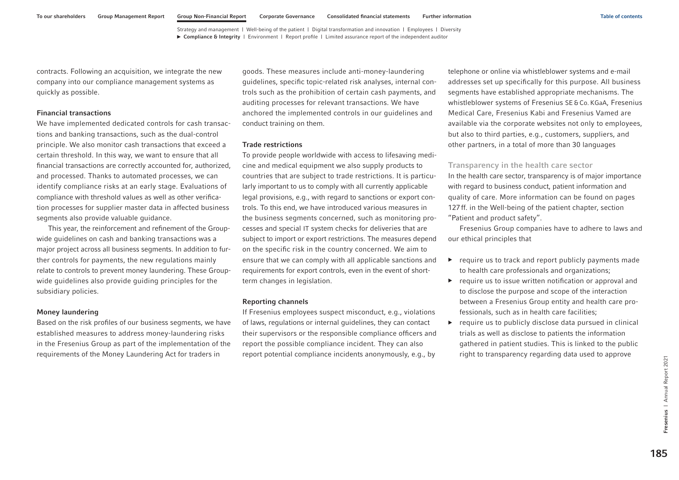<span id="page-71-0"></span>contracts. Following an acquisition, we integrate the new company into our compliance management systems as quickly as possible.

### Financial transactions

We have implemented dedicated controls for cash transactions and banking transactions, such as the dual-control principle. We also monitor cash transactions that exceed a certain threshold. In this way, we want to ensure that all financial transactions are correctly accounted for, authorized, and processed. Thanks to automated processes, we can identify compliance risks at an early stage. Evaluations of compliance with threshold values as well as other verification processes for supplier master data in affected business segments also provide valuable guidance.

This year, the reinforcement and refinement of the Groupwide guidelines on cash and banking transactions was a major project across all business segments. In addition to further controls for payments, the new regulations mainly relate to controls to prevent money laundering. These Groupwide guidelines also provide guiding principles for the subsidiary policies.

### Money laundering

Based on the risk profiles of our business segments, we have established measures to address money-laundering risks in the Fresenius Group as part of the implementation of the requirements of the Money Laundering Act for traders in

goods. These measures include anti-money-laundering guidelines, specific topic-related risk analyses, internal controls such as the prohibition of certain cash payments, and auditing processes for relevant transactions. We have anchored the implemented controls in our guidelines and conduct training on them.

### Trade restrictions

To provide people worldwide with access to lifesaving medicine and medical equipment we also supply products to countries that are subject to trade restrictions. It is particularly important to us to comply with all currently applicable legal provisions, e.g., with regard to sanctions or export controls. To this end, we have introduced various measures in the business segments concerned, such as monitoring processes and special IT system checks for deliveries that are subject to import or export restrictions. The measures depend on the specific risk in the country concerned. We aim to ensure that we can comply with all applicable sanctions and requirements for export controls, even in the event of shortterm changes in legislation.

#### Reporting channels

If Fresenius employees suspect misconduct, e.g., violations of laws, regulations or internal guidelines, they can contact their supervisors or the responsible compliance officers and report the possible compliance incident. They can also report potential compliance incidents anonymously, e.g., by telephone or online via whistleblower systems and e-mail addresses set up specifically for this purpose. All business segments have established appropriate mechanisms. The whistleblower systems of Fresenius SE&Co. KGaA, Fresenius Medical Care, Fresenius Kabi and Fresenius Vamed are available via the corporate websites not only to employees, but also to third parties, e.g., customers, suppliers, and other partners, in a total of more than 30 languages

## Transparency in the health care sector

In the health care sector, transparency is of major importance with regard to business conduct, patient information and quality of care. More information can be found [on pages](#page-13-0)  [127ff.](#page-13-0) in the Well-being of the patient chapter, section "Patient and product safety".

Fresenius Group companies have to adhere to laws and our ethical principles that

- ▶ require us to track and report publicly payments made to health care professionals and organizations;
- ▶ require us to issue written notification or approval and to disclose the purpose and scope of the interaction between a Fresenius Group entity and health care professionals, such as in health care facilities;
- $\triangleright$  require us to publicly disclose data pursued in clinical trials as well as disclose to patients the information gathered in patient studies. This is linked to the public right to transparency regarding data used to approve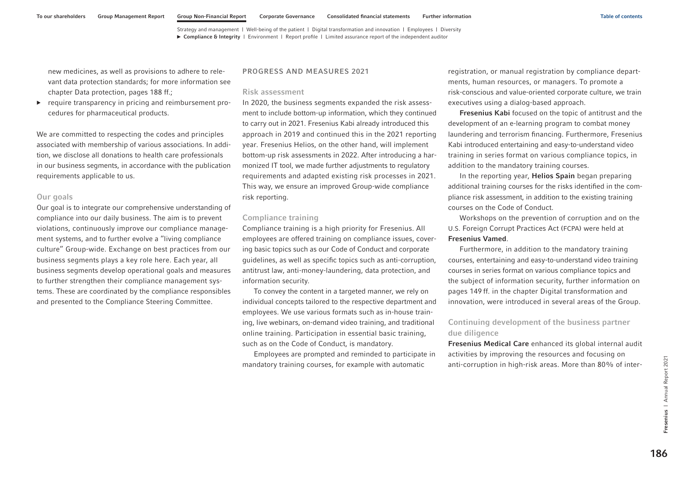new medicines, as well as provisions to adhere to relevant data protection standards; for more information see chapter Data protection, [pages 188 ff.;](#page-74-0)

▶ require transparency in pricing and reimbursement procedures for pharmaceutical products.

We are committed to respecting the codes and principles associated with membership of various associations. In addition, we disclose all donations to health care professionals in our business segments, in accordance with the publication requirements applicable to us.

### Our goals

Our goal is to integrate our comprehensive understanding of compliance into our daily business. The aim is to prevent violations, continuously improve our compliance management systems, and to further evolve a "living compliance culture" Group-wide. Exchange on best practices from our business segments plays a key role here. Each year, all business segments develop operational goals and measures to further strengthen their compliance management systems. These are coordinated by the compliance responsibles and presented to the Compliance Steering Committee.

#### PROGRESS AND MEASURES 2021

### Risk assessment

In 2020, the business segments expanded the risk assessment to include bottom-up information, which they continued to carry out in 2021. Fresenius Kabi already introduced this approach in 2019 and continued this in the 2021 reporting year. Fresenius Helios, on the other hand, will implement bottom-up risk assessments in 2022. After introducing a harmonized IT tool, we made further adjustments to regulatory requirements and adapted existing risk processes in 2021. This way, we ensure an improved Group-wide compliance risk reporting.

### Compliance training

Compliance training is a high priority for Fresenius. All employees are offered training on compliance issues, covering basic topics such as our Code of Conduct and corporate guidelines, as well as specific topics such as anti-corruption, antitrust law, anti-money-laundering, data protection, and information security.

To convey the content in a targeted manner, we rely on individual concepts tailored to the respective department and employees. We use various formats such as in-house training, live webinars, on-demand video training, and traditional online training. Participation in essential basic training, such as on the Code of Conduct, is mandatory.

Employees are prompted and reminded to participate in mandatory training courses, for example with automatic

registration, or manual registration by compliance departments, human resources, or managers. To promote a risk-conscious and value-oriented corporate culture, we train executives using a dialog-based approach.

Fresenius Kabi focused on the topic of antitrust and the development of an e-learning program to combat money laundering and terrorism financing. Furthermore, Fresenius Kabi introduced entertaining and easy-to-understand video training in series format on various compliance topics, in addition to the mandatory training courses.

In the reporting year, Helios Spain began preparing additional training courses for the risks identified in the compliance risk assessment, in addition to the existing training courses on the Code of Conduct.

Workshops on the prevention of corruption and on the U.S. Foreign Corrupt Practices Act (FCPA) were held at Fresenius Vamed.

Furthermore, in addition to the mandatory training courses, entertaining and easy-to-understand video training courses in series format on various compliance topics and the subject of information security, further information on [pages 149](#page-35-0) ff. in the chapter Digital transformation and innovation, were introduced in several areas of the Group.

# Continuing development of the business partner due diligence

Fresenius Medical Care enhanced its global internal audit activities by improving the resources and focusing on anti-corruption in high-risk areas. More than 80% of inter-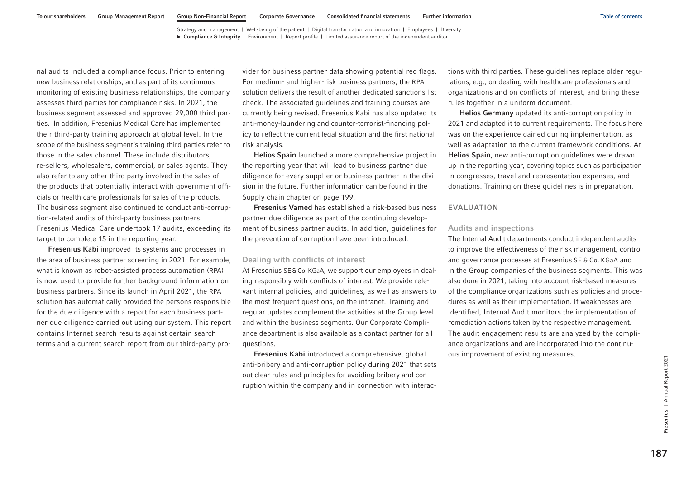nal audits included a compliance focus. Prior to entering new business relationships, and as part of its continuous monitoring of existing business relationships, the company assesses third parties for compliance risks. In 2021, the business segment assessed and approved 29,000 third parties. In addition, Fresenius Medical Care has implemented their third-party training approach at global level. In the scope of the business segment´s training third parties refer to those in the sales channel. These include distributors, re-sellers, wholesalers, commercial, or sales agents. They also refer to any other third party involved in the sales of the products that potentially interact with government officials or health care professionals for sales of the products. The business segment also continued to conduct anti-corruption-related audits of third-party business partners. Fresenius Medical Care undertook 17 audits, exceeding its target to complete 15 in the reporting year.

Fresenius Kabi improved its systems and processes in the area of business partner screening in 2021. For example, what is known as robot-assisted process automation (RPA) is now used to provide further background information on business partners. Since its launch in April 2021, the RPA solution has automatically provided the persons responsible for the due diligence with a report for each business partner due diligence carried out using our system. This report contains Internet search results against certain search terms and a current search report from our third-party pro-

vider for business partner data showing potential red flags. For medium- and higher-risk business partners, the RPA solution delivers the result of another dedicated sanctions list check. The associated guidelines and training courses are currently being revised. Fresenius Kabi has also updated its anti-money-laundering and counter-terrorist-financing policy to reflect the current legal situation and the first national risk analysis.

Helios Spain launched a more comprehensive project in the reporting year that will lead to business partner due diligence for every supplier or business partner in the division in the future. Further information can be found in the Supply chain chapter [on page 199.](#page-85-0)

Fresenius Vamed has established a risk-based business partner due diligence as part of the continuing development of business partner audits. In addition, guidelines for the prevention of corruption have been introduced.

### Dealing with conflicts of interest

At Fresenius SE&Co. KGaA, we support our employees in dealing responsibly with conflicts of interest. We provide relevant internal policies, and guidelines, as well as answers to the most frequent questions, on the intranet. Training and regular updates complement the activities at the Group level and within the business segments. Our Corporate Compliance department is also available as a contact partner for all questions.

Fresenius Kabi introduced a comprehensive, global anti-bribery and anti-corruption policy during 2021 that sets out clear rules and principles for avoiding bribery and corruption within the company and in connection with interactions with third parties. These guidelines replace older regulations, e.g., on dealing with healthcare professionals and organizations and on conflicts of interest, and bring these rules together in a uniform document.

Helios Germany updated its anti-corruption policy in 2021 and adapted it to current requirements. The focus here was on the experience gained during implementation, as well as adaptation to the current framework conditions. At Helios Spain, new anti-corruption guidelines were drawn up in the reporting year, covering topics such as participation in congresses, travel and representation expenses, and donations. Training on these guidelines is in preparation.

#### EVALUATION

# Audits and inspections

The Internal Audit departments conduct independent audits to improve the effectiveness of the risk management, control and governance processes at Fresenius SE & Co. KGaA and in the Group companies of the business segments. This was also done in 2021, taking into account risk-based measures of the compliance organizations such as policies and procedures as well as their implementation. If weaknesses are identified, Internal Audit monitors the implementation of remediation actions taken by the respective management. The audit engagement results are analyzed by the compliance organizations and are incorporated into the continuous improvement of existing measures.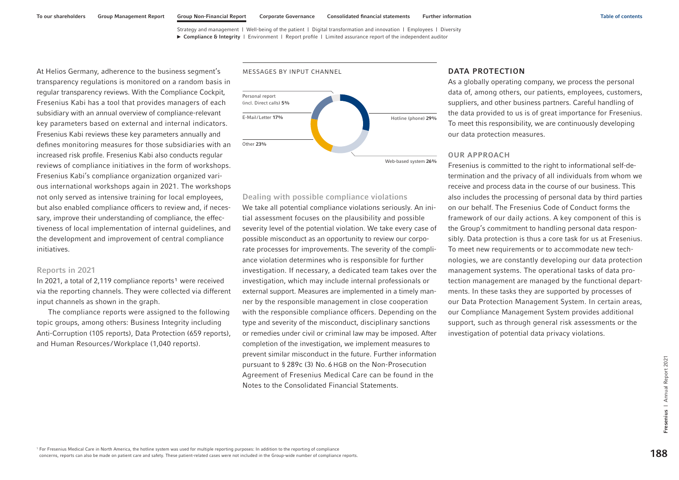<span id="page-74-0"></span>At Helios Germany, adherence to the business segment's transparency regulations is monitored on a random basis in regular transparency reviews. With the Compliance Cockpit, Fresenius Kabi has a tool that provides managers of each subsidiary with an annual overview of compliance-relevant key parameters based on external and internal indicators. Fresenius Kabi reviews these key parameters annually and defines monitoring measures for those subsidiaries with an increased risk profile. Fresenius Kabi also conducts regular reviews of compliance initiatives in the form of workshops. Fresenius Kabi's compliance organization organized various international workshops again in 2021. The workshops not only served as intensive training for local employees, but also enabled compliance officers to review and, if necessary, improve their understanding of compliance, the effectiveness of local implementation of internal guidelines, and the development and improvement of central compliance initiatives.

#### Reports in 2021

In 2021, a total of 2,119 compliance reports<sup>1</sup> were received via the reporting channels. They were collected via different input channels as shown in the graph.

The compliance reports were assigned to the following topic groups, among others: Business Integrity including Anti-Corruption (105 reports), Data Protection (659 reports), and Human Resources /Workplace (1,040 reports).



### Dealing with possible compliance violations

We take all potential compliance violations seriously. An initial assessment focuses on the plausibility and possible severity level of the potential violation. We take every case of possible misconduct as an opportunity to review our corporate processes for improvements. The severity of the compliance violation determines who is responsible for further investigation. If necessary, a dedicated team takes over the investigation, which may include internal professionals or external support. Measures are implemented in a timely manner by the responsible management in close cooperation with the responsible compliance officers. Depending on the type and severity of the misconduct, disciplinary sanctions or remedies under civil or criminal law may be imposed. After completion of the investigation, we implement measures to prevent similar misconduct in the future. Further information pursuant to § 289c (3) No. 6 HGB on the Non-Prosecution Agreement of Fresenius Medical Care can be found in the Notes to the Consolidated Financial Statements.

### DATA PROTECTION

As a globally operating company, we process the personal data of, among others, our patients, employees, customers, suppliers, and other business partners. Careful handling of the data provided to us is of great importance for Fresenius. To meet this responsibility, we are continuously developing our data protection measures.

### OUR APPROACH

Fresenius is committed to the right to informational self-determination and the privacy of all individuals from whom we receive and process data in the course of our business. This also includes the processing of personal data by third parties on our behalf. The Fresenius Code of Conduct forms the framework of our daily actions. A key component of this is the Group's commitment to handling personal data responsibly. Data protection is thus a core task for us at Fresenius. To meet new requirements or to accommodate new technologies, we are constantly developing our data protection management systems. The operational tasks of data protection management are managed by the functional departments. In these tasks they are supported by processes of our Data Protection Management System. In certain areas, our Compliance Management System provides additional support, such as through general risk assessments or the investigation of potential data privacy violations.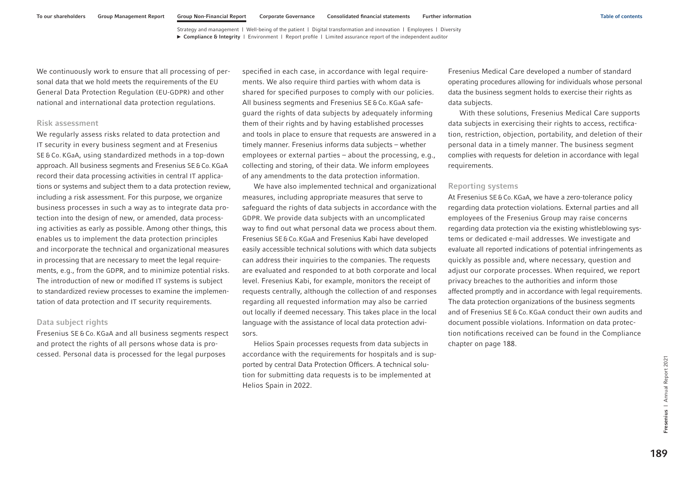We continuously work to ensure that all processing of personal data that we hold meets the requirements of the EU General Data Protection Regulation (EU-GDPR) and other national and international data protection regulations.

#### Risk assessment

We regularly assess risks related to data protection and IT security in every business segment and at Fresenius SE & Co. KGaA, using standardized methods in a top-down approach. All business segments and Fresenius SE&Co.KGaA record their data processing activities in central IT applications or systems and subject them to a data protection review, including a risk assessment. For this purpose, we organize business processes in such a way as to integrate data protection into the design of new, or amended, data processing activities as early as possible. Among other things, this enables us to implement the data protection principles and incorporate the technical and organizational measures in processing that are necessary to meet the legal requirements, e.g., from the GDPR, and to minimize potential risks. The introduction of new or modified IT systems is subject to standardized review processes to examine the implementation of data protection and IT security requirements.

### Data subject rights

Fresenius SE & Co. KGaA and all business segments respect and protect the rights of all persons whose data is processed. Personal data is processed for the legal purposes

specified in each case, in accordance with legal requirements. We also require third parties with whom data is shared for specified purposes to comply with our policies. All business segments and Fresenius SE&Co. KGaA safeguard the rights of data subjects by adequately informing them of their rights and by having established processes and tools in place to ensure that requests are answered in a timely manner. Fresenius informs data subjects – whether employees or external parties – about the processing, e.g., collecting and storing, of their data. We inform employees of any amendments to the data protection information.

We have also implemented technical and organizational measures, including appropriate measures that serve to safeguard the rights of data subjects in accordance with the GDPR. We provide data subjects with an uncomplicated way to find out what personal data we process about them. Fresenius SE&Co.KGaA and Fresenius Kabi have developed easily accessible technical solutions with which data subjects can address their inquiries to the companies. The requests are evaluated and responded to at both corporate and local level. Fresenius Kabi, for example, monitors the receipt of requests centrally, although the collection of and responses regarding all requested information may also be carried out locally if deemed necessary. This takes place in the local language with the assistance of local data protection advisors.

Helios Spain processes requests from data subjects in accordance with the requirements for hospitals and is supported by central Data Protection Officers. A technical solution for submitting data requests is to be implemented at Helios Spain in 2022.

Fresenius Medical Care developed a number of standard operating procedures allowing for individuals whose personal data the business segment holds to exercise their rights as data subjects.

With these solutions, Fresenius Medical Care supports data subjects in exercising their rights to access, rectification, restriction, objection, portability, and deletion of their personal data in a timely manner. The business segment complies with requests for deletion in accordance with legal requirements.

### Reporting systems

At Fresenius SE&Co.KGaA, we have a zero-tolerance policy regarding data protection violations. External parties and all employees of the Fresenius Group may raise concerns regarding data protection via the existing whistleblowing systems or dedicated e-mail addresses. We investigate and evaluate all reported indications of potential infringements as quickly as possible and, where necessary, question and adjust our corporate processes. When required, we report privacy breaches to the authorities and inform those affected promptly and in accordance with legal requirements. The data protection organizations of the business segments and of Fresenius SE&Co. KGaA conduct their own audits and document possible violations. Information on data protection notifications received can be found in the Compliance chapte[r on page 188.](#page-74-0)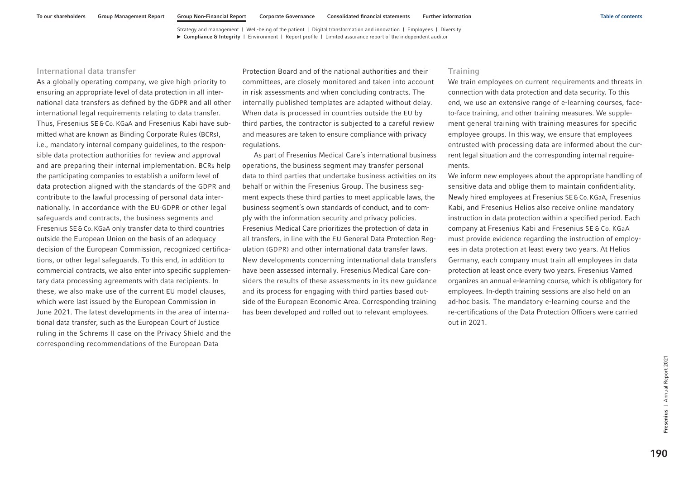#### International data transfer

As a globally operating company, we give high priority to ensuring an appropriate level of data protection in all international data transfers as defined by the GDPR and all other international legal requirements relating to data transfer. Thus, Fresenius SE & Co. KGaA and Fresenius Kabi have submitted what are known as Binding Corporate Rules (BCRs), i.e., mandatory internal company guidelines, to the responsible data protection authorities for review and approval and are preparing their internal implementation. BCRs help the participating companies to establish a uniform level of data protection aligned with the standards of the GDPR and contribute to the lawful processing of personal data internationally. In accordance with the EU-GDPR or other legal safeguards and contracts, the business segments and Fresenius SE&Co.KGaA only transfer data to third countries outside the European Union on the basis of an adequacy decision of the European Commission, recognized certifications, or other legal safeguards. To this end, in addition to commercial contracts, we also enter into specific supplementary data processing agreements with data recipients. In these, we also make use of the current EU model clauses, which were last issued by the European Commission in June 2021. The latest developments in the area of international data transfer, such as the European Court of Justice ruling in the Schrems II case on the Privacy Shield and the corresponding recommendations of the European Data

Protection Board and of the national authorities and their committees, are closely monitored and taken into account in risk assessments and when concluding contracts. The internally published templates are adapted without delay. When data is processed in countries outside the EU by third parties, the contractor is subjected to a careful review and measures are taken to ensure compliance with privacy regulations.

As part of Fresenius Medical Care´s international business operations, the business segment may transfer personal data to third parties that undertake business activities on its behalf or within the Fresenius Group. The business segment expects these third parties to meet applicable laws, the business segment´s own standards of conduct, and to comply with the information security and privacy policies. Fresenius Medical Care prioritizes the protection of data in all transfers, in line with the EU General Data Protection Regulation (GDPR) and other international data transfer laws. New developments concerning international data transfers have been assessed internally. Fresenius Medical Care considers the results of these assessments in its new guidance and its process for engaging with third parties based outside of the European Economic Area. Corresponding training has been developed and rolled out to relevant employees.

### **Training**

We train employees on current requirements and threats in connection with data protection and data security. To this end, we use an extensive range of e-learning courses, faceto-face training, and other training measures. We supplement general training with training measures for specific employee groups. In this way, we ensure that employees entrusted with processing data are informed about the current legal situation and the corresponding internal requirements.

We inform new employees about the appropriate handling of sensitive data and oblige them to maintain confidentiality. Newly hired employees at Fresenius SE&Co.KGaA, Fresenius Kabi, and Fresenius Helios also receive online mandatory instruction in data protection within a specified period. Each company at Fresenius Kabi and Fresenius SE & Co. KGaA must provide evidence regarding the instruction of employees in data protection at least every two years. At Helios Germany, each company must train all employees in data protection at least once every two years. Fresenius Vamed organizes an annual e-learning course, which is obligatory for employees. In-depth training sessions are also held on an ad-hoc basis. The mandatory e-learning course and the re-certifications of the Data Protection Officers were carried out in 2021.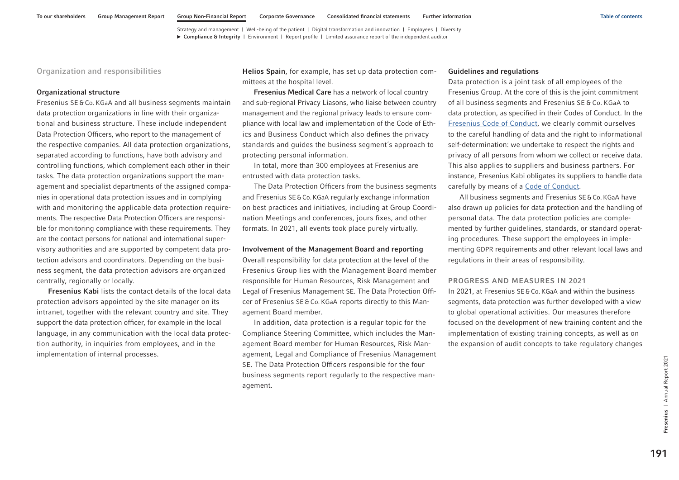Organization and responsibilities

#### Organizational structure

Fresenius SE & Co. KGaA and all business segments maintain data protection organizations in line with their organizational and business structure. These include independent Data Protection Officers, who report to the management of the respective companies. All data protection organizations, separated according to functions, have both advisory and controlling functions, which complement each other in their tasks. The data protection organizations support the management and specialist departments of the assigned companies in operational data protection issues and in complying with and monitoring the applicable data protection requirements. The respective Data Protection Officers are responsible for monitoring compliance with these requirements. They are the contact persons for national and international supervisory authorities and are supported by competent data protection advisors and coordinators. Depending on the business segment, the data protection advisors are organized centrally, regionally or locally.

Fresenius Kabi lists the contact details of the local data protection advisors appointed by the site manager on its intranet, together with the relevant country and site. They support the data protection officer, for example in the local language, in any communication with the local data protection authority, in inquiries from employees, and in the implementation of internal processes.

Helios Spain, for example, has set up data protection committees at the hospital level.

Fresenius Medical Care has a network of local country and sub-regional Privacy Liasons, who liaise between country management and the regional privacy leads to ensure compliance with local law and implementation of the Code of Ethics and Business Conduct which also defines the privacy standards and guides the business segment´s approach to protecting personal information.

In total, more than 300 employees at Fresenius are entrusted with data protection tasks.

The Data Protection Officers from the business segments and Fresenius SE&Co.KGaA regularly exchange information on best practices and initiatives, including at Group Coordination Meetings and conferences, jours fixes, and other formats. In 2021, all events took place purely virtually.

#### Involvement of the Management Board and reporting

Overall responsibility for data protection at the level of the Fresenius Group lies with the Management Board member responsible for Human Resources, Risk Management and Legal of Fresenius Management SE. The Data Protection Officer of Fresenius SE&Co.KGaA reports directly to this Management Board member.

In addition, data protection is a regular topic for the Compliance Steering Committee, which includes the Management Board member for Human Resources, Risk Management, Legal and Compliance of Fresenius Management SE. The Data Protection Officers responsible for the four business segments report regularly to the respective management.

#### Guidelines and regulations

Data protection is a joint task of all employees of the Fresenius Group. At the core of this is the joint commitment of all business segments and Fresenius SE & Co. KGaA to data protection, as specified in their Codes of Conduct. In the [Fresenius Code of Conduct,](https://www.fresenius.com/media/FRS_Code_of_Conduct_ext.pdf) we clearly commit ourselves to the careful handling of data and the right to informational self-determination: we undertake to respect the rights and privacy of all persons from whom we collect or receive data. This also applies to suppliers and business partners. For instance, Fresenius Kabi obligates its suppliers to handle data carefully by means of a [Code of Conduct.](https://www.fresenius-kabi.com/documents/Suppliers-Code-of-Conduct-Fresenius-Kabi-2020.pdf)

All business segments and Fresenius SE&Co.KGaA have also drawn up policies for data protection and the handling of personal data. The data protection policies are complemented by further guidelines, standards, or standard operating procedures. These support the employees in implementing GDPR requirements and other relevant local laws and regulations in their areas of responsibility.

### PROGRESS AND MEASURES IN 2021

In 2021, at Fresenius SE&Co.KGaA and within the business segments, data protection was further developed with a view to global operational activities. Our measures therefore focused on the development of new training content and the implementation of existing training concepts, as well as on the expansion of audit concepts to take regulatory changes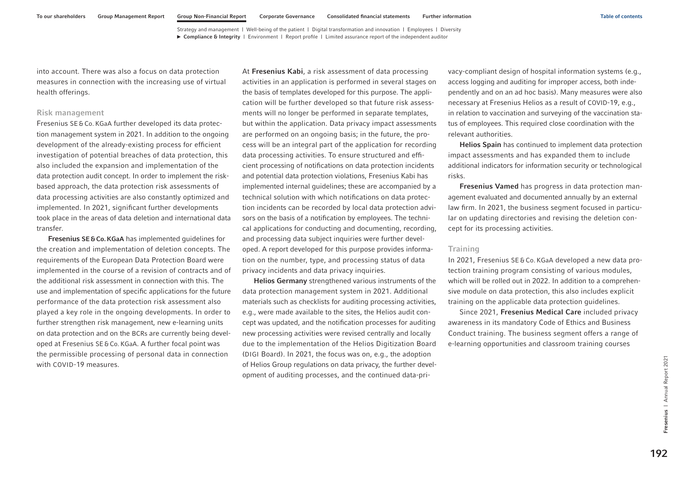into account. There was also a focus on data protection measures in connection with the increasing use of virtual health offerings.

### Risk management

Fresenius SE&Co. KGaA further developed its data protection management system in 2021. In addition to the ongoing development of the already-existing process for efficient investigation of potential breaches of data protection, this also included the expansion and implementation of the data protection audit concept. In order to implement the riskbased approach, the data protection risk assessments of data processing activities are also constantly optimized and implemented. In 2021, significant further developments took place in the areas of data deletion and international data transfer.

Fresenius SE&Co.KGaA has implemented guidelines for the creation and implementation of deletion concepts. The requirements of the European Data Protection Board were implemented in the course of a revision of contracts and of the additional risk assessment in connection with this. The use and implementation of specific applications for the future performance of the data protection risk assessment also played a key role in the ongoing developments. In order to further strengthen risk management, new e-learning units on data protection and on the BCRs are currently being developed at Fresenius SE&Co.KGaA. A further focal point was the permissible processing of personal data in connection with COVID-19 measures.

At Fresenius Kabi, a risk assessment of data processing activities in an application is performed in several stages on the basis of templates developed for this purpose. The application will be further developed so that future risk assessments will no longer be performed in separate templates, but within the application. Data privacy impact assessments are performed on an ongoing basis; in the future, the process will be an integral part of the application for recording data processing activities. To ensure structured and efficient processing of notifications on data protection incidents and potential data protection violations, Fresenius Kabi has implemented internal guidelines; these are accompanied by a technical solution with which notifications on data protection incidents can be recorded by local data protection advisors on the basis of a notification by employees. The technical applications for conducting and documenting, recording, and processing data subject inquiries were further developed. A report developed for this purpose provides information on the number, type, and processing status of data privacy incidents and data privacy inquiries.

Helios Germany strengthened various instruments of the data protection management system in 2021. Additional materials such as checklists for auditing processing activities, e.g., were made available to the sites, the Helios audit concept was updated, and the notification processes for auditing new processing activities were revised centrally and locally due to the implementation of the Helios Digitization Board (DIGI Board). In 2021, the focus was on, e.g., the adoption of Helios Group regulations on data privacy, the further development of auditing processes, and the continued data-privacy-compliant design of hospital information systems (e.g., access logging and auditing for improper access, both independently and on an ad hoc basis). Many measures were also necessary at Fresenius Helios as a result of COVID-19, e.g., in relation to vaccination and surveying of the vaccination status of employees. This required close coordination with the relevant authorities.

Helios Spain has continued to implement data protection impact assessments and has expanded them to include additional indicators for information security or technological risks.

Fresenius Vamed has progress in data protection management evaluated and documented annually by an external law firm. In 2021, the business segment focused in particular on updating directories and revising the deletion concept for its processing activities.

# **Training**

In 2021, Fresenius SE & Co. KGaA developed a new data protection training program consisting of various modules, which will be rolled out in 2022. In addition to a comprehensive module on data protection, this also includes explicit training on the applicable data protection guidelines.

Since 2021, Fresenius Medical Care included privacy awareness in its mandatory Code of Ethics and Business Conduct training. The business segment offers a range of e-learning opportunities and classroom training courses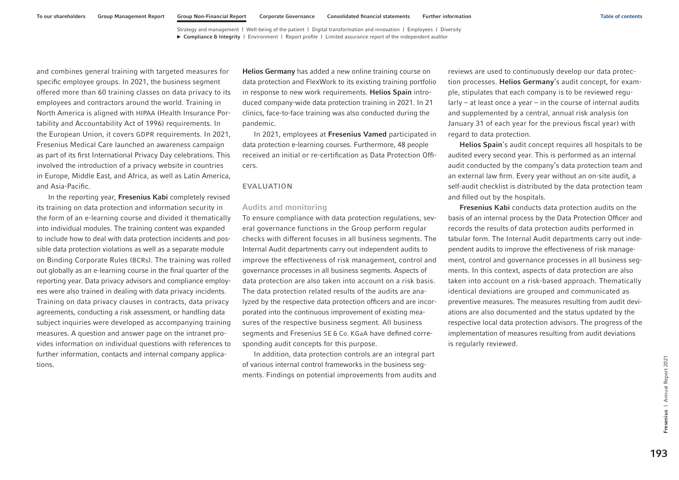and combines general training with targeted measures for specific employee groups. In 2021, the business segment offered more than 60 training classes on data privacy to its employees and contractors around the world. Training in North America is aligned with HIPAA (Health Insurance Portability and Accountability Act of 1996) requirements. In the European Union, it covers GDPR requirements. In 2021, Fresenius Medical Care launched an awareness campaign as part of its first International Privacy Day celebrations. This involved the introduction of a privacy website in countries in Europe, Middle East, and Africa, as well as Latin America, and Asia-Pacific.

In the reporting year, Fresenius Kabi completely revised its training on data protection and information security in the form of an e-learning course and divided it thematically into individual modules. The training content was expanded to include how to deal with data protection incidents and possible data protection violations as well as a separate module on Binding Corporate Rules (BCRs). The training was rolled out globally as an e-learning course in the final quarter of the reporting year. Data privacy advisors and compliance employees were also trained in dealing with data privacy incidents. Training on data privacy clauses in contracts, data privacy agreements, conducting a risk assessment, or handling data subject inquiries were developed as accompanying training measures. A question and answer page on the intranet provides information on individual questions with references to further information, contacts and internal company applications.

Helios Germany has added a new online training course on data protection and FlexWork to its existing training portfolio in response to new work requirements. Helios Spain introduced company-wide data protection training in 2021. In 21 clinics, face-to-face training was also conducted during the pandemic.

In 2021, employees at Fresenius Vamed participated in data protection e-learning courses. Furthermore, 48 people received an initial or re-certification as Data Protection Officers.

#### EVALUATION

### Audits and monitoring

To ensure compliance with data protection regulations, several governance functions in the Group perform regular checks with different focuses in all business segments. The Internal Audit departments carry out independent audits to improve the effectiveness of risk management, control and governance processes in all business segments. Aspects of data protection are also taken into account on a risk basis. The data protection related results of the audits are analyzed by the respective data protection officers and are incorporated into the continuous improvement of existing measures of the respective business segment. All business segments and Fresenius SE & Co. KGaA have defined corresponding audit concepts for this purpose.

In addition, data protection controls are an integral part of various internal control frameworks in the business segments. Findings on potential improvements from audits and

reviews are used to continuously develop our data protection processes. Helios Germany's audit concept, for example, stipulates that each company is to be reviewed regu $lary - at least once a year - in the course of internal audits$ and supplemented by a central, annual risk analysis (on January 31 of each year for the previous fiscal year) with regard to data protection.

Helios Spain's audit concept requires all hospitals to be audited every second year. This is performed as an internal audit conducted by the company's data protection team and an external law firm. Every year without an on-site audit, a self-audit checklist is distributed by the data protection team and filled out by the hospitals.

Fresenius Kabi conducts data protection audits on the basis of an internal process by the Data Protection Officer and records the results of data protection audits performed in tabular form. The Internal Audit departments carry out independent audits to improve the effectiveness of risk management, control and governance processes in all business segments. In this context, aspects of data protection are also taken into account on a risk-based approach. Thematically identical deviations are grouped and communicated as preventive measures. The measures resulting from audit deviations are also documented and the status updated by the respective local data protection advisors. The progress of the implementation of measures resulting from audit deviations is regularly reviewed.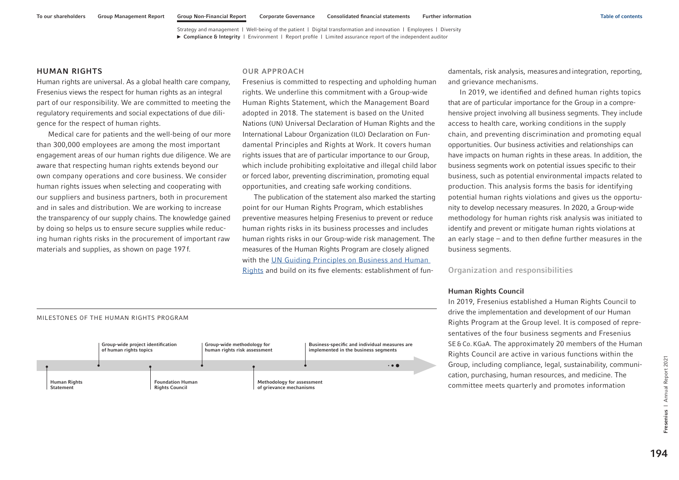### HUMAN RIGHTS

Human rights are universal. As a global health care company, Fresenius views the respect for human rights as an integral part of our responsibility. We are committed to meeting the regulatory requirements and social expectations of due diligence for the respect of human rights.

Medical care for patients and the well-being of our more than 300,000 employees are among the most important engagement areas of our human rights due diligence. We are aware that respecting human rights extends beyond our own company operations and core business. We consider human rights issues when selecting and cooperating with our suppliers and business partners, both in procurement and in sales and distribution. We are working to increase the transparency of our supply chains. The knowledge gained by doing so helps us to ensure secure supplies while reducing human rights risks in the procurement of important raw materials and supplies, as shown [on page 197f.](#page-83-0)

### OUR APPROACH

Fresenius is committed to respecting and upholding human rights. We underline this commitment with a Group-wide Human Rights Statement, which the Management Board adopted in 2018. The statement is based on the United Nations (UN) Universal Declaration of Human Rights and the International Labour Organization (ILO) Declaration on Fundamental Principles and Rights at Work. It covers human rights issues that are of particular importance to our Group, which include prohibiting exploitative and illegal child labor or forced labor, preventing discrimination, promoting equal opportunities, and creating safe working conditions.

The publication of the statement also marked the starting point for our Human Rights Program, which establishes preventive measures helping Fresenius to prevent or reduce human rights risks in its business processes and includes human rights risks in our Group-wide risk management. The measures of the Human Rights Program are closely aligned with the [UN Guiding Principles on Business and Human](https://www.ohchr.org/sites/default/files/documents/publications/guidingprinciplesbusinesshr_en.pdf)  [Rights](https://www.ohchr.org/sites/default/files/documents/publications/guidingprinciplesbusinesshr_en.pdf) and build on its five elements: establishment of fundamentals, risk analysis, measures and integration, reporting, and grievance mechanisms.

In 2019, we identified and defined human rights topics that are of particular importance for the Group in a comprehensive project involving all business segments. They include access to health care, working conditions in the supply chain, and preventing discrimination and promoting equal opportunities. Our business activities and relationships can have impacts on human rights in these areas. In addition, the business segments work on potential issues specific to their business, such as potential environmental impacts related to production. This analysis forms the basis for identifying potential human rights violations and gives us the opportunity to develop necessary measures. In 2020, a Group-wide methodology for human rights risk analysis was initiated to identify and prevent or mitigate human rights violations at an early stage – and to then define further measures in the business segments.

Organization and responsibilities

### Human Rights Council

In 2019, Fresenius established a Human Rights Council to drive the implementation and development of our Human Rights Program at the Group level. It is composed of representatives of the four business segments and Fresenius SE&Co.KGaA. The approximately 20 members of the Human Rights Council are active in various functions within the Group, including compliance, legal, sustainability, communication, purchasing, human resources, and medicine. The committee meets quarterly and promotes information

194

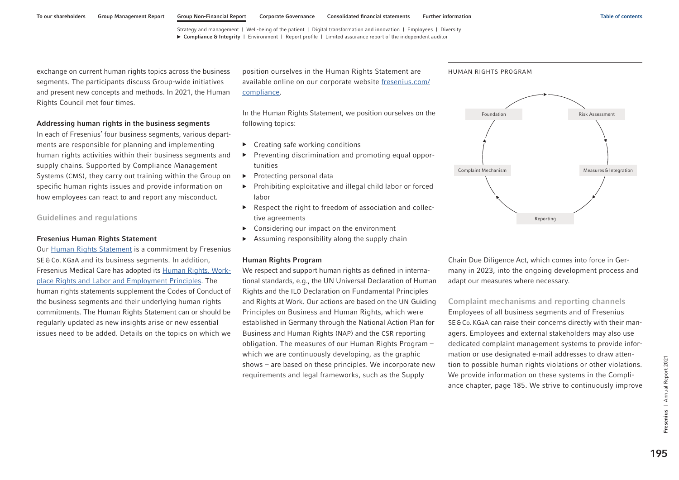exchange on current human rights topics across the business segments. The participants discuss Group-wide initiatives and present new concepts and methods. In 2021, the Human Rights Council met four times.

#### Addressing human rights in the business segments

In each of Fresenius' four business segments, various departments are responsible for planning and implementing human rights activities within their business segments and supply chains. Supported by Compliance Management Systems (CMS), they carry out training within the Group on specific human rights issues and provide information on how employees can react to and report any misconduct.

Guidelines and regulations

#### Fresenius Human Rights Statement

Our [Human Rights Statement i](https://www.fresenius.com/media/Human%20Rights%20Statement%20EN%20V0%20Layout.pdf)s a commitment by Fresenius SE & Co. KGaA and its business segments. In addition, Fresenius Medical Care has adopted its [Human Rights, Work](https://www.freseniusmedicalcare.com/fileadmin/data/com/pdf/About_us/Responsibility/Human_rights__workplace_rights_and_labor_and_employment_principles.pdf)[place Rights and Labor and Employment Principles.](https://www.freseniusmedicalcare.com/fileadmin/data/com/pdf/About_us/Responsibility/Human_rights__workplace_rights_and_labor_and_employment_principles.pdf) The human rights statements supplement the Codes of Conduct of the business segments and their underlying human rights commitments. The Human Rights Statement can or should be regularly updated as new insights arise or new essential issues need to be added. Details on the topics on which we

position ourselves in the Human Rights Statement are available online on our corporate website [fresenius.com/](https://www.fresenius.com/compliance) [compliance.](https://www.fresenius.com/compliance) 

In the Human Rights Statement, we position ourselves on the following topics:

- ▶ Creating safe working conditions
- ▶ Preventing discrimination and promoting equal opportunities
- ▶ Protecting personal data
- ▶ Prohibiting exploitative and illegal child labor or forced labor
- ▶ Respect the right to freedom of association and collective agreements
- Considering our impact on the environment
- $\triangleright$  Assuming responsibility along the supply chain

#### Human Rights Program

We respect and support human rights as defined in international standards, e.g., the UN Universal Declaration of Human Rights and the ILO Declaration on Fundamental Principles and Rights at Work. Our actions are based on the UN Guiding Principles on Business and Human Rights, which were established in Germany through the National Action Plan for Business and Human Rights (NAP) and the CSR reporting obligation. The measures of our Human Rights Program – which we are continuously developing, as the graphic shows – are based on these principles. We incorporate new requirements and legal frameworks, such as the Supply

Chain Due Diligence Act, which comes into force in Germany in 2023, into the ongoing development process and adapt our measures where necessary.

Complaint mechanisms and reporting channels Employees of all business segments and of Fresenius SE&Co.KGaA can raise their concerns directly with their managers. Employees and external stakeholders may also use dedicated complaint management systems to provide information or use designated e-mail addresses to draw attention to possible human rights violations or other violations. We provide information on these systems in the Compliance chapter, [page 185.](#page-71-0) We strive to continuously improve



HUMAN RIGHTS PROGRAM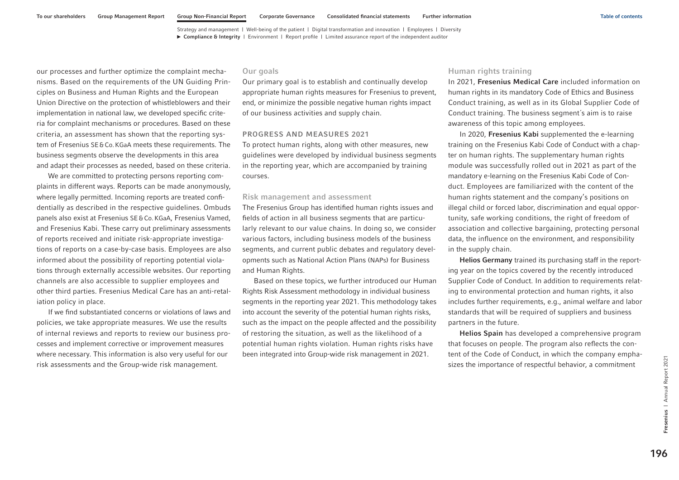our processes and further optimize the complaint mechanisms. Based on the requirements of the UN Guiding Principles on Business and Human Rights and the European Union Directive on the protection of whistleblowers and their implementation in national law, we developed specific criteria for complaint mechanisms or procedures. Based on these criteria, an assessment has shown that the reporting system of Fresenius SE&Co.KGaA meets these requirements. The business segments observe the developments in this area and adapt their processes as needed, based on these criteria.

We are committed to protecting persons reporting complaints in different ways. Reports can be made anonymously, where legally permitted. Incoming reports are treated confidentially as described in the respective guidelines. Ombuds panels also exist at Fresenius SE&Co.KGaA, Fresenius Vamed, and Fresenius Kabi. These carry out preliminary assessments of reports received and initiate risk-appropriate investigations of reports on a case-by-case basis. Employees are also informed about the possibility of reporting potential violations through externally accessible websites. Our reporting channels are also accessible to supplier employees and other third parties. Fresenius Medical Care has an anti-retaliation policy in place.

If we find substantiated concerns or violations of laws and policies, we take appropriate measures. We use the results of internal reviews and reports to review our business processes and implement corrective or improvement measures where necessary. This information is also very useful for our risk assessments and the Group-wide risk management.

#### Our goals

Our primary goal is to establish and continually develop appropriate human rights measures for Fresenius to prevent, end, or minimize the possible negative human rights impact of our business activities and supply chain.

#### PROGRESS AND MEASURES 2021

To protect human rights, along with other measures, new guidelines were developed by individual business segments in the reporting year, which are accompanied by training courses.

#### Risk management and assessment

The Fresenius Group has identified human rights issues and fields of action in all business segments that are particularly relevant to our value chains. In doing so, we consider various factors, including business models of the business segments, and current public debates and regulatory developments such as National Action Plans (NAPs) for Business and Human Rights.

Based on these topics, we further introduced our Human Rights Risk Assessment methodology in individual business segments in the reporting year 2021. This methodology takes into account the severity of the potential human rights risks, such as the impact on the people affected and the possibility of restoring the situation, as well as the likelihood of a potential human rights violation. Human rights risks have been integrated into Group-wide risk management in 2021.

#### Human rights training

In 2021, Fresenius Medical Care included information on human rights in its mandatory Code of Ethics and Business Conduct training, as well as in its Global Supplier Code of Conduct training. The business segment´s aim is to raise awareness of this topic among employees.

In 2020, Fresenius Kabi supplemented the e-learning training on the Fresenius Kabi Code of Conduct with a chapter on human rights. The supplementary human rights module was successfully rolled out in 2021 as part of the mandatory e-learning on the Fresenius Kabi Code of Conduct. Employees are familiarized with the content of the human rights statement and the company's positions on illegal child or forced labor, discrimination and equal opportunity, safe working conditions, the right of freedom of association and collective bargaining, protecting personal data, the influence on the environment, and responsibility in the supply chain.

Helios Germany trained its purchasing staff in the reporting year on the topics covered by the recently introduced Supplier Code of Conduct. In addition to requirements relating to environmental protection and human rights, it also includes further requirements, e.g., animal welfare and labor standards that will be required of suppliers and business partners in the future.

Helios Spain has developed a comprehensive program that focuses on people. The program also reflects the content of the Code of Conduct, in which the company emphasizes the importance of respectful behavior, a commitment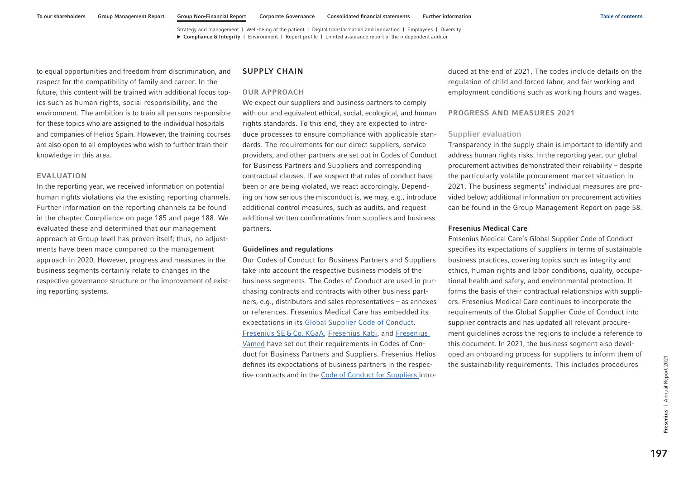<span id="page-83-0"></span>to equal opportunities and freedom from discrimination, and respect for the compatibility of family and career. In the future, this content will be trained with additional focus topics such as human rights, social responsibility, and the environment. The ambition is to train all persons responsible for these topics who are assigned to the individual hospitals and companies of Helios Spain. However, the training courses are also open to all employees who wish to further train their knowledge in this area.

#### EVALUATION

In the reporting year, we received information on potential human rights violations via the existing reporting channels. Further information on the reporting channels ca be found in the chapter Complianc[e on page 185](#page-71-0) and [page 188.](#page-74-0) We evaluated these and determined that our management approach at Group level has proven itself; thus, no adjustments have been made compared to the management approach in 2020. However, progress and measures in the business segments certainly relate to changes in the respective governance structure or the improvement of existing reporting systems.

### SUPPLY CHAIN

### OUR APPROACH

We expect our suppliers and business partners to comply with our and equivalent ethical, social, ecological, and human rights standards. To this end, they are expected to introduce processes to ensure compliance with applicable standards. The requirements for our direct suppliers, service providers, and other partners are set out in Codes of Conduct for Business Partners and Suppliers and corresponding contractual clauses. If we suspect that rules of conduct have been or are being violated, we react accordingly. Depending on how serious the misconduct is, we may, e.g., introduce additional control measures, such as audits, and request additional written confirmations from suppliers and business partners.

#### Guidelines and regulations

Our Codes of Conduct for Business Partners and Suppliers take into account the respective business models of the business segments. The Codes of Conduct are used in purchasing contracts and contracts with other business partners, e.g., distributors and sales representatives – as annexes or references. Fresenius Medical Care has embedded its expectations in it[s Global Supplier Code of Conduct.](https://www.freseniusmedicalcare.com/fileadmin/data/com/pdf/About_us/Supplier/English_FME_Global_Supplier_Code_of_Conduct.pdf)  [Fresenius SE](https://www.fresenius.com/media/Business%20Partner%20Code%20of%20Conduct_en.pdf) & Co. KGaA, [Fresenius Kabi,](https://www.fresenius-kabi.com/documents/Suppliers-Code-of-Conduct-Fresenius-Kabi-2020.pdf) and [Fresenius](https://www.vamed.com/media/5772/vamed-code-of-conduct-for-business-partners_en_2020.pdf)  [Vamed](https://www.vamed.com/media/5772/vamed-code-of-conduct-for-business-partners_en_2020.pdf) have set out their requirements in Codes of Conduct for Business Partners and Suppliers. Fresenius Helios defines its expectations of business partners in the respective contracts and in the [Code of Conduct for Suppliers](https://www.helios-gesundheit.de/fileadmin/UWS_Intern/Lieferantenportal/Supplier_Code_of_Conduct_2.1._eng..pdf) introduced at the end of 2021. The codes include details on the regulation of child and forced labor, and fair working and employment conditions such as working hours and wages.

### PROGRESS AND MEASURES 2021

### Supplier evaluation

Transparency in the supply chain is important to identify and address human rights risks. In the reporting year, our global procurement activities demonstrated their reliability – despite the particularly volatile procurement market situation in 2021. The business segments' individual measures are provided below; additional information on procurement activities can be found in the Group Management Report on page 58.

#### Fresenius Medical Care

Fresenius Medical Care's Global Supplier Code of Conduct specifies its expectations of suppliers in terms of sustainable business practices, covering topics such as integrity and ethics, human rights and labor conditions, quality, occupational health and safety, and environmental protection. It forms the basis of their contractual relationships with suppliers. Fresenius Medical Care continues to incorporate the requirements of the Global Supplier Code of Conduct into supplier contracts and has updated all relevant procurement guidelines across the regions to include a reference to this document. In 2021, the business segment also developed an onboarding process for suppliers to inform them of the sustainability requirements. This includes procedures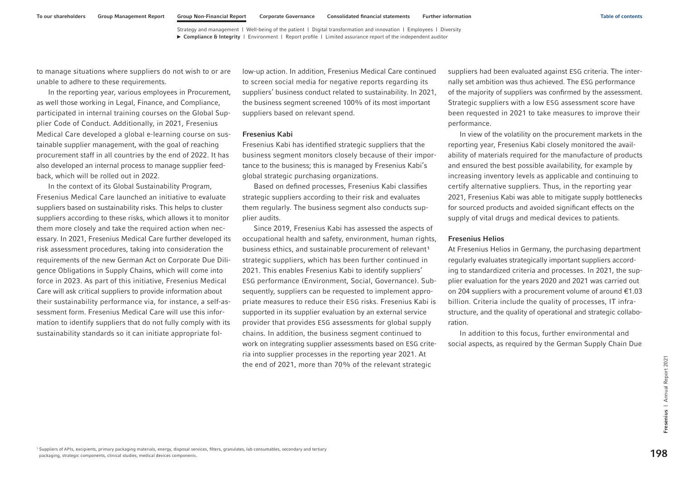to manage situations where suppliers do not wish to or are unable to adhere to these requirements.

In the reporting year, various employees in Procurement, as well those working in Legal, Finance, and Compliance, participated in internal training courses on the Global Supplier Code of Conduct. Additionally, in 2021, Fresenius Medical Care developed a global e-learning course on sustainable supplier management, with the goal of reaching procurement staff in all countries by the end of 2022. It has also developed an internal process to manage supplier feedback, which will be rolled out in 2022.

In the context of its Global Sustainability Program, Fresenius Medical Care launched an initiative to evaluate suppliers based on sustainability risks. This helps to cluster suppliers according to these risks, which allows it to monitor them more closely and take the required action when necessary. In 2021, Fresenius Medical Care further developed its risk assessment procedures, taking into consideration the requirements of the new German Act on Corporate Due Diligence Obligations in Supply Chains, which will come into force in 2023. As part of this initiative, Fresenius Medical Care will ask critical suppliers to provide information about their sustainability performance via, for instance, a self-assessment form. Fresenius Medical Care will use this information to identify suppliers that do not fully comply with its sustainability standards so it can initiate appropriate fol-

low-up action. In addition, Fresenius Medical Care continued to screen social media for negative reports regarding its suppliers' business conduct related to sustainability. In 2021, the business segment screened 100% of its most important suppliers based on relevant spend.

#### Fresenius Kabi

Fresenius Kabi has identified strategic suppliers that the business segment monitors closely because of their importance to the business; this is managed by Fresenius Kabi's global strategic purchasing organizations.

Based on defined processes, Fresenius Kabi classifies strategic suppliers according to their risk and evaluates them regularly. The business segment also conducts supplier audits.

Since 2019, Fresenius Kabi has assessed the aspects of occupational health and safety, environment, human rights, business ethics, and sustainable procurement of relevant<sup>1</sup> strategic suppliers, which has been further continued in 2021. This enables Fresenius Kabi to identify suppliers' ESG performance (Environment, Social, Governance). Subsequently, suppliers can be requested to implement appropriate measures to reduce their ESG risks. Fresenius Kabi is supported in its supplier evaluation by an external service provider that provides ESG assessments for global supply chains. In addition, the business segment continued to work on integrating supplier assessments based on ESG criteria into supplier processes in the reporting year 2021. At the end of 2021, more than 70% of the relevant strategic

suppliers had been evaluated against ESG criteria. The internally set ambition was thus achieved. The ESG performance of the majority of suppliers was confirmed by the assessment. Strategic suppliers with a low ESG assessment score have been requested in 2021 to take measures to improve their performance.

In view of the volatility on the procurement markets in the reporting year, Fresenius Kabi closely monitored the availability of materials required for the manufacture of products and ensured the best possible availability, for example by increasing inventory levels as applicable and continuing to certify alternative suppliers. Thus, in the reporting year 2021, Fresenius Kabi was able to mitigate supply bottlenecks for sourced products and avoided significant effects on the supply of vital drugs and medical devices to patients.

#### Fresenius Helios

At Fresenius Helios in Germany, the purchasing department regularly evaluates strategically important suppliers according to standardized criteria and processes. In 2021, the supplier evaluation for the years 2020 and 2021 was carried out on 204 suppliers with a procurement volume of around €1.03 billion. Criteria include the quality of processes, IT infrastructure, and the quality of operational and strategic collaboration.

In addition to this focus, further environmental and social aspects, as required by the German Supply Chain Due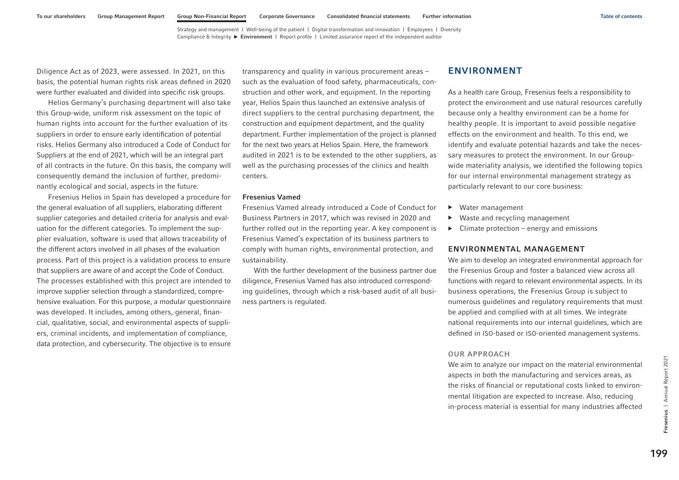<span id="page-85-0"></span>Diligence Act as of 2023, were assessed. In 2021, on this basis, the potential human rights risk areas defined in 2020 were further evaluated and divided into specific risk groups.

Helios Germany's purchasing department will also take this Group-wide, uniform risk assessment on the topic of human rights into account for the further evaluation of its suppliers in order to ensure early identification of potential risks. Helios Germany also introduced a Code of Conduct for Suppliers at the end of 2021, which will be an integral part of all contracts in the future. On this basis, the company will consequently demand the inclusion of further, predominantly ecological and social, aspects in the future.

Fresenius Helios in Spain has developed a procedure for the general evaluation of all suppliers, elaborating different supplier categories and detailed criteria for analysis and evaluation for the different categories. To implement the supplier evaluation, software is used that allows traceability of the different actors involved in all phases of the evaluation process. Part of this project is a validation process to ensure that suppliers are aware of and accept the Code of Conduct. The processes established with this project are intended to improve supplier selection through a standardized, comprehensive evaluation. For this purpose, a modular questionnaire was developed. It includes, among others, general, financial, qualitative, social, and environmental aspects of suppliers, criminal incidents, and implementation of compliance, data protection, and cybersecurity. The objective is to ensure

transparency and quality in various procurement areas – such as the evaluation of food safety, pharmaceuticals, construction and other work, and equipment. In the reporting year, Helios Spain thus launched an extensive analysis of direct suppliers to the central purchasing department, the construction and equipment department, and the quality department. Further implementation of the project is planned for the next two years at Helios Spain. Here, the framework audited in 2021 is to be extended to the other suppliers, as well as the purchasing processes of the clinics and health centers.

### Fresenius Vamed

Fresenius Vamed already introduced a Code of Conduct for Business Partners in 2017, which was revised in 2020 and further rolled out in the reporting year. A key component is Fresenius Vamed's expectation of its business partners to comply with human rights, environmental protection, and sustainability.

With the further development of the business partner due diligence, Fresenius Vamed has also introduced corresponding guidelines, through which a risk-based audit of all business partners is regulated.

# ENVIRONMENT

As a health care Group, Fresenius feels a responsibility to protect the environment and use natural resources carefully because only a healthy environment can be a home for healthy people. It is important to avoid possible negative effects on the environment and health. To this end, we identify and evaluate potential hazards and take the necessary measures to protect the environment. In our Groupwide materiality analysis, we identified the following topics for our internal environmental management strategy as particularly relevant to our core business:

- ▶ Water management
- ▶ Waste and recycling management
- $\triangleright$  Climate protection energy and emissions

### ENVIRONMENTAL MANAGEMENT

We aim to develop an integrated environmental approach for the Fresenius Group and foster a balanced view across all functions with regard to relevant environmental aspects. In its business operations, the Fresenius Group is subject to numerous guidelines and regulatory requirements that must be applied and complied with at all times. We integrate national requirements into our internal guidelines, which are defined in ISO-based or ISO-oriented management systems.

### OUR APPROACH

We aim to analyze our impact on the material environmental aspects in both the manufacturing and services areas, as the risks of financial or reputational costs linked to environmental litigation are expected to increase. Also, reducing in-process material is essential for many industries affected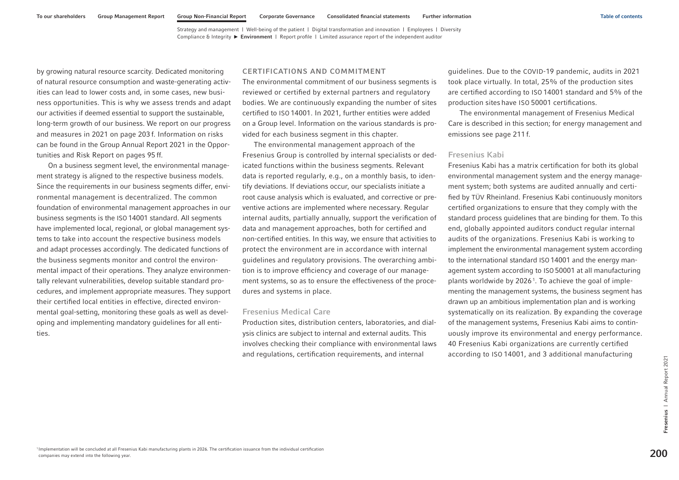<span id="page-86-0"></span>by growing natural resource scarcity. Dedicated monitoring of natural resource consumption and waste-generating activities can lead to lower costs and, in some cases, new business opportunities. This is why we assess trends and adapt our activities if deemed essential to support the sustainable, long-term growth of our business. We report on our progress and measures in 2021 [on page 203](#page-89-0) f. Information on risks can be found in the Group Annual Report 2021 in the Opportunities and Risk Report on pages 95 ff.

On a business segment level, the environmental management strategy is aligned to the respective business models. Since the requirements in our business segments differ, environmental management is decentralized. The common foundation of environmental management approaches in our business segments is the ISO 14001 standard. All segments have implemented local, regional, or global management systems to take into account the respective business models and adapt processes accordingly. The dedicated functions of the business segments monitor and control the environmental impact of their operations. They analyze environmentally relevant vulnerabilities, develop suitable standard procedures, and implement appropriate measures. They support their certified local entities in effective, directed environmental goal-setting, monitoring these goals as well as developing and implementing mandatory guidelines for all entities.

#### CERTIFICATIONS AND COMMITMENT

The environmental commitment of our business segments is reviewed or certified by external partners and regulatory bodies. We are continuously expanding the number of sites certified to ISO 14001. In 2021, further entities were added on a Group level. Information on the various standards is provided for each business segment in this chapter.

The environmental management approach of the Fresenius Group is controlled by internal specialists or dedicated functions within the business segments. Relevant data is reported regularly, e.g., on a monthly basis, to identify deviations. If deviations occur, our specialists initiate a root cause analysis which is evaluated, and corrective or preventive actions are implemented where necessary. Regular internal audits, partially annually, support the verification of data and management approaches, both for certified and non-certified entities. In this way, we ensure that activities to protect the environment are in accordance with internal guidelines and regulatory provisions. The overarching ambition is to improve efficiency and coverage of our management systems, so as to ensure the effectiveness of the procedures and systems in place.

#### Fresenius Medical Care

Production sites, distribution centers, laboratories, and dialysis clinics are subject to internal and external audits. This involves checking their compliance with environmental laws and regulations, certification requirements, and internal

guidelines. Due to the COVID-19 pandemic, audits in 2021 took place virtually. In total, 25% of the production sites are certified according to ISO 14001 standard and 5% of the production sites have ISO 50001 certifications.

The environmental management of Fresenius Medical Care is described in this section; for energy management and emissions [see page 211](#page-97-0) f.

### Fresenius Kabi

Fresenius Kabi has a matrix certification for both its global environmental management system and the energy management system; both systems are audited annually and certified by TÜV Rheinland. Fresenius Kabi continuously monitors certified organizations to ensure that they comply with the standard process guidelines that are binding for them. To this end, globally appointed auditors conduct regular internal audits of the organizations. Fresenius Kabi is working to implement the environmental management system according to the international standard ISO 14001 and the energy management system according to ISO 50001 at all manufacturing plants worldwide by 2026<sup>1</sup>. To achieve the goal of implementing the management systems, the business segment has drawn up an ambitious implementation plan and is working systematically on its realization. By expanding the coverage of the management systems, Fresenius Kabi aims to continuously improve its environmental and energy performance. 40 Fresenius Kabi organizations are currently certified according to ISO 14001, and 3 additional manufacturing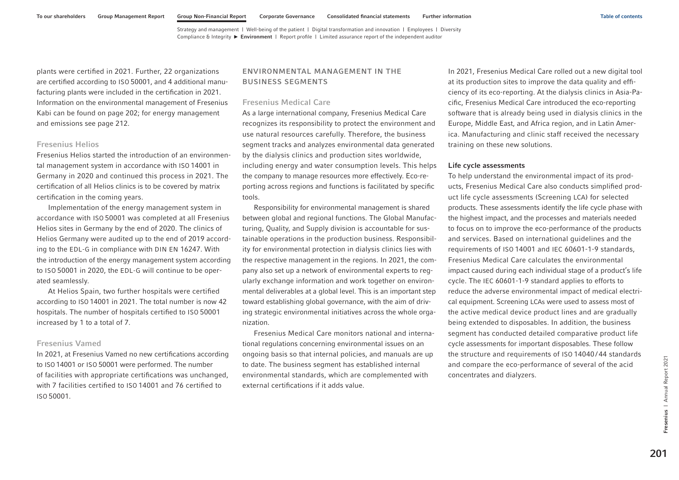<span id="page-87-0"></span>plants were certified in 2021. Further, 22 organizations are certified according to ISO 50001, and 4 additional manufacturing plants were included in the certification in 2021. Information on the environmental management of Fresenius Kabi can be found [on page 202; f](#page-88-0)or energy management and emissions [see page 212.](#page-98-0)

### Fresenius Helios

Fresenius Helios started the introduction of an environmental management system in accordance with ISO 14001 in Germany in 2020 and continued this process in 2021. The certification of all Helios clinics is to be covered by matrix certification in the coming years.

Implementation of the energy management system in accordance with ISO 50001 was completed at all Fresenius Helios sites in Germany by the end of 2020. The clinics of Helios Germany were audited up to the end of 2019 according to the EDL-G in compliance with DIN EN 16247. With the introduction of the energy management system according to ISO 50001 in 2020, the EDL-G will continue to be operated seamlessly.

At Helios Spain, two further hospitals were certified according to ISO 14001 in 2021. The total number is now 42 hospitals. The number of hospitals certified to ISO 50001 increased by 1 to a total of 7.

#### Fresenius Vamed

In 2021, at Fresenius Vamed no new certifications according to ISO 14001 or ISO 50001 were performed. The number of facilities with appropriate certifications was unchanged, with 7 facilities certified to ISO 14001 and 76 certified to ISO 50001.

# ENVIRONMENTAL MANAGEMENT IN THE BUSINESS SEGMENTS

#### Fresenius Medical Care

As a large international company, Fresenius Medical Care recognizes its responsibility to protect the environment and use natural resources carefully. Therefore, the business segment tracks and analyzes environmental data generated by the dialysis clinics and production sites worldwide, including energy and water consumption levels. This helps the company to manage resources more effectively. Eco-reporting across regions and functions is facilitated by specific tools.

Responsibility for environmental management is shared between global and regional functions. The Global Manufacturing, Quality, and Supply division is accountable for sustainable operations in the production business. Responsibility for environmental protection in dialysis clinics lies with the respective management in the regions. In 2021, the company also set up a network of environmental experts to regularly exchange information and work together on environmental deliverables at a global level. This is an important step toward establishing global governance, with the aim of driving strategic environmental initiatives across the whole organization.

Fresenius Medical Care monitors national and international regulations concerning environmental issues on an ongoing basis so that internal policies, and manuals are up to date. The business segment has established internal environmental standards, which are complemented with external certifications if it adds value.

In 2021, Fresenius Medical Care rolled out a new digital tool at its production sites to improve the data quality and efficiency of its eco-reporting. At the dialysis clinics in Asia-Pacific, Fresenius Medical Care introduced the eco-reporting software that is already being used in dialysis clinics in the Europe, Middle East, and Africa region, and in Latin America. Manufacturing and clinic staff received the necessary training on these new solutions.

#### Life cycle assessments

To help understand the environmental impact of its products, Fresenius Medical Care also conducts simplified product life cycle assessments (Screening LCA) for selected products. These assessments identify the life cycle phase with the highest impact, and the processes and materials needed to focus on to improve the eco-performance of the products and services. Based on international guidelines and the requirements of ISO 14001 and IEC 60601-1-9 standards, Fresenius Medical Care calculates the environmental impact caused during each individual stage of a product's life cycle. The IEC 60601-1-9 standard applies to efforts to reduce the adverse environmental impact of medical electrical equipment. Screening LCAs were used to assess most of the active medical device product lines and are gradually being extended to disposables. In addition, the business segment has conducted detailed comparative product life cycle assessments for important disposables. These follow the structure and requirements of ISO 14040 / 44 standards and compare the eco-performance of several of the acid concentrates and dialyzers.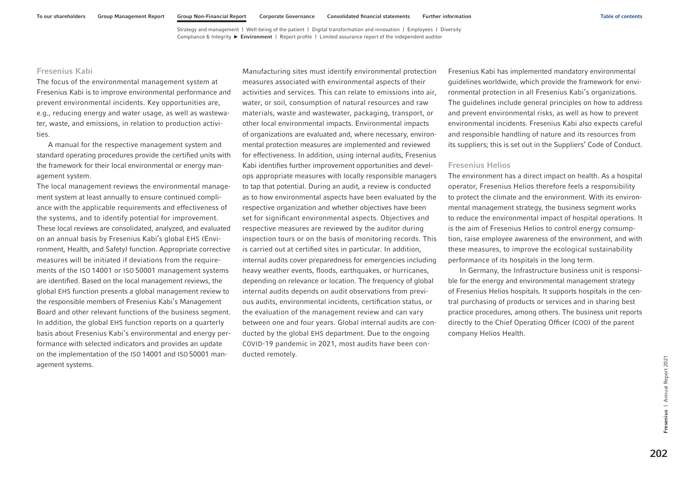# <span id="page-88-0"></span>Fresenius Kabi

The focus of the environmental management system at Fresenius Kabi is to improve environmental performance and prevent environmental incidents. Key opportunities are, e.g., reducing energy and water usage, as well as wastewater, waste, and emissions, in relation to production activities.

A manual for the respective management system and standard operating procedures provide the certified units with the framework for their local environmental or energy management system.

The local management reviews the environmental management system at least annually to ensure continued compliance with the applicable requirements and effectiveness of the systems, and to identify potential for improvement. These local reviews are consolidated, analyzed, and evaluated on an annual basis by Fresenius Kabi's global EHS (Environment, Health, and Safety) function. Appropriate corrective measures will be initiated if deviations from the requirements of the ISO 14001 or ISO 50001 management systems are identified. Based on the local management reviews, the global EHS function presents a global management review to the responsible members of Fresenius Kabi's Management Board and other relevant functions of the business segment. In addition, the global EHS function reports on a quarterly basis about Fresenius Kabi's environmental and energy performance with selected indicators and provides an update on the implementation of the ISO 14001 and ISO 50001 management systems.

Manufacturing sites must identify environmental protection measures associated with environmental aspects of their activities and services. This can relate to emissions into air, water, or soil, consumption of natural resources and raw materials, waste and wastewater, packaging, transport, or other local environmental impacts. Environmental impacts of organizations are evaluated and, where necessary, environmental protection measures are implemented and reviewed for effectiveness. In addition, using internal audits, Fresenius Kabi identifies further improvement opportunities and develops appropriate measures with locally responsible managers to tap that potential. During an audit, a review is conducted as to how environmental aspects have been evaluated by the respective organization and whether objectives have been set for significant environmental aspects. Objectives and respective measures are reviewed by the auditor during inspection tours or on the basis of monitoring records. This is carried out at certified sites in particular. In addition, internal audits cover preparedness for emergencies including heavy weather events, floods, earthquakes, or hurricanes, depending on relevance or location. The frequency of global internal audits depends on audit observations from previous audits, environmental incidents, certification status, or the evaluation of the management review and can vary between one and four years. Global internal audits are conducted by the global EHS department. Due to the ongoing COVID-19 pandemic in 2021, most audits have been conducted remotely.

Fresenius Kabi has implemented mandatory environmental guidelines worldwide, which provide the framework for environmental protection in all Fresenius Kabi's organizations. The guidelines include general principles on how to address and prevent environmental risks, as well as how to prevent environmental incidents. Fresenius Kabi also expects careful and responsible handling of nature and its resources from its suppliers; this is set out in the Suppliers' Code of Conduct.

### Fresenius Helios

The environment has a direct impact on health. As a hospital operator, Fresenius Helios therefore feels a responsibility to protect the climate and the environment. With its environmental management strategy, the business segment works to reduce the environmental impact of hospital operations. It is the aim of Fresenius Helios to control energy consumption, raise employee awareness of the environment, and with these measures, to improve the ecological sustainability performance of its hospitals in the long term.

In Germany, the Infrastructure business unit is responsible for the energy and environmental management strategy of Fresenius Helios hospitals. It supports hospitals in the central purchasing of products or services and in sharing best practice procedures, among others. The business unit reports directly to the Chief Operating Officer (COO) of the parent company Helios Health.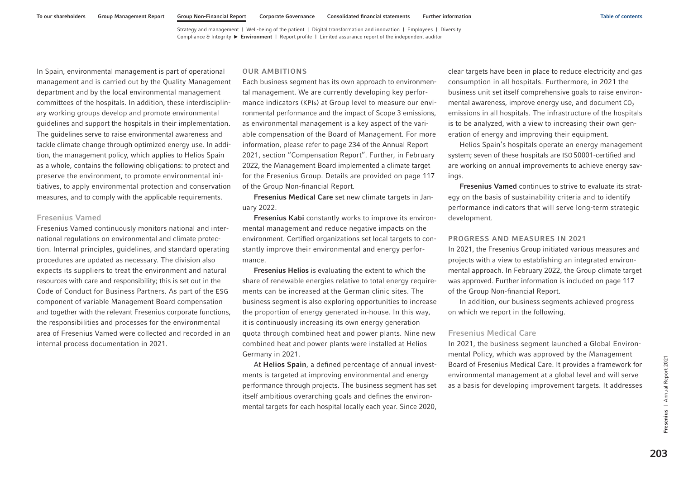<span id="page-89-0"></span>In Spain, environmental management is part of operational management and is carried out by the Quality Management department and by the local environmental management committees of the hospitals. In addition, these interdisciplinary working groups develop and promote environmental guidelines and support the hospitals in their implementation. The guidelines serve to raise environmental awareness and tackle climate change through optimized energy use. In addition, the management policy, which applies to Helios Spain as a whole, contains the following obligations: to protect and preserve the environment, to promote environmental initiatives, to apply environmental protection and conservation measures, and to comply with the applicable requirements.

### Fresenius Vamed

Fresenius Vamed continuously monitors national and international regulations on environmental and climate protection. Internal principles, guidelines, and standard operating procedures are updated as necessary. The division also expects its suppliers to treat the environment and natural resources with care and responsibility; this is set out in the Code of Conduct for Business Partners. As part of the ESG component of variable Management Board compensation and together with the relevant Fresenius corporate functions, the responsibilities and processes for the environmental area of Fresenius Vamed were collected and recorded in an internal process documentation in 2021.

#### OUR AMBITIONS

Each business segment has its own approach to environmental management. We are currently developing key performance indicators (KPIs) at Group level to measure our environmental performance and the impact of Scope 3 emissions, as environmental management is a key aspect of the variable compensation of the Board of Management. For more information, please refer to page 234 of the Annual Report 2021, section "Compensation Report". Further, in February 2022, the Management Board implemented a climate target for the Fresenius Group. Details are provided [on page 117](#page-3-0)  of the Group Non-financial Report.

Fresenius Medical Care set new climate targets in January 2022.

Fresenius Kabi constantly works to improve its environmental management and reduce negative impacts on the environment. Certified organizations set local targets to constantly improve their environmental and energy performance.

Fresenius Helios is evaluating the extent to which the share of renewable energies relative to total energy requirements can be increased at the German clinic sites. The business segment is also exploring opportunities to increase the proportion of energy generated in-house. In this way, it is continuously increasing its own energy generation quota through combined heat and power plants. Nine new combined heat and power plants were installed at Helios Germany in 2021.

At Helios Spain, a defined percentage of annual investments is targeted at improving environmental and energy performance through projects. The business segment has set itself ambitious overarching goals and defines the environmental targets for each hospital locally each year. Since 2020, clear targets have been in place to reduce electricity and gas consumption in all hospitals. Furthermore, in 2021 the business unit set itself comprehensive goals to raise environmental awareness, improve energy use, and document  $CO<sub>2</sub>$ emissions in all hospitals. The infrastructure of the hospitals is to be analyzed, with a view to increasing their own generation of energy and improving their equipment.

Helios Spain's hospitals operate an energy management system; seven of these hospitals are ISO 50001-certified and are working on annual improvements to achieve energy savings.

Fresenius Vamed continues to strive to evaluate its strategy on the basis of sustainability criteria and to identify performance indicators that will serve long-term strategic development.

#### PROGRESS AND MEASURES IN 2021

In 2021, the Fresenius Group initiated various measures and projects with a view to establishing an integrated environmental approach. In February 2022, the Group climate target was approved. Further information is included [on page 117](#page-3-0)  of the Group Non-financial Report.

In addition, our business segments achieved progress on which we report in the following.

#### Fresenius Medical Care

In 2021, the business segment launched a Global Environmental Policy, which was approved by the Management Board of Fresenius Medical Care. It provides a framework for environmental management at a global level and will serve as a basis for developing improvement targets. It addresses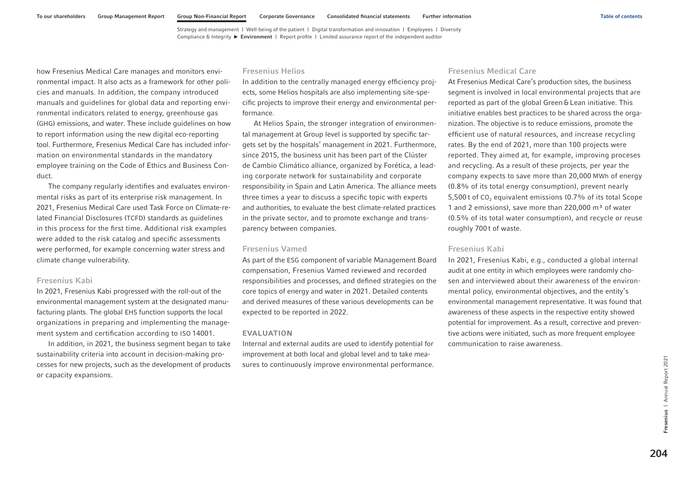how Fresenius Medical Care manages and monitors environmental impact. It also acts as a framework for other policies and manuals. In addition, the company introduced manuals and guidelines for global data and reporting environmental indicators related to energy, greenhouse gas (GHG) emissions, and water. These include guidelines on how to report information using the new digital eco-reporting tool. Furthermore, Fresenius Medical Care has included information on environmental standards in the mandatory employee training on the Code of Ethics and Business Conduct.

The company regularly identifies and evaluates environmental risks as part of its enterprise risk management. In 2021, Fresenius Medical Care used Task Force on Climate-related Financial Disclosures (TCFD) standards as guidelines in this process for the first time. Additional risk examples were added to the risk catalog and specific assessments were performed, for example concerning water stress and climate change vulnerability.

### Fresenius Kabi

In 2021, Fresenius Kabi progressed with the roll-out of the environmental management system at the designated manufacturing plants. The global EHS function supports the local organizations in preparing and implementing the management system and certification according to ISO 14001.

In addition, in 2021, the business segment began to take sustainability criteria into account in decision-making processes for new projects, such as the development of products or capacity expansions.

### Fresenius Helios

In addition to the centrally managed energy efficiency projects, some Helios hospitals are also implementing site-specific projects to improve their energy and environmental performance.

At Helios Spain, the stronger integration of environmental management at Group level is supported by specific targets set by the hospitals' management in 2021. Furthermore, since 2015, the business unit has been part of the Clúster de Cambio Climático alliance, organized by Forética, a leading corporate network for sustainability and corporate responsibility in Spain and Latin America. The alliance meets three times a year to discuss a specific topic with experts and authorities, to evaluate the best climate-related practices in the private sector, and to promote exchange and transparency between companies.

### Fresenius Vamed

As part of the ESG component of variable Management Board compensation, Fresenius Vamed reviewed and recorded responsibilities and processes, and defined strategies on the core topics of energy and water in 2021. Detailed contents and derived measures of these various developments can be expected to be reported in 2022.

#### EVALUATION

Internal and external audits are used to identify potential for improvement at both local and global level and to take measures to continuously improve environmental performance.

#### Fresenius Medical Care

At Fresenius Medical Care's production sites, the business segment is involved in local environmental projects that are reported as part of the global Green & Lean initiative. This initiative enables best practices to be shared across the organization. The objective is to reduce emissions, promote the efficient use of natural resources, and increase recycling rates. By the end of 2021, more than 100 projects were reported. They aimed at, for example, improving proceses and recycling. As a result of these projects, per year the company expects to save more than 20,000 MWh of energy (0.8% of its total energy consumption), prevent nearly 5,500 t of  $CO<sub>2</sub>$  equivalent emissions (0.7% of its total Scope 1 and 2 emissions), save more than  $220,000$  m<sup>3</sup> of water (0.5% of its total water consumption), and recycle or reuse roughly 700 t of waste.

# Fresenius Kabi

In 2021, Fresenius Kabi, e.g., conducted a global internal audit at one entity in which employees were randomly chosen and interviewed about their awareness of the environmental policy, environmental objectives, and the entity's environmental management representative. It was found that awareness of these aspects in the respective entity showed potential for improvement. As a result, corrective and preventive actions were initiated, such as more frequent employee communication to raise awareness.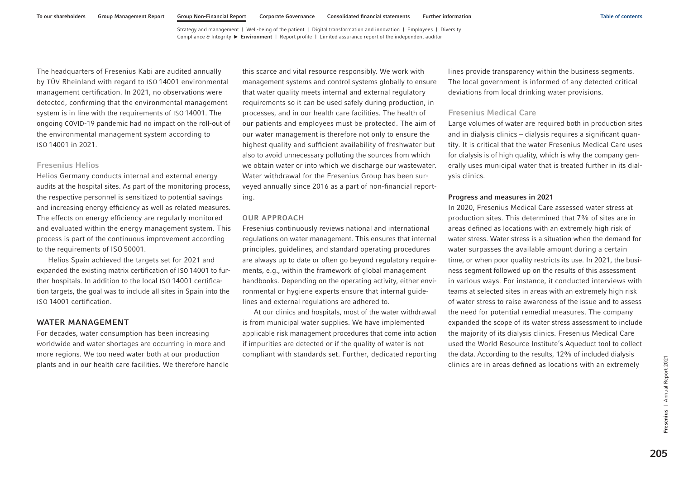The headquarters of Fresenius Kabi are audited annually by TÜV Rheinland with regard to ISO 14001 environmental management certification. In 2021, no observations were detected, confirming that the environmental management system is in line with the requirements of ISO 14001. The ongoing COVID-19 pandemic had no impact on the roll-out of the environmental management system according to ISO 14001 in 2021.

### Fresenius Helios

Helios Germany conducts internal and external energy audits at the hospital sites. As part of the monitoring process, the respective personnel is sensitized to potential savings and increasing energy efficiency as well as related measures. The effects on energy efficiency are regularly monitored and evaluated within the energy management system. This process is part of the continuous improvement according to the requirements of ISO 50001.

Helios Spain achieved the targets set for 2021 and expanded the existing matrix certification of ISO 14001 to further hospitals. In addition to the local ISO 14001 certification targets, the goal was to include all sites in Spain into the ISO 14001 certification.

### WATER MANAGEMENT

For decades, water consumption has been increasing worldwide and water shortages are occurring in more and more regions. We too need water both at our production plants and in our health care facilities. We therefore handle this scarce and vital resource responsibly. We work with management systems and control systems globally to ensure that water quality meets internal and external regulatory requirements so it can be used safely during production, in processes, and in our health care facilities. The health of our patients and employees must be protected. The aim of our water management is therefore not only to ensure the highest quality and sufficient availability of freshwater but also to avoid unnecessary polluting the sources from which we obtain water or into which we discharge our wastewater. Water withdrawal for the Fresenius Group has been surveyed annually since 2016 as a part of non-financial reporting.

### OUR APPROACH

Fresenius continuously reviews national and international regulations on water management. This ensures that internal principles, guidelines, and standard operating procedures are always up to date or often go beyond regulatory requirements, e.g., within the framework of global management handbooks. Depending on the operating activity, either environmental or hygiene experts ensure that internal guidelines and external regulations are adhered to.

At our clinics and hospitals, most of the water withdrawal is from municipal water supplies. We have implemented applicable risk management procedures that come into action if impurities are detected or if the quality of water is not compliant with standards set. Further, dedicated reporting lines provide transparency within the business segments. The local government is informed of any detected critical deviations from local drinking water provisions.

### Fresenius Medical Care

Large volumes of water are required both in production sites and in dialysis clinics – dialysis requires a significant quantity. It is critical that the water Fresenius Medical Care uses for dialysis is of high quality, which is why the company generally uses municipal water that is treated further in its dialysis clinics.

#### Progress and measures in 2021

In 2020, Fresenius Medical Care assessed water stress at production sites. This determined that 7% of sites are in areas defined as locations with an extremely high risk of water stress. Water stress is a situation when the demand for water surpasses the available amount during a certain time, or when poor quality restricts its use. In 2021, the business segment followed up on the results of this assessment in various ways. For instance, it conducted interviews with teams at selected sites in areas with an extremely high risk of water stress to raise awareness of the issue and to assess the need for potential remedial measures. The company expanded the scope of its water stress assessment to include the majority of its dialysis clinics. Fresenius Medical Care used the World Resource Institute's Aqueduct tool to collect the data. According to the results, 12% of included dialysis clinics are in areas defined as locations with an extremely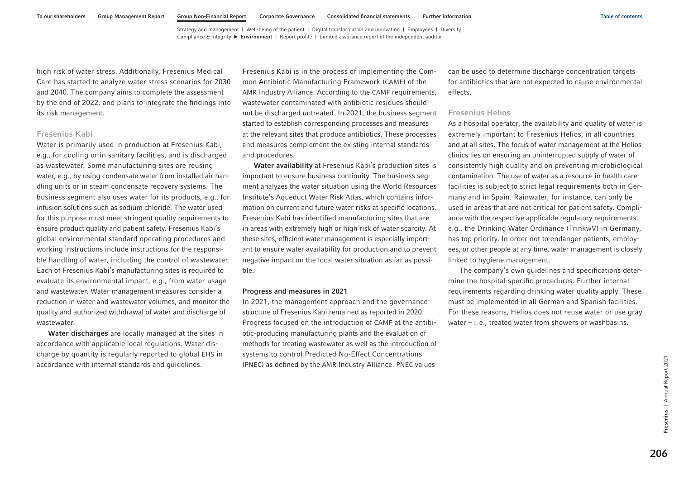high risk of water stress. Additionally, Fresenius Medical Care has started to analyze water stress scenarios for 2030 and 2040. The company aims to complete the assessment by the end of 2022, and plans to integrate the findings into its risk management.

### Fresenius Kabi

Water is primarily used in production at Fresenius Kabi, e.g., for cooling or in sanitary facilities, and is discharged as wastewater. Some manufacturing sites are reusing water, e.g., by using condensate water from installed air handling units or in steam condensate recovery systems. The business segment also uses water for its products, e.g., for infusion solutions such as sodium chloride. The water used for this purpose must meet stringent quality requirements to ensure product quality and patient safety. Fresenius Kabi's global environmental standard operating procedures and working instructions include instructions for the responsible handling of water, including the control of wastewater. Each of Fresenius Kabi's manufacturing sites is required to evaluate its environmental impact, e.g., from water usage and wastewater. Water management measures consider a reduction in water and wastewater volumes, and monitor the quality and authorized withdrawal of water and discharge of wastewater.

Water discharges are locally managed at the sites in accordance with applicable local regulations. Water discharge by quantity is regularly reported to global EHS in accordance with internal standards and guidelines.

Fresenius Kabi is in the process of implementing the Common Antibiotic Manufacturing Framework (CAMF) of the AMR Industry Alliance. According to the CAMF requirements, wastewater contaminated with antibiotic residues should not be discharged untreated. In 2021, the business segment started to establish corresponding processes and measures at the relevant sites that produce antibiotics. These processes and measures complement the existing internal standards and procedures.

Water availability at Fresenius Kabi's production sites is important to ensure business continuity. The business segment analyzes the water situation using the World Resources Institute's Aqueduct Water Risk Atlas, which contains information on current and future water risks at specific locations. Fresenius Kabi has identified manufacturing sites that are in areas with extremely high or high risk of water scarcity. At these sites, efficient water management is especially important to ensure water availability for production and to prevent negative impact on the local water situation as far as possible.

#### Progress and measures in 2021

In 2021, the management approach and the governance structure of Fresenius Kabi remained as reported in 2020. Progress focused on the introduction of CAMF at the antibiotic-producing manufacturing plants and the evaluation of methods for treating wastewater as well as the introduction of systems to control Predicted No-Effect Concentrations (PNEC) as defined by the AMR Industry Alliance. PNEC values

can be used to determine discharge concentration targets for antibiotics that are not expected to cause environmental effects.

#### Fresenius Helios

As a hospital operator, the availability and quality of water is extremely important to Fresenius Helios, in all countries and at all sites. The focus of water management at the Helios clinics lies on ensuring an uninterrupted supply of water of consistently high quality and on preventing microbiological contamination. The use of water as a resource in health care facilities is subject to strict legal requirements both in Germany and in Spain. Rainwater, for instance, can only be used in areas that are not critical for patient safety. Compliance with the respective applicable regulatory requirements, e.g., the Drinking Water Ordinance (TrinkwV) in Germany, has top priority. In order not to endanger patients, employees, or other people at any time, water management is closely linked to hygiene management.

The company's own guidelines and specifications determine the hospital-specific procedures. Further internal requirements regarding drinking water quality apply. These must be implemented in all German and Spanish facilities. For these reasons, Helios does not reuse water or use gray water  $-$  i. e., treated water from showers or washbasins.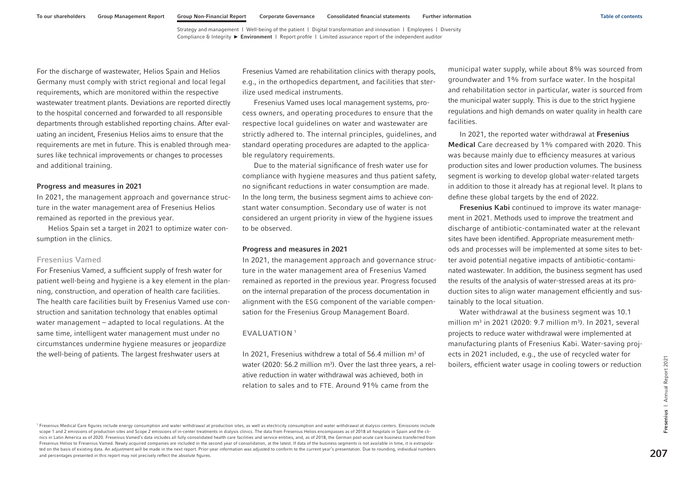For the discharge of wastewater, Helios Spain and Helios Germany must comply with strict regional and local legal requirements, which are monitored within the respective wastewater treatment plants. Deviations are reported directly to the hospital concerned and forwarded to all responsible departments through established reporting chains. After evaluating an incident, Fresenius Helios aims to ensure that the requirements are met in future. This is enabled through measures like technical improvements or changes to processes and additional training.

#### Progress and measures in 2021

In 2021, the management approach and governance structure in the water management area of Fresenius Helios remained as reported in the previous year.

Helios Spain set a target in 2021 to optimize water consumption in the clinics.

### Fresenius Vamed

For Fresenius Vamed, a sufficient supply of fresh water for patient well-being and hygiene is a key element in the planning, construction, and operation of health care facilities. The health care facilities built by Fresenius Vamed use construction and sanitation technology that enables optimal water management – adapted to local regulations. At the same time, intelligent water management must under no circumstances undermine hygiene measures or jeopardize the well-being of patients. The largest freshwater users at

Fresenius Vamed are rehabilitation clinics with therapy pools, e.g., in the orthopedics department, and facilities that sterilize used medical instruments.

Fresenius Vamed uses local management systems, process owners, and operating procedures to ensure that the respective local guidelines on water and wastewater are strictly adhered to. The internal principles, guidelines, and standard operating procedures are adapted to the applicable regulatory requirements.

Due to the material significance of fresh water use for compliance with hygiene measures and thus patient safety, no significant reductions in water consumption are made. In the long term, the business segment aims to achieve constant water consumption. Secondary use of water is not considered an urgent priority in view of the hygiene issues to be observed.

#### Progress and measures in 2021

In 2021, the management approach and governance structure in the water management area of Fresenius Vamed remained as reported in the previous year. Progress focused on the internal preparation of the process documentation in alignment with the ESG component of the variable compensation for the Fresenius Group Management Board.

#### EVALUATION <sup>1</sup>

In 2021, Fresenius withdrew a total of 56.4 million  $m<sup>3</sup>$  of water (2020: 56.2 million  $m^3$ ). Over the last three years, a relative reduction in water withdrawal was achieved, both in relation to sales and to FTE. Around 91% came from the

municipal water supply, while about 8% was sourced from groundwater and 1% from surface water. In the hospital and rehabilitation sector in particular, water is sourced from the municipal water supply. This is due to the strict hygiene regulations and high demands on water quality in health care facilities.

In 2021, the reported water withdrawal at Fresenius Medical Care decreased by 1% compared with 2020. This was because mainly due to efficiency measures at various production sites and lower production volumes. The business segment is working to develop global water-related targets in addition to those it already has at regional level. It plans to define these global targets by the end of 2022.

Fresenius Kabi continued to improve its water management in 2021. Methods used to improve the treatment and discharge of antibiotic-contaminated water at the relevant sites have been identified. Appropriate measurement methods and processes will be implemented at some sites to better avoid potential negative impacts of antibiotic-contaminated wastewater. In addition, the business segment has used the results of the analysis of water-stressed areas at its production sites to align water management efficiently and sustainably to the local situation.

Water withdrawal at the business segment was 10.1 million  $m^3$  in 2021 (2020: 9.7 million  $m^3$ ). In 2021, several projects to reduce water withdrawal were implemented at manufacturing plants of Fresenius Kabi. Water-saving projects in 2021 included, e.g., the use of recycled water for boilers, efficient water usage in cooling towers or reduction

<sup>1</sup> Fresenius Medical Care figures include energy consumption and water withdrawal at production sites, as well as electricity consumption and water withdrawal at dialysis centers. Emissions include scope 1 and 2 emissions of production sites and Scope 2 emissions of in-center treatments in dialysis clinics. The data from Fresenius Helios encompasses as of 2018 all hospitals in Spain and the clinics in Latin America as of 2020. Fresenius Vamed's data includes all fully consolidated health care facilities and service entities, and, as of 2018, the German post-acute care business transferred from Fresenius Helios to Fresenius Vamed. Newly acquired companies are included in the second year of consolidation, at the latest. If data of the business segments is not available in time, it is extrapolated on the basis of existing data. An adjustment will be made in the next report. Prior-year information was adjusted to conform to the current year's presentation. Due to rounding, individual numbers Fresentius Medical Care figures in column percentages presented in this report may not precisely reflect the absolute figures. The data from free particles are plus to the column of the absolute figures in column reflecti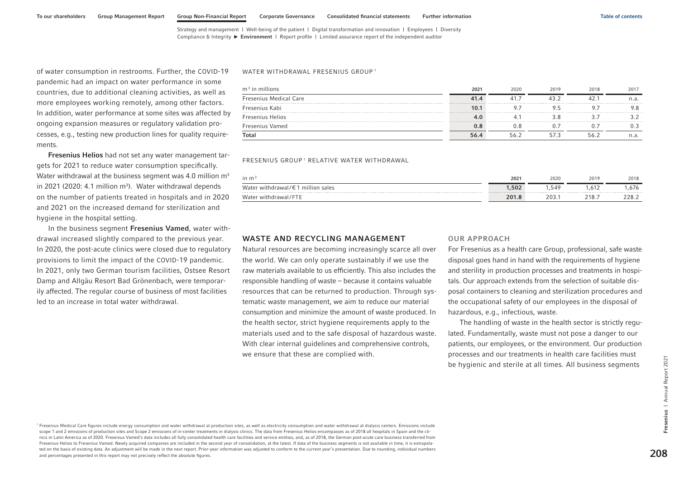of water consumption in restrooms. Further, the COVID-19 pandemic had an impact on water performance in some countries, due to additional cleaning activities, as well as more employees working remotely, among other factors. In addition, water performance at some sites was affected by ongoing expansion measures or regulatory validation processes, e.g., testing new production lines for quality requirements.

Fresenius Helios had not set any water management targets for 2021 to reduce water consumption specifically. Water withdrawal at the business segment was 4.0 million m<sup>3</sup> in 2021 (2020: 4.1 million  $m<sup>3</sup>$ ). Water withdrawal depends on the number of patients treated in hospitals and in 2020 and 2021 on the increased demand for sterilization and hygiene in the hospital setting.

In the business segment Fresenius Vamed, water withdrawal increased slightly compared to the previous year. In 2020, the post-acute clinics were closed due to regulatory provisions to limit the impact of the COVID-19 pandemic. In 2021, only two German tourism facilities, Ostsee Resort Damp and Allgäu Resort Bad Grönenbach, were temporarily affected. The regular course of business of most facilities led to an increase in total water withdrawal.

#### WATER WITHDRAWAL FRESENIUS GROUP<sup>1</sup>

| $m3$ in millions              | 2021    | 2020 | 2019 | 2018 | 2017 |
|-------------------------------|---------|------|------|------|------|
| <b>Fresenius Medical Care</b> | 41.4    |      |      |      | n.a. |
| Fresenius Kabi                | 10.1    |      |      |      |      |
| <b>Fresenius Helios</b>       | 4.U     |      |      |      |      |
| Fresenius Vamed               | $0.8\,$ |      |      |      |      |
| Total                         | 56.4    |      |      |      | n.a  |

FRESENIUS GROUP 1 RELATIVE WATER WITHDRAWAL

| in $m3$                                           | 2021  | 2020 | 2019  | 2018  |
|---------------------------------------------------|-------|------|-------|-------|
| Water withdrawal/ $\epsilon$ 1 million sales<br>. | 1,502 | .549 | .612  | .676  |
| Water withdrawal/FTE                              | 201.8 | 203. | າ18.z | 228.2 |

### WASTE AND RECYCLING MANAGEMENT

Natural resources are becoming increasingly scarce all over the world. We can only operate sustainably if we use the raw materials available to us efficiently. This also includes the responsible handling of waste – because it contains valuable resources that can be returned to production. Through systematic waste management, we aim to reduce our material consumption and minimize the amount of waste produced. In the health sector, strict hygiene requirements apply to the materials used and to the safe disposal of hazardous waste. With clear internal guidelines and comprehensive controls, we ensure that these are complied with.

#### OUR APPROACH

For Fresenius as a health care Group, professional, safe waste disposal goes hand in hand with the requirements of hygiene and sterility in production processes and treatments in hospitals. Our approach extends from the selection of suitable disposal containers to cleaning and sterilization procedures and the occupational safety of our employees in the disposal of hazardous, e.g., infectious, waste.

The handling of waste in the health sector is strictly regulated. Fundamentally, waste must not pose a danger to our patients, our employees, or the environment. Our production processes and our treatments in health care facilities must be hygienic and sterile at all times. All business segments

<sup>1</sup> Fresenius Medical Care figures include energy consumption and water withdrawal at production sites, as well as electricity consumption and water withdrawal at dialysis centers. Emissions include scope 1 and 2 emissions of production sites and Scope 2 emissions of in-center treatments in dialysis clinics. The data from Fresenius Helios encompasses as of 2018 all hospitals in Spain and the clinics in Latin America as of 2020. Fresenius Vamed's data includes all fully consolidated health care facilities and service entities, and, as of 2018, the German post-acute care business transferred from Fresenius Helios to Fresenius Vamed. Newly acquired companies are included in the second year of consolidation, at the latest. If data of the business segments is not available in time, it is extrapolated on the basis of existing data. An adjustment will be made in the next report. Prior-year information was adjusted to conform to the current year's presentation. Due to rounding, individual numbers Fresentius Medical Care figures include eaergy consumption and water withdrawal at production sites, as well as electricity consumption and water withdrawal at dialysis centers. Entissions include<br>scope 1 and 2 emissions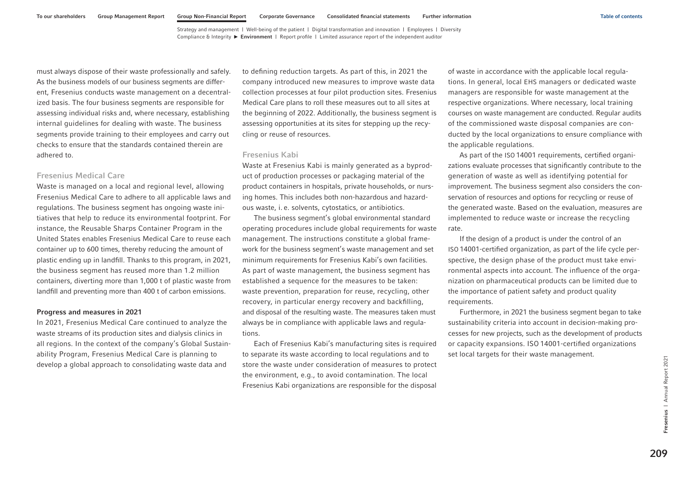must always dispose of their waste professionally and safely. As the business models of our business segments are different, Fresenius conducts waste management on a decentralized basis. The four business segments are responsible for assessing individual risks and, where necessary, establishing internal guidelines for dealing with waste. The business segments provide training to their employees and carry out checks to ensure that the standards contained therein are adhered to.

### Fresenius Medical Care

Waste is managed on a local and regional level, allowing Fresenius Medical Care to adhere to all applicable laws and regulations. The business segment has ongoing waste initiatives that help to reduce its environmental footprint. For instance, the Reusable Sharps Container Program in the United States enables Fresenius Medical Care to reuse each container up to 600 times, thereby reducing the amount of plastic ending up in landfill. Thanks to this program, in 2021, the business segment has reused more than 1.2 million containers, diverting more than 1,000 t of plastic waste from landfill and preventing more than 400 t of carbon emissions.

#### Progress and measures in 2021

In 2021, Fresenius Medical Care continued to analyze the waste streams of its production sites and dialysis clinics in all regions. In the context of the company's Global Sustainability Program, Fresenius Medical Care is planning to develop a global approach to consolidating waste data and

to defining reduction targets. As part of this, in 2021 the company introduced new measures to improve waste data collection processes at four pilot production sites. Fresenius Medical Care plans to roll these measures out to all sites at the beginning of 2022. Additionally, the business segment is assessing opportunities at its sites for stepping up the recycling or reuse of resources.

#### Fresenius Kabi

Waste at Fresenius Kabi is mainly generated as a byproduct of production processes or packaging material of the product containers in hospitals, private households, or nursing homes. This includes both non-hazardous and hazardous waste, i. e. solvents, cytostatics, or antibiotics.

The business segment's global environmental standard operating procedures include global requirements for waste management. The instructions constitute a global framework for the business segment's waste management and set minimum requirements for Fresenius Kabi's own facilities. As part of waste management, the business segment has established a sequence for the measures to be taken: waste prevention, preparation for reuse, recycling, other recovery, in particular energy recovery and backfilling, and disposal of the resulting waste. The measures taken must always be in compliance with applicable laws and regulations.

Each of Fresenius Kabi's manufacturing sites is required to separate its waste according to local regulations and to store the waste under consideration of measures to protect the environment, e.g., to avoid contamination. The local Fresenius Kabi organizations are responsible for the disposal

of waste in accordance with the applicable local regulations. In general, local EHS managers or dedicated waste managers are responsible for waste management at the respective organizations. Where necessary, local training courses on waste management are conducted. Regular audits of the commissioned waste disposal companies are conducted by the local organizations to ensure compliance with the applicable regulations.

As part of the ISO 14001 requirements, certified organizations evaluate processes that significantly contribute to the generation of waste as well as identifying potential for improvement. The business segment also considers the conservation of resources and options for recycling or reuse of the generated waste. Based on the evaluation, measures are implemented to reduce waste or increase the recycling rate.

If the design of a product is under the control of an ISO 14001-certified organization, as part of the life cycle perspective, the design phase of the product must take environmental aspects into account. The influence of the organization on pharmaceutical products can be limited due to the importance of patient safety and product quality requirements.

Furthermore, in 2021 the business segment began to take sustainability criteria into account in decision-making processes for new projects, such as the development of products or capacity expansions. ISO 14001-certified organizations set local targets for their waste management.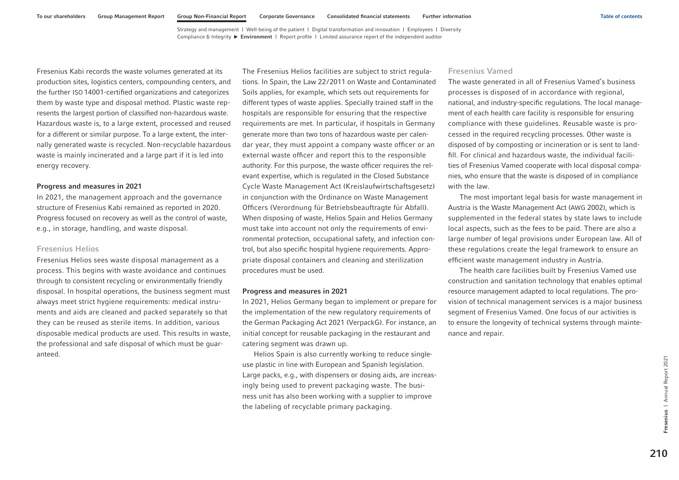Fresenius Kabi records the waste volumes generated at its production sites, logistics centers, compounding centers, and the further ISO 14001-certified organizations and categorizes them by waste type and disposal method. Plastic waste represents the largest portion of classified non-hazardous waste. Hazardous waste is, to a large extent, processed and reused for a different or similar purpose. To a large extent, the internally generated waste is recycled. Non-recyclable hazardous waste is mainly incinerated and a large part if it is led into energy recovery.

#### Progress and measures in 2021

In 2021, the management approach and the governance structure of Fresenius Kabi remained as reported in 2020. Progress focused on recovery as well as the control of waste, e.g., in storage, handling, and waste disposal.

### Fresenius Helios

Fresenius Helios sees waste disposal management as a process. This begins with waste avoidance and continues through to consistent recycling or environmentally friendly disposal. In hospital operations, the business segment must always meet strict hygiene requirements: medical instruments and aids are cleaned and packed separately so that they can be reused as sterile items. In addition, various disposable medical products are used. This results in waste, the professional and safe disposal of which must be guaranteed.

The Fresenius Helios facilities are subject to strict regulations. In Spain, the Law 22/2011 on Waste and Contaminated Soils applies, for example, which sets out requirements for different types of waste applies. Specially trained staff in the hospitals are responsible for ensuring that the respective requirements are met. In particular, if hospitals in Germany generate more than two tons of hazardous waste per calendar year, they must appoint a company waste officer or an external waste officer and report this to the responsible authority. For this purpose, the waste officer requires the relevant expertise, which is regulated in the Closed Substance Cycle Waste Management Act (Kreislaufwirtschaftsgesetz) in conjunction with the Ordinance on Waste Management Officers (Verordnung für Betriebsbeauftragte für Abfall). When disposing of waste, Helios Spain and Helios Germany must take into account not only the requirements of environmental protection, occupational safety, and infection control, but also specific hospital hygiene requirements. Appropriate disposal containers and cleaning and sterilization procedures must be used.

#### Progress and measures in 2021

In 2021, Helios Germany began to implement or prepare for the implementation of the new regulatory requirements of the German Packaging Act 2021 (VerpackG). For instance, an initial concept for reusable packaging in the restaurant and catering segment was drawn up.

Helios Spain is also currently working to reduce singleuse plastic in line with European and Spanish legislation. Large packs, e.g., with dispensers or dosing aids, are increasingly being used to prevent packaging waste. The business unit has also been working with a supplier to improve the labeling of recyclable primary packaging.

### Fresenius Vamed

The waste generated in all of Fresenius Vamed's business processes is disposed of in accordance with regional, national, and industry-specific regulations. The local management of each health care facility is responsible for ensuring compliance with these guidelines. Reusable waste is processed in the required recycling processes. Other waste is disposed of by composting or incineration or is sent to landfill. For clinical and hazardous waste, the individual facilities of Fresenius Vamed cooperate with local disposal companies, who ensure that the waste is disposed of in compliance with the law.

The most important legal basis for waste management in Austria is the Waste Management Act (AWG 2002), which is supplemented in the federal states by state laws to include local aspects, such as the fees to be paid. There are also a large number of legal provisions under European law. All of these regulations create the legal framework to ensure an efficient waste management industry in Austria.

The health care facilities built by Fresenius Vamed use construction and sanitation technology that enables optimal resource management adapted to local regulations. The provision of technical management services is a major business segment of Fresenius Vamed. One focus of our activities is to ensure the longevity of technical systems through maintenance and repair.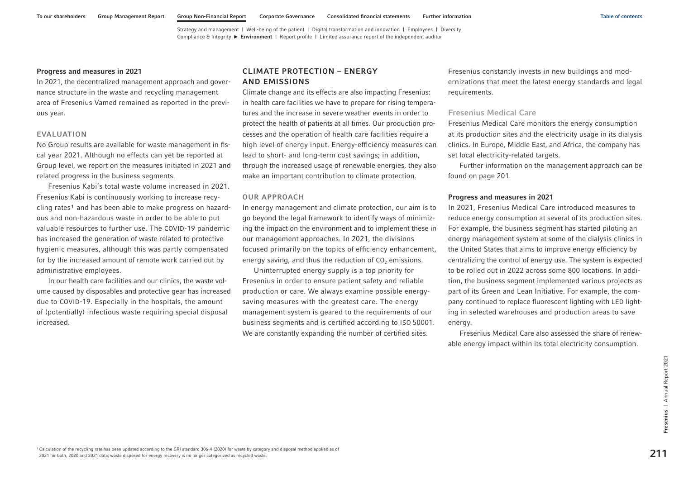#### <span id="page-97-0"></span>Progress and measures in 2021

In 2021, the decentralized management approach and governance structure in the waste and recycling management area of Fresenius Vamed remained as reported in the previous year.

#### EVALUATION

No Group results are available for waste management in fiscal year 2021. Although no effects can yet be reported at Group level, we report on the measures initiated in 2021 and related progress in the business segments.

Fresenius Kabi's total waste volume increased in 2021. Fresenius Kabi is continuously working to increase recycling rates<sup>1</sup> and has been able to make progress on hazardous and non-hazardous waste in order to be able to put valuable resources to further use. The COVID-19 pandemic has increased the generation of waste related to protective hygienic measures, although this was partly compensated for by the increased amount of remote work carried out by administrative employees.

In our health care facilities and our clinics, the waste volume caused by disposables and protective gear has increased due to COVID-19. Especially in the hospitals, the amount of (potentially) infectious waste requiring special disposal increased.

# CLIMATE PROTECTION – ENERGY AND EMISSIONS

Climate change and its effects are also impacting Fresenius: in health care facilities we have to prepare for rising temperatures and the increase in severe weather events in order to protect the health of patients at all times. Our production processes and the operation of health care facilities require a high level of energy input. Energy-efficiency measures can lead to short- and long-term cost savings; in addition, through the increased usage of renewable energies, they also make an important contribution to climate protection.

### OUR APPROACH

In energy management and climate protection, our aim is to go beyond the legal framework to identify ways of minimizing the impact on the environment and to implement these in our management approaches. In 2021, the divisions focused primarily on the topics of efficiency enhancement, energy saving, and thus the reduction of  $CO<sub>2</sub>$  emissions.

Uninterrupted energy supply is a top priority for Fresenius in order to ensure patient safety and reliable production or care. We always examine possible energysaving measures with the greatest care. The energy management system is geared to the requirements of our business segments and is certified according to ISO 50001. We are constantly expanding the number of certified sites.

Fresenius constantly invests in new buildings and modernizations that meet the latest energy standards and legal requirements.

### Fresenius Medical Care

Fresenius Medical Care monitors the energy consumption at its production sites and the electricity usage in its dialysis clinics. In Europe, Middle East, and Africa, the company has set local electricity-related targets.

Further information on the management approach can be found [on page 201.](#page-87-0)

### Progress and measures in 2021

In 2021, Fresenius Medical Care introduced measures to reduce energy consumption at several of its production sites. For example, the business segment has started piloting an energy management system at some of the dialysis clinics in the United States that aims to improve energy efficiency by centralizing the control of energy use. The system is expected to be rolled out in 2022 across some 800 locations. In addition, the business segment implemented various projects as part of its Green and Lean Initiative. For example, the company continued to replace fluorescent lighting with LED lighting in selected warehouses and production areas to save energy.

Fresenius Medical Care also assessed the share of renewable energy impact within its total electricity consumption.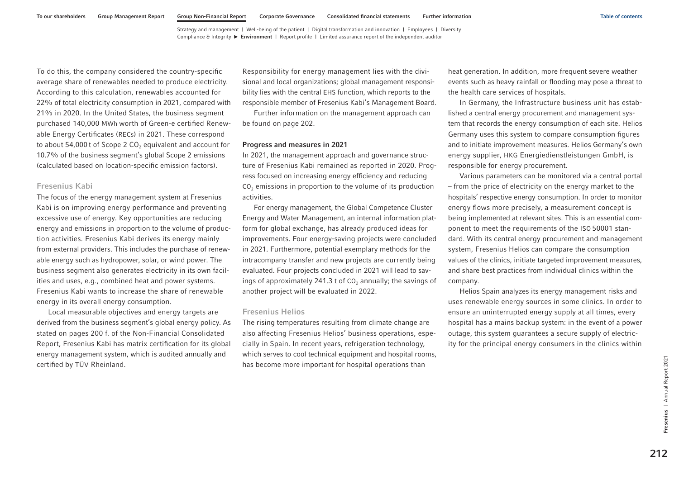<span id="page-98-0"></span>To do this, the company considered the country-specific average share of renewables needed to produce electricity. According to this calculation, renewables accounted for 22% of total electricity consumption in 2021, compared with 21% in 2020. In the United States, the business segment purchased 140,000 MWh worth of Green-e certified Renewable Energy Certificates (RECs) in 2021. These correspond to about 54,000 t of Scope 2  $CO<sub>2</sub>$  equivalent and account for 10.7% of the business segment's global Scope 2 emissions (calculated based on location-specific emission factors).

#### Fresenius Kabi

The focus of the energy management system at Fresenius Kabi is on improving energy performance and preventing excessive use of energy. Key opportunities are reducing energy and emissions in proportion to the volume of production activities. Fresenius Kabi derives its energy mainly from external providers. This includes the purchase of renewable energy such as hydropower, solar, or wind power. The business segment also generates electricity in its own facilities and uses, e.g., combined heat and power systems. Fresenius Kabi wants to increase the share of renewable energy in its overall energy consumption.

Local measurable objectives and energy targets are derived from the business segment's global energy policy. As stated [on pages 200 f.](#page-86-0) of the Non-Financial Consolidated Report, Fresenius Kabi has matrix certification for its global energy management system, which is audited annually and certified by TÜV Rheinland.

Responsibility for energy management lies with the divisional and local organizations; global management responsibility lies with the central EHS function, which reports to the responsible member of Fresenius Kabi's Management Board.

Further information on the management approach can be found [on page 202.](#page-88-0)

#### Progress and measures in 2021

In 2021, the management approach and governance structure of Fresenius Kabi remained as reported in 2020. Progress focused on increasing energy efficiency and reducing  $CO<sub>2</sub>$  emissions in proportion to the volume of its production activities.

For energy management, the Global Competence Cluster Energy and Water Management, an internal information platform for global exchange, has already produced ideas for improvements. Four energy-saving projects were concluded in 2021. Furthermore, potential exemplary methods for the intracompany transfer and new projects are currently being evaluated. Four projects concluded in 2021 will lead to savings of approximately 241.3 t of  $CO<sub>2</sub>$  annually; the savings of another project will be evaluated in 2022.

### Fresenius Helios

The rising temperatures resulting from climate change are also affecting Fresenius Helios' business operations, especially in Spain. In recent years, refrigeration technology, which serves to cool technical equipment and hospital rooms, has become more important for hospital operations than

heat generation. In addition, more frequent severe weather events such as heavy rainfall or flooding may pose a threat to the health care services of hospitals.

In Germany, the Infrastructure business unit has established a central energy procurement and management system that records the energy consumption of each site. Helios Germany uses this system to compare consumption figures and to initiate improvement measures. Helios Germany's own energy supplier, HKG Energiedienstleistungen GmbH, is responsible for energy procurement.

Various parameters can be monitored via a central portal – from the price of electricity on the energy market to the hospitals' respective energy consumption. In order to monitor energy flows more precisely, a measurement concept is being implemented at relevant sites. This is an essential component to meet the requirements of the ISO 50001 standard. With its central energy procurement and management system, Fresenius Helios can compare the consumption values of the clinics, initiate targeted improvement measures, and share best practices from individual clinics within the company.

Helios Spain analyzes its energy management risks and uses renewable energy sources in some clinics. In order to ensure an uninterrupted energy supply at all times, every hospital has a mains backup system: in the event of a power outage, this system guarantees a secure supply of electricity for the principal energy consumers in the clinics within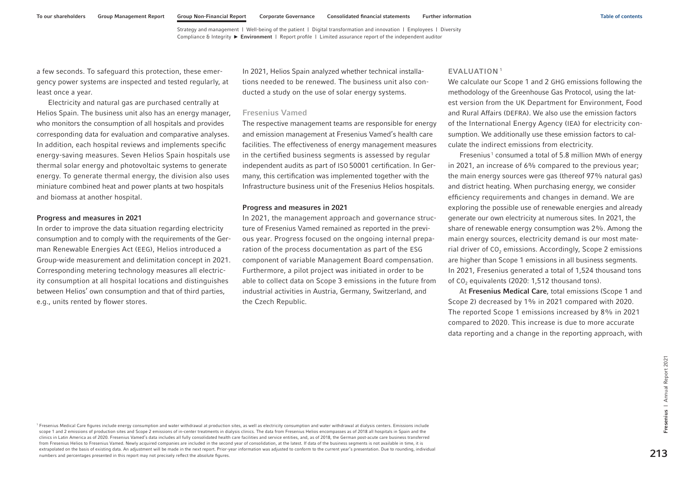a few seconds. To safeguard this protection, these emergency power systems are inspected and tested regularly, at least once a year.

Electricity and natural gas are purchased centrally at Helios Spain. The business unit also has an energy manager, who monitors the consumption of all hospitals and provides corresponding data for evaluation and comparative analyses. In addition, each hospital reviews and implements specific energy-saving measures. Seven Helios Spain hospitals use thermal solar energy and photovoltaic systems to generate energy. To generate thermal energy, the division also uses miniature combined heat and power plants at two hospitals and biomass at another hospital.

### Progress and measures in 2021

In order to improve the data situation regarding electricity consumption and to comply with the requirements of the German Renewable Energies Act (EEG), Helios introduced a Group-wide measurement and delimitation concept in 2021. Corresponding metering technology measures all electricity consumption at all hospital locations and distinguishes between Helios' own consumption and that of third parties, e.g., units rented by flower stores.

In 2021, Helios Spain analyzed whether technical installations needed to be renewed. The business unit also conducted a study on the use of solar energy systems.

#### Fresenius Vamed

The respective management teams are responsible for energy and emission management at Fresenius Vamed's health care facilities. The effectiveness of energy management measures in the certified business segments is assessed by regular independent audits as part of ISO 50001 certification. In Germany, this certification was implemented together with the Infrastructure business unit of the Fresenius Helios hospitals.

#### Progress and measures in 2021

In 2021, the management approach and governance structure of Fresenius Vamed remained as reported in the previous year. Progress focused on the ongoing internal preparation of the process documentation as part of the ESG component of variable Management Board compensation. Furthermore, a pilot project was initiated in order to be able to collect data on Scope 3 emissions in the future from industrial activities in Austria, Germany, Switzerland, and the Czech Republic.

#### EVALUATION <sup>1</sup>

We calculate our Scope 1 and 2 GHG emissions following the methodology of the Greenhouse Gas Protocol, using the latest version from the UK Department for Environment, Food and Rural Affairs (DEFRA). We also use the emission factors of the International Energy Agency (IEA) for electricity consumption. We additionally use these emission factors to calculate the indirect emissions from electricity.

Fresenius<sup>1</sup> consumed a total of 5.8 million MWh of energy in 2021, an increase of 6% compared to the previous year; the main energy sources were gas (thereof 97% natural gas) and district heating. When purchasing energy, we consider efficiency requirements and changes in demand. We are exploring the possible use of renewable energies and already generate our own electricity at numerous sites. In 2021, the share of renewable energy consumption was 2%. Among the main energy sources, electricity demand is our most material driver of  $CO<sub>2</sub>$  emissions. Accordingly, Scope 2 emissions are higher than Scope 1 emissions in all business segments. In 2021, Fresenius generated a total of 1,524 thousand tons of  $CO<sub>2</sub>$  equivalents (2020: 1,512 thousand tons).

At Fresenius Medical Care, total emissions (Scope 1 and Scope 2) decreased by 1% in 2021 compared with 2020. The reported Scope 1 emissions increased by 8% in 2021 compared to 2020. This increase is due to more accurate data reporting and a change in the reporting approach, with

<sup>1</sup> Fresenius Medical Care figures include energy consumption and water withdrawal at production sites, as well as electricity consumption and water withdrawal at dialysis centers. Emissions include scope 1 and 2 emissions of production sites and Scope 2 emissions of in-center treatments in dialysis clinics. The data from Fresenius Helios encompasses as of 2018 all hospitals in Spain and the clinics in Latin America as of 2020. Fresenius Vamed's data includes all fully consolidated health care facilities and service entities, and, as of 2018, the German post-acute care business transferred from Fresenius Helios to Fresenius Vamed. Newly acquired companies are included in the second year of consolidation, at the latest. If data of the business segments is not available in time, it is extrapolated on the basis of existing data. An adjustment will be made in the next report. Prior-year information was adjusted to conform to the current year's presentation. Due to rounding, individual Fresenius Medical Care figures include energy censumption and water withdrawal at production sites, as well as electricity consumption and water withdrawal at disputs centers. Emissions include<br>scope 1 and 2 emissions of p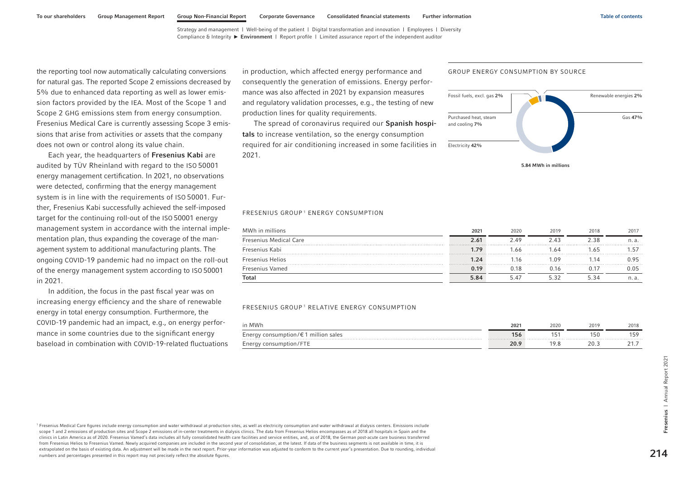the reporting tool now automatically calculating conversions for natural gas. The reported Scope 2 emissions decreased by 5% due to enhanced data reporting as well as lower emission factors provided by the IEA. Most of the Scope 1 and Scope 2 GHG emissions stem from energy consumption. Fresenius Medical Care is currently assessing Scope 3 emissions that arise from activities or assets that the company does not own or control along its value chain.

Each year, the headquarters of Fresenius Kabi are audited by TÜV Rheinland with regard to the ISO 50001 energy management certification. In 2021, no observations were detected, confirming that the energy management system is in line with the requirements of ISO 50001. Further, Fresenius Kabi successfully achieved the self-imposed target for the continuing roll-out of the ISO 50001 energy management system in accordance with the internal implementation plan, thus expanding the coverage of the management system to additional manufacturing plants. The ongoing COVID-19 pandemic had no impact on the roll-out of the energy management system according to ISO 50001 in 2021.

In addition, the focus in the past fiscal year was on increasing energy efficiency and the share of renewable energy in total energy consumption. Furthermore, the COVID-19 pandemic had an impact, e.g., on energy performance in some countries due to the significant energy baseload in combination with COVID-19-related fluctuations in production, which affected energy performance and consequently the generation of emissions. Energy performance was also affected in 2021 by expansion measures and regulatory validation processes, e.g., the testing of new production lines for quality requirements.

The spread of coronavirus required our Spanish hospitals to increase ventilation, so the energy consumption required for air conditioning increased in some facilities in 2021.

#### FRESENIUS GROUP 1 ENERGY CONSUMPTION

| MWh in millions               | 2021 | 2020 | 2019  | 2018  | 2017  |
|-------------------------------|------|------|-------|-------|-------|
| <b>Fresenius Medical Care</b> | 2.61 | 249  | 2 43  | 2.38  | n. a. |
| Fresenius Kabi                | 1.79 | 1.66 | .64   | 1.65. |       |
| Fresenius Helios              | 1.24 | 16   | 1 N 9 | 1.14  | 0.95  |
| Fresenius Vamed               | 0.19 | 18 ( | 0.16  |       | 0.05  |
| <b>Total</b>                  | 5.84 |      | 532   | 5 34  | n. a. |

#### FRESENIUS GROUP 1 RELATIVE ENERGY CONSUMPTION

| <b>MWF</b>                                                      | 2021 | 2020 | 2019            | 2018 |
|-----------------------------------------------------------------|------|------|-----------------|------|
| million<br>nption/€<br>sales<br>, Ener پ<br>consum <sup>.</sup> | 150  |      | , 5 U           | LE C |
| _ Ener پی<br>isur                                               | ∠∪.∶ | .    | วก<br>20.J<br>. |      |

<sup>1</sup> Fresenius Medical Care figures include energy consumption and water withdrawal at production sites, as well as electricity consumption and water withdrawal at dialysis centers. Emissions include scope 1 and 2 emissions of production sites and Scope 2 emissions of in-center treatments in dialysis clinics. The data from Fresenius Helios encompasses as of 2018 all hospitals in Spain and the clinics in Latin America as of 2020. Fresenius Vamed's data includes all fully consolidated health care facilities and service entities, and, as of 2018, the German post-acute care business transferred from Fresenius Helios to Fresenius Vamed. Newly acquired companies are included in the second year of consolidation, at the latest. If data of the business segments is not available in time, it is extrapolated on the basis of existing data. An adjustment will be made in the next report. Prior-year information was adjusted to conform to the current year's presentation. Due to rounding, individual numbers and percentages presented in this report may not precisely reflect the absolute figures.





5.84 MWh in millions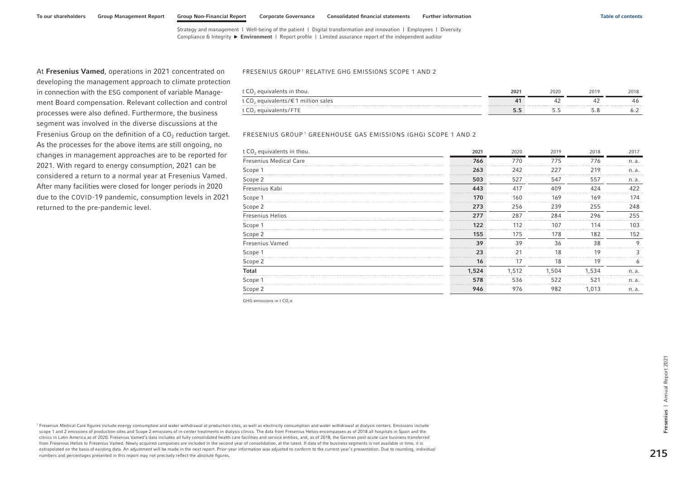At Fresenius Vamed, operations in 2021 concentrated on developing the management approach to climate protection in connection with the ESG component of variable Management Board compensation. Relevant collection and control processes were also defined. Furthermore, the business segment was involved in the diverse discussions at the Fresenius Group on the definition of a  $CO<sub>2</sub>$  reduction target. As the processes for the above items are still ongoing, no changes in management approaches are to be reported for 2021. With regard to energy consumption, 2021 can be considered a return to a normal year at Fresenius Vamed. After many facilities were closed for longer periods in 2020 due to the COVID-19 pandemic, consumption levels in 2021 returned to the pre-pandemic level.

#### FRESENIUS GROUP<sup>1</sup> RELATIVE GHG EMISSIONS SCOPE 1 AND 2

| t CO <sub>2</sub> equivalents in thou.                              | $202 -$ | 2020 | 2019 | 2018 |
|---------------------------------------------------------------------|---------|------|------|------|
| t CO <sub>2</sub> equivalents/ $\epsilon$ 1 million sales<br>.<br>. |         |      | $-$  |      |
| t $CO2$<br>equivalents/FT.                                          |         |      |      |      |

#### FRESENIUS GROUP 1 GREENHOUSE GAS EMISSIONS (GHG) SCOPE 1 AND 2

| t CO <sub>2</sub> equivalents in thou. | 2021  | 2020  | 2019  | 2018  | 2017    |
|----------------------------------------|-------|-------|-------|-------|---------|
| Fresenius Medical Care                 | 766   | 770   | 775   | 776   | n. a.   |
| Scope 1                                | 263   | 242   | 227   | 219   | n. a.   |
| Scope 2                                | 503   | 527   | 547   | 557   | n. a.   |
| Fresenius Kabi                         | 443   | 417   | 409   | 424   | 422     |
| Scope 1                                | 170   | 160   | 169   | 169   | 174     |
| Scope 2                                | 273   | 256   | 239   | 255   | 248     |
| <b>Fresenius Helios</b>                | 277   | 287   | 284   | 296   | 255     |
| Scope 1                                | 122   | 112   | 107   | 114   | 103     |
| Scope 2                                | 155   | 175   | 178   | 182   | 152     |
| <b>Fresenius Vamed</b>                 | 39    | 39    | 36    | 38    | $\circ$ |
| Scope 1                                | 23    | 21    | 18    | 19    |         |
| Scope 2                                | 16    | 17    | 18    | 19    |         |
| <b>Total</b>                           | 1,524 | 1.512 | 1.504 | 1.534 | n. a.   |
| Scope 1                                | 578   | 536   | 522   | 521   | n. a.   |
| Scope 2                                | 946   | 976   | 982   | 1.013 | n. a.   |

GHG emissions in  $t$  CO<sub>2</sub>  $\epsilon$ 

<sup>1</sup> Fresenius Medical Care figures include energy consumption and water withdrawal at production sites, as well as electricity consumption and water withdrawal at dialysis centers. Emissions include scope 1 and 2 emissions of production sites and Scope 2 emissions of in-center treatments in dialysis clinics. The data from Fresenius Helios encompasses as of 2018 all hospitals in Spain and the clinics in Latin America as of 2020. Fresenius Vamed's data includes all fully consolidated health care facilities and service entities, and, as of 2018, the German post-acute care business transferred from Fresenius Helios to Fresenius Vamed. Newly acquired companies are included in the second year of consolidation, at the latest. If data of the business segments is not available in time, it is extrapolated on the basis of existing data. An adjustment will be made in the next report. Prior-year information was adjusted to conform to the current year's presentation. Due to rounding, individual numbers and percentages presented in this report may not precisely reflect the absolute figures.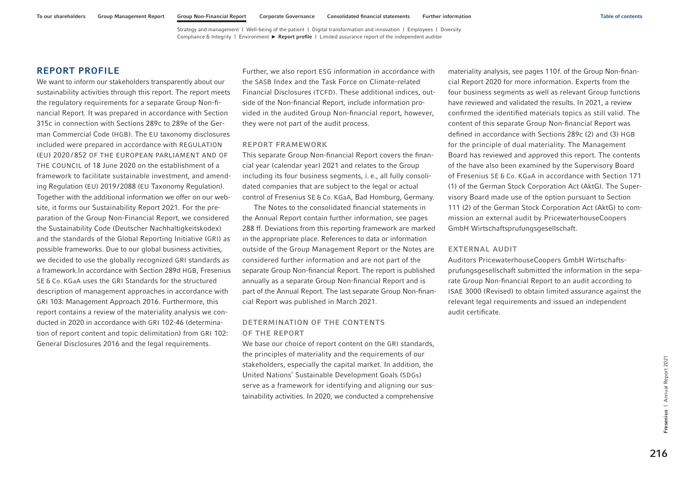# <span id="page-102-0"></span>REPORT PROFILE

We want to inform our stakeholders transparently about our sustainability activities through this report. The report meets the regulatory requirements for a separate Group Non-financial Report. It was prepared in accordance with Section 315c in connection with Sections 289c to 289e of the German Commercial Code (HGB). The EU taxonomy disclosures included were prepared in accordance with REGULATION (EU) 2020 / 852 OF THE EUROPEAN PARLIAMENT AND OF THE COUNCIL of 18 June 2020 on the establishment of a framework to facilitate sustainable investment, and amending Regulation (EU) 2019/2088 (EU Taxonomy Regulation). Together with the additional information we offer on our website, it forms our Sustainability Report 2021. For the preparation of the Group Non-Financial Report, we considered the Sustainability Code (Deutscher Nachhaltigkeitskodex) and the standards of the Global Reporting Initiative (GRI) as possible frameworks. Due to our global business activities, we decided to use the globally recognized GRI standards as a framework.In accordance with Section 289d HGB, Fresenius SE & Co. KGaA uses the GRI Standards for the structured description of management approaches in accordance with GRI 103: Management Approach 2016. Furthermore, this report contains a review of the materiality analysis we conducted in 2020 in accordance with GRI 102-46 (determination of report content and topic delimitation) from GRI 102: General Disclosures 2016 and the legal requirements.

Further, we also report ESG information in accordance with the SASB Index and the Task Force on Climate-related Financial Disclosures (TCFD). These additional indices, outside of the Non-financial Report, include information provided in the audited Group Non-financial report, however, they were not part of the audit process.

#### REPORT FRAMEWORK

This separate Group Non-financial Report covers the financial year (calendar year) 2021 and relates to the Group including its four business segments, i. e., all fully consolidated companies that are subject to the legal or actual control of Fresenius SE & Co. KGaA, Bad Homburg, Germany.

The Notes to the consolidated financial statements in the Annual Report contain further information, see pages 288 ff. Deviations from this reporting framework are marked in the appropriate place. References to data or information outside of the Group Management Report or the Notes are considered further information and are not part of the separate Group Non-financial Report. The report is published annually as a separate Group Non-financial Report and is part of the Annual Report. The last separate Group Non-financial Report was published in March 2021.

# DETERMINATION OF THE CONTENTS OF THE REPORT

We base our choice of report content on the GRI standards, the principles of materiality and the requirements of our stakeholders, especially the capital market. In addition, the United Nations' Sustainable Development Goals (SDGs) serve as a framework for identifying and aligning our sustainability activities. In 2020, we conducted a comprehensive materiality analysis, see pages 110f. of the Group Non-financial Report 2020 for more information. Experts from the four business segments as well as relevant Group functions have reviewed and validated the results. In 2021, a review confirmed the identified materials topics as still valid. The content of this separate Group Non-financial Report was defined in accordance with Sections 289c (2) and (3) HGB for the principle of dual materiality. The Management Board has reviewed and approved this report. The contents of the have also been examined by the Supervisory Board of Fresenius SE & Co. KGaA in accordance with Section 171 (1) of the German Stock Corporation Act (AktG). The Supervisory Board made use of the option pursuant to Section 111 (2) of the German Stock Corporation Act (AktG) to commission an external audit by PricewaterhouseCoopers GmbH Wirtschaftsprufungsgesellschaft.

### EXTERNAL AUDIT

Auditors PricewaterhouseCoopers GmbH Wirtschaftsprufungsgesellschaft submitted the information in the separate Group Non-financial Report to an audit according to ISAE 3000 (Revised) to obtain limited assurance against the relevant legal requirements and issued an independent audit certificate.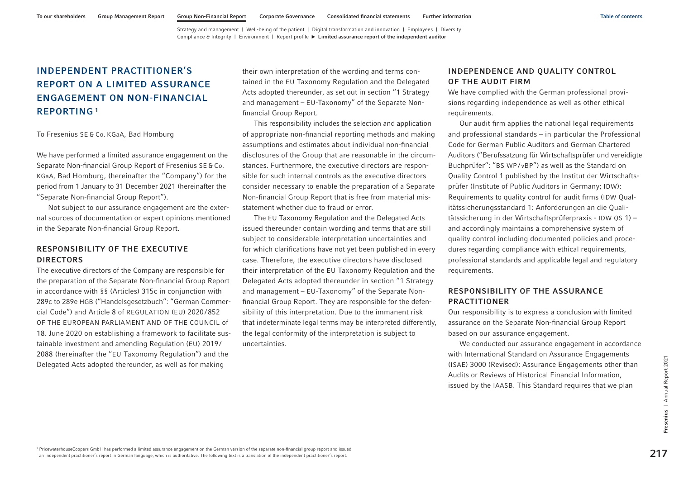# <span id="page-103-0"></span>INDEPENDENT PRACTITIONER'S REPORT ON A LIMITED ASSURANCE ENGAGEMENT ON NON-FINANCIAL REPORTING <sup>1</sup>

To Fresenius SE & Co. KGaA, Bad Homburg

We have performed a limited assurance engagement on the Separate Non-financial Group Report of Fresenius SE & Co. KGaA, Bad Homburg, (hereinafter the "Company") for the period from 1 January to 31 December 2021 (hereinafter the "Separate Non-financial Group Report").

Not subject to our assurance engagement are the external sources of documentation or expert opinions mentioned in the Separate Non-financial Group Report.

# RESPONSIBILITY OF THE EXECUTIVE DIRECTORS

The executive directors of the Company are responsible for the preparation of the Separate Non-financial Group Report in accordance with §§ (Articles) 315c in conjunction with 289c to 289e HGB ("Handelsgesetzbuch": "German Commercial Code") and Article 8 of REGULATION (EU) 2020/852 OF THE EUROPEAN PARLIAMENT AND OF THE COUNCIL of 18. June 2020 on establishing a framework to facilitate sustainable investment and amending Regulation (EU) 2019/ 2088 (hereinafter the "EU Taxonomy Regulation") and the Delegated Acts adopted thereunder, as well as for making

their own interpretation of the wording and terms contained in the EU Taxonomy Regulation and the Delegated Acts adopted thereunder, as set out in section "1 Strategy and management – EU-Taxonomy" of the Separate Nonfinancial Group Report.

This responsibility includes the selection and application of appropriate non-financial reporting methods and making assumptions and estimates about individual non-financial disclosures of the Group that are reasonable in the circumstances. Furthermore, the executive directors are responsible for such internal controls as the executive directors consider necessary to enable the preparation of a Separate Non-financial Group Report that is free from material misstatement whether due to fraud or error.

The EU Taxonomy Regulation and the Delegated Acts issued thereunder contain wording and terms that are still subject to considerable interpretation uncertainties and for which clarifications have not yet been published in every case. Therefore, the executive directors have disclosed their interpretation of the EU Taxonomy Regulation and the Delegated Acts adopted thereunder in section "1 Strategy and management – EU-Taxonomy" of the Separate Nonfinancial Group Report. They are responsible for the defensibility of this interpretation. Due to the immanent risk that indeterminate legal terms may be interpreted differently, the legal conformity of the interpretation is subject to uncertainties.

# INDEPENDENCE AND QUALITY CONTROL OF THE AUDIT FIRM

We have complied with the German professional provisions regarding independence as well as other ethical requirements.

Our audit firm applies the national legal requirements and professional standards – in particular the Professional Code for German Public Auditors and German Chartered Auditors ("Berufssatzung für Wirtschaftsprüfer und vereidigte Buchprüfer": "BS WP / vBP") as well as the Standard on Quality Control 1 published by the Institut der Wirtschaftsprüfer (Institute of Public Auditors in Germany; IDW): Requirements to quality control for audit firms (IDW Qualitätssicherungsstandard 1: Anforderungen an die Qualitätssicherung in der Wirtschaftsprüferpraxis - IDW QS 1) – and accordingly maintains a comprehensive system of quality control including documented policies and procedures regarding compliance with ethical requirements, professional standards and applicable legal and regulatory requirements.

# RESPONSIBILITY OF THE ASSURANCE PRACTITIONER

Our responsibility is to express a conclusion with limited assurance on the Separate Non-financial Group Report based on our assurance engagement.

We conducted our assurance engagement in accordance with International Standard on Assurance Engagements (ISAE) 3000 (Revised): Assurance Engagements other than Audits or Reviews of Historical Financial Information, issued by the IAASB. This Standard requires that we plan and the method of the company of the company of the company of the space of the space of the space of the space of the space of the space of the space of the space of the space of the space of the space of the space of the